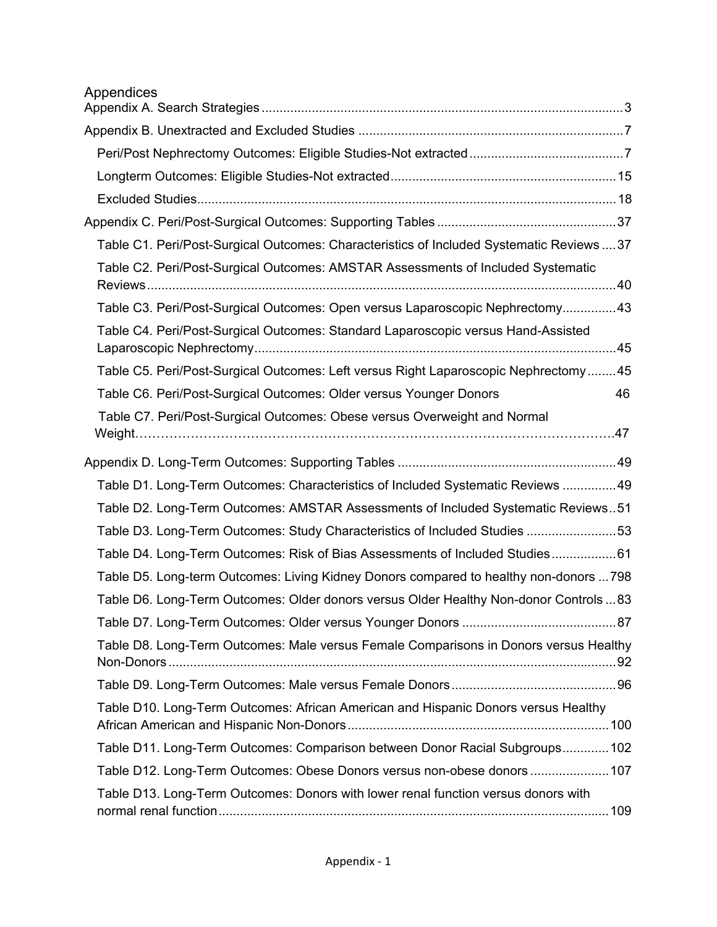| Appendices                                                                                |
|-------------------------------------------------------------------------------------------|
|                                                                                           |
|                                                                                           |
|                                                                                           |
|                                                                                           |
|                                                                                           |
| Table C1. Peri/Post-Surgical Outcomes: Characteristics of Included Systematic Reviews  37 |
| Table C2. Peri/Post-Surgical Outcomes: AMSTAR Assessments of Included Systematic          |
|                                                                                           |
| Table C3. Peri/Post-Surgical Outcomes: Open versus Laparoscopic Nephrectomy43             |
| Table C4. Peri/Post-Surgical Outcomes: Standard Laparoscopic versus Hand-Assisted         |
| Table C5. Peri/Post-Surgical Outcomes: Left versus Right Laparoscopic Nephrectomy45       |
| Table C6. Peri/Post-Surgical Outcomes: Older versus Younger Donors<br>46                  |
| Table C7. Peri/Post-Surgical Outcomes: Obese versus Overweight and Normal                 |
|                                                                                           |
| Table D1. Long-Term Outcomes: Characteristics of Included Systematic Reviews 49           |
| Table D2. Long-Term Outcomes: AMSTAR Assessments of Included Systematic Reviews51         |
| Table D3. Long-Term Outcomes: Study Characteristics of Included Studies 53                |
| Table D4. Long-Term Outcomes: Risk of Bias Assessments of Included Studies61              |
| Table D5. Long-term Outcomes: Living Kidney Donors compared to healthy non-donors  798    |
| Table D6. Long-Term Outcomes: Older donors versus Older Healthy Non-donor Controls  83    |
|                                                                                           |
| Table D8. Long-Term Outcomes: Male versus Female Comparisons in Donors versus Healthy     |
|                                                                                           |
| Table D10. Long-Term Outcomes: African American and Hispanic Donors versus Healthy        |
| Table D11. Long-Term Outcomes: Comparison between Donor Racial Subgroups 102              |
| Table D12. Long-Term Outcomes: Obese Donors versus non-obese donors  107                  |
| Table D13. Long-Term Outcomes: Donors with lower renal function versus donors with        |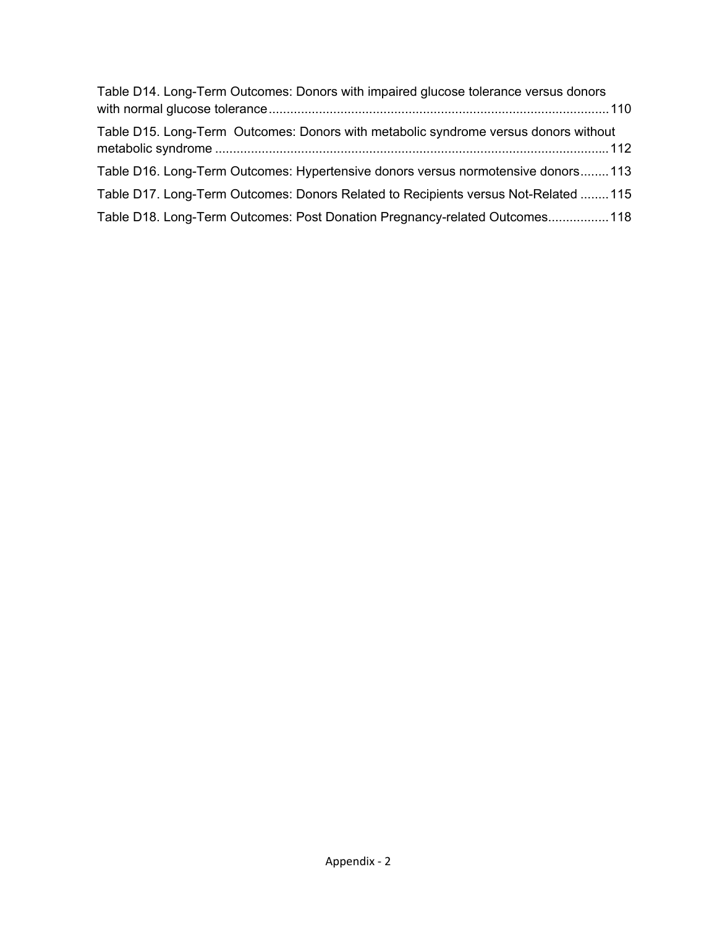| Table D14. Long-Term Outcomes: Donors with impaired glucose tolerance versus donors |  |
|-------------------------------------------------------------------------------------|--|
| Table D15. Long-Term Outcomes: Donors with metabolic syndrome versus donors without |  |
| Table D16. Long-Term Outcomes: Hypertensive donors versus normotensive donors113    |  |
| Table D17. Long-Term Outcomes: Donors Related to Recipients versus Not-Related  115 |  |
| Table D18. Long-Term Outcomes: Post Donation Pregnancy-related Outcomes 118         |  |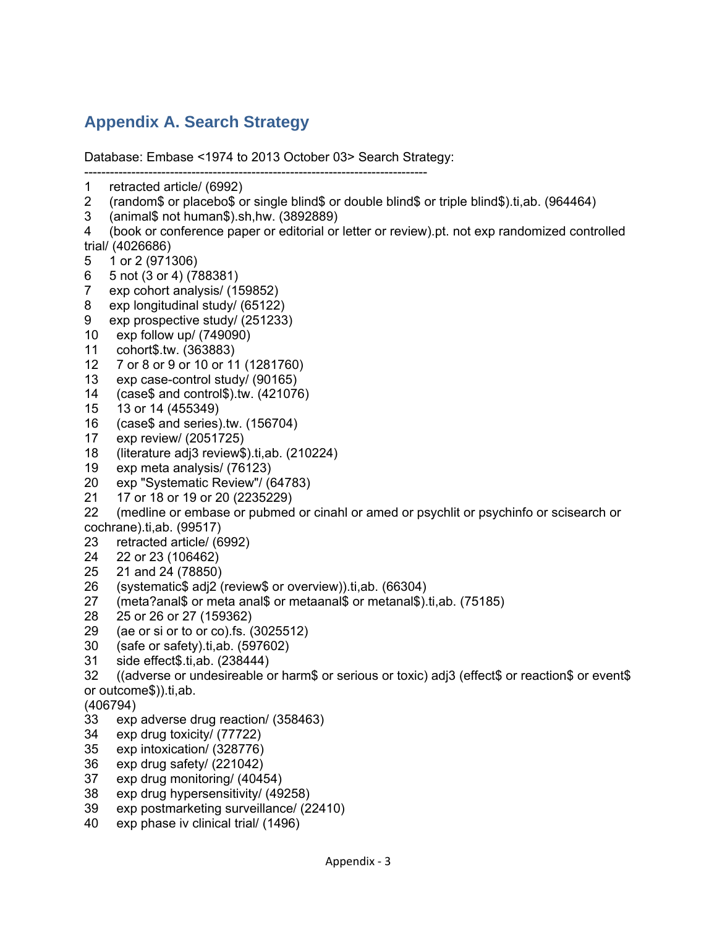# **Appendix A. Search Strategy**

Database: Embase <1974 to 2013 October 03> Search Strategy:

- -------------------------------------------------------------------------------- 1 retracted article/ (6992)
- 2 (random\$ or placebo\$ or single blind\$ or double blind\$ or triple blind\$).ti,ab. (964464)
- 3 (animal\$ not human\$).sh,hw. (3892889)
- 4 (book or conference paper or editorial or letter or review).pt. not exp randomized controlled trial/ (4026686)
- 5 1 or 2 (971306)
- 6 5 not (3 or 4) (788381)
- 7 exp cohort analysis/ (159852)
- 8 exp longitudinal study/ (65122)
- 9 exp prospective study/ (251233)
- 10 exp follow up/ (749090)
- 11 cohort\$.tw. (363883)
- 12 7 or 8 or 9 or 10 or 11 (1281760)
- 13 exp case-control study/ (90165)
- 14 (case\$ and control\$).tw. (421076)
- 15 13 or 14 (455349)
- 16 (case\$ and series).tw. (156704)
- 17 exp review/ (2051725)
- 18 (literature adj3 review\$).ti,ab. (210224)
- 19 exp meta analysis/ (76123)
- 20 exp "Systematic Review"/ (64783)
- 21 17 or 18 or 19 or 20 (2235229)
- 22 (medline or embase or pubmed or cinahl or amed or psychlit or psychinfo or scisearch or cochrane).ti,ab. (99517)
- 23 retracted article/ (6992)
- 24 22 or 23 (106462)
- 25 21 and 24 (78850)
- 26 (systematic\$ adj2 (review\$ or overview)).ti,ab. (66304)
- 27 (meta?anal\$ or meta anal\$ or metaanal\$ or metanal\$).ti,ab. (75185)
- 28 25 or 26 or 27 (159362)
- 29 (ae or si or to or co).fs. (3025512)
- 30 (safe or safety).ti,ab. (597602)
- 31 side effect\$.ti,ab. (238444)
- 32 ((adverse or undesireable or harm\$ or serious or toxic) adj3 (effect\$ or reaction\$ or event\$ or outcome\$)).ti,ab.

(406794)

- 33 exp adverse drug reaction/ (358463)
- 34 exp drug toxicity/ (77722)
- 35 exp intoxication/ (328776)
- 36 exp drug safety/ (221042)
- 37 exp drug monitoring/ (40454)
- 38 exp drug hypersensitivity/ (49258)
- 39 exp postmarketing surveillance/ (22410)
- 40 exp phase iv clinical trial/ (1496)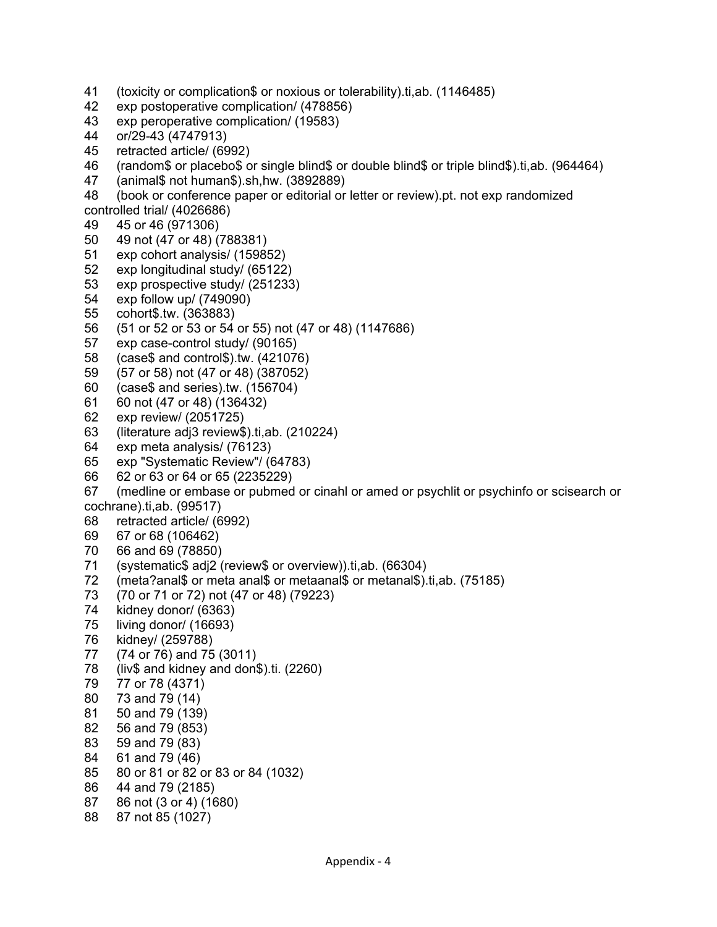- 41 (toxicity or complication\$ or noxious or tolerability).ti,ab. (1146485)
- 42 exp postoperative complication/ (478856)
- 43 exp peroperative complication/ (19583)
- 44 or/29-43 (4747913)
- 45 retracted article/ (6992)
- 46 (random\$ or placebo\$ or single blind\$ or double blind\$ or triple blind\$).ti,ab. (964464)
- 47 (animal\$ not human\$).sh,hw. (3892889)
- 48 (book or conference paper or editorial or letter or review).pt. not exp randomized
- controlled trial/ (4026686)
- 49 45 or 46 (971306)
- 50 49 not (47 or 48) (788381)
- 51 exp cohort analysis/ (159852)
- 52 exp longitudinal study/ (65122)
- 53 exp prospective study/ (251233)
- 54 exp follow up/ (749090)
- 55 cohort\$.tw. (363883)
- 56 (51 or 52 or 53 or 54 or 55) not (47 or 48) (1147686)
- 57 exp case-control study/ (90165)
- 58 (case\$ and control\$).tw. (421076)
- 59 (57 or 58) not (47 or 48) (387052)
- 60 (case\$ and series).tw. (156704)
- 61 60 not (47 or 48) (136432)
- 62 exp review/ (2051725)
- 63 (literature adj3 review\$).ti,ab. (210224)
- 64 exp meta analysis/ (76123)
- 65 exp "Systematic Review"/ (64783)
- 66 62 or 63 or 64 or 65 (2235229)
- 67 (medline or embase or pubmed or cinahl or amed or psychlit or psychinfo or scisearch or cochrane).ti,ab. (99517)
- 68 retracted article/ (6992)
- 69 67 or 68 (106462)
- 70 66 and 69 (78850)
- 71 (systematic\$ adj2 (review\$ or overview)).ti,ab. (66304)<br>72 (meta?anal\$ or meta anal\$ or metaanal\$ or metanal\$).
- 72 (meta?anal\$ or meta anal\$ or metaanal\$ or metanal\$).ti,ab. (75185)
- 73 (70 or 71 or 72) not (47 or 48) (79223)
- 74 kidney donor/ (6363)
- 75 living donor/ (16693)
- 76 kidney/ (259788)
- 77 (74 or 76) and 75 (3011)
- 78 (liv\$ and kidney and don\$).ti. (2260)
- 79 77 or 78 (4371)
- 80 73 and 79 (14)
- 81 50 and 79 (139)
- 82 56 and 79 (853)
- 83 59 and 79 (83)
- 84 61 and 79 (46)
- 85 80 or 81 or 82 or 83 or 84 (1032)
- 86 44 and 79 (2185)
- 87 86 not (3 or 4) (1680)
- 88 87 not 85 (1027)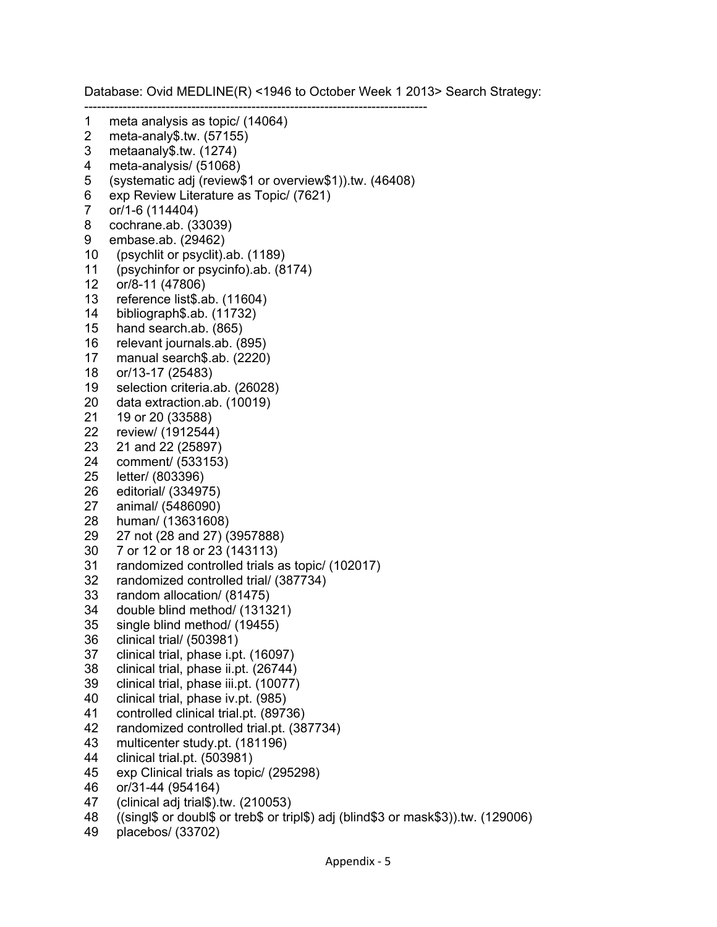Database: Ovid MEDLINE(R) <1946 to October Week 1 2013> Search Strategy: -------------------------------------------------------------------------------- 1 meta analysis as topic/ (14064)<br>2 meta-analy\$.tw. (57155) meta-analy\$.tw. (57155) 3 metaanaly\$.tw. (1274) 4 meta-analysis/ (51068) 5 (systematic adj (review\$1 or overview\$1)).tw. (46408) 6 exp Review Literature as Topic/ (7621) 7 or/1-6 (114404) 8 cochrane.ab. (33039) 9 embase.ab. (29462) 10 (psychlit or psyclit).ab. (1189) 11 (psychinfor or psycinfo).ab. (8174) 12 or/8-11 (47806) 13 reference list\$.ab. (11604) 14 bibliograph\$.ab. (11732) 15 hand search.ab. (865) 16 relevant journals.ab. (895) 17 manual search\$.ab. (2220) 18 or/13-17 (25483) 19 selection criteria.ab. (26028) 20 data extraction.ab. (10019) 21 19 or 20 (33588) 22 review/ (1912544) 23 21 and 22 (25897) 24 comment/ (533153) 25 letter/ (803396) 26 editorial/ (334975) 27 animal/ (5486090) 28 human/ (13631608) 29 27 not (28 and 27) (3957888) 30 7 or 12 or 18 or 23 (143113) 31 randomized controlled trials as topic/ (102017) 32 randomized controlled trial/ (387734) 33 random allocation/ (81475) 34 double blind method/ (131321) 35 single blind method/ (19455) 36 clinical trial/ (503981) 37 clinical trial, phase i.pt. (16097) 38 clinical trial, phase ii.pt. (26744) 39 clinical trial, phase iii.pt. (10077) 40 clinical trial, phase iv.pt. (985) 41 controlled clinical trial.pt. (89736) 42 randomized controlled trial.pt. (387734) 43 multicenter study.pt. (181196) 44 clinical trial.pt. (503981) 45 exp Clinical trials as topic/ (295298) 46 or/31-44 (954164) 47 (clinical adj trial\$).tw. (210053) 48 ((singl\$ or doubl\$ or treb\$ or tripl\$) adj (blind\$3 or mask\$3)).tw. (129006)

49 placebos/ (33702)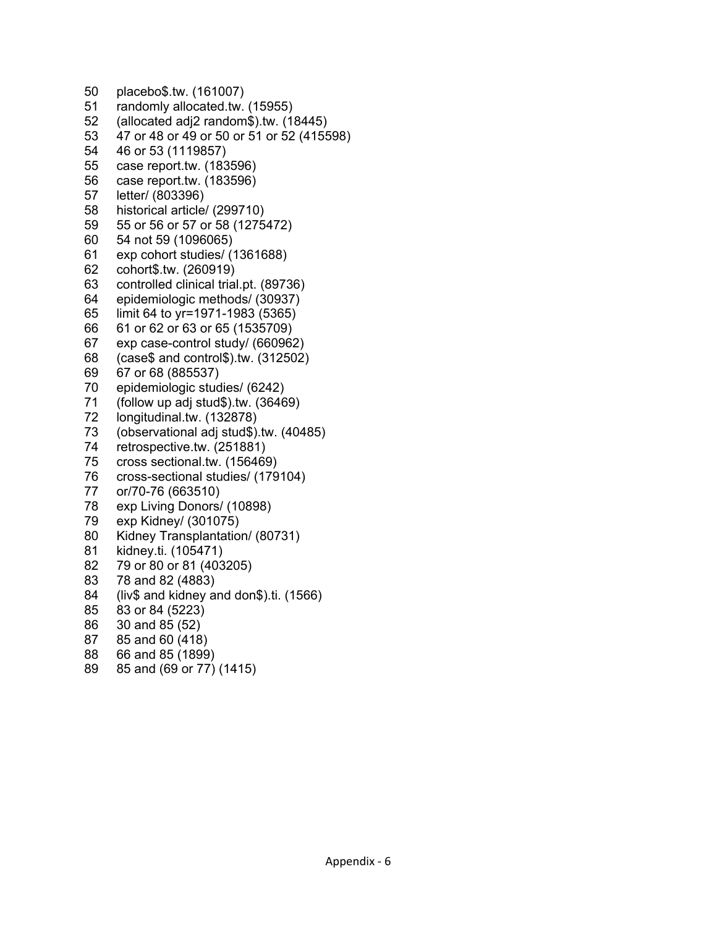50 placebo\$.tw. (161007) 51 randomly allocated.tw. (15955) 52 (allocated adj2 random\$).tw. (18445) 53 47 or 48 or 49 or 50 or 51 or 52 (415598) 54 46 or 53 (1119857) 55 case report.tw. (183596) 56 case report.tw. (183596) 57 letter/ (803396) 58 historical article/ (299710) 59 55 or 56 or 57 or 58 (1275472) 60 54 not 59 (1096065) 61 exp cohort studies/ (1361688) 62 cohort\$.tw. (260919) 63 controlled clinical trial.pt. (89736) 64 epidemiologic methods/ (30937) 65 limit 64 to yr=1971-1983 (5365) 66 61 or 62 or 63 or 65 (1535709) 67 exp case-control study/ (660962) 68 (case\$ and control\$).tw. (312502) 69 67 or 68 (885537) 70 epidemiologic studies/ (6242) 71 (follow up adj stud\$).tw. (36469) 72 longitudinal.tw. (132878) 73 (observational adj stud\$).tw. (40485) 74 retrospective.tw. (251881) 75 cross sectional.tw. (156469) 76 cross-sectional studies/ (179104) 77 or/70-76 (663510) 78 exp Living Donors/ (10898) 79 exp Kidney/ (301075) 80 Kidney Transplantation/ (80731) 81 kidney.ti. (105471) 82 79 or 80 or 81 (403205) 83 78 and 82 (4883) 84 (liv\$ and kidney and don\$).ti. (1566) 85 83 or 84 (5223) 86 30 and 85 (52) 87 85 and 60 (418) 88 66 and 85 (1899) 89 85 and (69 or 77) (1415)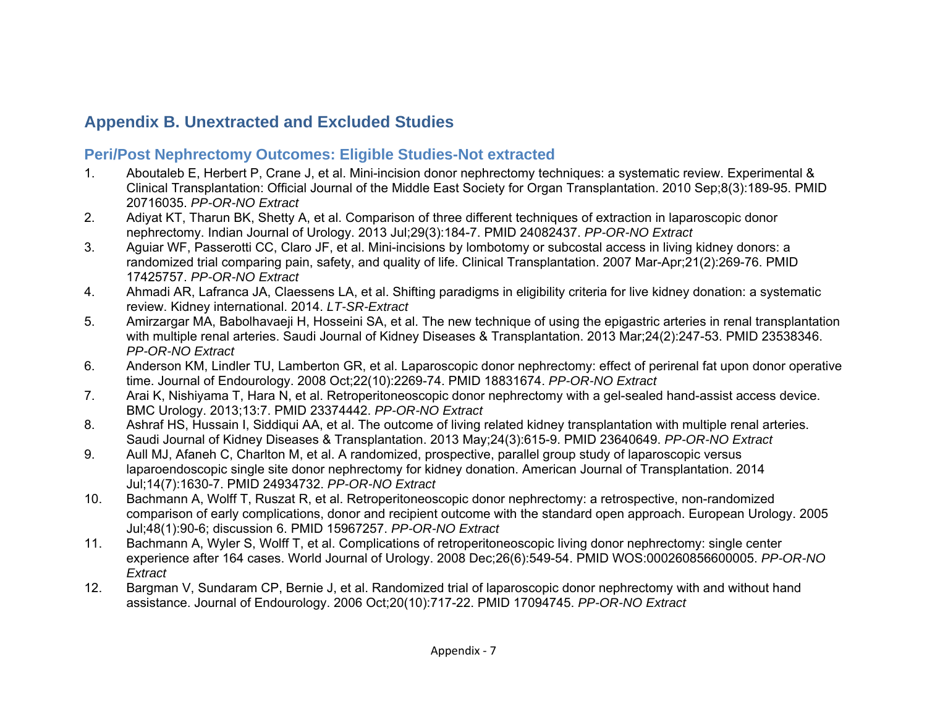## **Appendix B. Unextracted and Excluded Studies**

#### **Peri/Post Nephrectomy Outcomes: Eligible Studies-Not extracted**

- 1. Aboutaleb E, Herbert P, Crane J, et al. Mini-incision donor nephrectomy techniques: a systematic review. Experimental & Clinical Transplantation: Official Journal of the Middle East Society for Organ Transplantation. 2010 Sep;8(3):189-95. PMID 20716035. *PP-OR-NO Extract*
- 2. Adiyat KT, Tharun BK, Shetty A, et al. Comparison of three different techniques of extraction in laparoscopic donor nephrectomy. Indian Journal of Urology. 2013 Jul;29(3):184-7. PMID 24082437. *PP-OR-NO Extract*
- 3. Aguiar WF, Passerotti CC, Claro JF, et al. Mini-incisions by lombotomy or subcostal access in living kidney donors: a randomized trial comparing pain, safety, and quality of life. Clinical Transplantation. 2007 Mar-Apr;21(2):269-76. PMID 17425757. *PP-OR-NO Extract*
- 4. Ahmadi AR, Lafranca JA, Claessens LA, et al. Shifting paradigms in eligibility criteria for live kidney donation: a systematic review. Kidney international. 2014. *LT-SR-Extract*
- 5. Amirzargar MA, Babolhavaeji H, Hosseini SA, et al. The new technique of using the epigastric arteries in renal transplantation with multiple renal arteries. Saudi Journal of Kidney Diseases & Transplantation. 2013 Mar;24(2):247-53. PMID 23538346. *PP-OR-NO Extract*
- 6. Anderson KM, Lindler TU, Lamberton GR, et al. Laparoscopic donor nephrectomy: effect of perirenal fat upon donor operative time. Journal of Endourology. 2008 Oct;22(10):2269-74. PMID 18831674. *PP-OR-NO Extract*
- 7. Arai K, Nishiyama T, Hara N, et al. Retroperitoneoscopic donor nephrectomy with a gel-sealed hand-assist access device. BMC Urology. 2013;13:7. PMID 23374442. *PP-OR-NO Extract*
- 8. Ashraf HS, Hussain I, Siddiqui AA, et al. The outcome of living related kidney transplantation with multiple renal arteries. Saudi Journal of Kidney Diseases & Transplantation. 2013 May;24(3):615-9. PMID 23640649. *PP-OR-NO Extract*
- 9. Aull MJ, Afaneh C, Charlton M, et al. A randomized, prospective, parallel group study of laparoscopic versus laparoendoscopic single site donor nephrectomy for kidney donation. American Journal of Transplantation. 2014 Jul;14(7):1630-7. PMID 24934732. *PP-OR-NO Extract*
- 10. Bachmann A, Wolff T, Ruszat R, et al. Retroperitoneoscopic donor nephrectomy: a retrospective, non-randomized comparison of early complications, donor and recipient outcome with the standard open approach. European Urology. 2005 Jul;48(1):90-6; discussion 6. PMID 15967257. *PP-OR-NO Extract*
- 11. Bachmann A, Wyler S, Wolff T, et al. Complications of retroperitoneoscopic living donor nephrectomy: single center experience after 164 cases. World Journal of Urology. 2008 Dec;26(6):549-54. PMID WOS:000260856600005. *PP-OR-NO Extract*
- 12. Bargman V, Sundaram CP, Bernie J, et al. Randomized trial of laparoscopic donor nephrectomy with and without hand assistance. Journal of Endourology. 2006 Oct;20(10):717-22. PMID 17094745. *PP-OR-NO Extract*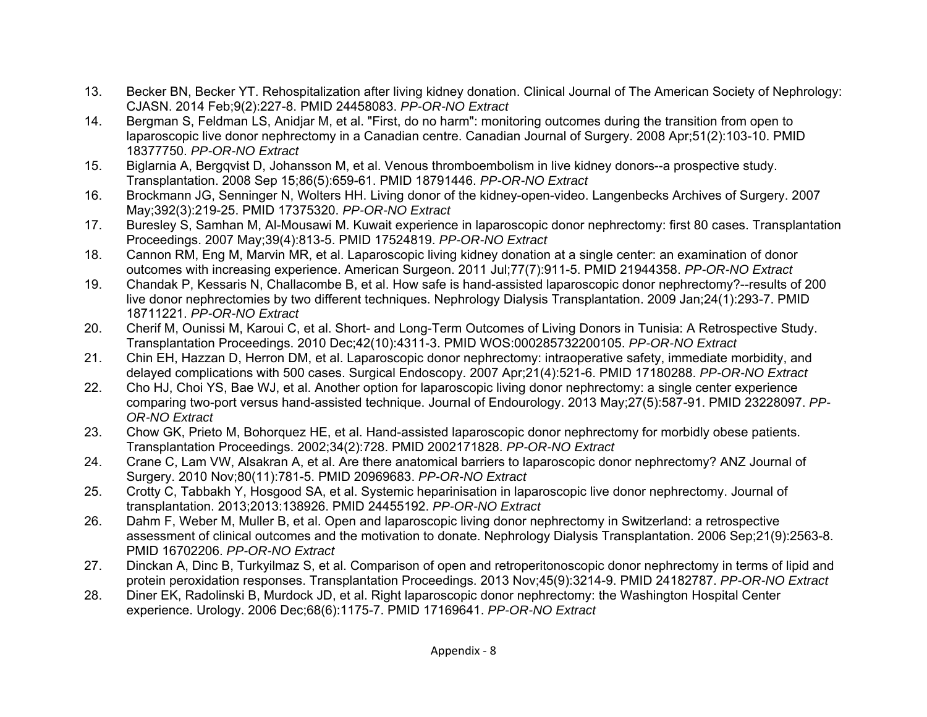- 13. Becker BN, Becker YT. Rehospitalization after living kidney donation. Clinical Journal of The American Society of Nephrology: CJASN. 2014 Feb;9(2):227-8. PMID 24458083. *PP-OR-NO Extract*
- 14. Bergman S, Feldman LS, Anidjar M, et al. "First, do no harm": monitoring outcomes during the transition from open to laparoscopic live donor nephrectomy in a Canadian centre. Canadian Journal of Surgery. 2008 Apr;51(2):103-10. PMID 18377750. *PP-OR-NO Extract*
- 15. Biglarnia A, Bergqvist D, Johansson M, et al. Venous thromboembolism in live kidney donors--a prospective study. Transplantation. 2008 Sep 15;86(5):659-61. PMID 18791446. *PP-OR-NO Extract*
- 16. Brockmann JG, Senninger N, Wolters HH. Living donor of the kidney-open-video. Langenbecks Archives of Surgery. 2007 May;392(3):219-25. PMID 17375320. *PP-OR-NO Extract*
- 17. Buresley S, Samhan M, Al-Mousawi M. Kuwait experience in laparoscopic donor nephrectomy: first 80 cases. Transplantation Proceedings. 2007 May;39(4):813-5. PMID 17524819. *PP-OR-NO Extract*
- 18. Cannon RM, Eng M, Marvin MR, et al. Laparoscopic living kidney donation at a single center: an examination of donor outcomes with increasing experience. American Surgeon. 2011 Jul;77(7):911-5. PMID 21944358. *PP-OR-NO Extract*
- 19. Chandak P, Kessaris N, Challacombe B, et al. How safe is hand-assisted laparoscopic donor nephrectomy?--results of 200 live donor nephrectomies by two different techniques. Nephrology Dialysis Transplantation. 2009 Jan;24(1):293-7. PMID 18711221. *PP-OR-NO Extract*
- 20. Cherif M, Ounissi M, Karoui C, et al. Short- and Long-Term Outcomes of Living Donors in Tunisia: A Retrospective Study. Transplantation Proceedings. 2010 Dec;42(10):4311-3. PMID WOS:000285732200105. *PP-OR-NO Extract*
- 21. Chin EH, Hazzan D, Herron DM, et al. Laparoscopic donor nephrectomy: intraoperative safety, immediate morbidity, and delayed complications with 500 cases. Surgical Endoscopy. 2007 Apr;21(4):521-6. PMID 17180288. *PP-OR-NO Extract*
- 22. Cho HJ, Choi YS, Bae WJ, et al. Another option for laparoscopic living donor nephrectomy: a single center experience comparing two-port versus hand-assisted technique. Journal of Endourology. 2013 May;27(5):587-91. PMID 23228097. *PP-OR-NO Extract*
- 23. Chow GK, Prieto M, Bohorquez HE, et al. Hand-assisted laparoscopic donor nephrectomy for morbidly obese patients. Transplantation Proceedings. 2002;34(2):728. PMID 2002171828. *PP-OR-NO Extract*
- 24. Crane C, Lam VW, Alsakran A, et al. Are there anatomical barriers to laparoscopic donor nephrectomy? ANZ Journal of Surgery. 2010 Nov;80(11):781-5. PMID 20969683. *PP-OR-NO Extract*
- 25. Crotty C, Tabbakh Y, Hosgood SA, et al. Systemic heparinisation in laparoscopic live donor nephrectomy. Journal of transplantation. 2013;2013:138926. PMID 24455192. *PP-OR-NO Extract*
- 26. Dahm F, Weber M, Muller B, et al. Open and laparoscopic living donor nephrectomy in Switzerland: a retrospective assessment of clinical outcomes and the motivation to donate. Nephrology Dialysis Transplantation. 2006 Sep;21(9):2563-8. PMID 16702206. *PP-OR-NO Extract*
- 27. Dinckan A, Dinc B, Turkyilmaz S, et al. Comparison of open and retroperitonoscopic donor nephrectomy in terms of lipid and protein peroxidation responses. Transplantation Proceedings. 2013 Nov;45(9):3214-9. PMID 24182787. *PP-OR-NO Extract*
- 28. Diner EK, Radolinski B, Murdock JD, et al. Right laparoscopic donor nephrectomy: the Washington Hospital Center experience. Urology. 2006 Dec;68(6):1175-7. PMID 17169641. *PP-OR-NO Extract*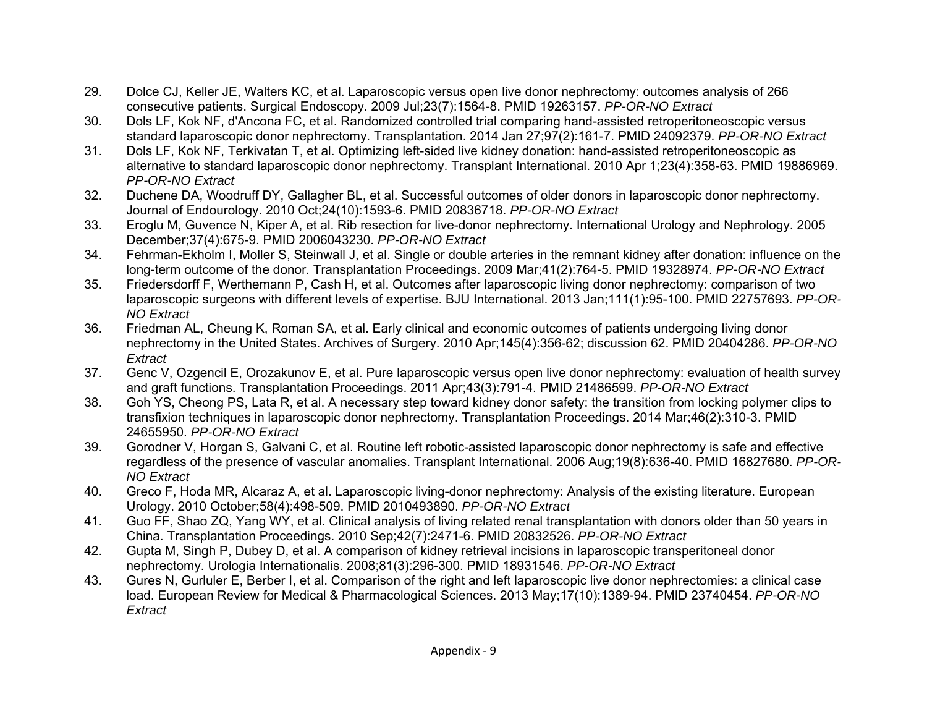- 29. Dolce CJ, Keller JE, Walters KC, et al. Laparoscopic versus open live donor nephrectomy: outcomes analysis of 266 consecutive patients. Surgical Endoscopy. 2009 Jul;23(7):1564-8. PMID 19263157. *PP-OR-NO Extract*
- 30. Dols LF, Kok NF, d'Ancona FC, et al. Randomized controlled trial comparing hand-assisted retroperitoneoscopic versus standard laparoscopic donor nephrectomy. Transplantation. 2014 Jan 27;97(2):161-7. PMID 24092379. *PP-OR-NO Extract*
- 31. Dols LF, Kok NF, Terkivatan T, et al. Optimizing left-sided live kidney donation: hand-assisted retroperitoneoscopic as alternative to standard laparoscopic donor nephrectomy. Transplant International. 2010 Apr 1;23(4):358-63. PMID 19886969. *PP-OR-NO Extract*
- 32. Duchene DA, Woodruff DY, Gallagher BL, et al. Successful outcomes of older donors in laparoscopic donor nephrectomy. Journal of Endourology. 2010 Oct;24(10):1593-6. PMID 20836718. *PP-OR-NO Extract*
- 33. Eroglu M, Guvence N, Kiper A, et al. Rib resection for live-donor nephrectomy. International Urology and Nephrology. 2005 December;37(4):675-9. PMID 2006043230. *PP-OR-NO Extract*
- 34. Fehrman-Ekholm I, Moller S, Steinwall J, et al. Single or double arteries in the remnant kidney after donation: influence on the long-term outcome of the donor. Transplantation Proceedings. 2009 Mar;41(2):764-5. PMID 19328974. *PP-OR-NO Extract*
- 35. Friedersdorff F, Werthemann P, Cash H, et al. Outcomes after laparoscopic living donor nephrectomy: comparison of two laparoscopic surgeons with different levels of expertise. BJU International. 2013 Jan;111(1):95-100. PMID 22757693. *PP-OR-NO Extract*
- 36. Friedman AL, Cheung K, Roman SA, et al. Early clinical and economic outcomes of patients undergoing living donor nephrectomy in the United States. Archives of Surgery. 2010 Apr;145(4):356-62; discussion 62. PMID 20404286. *PP-OR-NO Extract*
- 37. Genc V, Ozgencil E, Orozakunov E, et al. Pure laparoscopic versus open live donor nephrectomy: evaluation of health survey and graft functions. Transplantation Proceedings. 2011 Apr;43(3):791-4. PMID 21486599. *PP-OR-NO Extract*
- 38. Goh YS, Cheong PS, Lata R, et al. A necessary step toward kidney donor safety: the transition from locking polymer clips to transfixion techniques in laparoscopic donor nephrectomy. Transplantation Proceedings. 2014 Mar;46(2):310-3. PMID 24655950. *PP-OR-NO Extract*
- 39. Gorodner V, Horgan S, Galvani C, et al. Routine left robotic-assisted laparoscopic donor nephrectomy is safe and effective regardless of the presence of vascular anomalies. Transplant International. 2006 Aug;19(8):636-40. PMID 16827680. *PP-OR-NO Extract*
- 40. Greco F, Hoda MR, Alcaraz A, et al. Laparoscopic living-donor nephrectomy: Analysis of the existing literature. European Urology. 2010 October;58(4):498-509. PMID 2010493890. *PP-OR-NO Extract*
- 41. Guo FF, Shao ZQ, Yang WY, et al. Clinical analysis of living related renal transplantation with donors older than 50 years in China. Transplantation Proceedings. 2010 Sep;42(7):2471-6. PMID 20832526. *PP-OR-NO Extract*
- 42. Gupta M, Singh P, Dubey D, et al. A comparison of kidney retrieval incisions in laparoscopic transperitoneal donor nephrectomy. Urologia Internationalis. 2008;81(3):296-300. PMID 18931546. *PP-OR-NO Extract*
- 43. Gures N, Gurluler E, Berber I, et al. Comparison of the right and left laparoscopic live donor nephrectomies: a clinical case load. European Review for Medical & Pharmacological Sciences. 2013 May;17(10):1389-94. PMID 23740454. *PP-OR-NO Extract*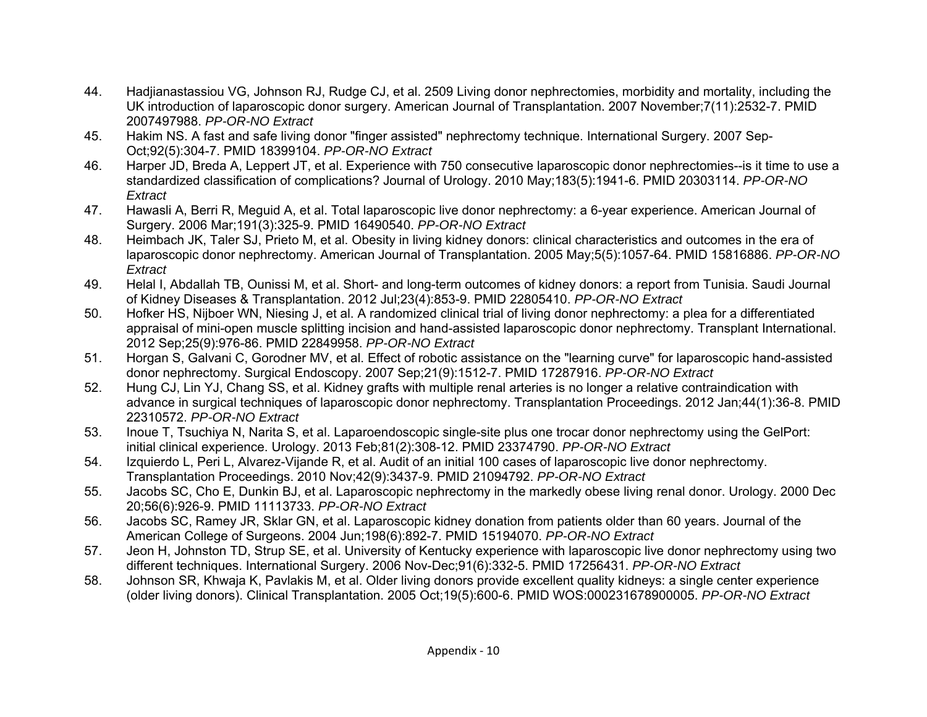- 44. Hadjianastassiou VG, Johnson RJ, Rudge CJ, et al. 2509 Living donor nephrectomies, morbidity and mortality, including the UK introduction of laparoscopic donor surgery. American Journal of Transplantation. 2007 November;7(11):2532-7. PMID 2007497988. *PP-OR-NO Extract*
- 45. Hakim NS. A fast and safe living donor "finger assisted" nephrectomy technique. International Surgery. 2007 Sep-Oct;92(5):304-7. PMID 18399104. *PP-OR-NO Extract*
- 46. Harper JD, Breda A, Leppert JT, et al. Experience with 750 consecutive laparoscopic donor nephrectomies--is it time to use a standardized classification of complications? Journal of Urology. 2010 May;183(5):1941-6. PMID 20303114. *PP-OR-NO Extract*
- 47. Hawasli A, Berri R, Meguid A, et al. Total laparoscopic live donor nephrectomy: a 6-year experience. American Journal of Surgery. 2006 Mar;191(3):325-9. PMID 16490540. *PP-OR-NO Extract*
- 48. Heimbach JK, Taler SJ, Prieto M, et al. Obesity in living kidney donors: clinical characteristics and outcomes in the era of laparoscopic donor nephrectomy. American Journal of Transplantation. 2005 May;5(5):1057-64. PMID 15816886. *PP-OR-NO Extract*
- 49. Helal I, Abdallah TB, Ounissi M, et al. Short- and long-term outcomes of kidney donors: a report from Tunisia. Saudi Journal of Kidney Diseases & Transplantation. 2012 Jul;23(4):853-9. PMID 22805410. *PP-OR-NO Extract*
- 50. Hofker HS, Nijboer WN, Niesing J, et al. A randomized clinical trial of living donor nephrectomy: a plea for a differentiated appraisal of mini-open muscle splitting incision and hand-assisted laparoscopic donor nephrectomy. Transplant International. 2012 Sep;25(9):976-86. PMID 22849958. *PP-OR-NO Extract*
- 51. Horgan S, Galvani C, Gorodner MV, et al. Effect of robotic assistance on the "learning curve" for laparoscopic hand-assisted donor nephrectomy. Surgical Endoscopy. 2007 Sep;21(9):1512-7. PMID 17287916. *PP-OR-NO Extract*
- 52. Hung CJ, Lin YJ, Chang SS, et al. Kidney grafts with multiple renal arteries is no longer a relative contraindication with advance in surgical techniques of laparoscopic donor nephrectomy. Transplantation Proceedings. 2012 Jan;44(1):36-8. PMID 22310572. *PP-OR-NO Extract*
- 53. Inoue T, Tsuchiya N, Narita S, et al. Laparoendoscopic single-site plus one trocar donor nephrectomy using the GelPort: initial clinical experience. Urology. 2013 Feb;81(2):308-12. PMID 23374790. *PP-OR-NO Extract*
- 54. Izquierdo L, Peri L, Alvarez-Vijande R, et al. Audit of an initial 100 cases of laparoscopic live donor nephrectomy. Transplantation Proceedings. 2010 Nov;42(9):3437-9. PMID 21094792. *PP-OR-NO Extract*
- 55. Jacobs SC, Cho E, Dunkin BJ, et al. Laparoscopic nephrectomy in the markedly obese living renal donor. Urology. 2000 Dec 20;56(6):926-9. PMID 11113733. *PP-OR-NO Extract*
- 56. Jacobs SC, Ramey JR, Sklar GN, et al. Laparoscopic kidney donation from patients older than 60 years. Journal of the American College of Surgeons. 2004 Jun;198(6):892-7. PMID 15194070. *PP-OR-NO Extract*
- 57. Jeon H, Johnston TD, Strup SE, et al. University of Kentucky experience with laparoscopic live donor nephrectomy using two different techniques. International Surgery. 2006 Nov-Dec;91(6):332-5. PMID 17256431. *PP-OR-NO Extract*
- 58. Johnson SR, Khwaja K, Pavlakis M, et al. Older living donors provide excellent quality kidneys: a single center experience (older living donors). Clinical Transplantation. 2005 Oct;19(5):600-6. PMID WOS:000231678900005. *PP-OR-NO Extract*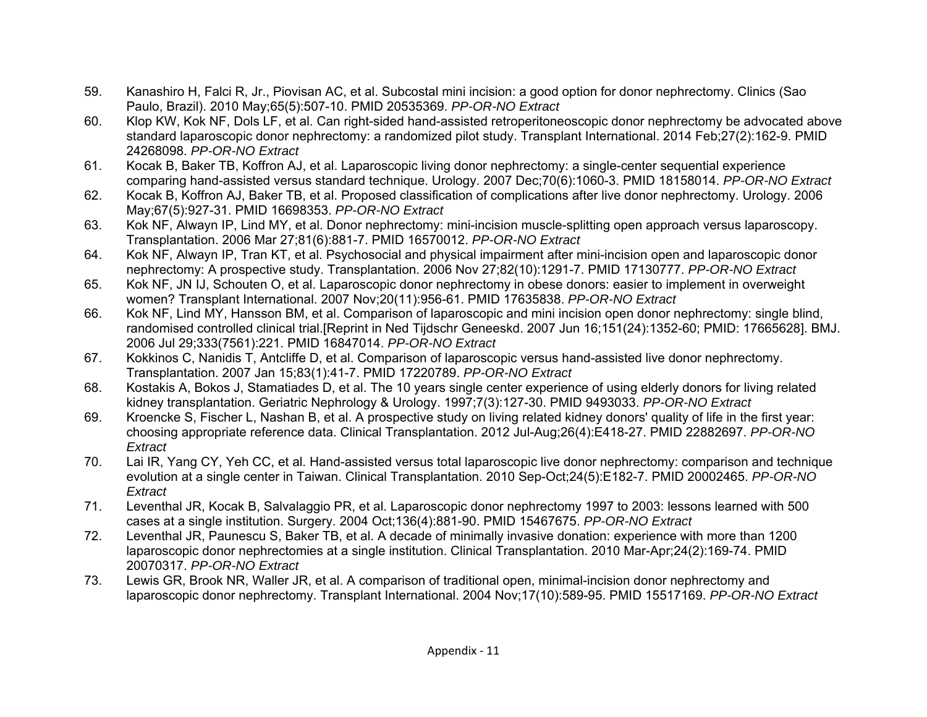- 59. Kanashiro H, Falci R, Jr., Piovisan AC, et al. Subcostal mini incision: a good option for donor nephrectomy. Clinics (Sao Paulo, Brazil). 2010 May;65(5):507-10. PMID 20535369. *PP-OR-NO Extract*
- 60. Klop KW, Kok NF, Dols LF, et al. Can right-sided hand-assisted retroperitoneoscopic donor nephrectomy be advocated above standard laparoscopic donor nephrectomy: a randomized pilot study. Transplant International. 2014 Feb;27(2):162-9. PMID 24268098. *PP-OR-NO Extract*
- 61. Kocak B, Baker TB, Koffron AJ, et al. Laparoscopic living donor nephrectomy: a single-center sequential experience comparing hand-assisted versus standard technique. Urology. 2007 Dec;70(6):1060-3. PMID 18158014. *PP-OR-NO Extract*
- 62. Kocak B, Koffron AJ, Baker TB, et al. Proposed classification of complications after live donor nephrectomy. Urology. 2006 May;67(5):927-31. PMID 16698353. *PP-OR-NO Extract*
- 63. Kok NF, Alwayn IP, Lind MY, et al. Donor nephrectomy: mini-incision muscle-splitting open approach versus laparoscopy. Transplantation. 2006 Mar 27;81(6):881-7. PMID 16570012. *PP-OR-NO Extract*
- 64. Kok NF, Alwayn IP, Tran KT, et al. Psychosocial and physical impairment after mini-incision open and laparoscopic donor nephrectomy: A prospective study. Transplantation. 2006 Nov 27;82(10):1291-7. PMID 17130777. *PP-OR-NO Extract*
- 65. Kok NF, JN IJ, Schouten O, et al. Laparoscopic donor nephrectomy in obese donors: easier to implement in overweight women? Transplant International. 2007 Nov;20(11):956-61. PMID 17635838. *PP-OR-NO Extract*
- 66. Kok NF, Lind MY, Hansson BM, et al. Comparison of laparoscopic and mini incision open donor nephrectomy: single blind, randomised controlled clinical trial.[Reprint in Ned Tijdschr Geneeskd. 2007 Jun 16;151(24):1352-60; PMID: 17665628]. BMJ. 2006 Jul 29;333(7561):221. PMID 16847014. *PP-OR-NO Extract*
- 67. Kokkinos C, Nanidis T, Antcliffe D, et al. Comparison of laparoscopic versus hand-assisted live donor nephrectomy. Transplantation. 2007 Jan 15;83(1):41-7. PMID 17220789. *PP-OR-NO Extract*
- 68. Kostakis A, Bokos J, Stamatiades D, et al. The 10 years single center experience of using elderly donors for living related kidney transplantation. Geriatric Nephrology & Urology. 1997;7(3):127-30. PMID 9493033. *PP-OR-NO Extract*
- 69. Kroencke S, Fischer L, Nashan B, et al. A prospective study on living related kidney donors' quality of life in the first year: choosing appropriate reference data. Clinical Transplantation. 2012 Jul-Aug;26(4):E418-27. PMID 22882697. *PP-OR-NO Extract*
- 70. Lai IR, Yang CY, Yeh CC, et al. Hand-assisted versus total laparoscopic live donor nephrectomy: comparison and technique evolution at a single center in Taiwan. Clinical Transplantation. 2010 Sep-Oct;24(5):E182-7. PMID 20002465. *PP-OR-NO Extract*
- 71. Leventhal JR, Kocak B, Salvalaggio PR, et al. Laparoscopic donor nephrectomy 1997 to 2003: lessons learned with 500 cases at a single institution. Surgery. 2004 Oct;136(4):881-90. PMID 15467675. *PP-OR-NO Extract*
- 72. Leventhal JR, Paunescu S, Baker TB, et al. A decade of minimally invasive donation: experience with more than 1200 laparoscopic donor nephrectomies at a single institution. Clinical Transplantation. 2010 Mar-Apr;24(2):169-74. PMID 20070317. *PP-OR-NO Extract*
- 73. Lewis GR, Brook NR, Waller JR, et al. A comparison of traditional open, minimal-incision donor nephrectomy and laparoscopic donor nephrectomy. Transplant International. 2004 Nov;17(10):589-95. PMID 15517169. *PP-OR-NO Extract*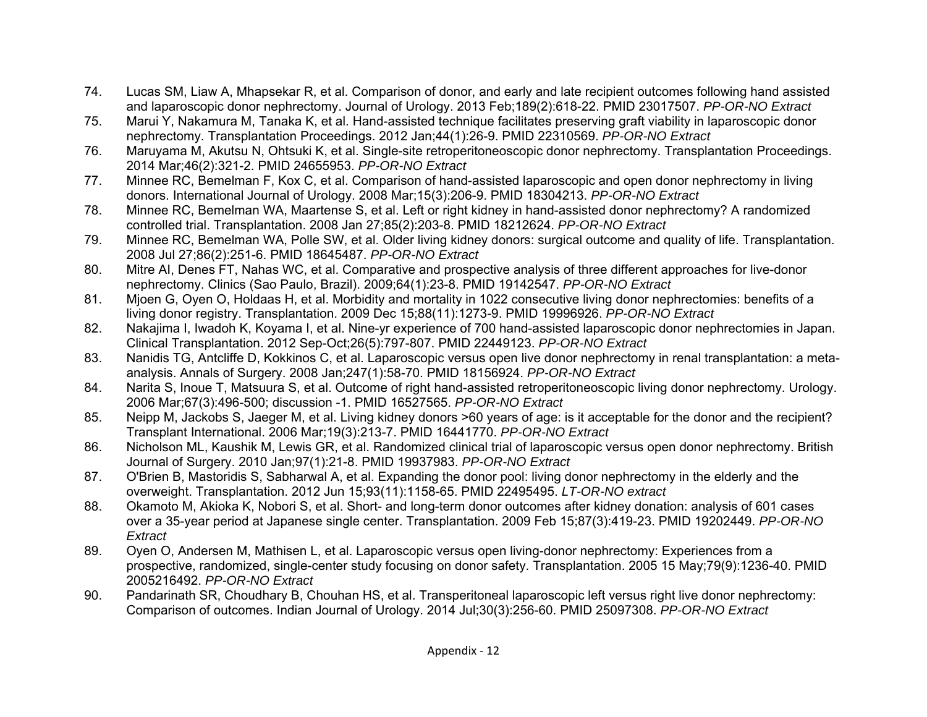- 74. Lucas SM, Liaw A, Mhapsekar R, et al. Comparison of donor, and early and late recipient outcomes following hand assisted and laparoscopic donor nephrectomy. Journal of Urology. 2013 Feb;189(2):618-22. PMID 23017507. *PP-OR-NO Extract*
- 75. Marui Y, Nakamura M, Tanaka K, et al. Hand-assisted technique facilitates preserving graft viability in laparoscopic donor nephrectomy. Transplantation Proceedings. 2012 Jan;44(1):26-9. PMID 22310569. *PP-OR-NO Extract*
- 76. Maruyama M, Akutsu N, Ohtsuki K, et al. Single-site retroperitoneoscopic donor nephrectomy. Transplantation Proceedings. 2014 Mar;46(2):321-2. PMID 24655953. *PP-OR-NO Extract*
- 77. Minnee RC, Bemelman F, Kox C, et al. Comparison of hand-assisted laparoscopic and open donor nephrectomy in living donors. International Journal of Urology. 2008 Mar;15(3):206-9. PMID 18304213. *PP-OR-NO Extract*
- 78. Minnee RC, Bemelman WA, Maartense S, et al. Left or right kidney in hand-assisted donor nephrectomy? A randomized controlled trial. Transplantation. 2008 Jan 27;85(2):203-8. PMID 18212624. *PP-OR-NO Extract*
- 79. Minnee RC, Bemelman WA, Polle SW, et al. Older living kidney donors: surgical outcome and quality of life. Transplantation. 2008 Jul 27;86(2):251-6. PMID 18645487. *PP-OR-NO Extract*
- 80. Mitre AI, Denes FT, Nahas WC, et al. Comparative and prospective analysis of three different approaches for live-donor nephrectomy. Clinics (Sao Paulo, Brazil). 2009;64(1):23-8. PMID 19142547. *PP-OR-NO Extract*
- 81. Mjoen G, Oyen O, Holdaas H, et al. Morbidity and mortality in 1022 consecutive living donor nephrectomies: benefits of a living donor registry. Transplantation. 2009 Dec 15;88(11):1273-9. PMID 19996926. *PP-OR-NO Extract*
- 82. Nakajima I, Iwadoh K, Koyama I, et al. Nine-yr experience of 700 hand-assisted laparoscopic donor nephrectomies in Japan. Clinical Transplantation. 2012 Sep-Oct;26(5):797-807. PMID 22449123. *PP-OR-NO Extract*
- 83. Nanidis TG, Antcliffe D, Kokkinos C, et al. Laparoscopic versus open live donor nephrectomy in renal transplantation: a metaanalysis. Annals of Surgery. 2008 Jan;247(1):58-70. PMID 18156924. *PP-OR-NO Extract*
- 84. Narita S, Inoue T, Matsuura S, et al. Outcome of right hand-assisted retroperitoneoscopic living donor nephrectomy. Urology. 2006 Mar;67(3):496-500; discussion -1. PMID 16527565. *PP-OR-NO Extract*
- 85. Neipp M, Jackobs S, Jaeger M, et al. Living kidney donors >60 years of age: is it acceptable for the donor and the recipient? Transplant International. 2006 Mar;19(3):213-7. PMID 16441770. *PP-OR-NO Extract*
- 86. Nicholson ML, Kaushik M, Lewis GR, et al. Randomized clinical trial of laparoscopic versus open donor nephrectomy. British Journal of Surgery. 2010 Jan;97(1):21-8. PMID 19937983. *PP-OR-NO Extract*
- 87. O'Brien B, Mastoridis S, Sabharwal A, et al. Expanding the donor pool: living donor nephrectomy in the elderly and the overweight. Transplantation. 2012 Jun 15;93(11):1158-65. PMID 22495495. *LT-OR-NO extract*
- 88. Okamoto M, Akioka K, Nobori S, et al. Short- and long-term donor outcomes after kidney donation: analysis of 601 cases over a 35-year period at Japanese single center. Transplantation. 2009 Feb 15;87(3):419-23. PMID 19202449. *PP-OR-NO Extract*
- 89. Oyen O, Andersen M, Mathisen L, et al. Laparoscopic versus open living-donor nephrectomy: Experiences from a prospective, randomized, single-center study focusing on donor safety. Transplantation. 2005 15 May;79(9):1236-40. PMID 2005216492. *PP-OR-NO Extract*
- 90. Pandarinath SR, Choudhary B, Chouhan HS, et al. Transperitoneal laparoscopic left versus right live donor nephrectomy: Comparison of outcomes. Indian Journal of Urology. 2014 Jul;30(3):256-60. PMID 25097308. *PP-OR-NO Extract*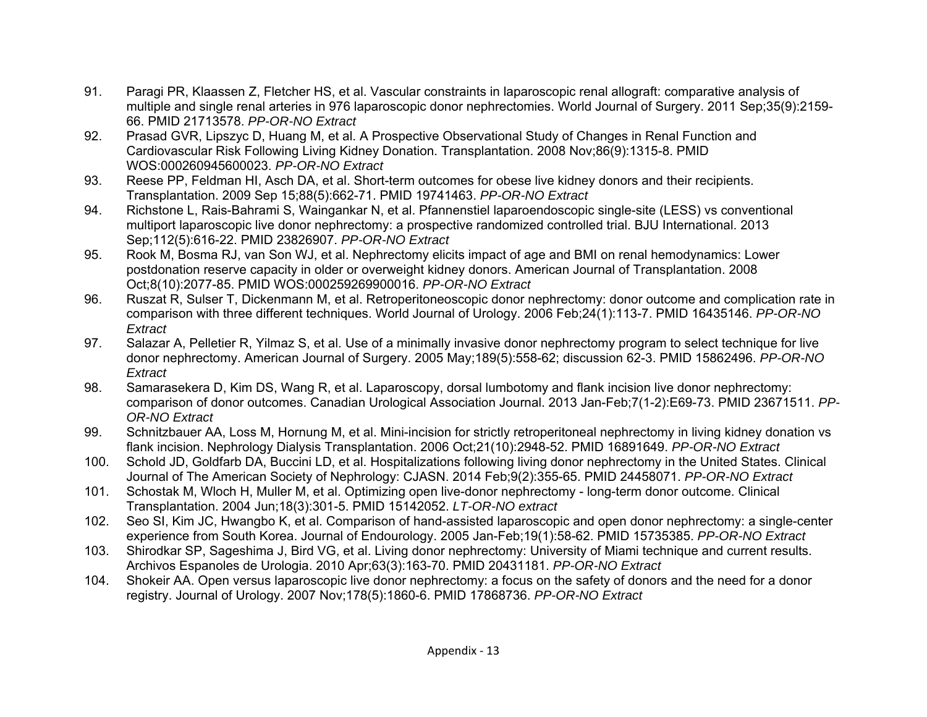- 91. Paragi PR, Klaassen Z, Fletcher HS, et al. Vascular constraints in laparoscopic renal allograft: comparative analysis of multiple and single renal arteries in 976 laparoscopic donor nephrectomies. World Journal of Surgery. 2011 Sep;35(9):2159- 66. PMID 21713578. *PP-OR-NO Extract*
- 92. Prasad GVR, Lipszyc D, Huang M, et al. A Prospective Observational Study of Changes in Renal Function and Cardiovascular Risk Following Living Kidney Donation. Transplantation. 2008 Nov;86(9):1315-8. PMID WOS:000260945600023. *PP-OR-NO Extract*
- 93. Reese PP, Feldman HI, Asch DA, et al. Short-term outcomes for obese live kidney donors and their recipients. Transplantation. 2009 Sep 15;88(5):662-71. PMID 19741463. *PP-OR-NO Extract*
- 94. Richstone L, Rais-Bahrami S, Waingankar N, et al. Pfannenstiel laparoendoscopic single-site (LESS) vs conventional multiport laparoscopic live donor nephrectomy: a prospective randomized controlled trial. BJU International. 2013 Sep;112(5):616-22. PMID 23826907. *PP-OR-NO Extract*
- 95. Rook M, Bosma RJ, van Son WJ, et al. Nephrectomy elicits impact of age and BMI on renal hemodynamics: Lower postdonation reserve capacity in older or overweight kidney donors. American Journal of Transplantation. 2008 Oct;8(10):2077-85. PMID WOS:000259269900016. *PP-OR-NO Extract*
- 96. Ruszat R, Sulser T, Dickenmann M, et al. Retroperitoneoscopic donor nephrectomy: donor outcome and complication rate in comparison with three different techniques. World Journal of Urology. 2006 Feb;24(1):113-7. PMID 16435146. *PP-OR-NO Extract*
- 97. Salazar A, Pelletier R, Yilmaz S, et al. Use of a minimally invasive donor nephrectomy program to select technique for live donor nephrectomy. American Journal of Surgery. 2005 May;189(5):558-62; discussion 62-3. PMID 15862496. *PP-OR-NO Extract*
- 98. Samarasekera D, Kim DS, Wang R, et al. Laparoscopy, dorsal lumbotomy and flank incision live donor nephrectomy: comparison of donor outcomes. Canadian Urological Association Journal. 2013 Jan-Feb;7(1-2):E69-73. PMID 23671511. *PP-OR-NO Extract*
- 99. Schnitzbauer AA, Loss M, Hornung M, et al. Mini-incision for strictly retroperitoneal nephrectomy in living kidney donation vs flank incision. Nephrology Dialysis Transplantation. 2006 Oct;21(10):2948-52. PMID 16891649. *PP-OR-NO Extract*
- 100. Schold JD, Goldfarb DA, Buccini LD, et al. Hospitalizations following living donor nephrectomy in the United States. Clinical Journal of The American Society of Nephrology: CJASN. 2014 Feb;9(2):355-65. PMID 24458071. *PP-OR-NO Extract*
- 101. Schostak M, Wloch H, Muller M, et al. Optimizing open live-donor nephrectomy long-term donor outcome. Clinical Transplantation. 2004 Jun;18(3):301-5. PMID 15142052. *LT-OR-NO extract*
- 102. Seo SI, Kim JC, Hwangbo K, et al. Comparison of hand-assisted laparoscopic and open donor nephrectomy: a single-center experience from South Korea. Journal of Endourology. 2005 Jan-Feb;19(1):58-62. PMID 15735385. *PP-OR-NO Extract*
- 103. Shirodkar SP, Sageshima J, Bird VG, et al. Living donor nephrectomy: University of Miami technique and current results. Archivos Espanoles de Urologia. 2010 Apr;63(3):163-70. PMID 20431181. *PP-OR-NO Extract*
- 104. Shokeir AA. Open versus laparoscopic live donor nephrectomy: a focus on the safety of donors and the need for a donor registry. Journal of Urology. 2007 Nov;178(5):1860-6. PMID 17868736. *PP-OR-NO Extract*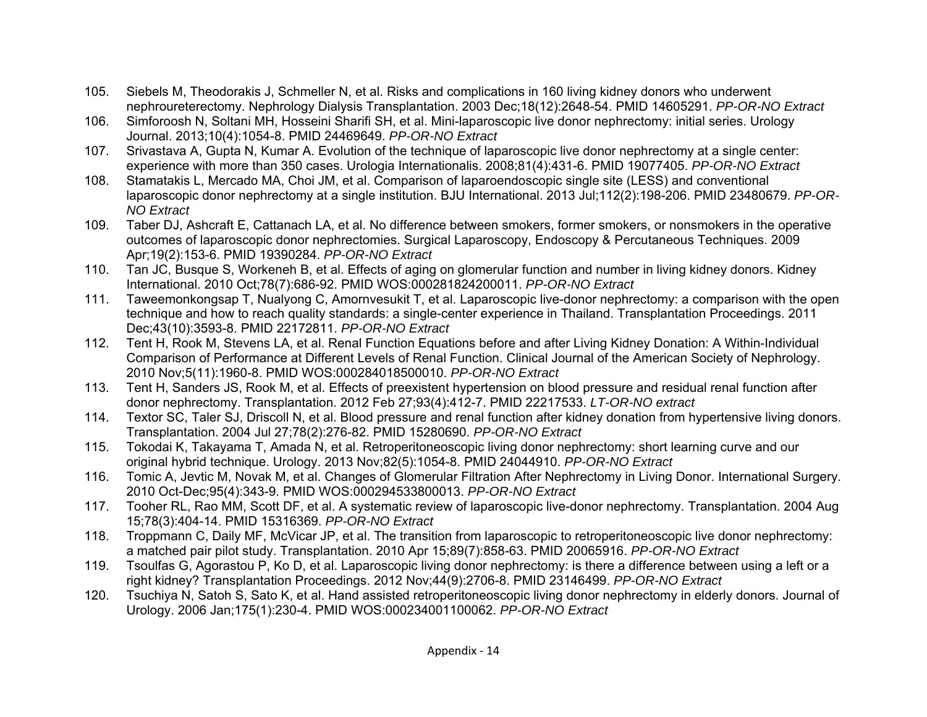- 105. Siebels M, Theodorakis J, Schmeller N, et al. Risks and complications in 160 living kidney donors who underwent nephroureterectomy. Nephrology Dialysis Transplantation. 2003 Dec;18(12):2648-54. PMID 14605291. *PP-OR-NO Extract*
- 106. Simforoosh N, Soltani MH, Hosseini Sharifi SH, et al. Mini-laparoscopic live donor nephrectomy: initial series. Urology Journal. 2013;10(4):1054-8. PMID 24469649. *PP-OR-NO Extract*
- 107. Srivastava A, Gupta N, Kumar A. Evolution of the technique of laparoscopic live donor nephrectomy at a single center: experience with more than 350 cases. Urologia Internationalis. 2008;81(4):431-6. PMID 19077405. *PP-OR-NO Extract*
- 108. Stamatakis L, Mercado MA, Choi JM, et al. Comparison of laparoendoscopic single site (LESS) and conventional laparoscopic donor nephrectomy at a single institution. BJU International. 2013 Jul;112(2):198-206. PMID 23480679. *PP-OR-NO Extract*
- 109. Taber DJ, Ashcraft E, Cattanach LA, et al. No difference between smokers, former smokers, or nonsmokers in the operative outcomes of laparoscopic donor nephrectomies. Surgical Laparoscopy, Endoscopy & Percutaneous Techniques. 2009 Apr;19(2):153-6. PMID 19390284. *PP-OR-NO Extract*
- 110. Tan JC, Busque S, Workeneh B, et al. Effects of aging on glomerular function and number in living kidney donors. Kidney International. 2010 Oct;78(7):686-92. PMID WOS:000281824200011. *PP-OR-NO Extract*
- 111. Taweemonkongsap T, Nualyong C, Amornvesukit T, et al. Laparoscopic live-donor nephrectomy: a comparison with the open technique and how to reach quality standards: a single-center experience in Thailand. Transplantation Proceedings. 2011 Dec;43(10):3593-8. PMID 22172811. *PP-OR-NO Extract*
- 112. Tent H, Rook M, Stevens LA, et al. Renal Function Equations before and after Living Kidney Donation: A Within-Individual Comparison of Performance at Different Levels of Renal Function. Clinical Journal of the American Society of Nephrology. 2010 Nov;5(11):1960-8. PMID WOS:000284018500010. *PP-OR-NO Extract*
- 113. Tent H, Sanders JS, Rook M, et al. Effects of preexistent hypertension on blood pressure and residual renal function after donor nephrectomy. Transplantation. 2012 Feb 27;93(4):412-7. PMID 22217533. *LT-OR-NO extract*
- 114. Textor SC, Taler SJ, Driscoll N, et al. Blood pressure and renal function after kidney donation from hypertensive living donors. Transplantation. 2004 Jul 27;78(2):276-82. PMID 15280690. *PP-OR-NO Extract*
- 115. Tokodai K, Takayama T, Amada N, et al. Retroperitoneoscopic living donor nephrectomy: short learning curve and our original hybrid technique. Urology. 2013 Nov;82(5):1054-8. PMID 24044910. *PP-OR-NO Extract*
- 116. Tomic A, Jevtic M, Novak M, et al. Changes of Glomerular Filtration After Nephrectomy in Living Donor. International Surgery. 2010 Oct-Dec;95(4):343-9. PMID WOS:000294533800013. *PP-OR-NO Extract*
- 117. Tooher RL, Rao MM, Scott DF, et al. A systematic review of laparoscopic live-donor nephrectomy. Transplantation. 2004 Aug 15;78(3):404-14. PMID 15316369. *PP-OR-NO Extract*
- 118. Troppmann C, Daily MF, McVicar JP, et al. The transition from laparoscopic to retroperitoneoscopic live donor nephrectomy: a matched pair pilot study. Transplantation. 2010 Apr 15;89(7):858-63. PMID 20065916. *PP-OR-NO Extract*
- 119. Tsoulfas G, Agorastou P, Ko D, et al. Laparoscopic living donor nephrectomy: is there a difference between using a left or a right kidney? Transplantation Proceedings. 2012 Nov;44(9):2706-8. PMID 23146499. *PP-OR-NO Extract*
- 120. Tsuchiya N, Satoh S, Sato K, et al. Hand assisted retroperitoneoscopic living donor nephrectomy in elderly donors. Journal of Urology. 2006 Jan;175(1):230-4. PMID WOS:000234001100062. *PP-OR-NO Extract*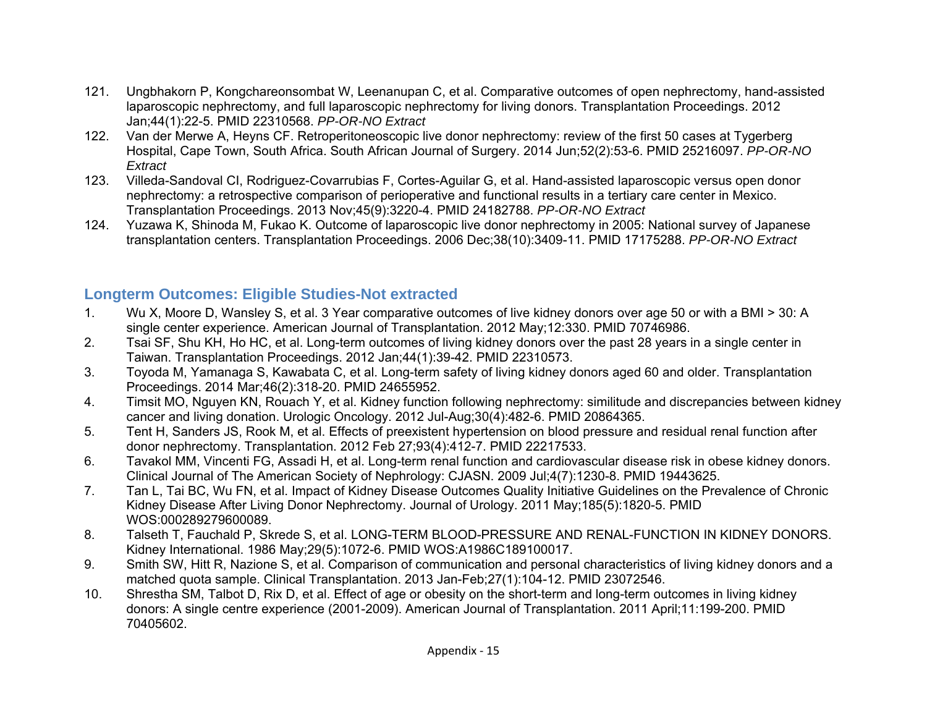- 121. Ungbhakorn P, Kongchareonsombat W, Leenanupan C, et al. Comparative outcomes of open nephrectomy, hand-assisted laparoscopic nephrectomy, and full laparoscopic nephrectomy for living donors. Transplantation Proceedings. 2012 Jan;44(1):22-5. PMID 22310568. *PP-OR-NO Extract*
- 122. Van der Merwe A, Heyns CF. Retroperitoneoscopic live donor nephrectomy: review of the first 50 cases at Tygerberg Hospital, Cape Town, South Africa. South African Journal of Surgery. 2014 Jun;52(2):53-6. PMID 25216097. *PP-OR-NO Extract*
- 123. Villeda-Sandoval CI, Rodriguez-Covarrubias F, Cortes-Aguilar G, et al. Hand-assisted laparoscopic versus open donor nephrectomy: a retrospective comparison of perioperative and functional results in a tertiary care center in Mexico. Transplantation Proceedings. 2013 Nov;45(9):3220-4. PMID 24182788. *PP-OR-NO Extract*
- 124. Yuzawa K, Shinoda M, Fukao K. Outcome of laparoscopic live donor nephrectomy in 2005: National survey of Japanese transplantation centers. Transplantation Proceedings. 2006 Dec;38(10):3409-11. PMID 17175288. *PP-OR-NO Extract*

### **Longterm Outcomes: Eligible Studies-Not extracted**

- 1. Wu X, Moore D, Wansley S, et al. 3 Year comparative outcomes of live kidney donors over age 50 or with a BMI > 30: A single center experience. American Journal of Transplantation. 2012 May;12:330. PMID 70746986.
- 2. Tsai SF, Shu KH, Ho HC, et al. Long-term outcomes of living kidney donors over the past 28 years in a single center in Taiwan. Transplantation Proceedings. 2012 Jan;44(1):39-42. PMID 22310573.
- 3. Toyoda M, Yamanaga S, Kawabata C, et al. Long-term safety of living kidney donors aged 60 and older. Transplantation Proceedings. 2014 Mar;46(2):318-20. PMID 24655952.
- 4. Timsit MO, Nguyen KN, Rouach Y, et al. Kidney function following nephrectomy: similitude and discrepancies between kidney cancer and living donation. Urologic Oncology. 2012 Jul-Aug;30(4):482-6. PMID 20864365.
- 5. Tent H, Sanders JS, Rook M, et al. Effects of preexistent hypertension on blood pressure and residual renal function after donor nephrectomy. Transplantation. 2012 Feb 27;93(4):412-7. PMID 22217533.
- 6. Tavakol MM, Vincenti FG, Assadi H, et al. Long-term renal function and cardiovascular disease risk in obese kidney donors. Clinical Journal of The American Society of Nephrology: CJASN. 2009 Jul;4(7):1230-8. PMID 19443625.
- 7. Tan L, Tai BC, Wu FN, et al. Impact of Kidney Disease Outcomes Quality Initiative Guidelines on the Prevalence of Chronic Kidney Disease After Living Donor Nephrectomy. Journal of Urology. 2011 May;185(5):1820-5. PMID WOS:000289279600089.
- 8. Talseth T, Fauchald P, Skrede S, et al. LONG-TERM BLOOD-PRESSURE AND RENAL-FUNCTION IN KIDNEY DONORS. Kidney International. 1986 May;29(5):1072-6. PMID WOS:A1986C189100017.
- 9. Smith SW, Hitt R, Nazione S, et al. Comparison of communication and personal characteristics of living kidney donors and a matched quota sample. Clinical Transplantation. 2013 Jan-Feb;27(1):104-12. PMID 23072546.
- 10. Shrestha SM, Talbot D, Rix D, et al. Effect of age or obesity on the short-term and long-term outcomes in living kidney donors: A single centre experience (2001-2009). American Journal of Transplantation. 2011 April;11:199-200. PMID 70405602.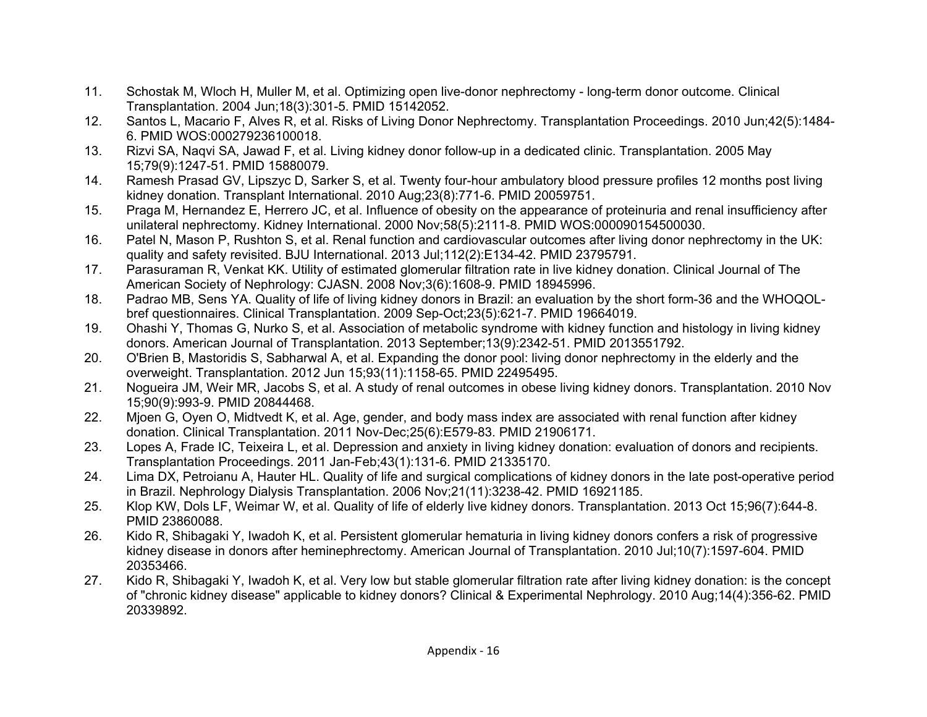- 11. Schostak M, Wloch H, Muller M, et al. Optimizing open live-donor nephrectomy long-term donor outcome. Clinical Transplantation. 2004 Jun;18(3):301-5. PMID 15142052.
- 12. Santos L, Macario F, Alves R, et al. Risks of Living Donor Nephrectomy. Transplantation Proceedings. 2010 Jun;42(5):1484- 6. PMID WOS:000279236100018.
- 13. Rizvi SA, Naqvi SA, Jawad F, et al. Living kidney donor follow-up in a dedicated clinic. Transplantation. 2005 May 15;79(9):1247-51. PMID 15880079.
- 14. Ramesh Prasad GV, Lipszyc D, Sarker S, et al. Twenty four-hour ambulatory blood pressure profiles 12 months post living kidney donation. Transplant International. 2010 Aug;23(8):771-6. PMID 20059751.
- 15. Praga M, Hernandez E, Herrero JC, et al. Influence of obesity on the appearance of proteinuria and renal insufficiency after unilateral nephrectomy. Kidney International. 2000 Nov;58(5):2111-8. PMID WOS:000090154500030.
- 16. Patel N, Mason P, Rushton S, et al. Renal function and cardiovascular outcomes after living donor nephrectomy in the UK: quality and safety revisited. BJU International. 2013 Jul;112(2):E134-42. PMID 23795791.
- 17. Parasuraman R, Venkat KK. Utility of estimated glomerular filtration rate in live kidney donation. Clinical Journal of The American Society of Nephrology: CJASN. 2008 Nov;3(6):1608-9. PMID 18945996.
- 18. Padrao MB, Sens YA. Quality of life of living kidney donors in Brazil: an evaluation by the short form-36 and the WHOQOLbref questionnaires. Clinical Transplantation. 2009 Sep-Oct;23(5):621-7. PMID 19664019.
- 19. Ohashi Y, Thomas G, Nurko S, et al. Association of metabolic syndrome with kidney function and histology in living kidney donors. American Journal of Transplantation. 2013 September;13(9):2342-51. PMID 2013551792.
- 20. O'Brien B, Mastoridis S, Sabharwal A, et al. Expanding the donor pool: living donor nephrectomy in the elderly and the overweight. Transplantation. 2012 Jun 15;93(11):1158-65. PMID 22495495.
- 21. Nogueira JM, Weir MR, Jacobs S, et al. A study of renal outcomes in obese living kidney donors. Transplantation. 2010 Nov 15;90(9):993-9. PMID 20844468.
- 22. Mjoen G, Oyen O, Midtvedt K, et al. Age, gender, and body mass index are associated with renal function after kidney donation. Clinical Transplantation. 2011 Nov-Dec;25(6):E579-83. PMID 21906171.
- 23. Lopes A, Frade IC, Teixeira L, et al. Depression and anxiety in living kidney donation: evaluation of donors and recipients. Transplantation Proceedings. 2011 Jan-Feb;43(1):131-6. PMID 21335170.
- 24. Lima DX, Petroianu A, Hauter HL. Quality of life and surgical complications of kidney donors in the late post-operative period in Brazil. Nephrology Dialysis Transplantation. 2006 Nov;21(11):3238-42. PMID 16921185.
- 25. Klop KW, Dols LF, Weimar W, et al. Quality of life of elderly live kidney donors. Transplantation. 2013 Oct 15;96(7):644-8. PMID 23860088.
- 26. Kido R, Shibagaki Y, Iwadoh K, et al. Persistent glomerular hematuria in living kidney donors confers a risk of progressive kidney disease in donors after heminephrectomy. American Journal of Transplantation. 2010 Jul;10(7):1597-604. PMID 20353466.
- 27. Kido R, Shibagaki Y, Iwadoh K, et al. Very low but stable glomerular filtration rate after living kidney donation: is the concept of "chronic kidney disease" applicable to kidney donors? Clinical & Experimental Nephrology. 2010 Aug;14(4):356-62. PMID 20339892.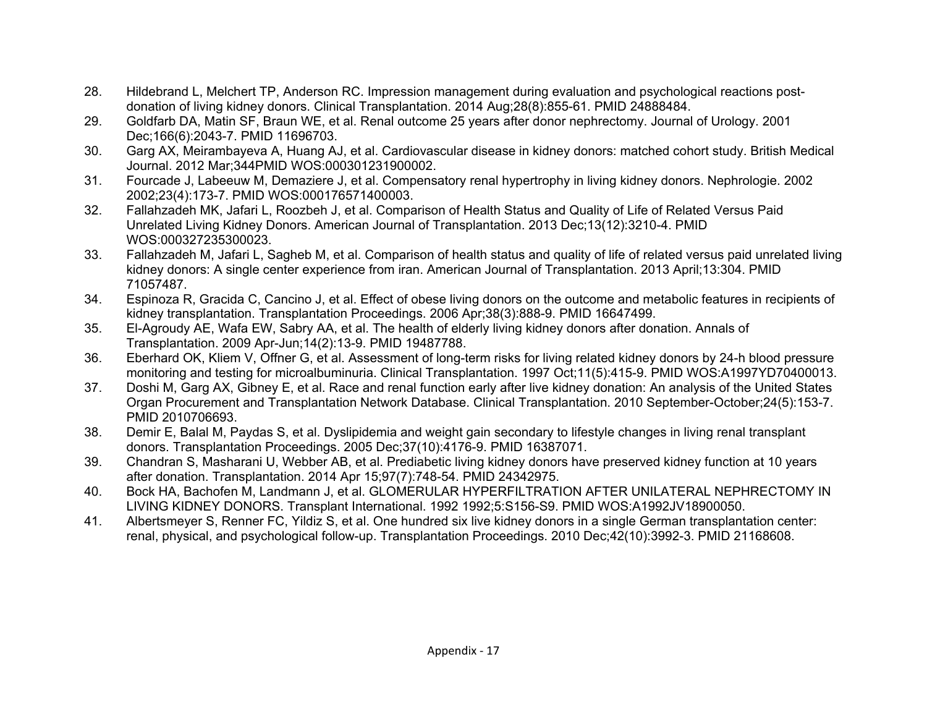- 28. Hildebrand L, Melchert TP, Anderson RC. Impression management during evaluation and psychological reactions postdonation of living kidney donors. Clinical Transplantation. 2014 Aug;28(8):855-61. PMID 24888484.
- 29. Goldfarb DA, Matin SF, Braun WE, et al. Renal outcome 25 years after donor nephrectomy. Journal of Urology. 2001 Dec;166(6):2043-7. PMID 11696703.
- 30. Garg AX, Meirambayeva A, Huang AJ, et al. Cardiovascular disease in kidney donors: matched cohort study. British Medical Journal. 2012 Mar;344PMID WOS:000301231900002.
- 31. Fourcade J, Labeeuw M, Demaziere J, et al. Compensatory renal hypertrophy in living kidney donors. Nephrologie. 2002 2002;23(4):173-7. PMID WOS:000176571400003.
- 32. Fallahzadeh MK, Jafari L, Roozbeh J, et al. Comparison of Health Status and Quality of Life of Related Versus Paid Unrelated Living Kidney Donors. American Journal of Transplantation. 2013 Dec;13(12):3210-4. PMID WOS:000327235300023.
- 33. Fallahzadeh M, Jafari L, Sagheb M, et al. Comparison of health status and quality of life of related versus paid unrelated living kidney donors: A single center experience from iran. American Journal of Transplantation. 2013 April;13:304. PMID 71057487.
- 34. Espinoza R, Gracida C, Cancino J, et al. Effect of obese living donors on the outcome and metabolic features in recipients of kidney transplantation. Transplantation Proceedings. 2006 Apr;38(3):888-9. PMID 16647499.
- 35. El-Agroudy AE, Wafa EW, Sabry AA, et al. The health of elderly living kidney donors after donation. Annals of Transplantation. 2009 Apr-Jun;14(2):13-9. PMID 19487788.
- 36. Eberhard OK, Kliem V, Offner G, et al. Assessment of long-term risks for living related kidney donors by 24-h blood pressure monitoring and testing for microalbuminuria. Clinical Transplantation. 1997 Oct;11(5):415-9. PMID WOS:A1997YD70400013.
- 37. Doshi M, Garg AX, Gibney E, et al. Race and renal function early after live kidney donation: An analysis of the United States Organ Procurement and Transplantation Network Database. Clinical Transplantation. 2010 September-October;24(5):153-7. PMID 2010706693.
- 38. Demir E, Balal M, Paydas S, et al. Dyslipidemia and weight gain secondary to lifestyle changes in living renal transplant donors. Transplantation Proceedings. 2005 Dec;37(10):4176-9. PMID 16387071.
- 39. Chandran S, Masharani U, Webber AB, et al. Prediabetic living kidney donors have preserved kidney function at 10 years after donation. Transplantation. 2014 Apr 15;97(7):748-54. PMID 24342975.
- 40. Bock HA, Bachofen M, Landmann J, et al. GLOMERULAR HYPERFILTRATION AFTER UNILATERAL NEPHRECTOMY IN LIVING KIDNEY DONORS. Transplant International. 1992 1992;5:S156-S9. PMID WOS:A1992JV18900050.
- 41. Albertsmeyer S, Renner FC, Yildiz S, et al. One hundred six live kidney donors in a single German transplantation center: renal, physical, and psychological follow-up. Transplantation Proceedings. 2010 Dec;42(10):3992-3. PMID 21168608.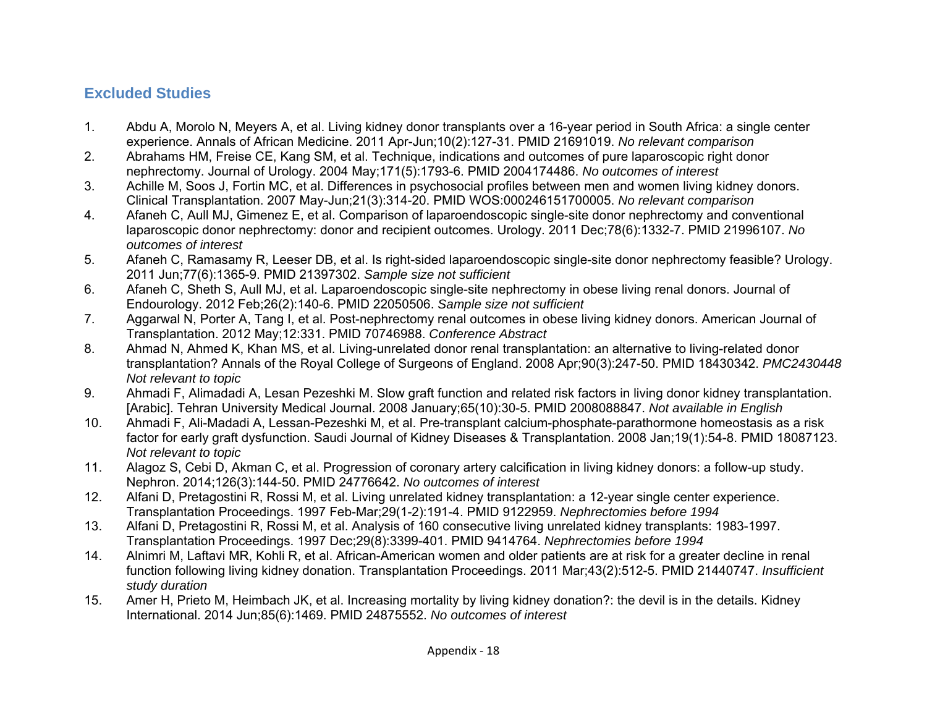### **Excluded Studies**

- 1. Abdu A, Morolo N, Meyers A, et al. Living kidney donor transplants over a 16-year period in South Africa: a single center experience. Annals of African Medicine. 2011 Apr-Jun;10(2):127-31. PMID 21691019. *No relevant comparison*
- 2. Abrahams HM, Freise CE, Kang SM, et al. Technique, indications and outcomes of pure laparoscopic right donor nephrectomy. Journal of Urology. 2004 May;171(5):1793-6. PMID 2004174486. *No outcomes of interest*
- 3. Achille M, Soos J, Fortin MC, et al. Differences in psychosocial profiles between men and women living kidney donors. Clinical Transplantation. 2007 May-Jun;21(3):314-20. PMID WOS:000246151700005. *No relevant comparison*
- 4. Afaneh C, Aull MJ, Gimenez E, et al. Comparison of laparoendoscopic single-site donor nephrectomy and conventional laparoscopic donor nephrectomy: donor and recipient outcomes. Urology. 2011 Dec;78(6):1332-7. PMID 21996107. *No outcomes of interest*
- 5. Afaneh C, Ramasamy R, Leeser DB, et al. Is right-sided laparoendoscopic single-site donor nephrectomy feasible? Urology. 2011 Jun;77(6):1365-9. PMID 21397302. *Sample size not sufficient*
- 6. Afaneh C, Sheth S, Aull MJ, et al. Laparoendoscopic single-site nephrectomy in obese living renal donors. Journal of Endourology. 2012 Feb;26(2):140-6. PMID 22050506. *Sample size not sufficient*
- 7. Aggarwal N, Porter A, Tang I, et al. Post-nephrectomy renal outcomes in obese living kidney donors. American Journal of Transplantation. 2012 May;12:331. PMID 70746988. *Conference Abstract*
- 8. Ahmad N, Ahmed K, Khan MS, et al. Living-unrelated donor renal transplantation: an alternative to living-related donor transplantation? Annals of the Royal College of Surgeons of England. 2008 Apr;90(3):247-50. PMID 18430342. *PMC2430448 Not relevant to topic*
- 9. Ahmadi F, Alimadadi A, Lesan Pezeshki M. Slow graft function and related risk factors in living donor kidney transplantation. [Arabic]. Tehran University Medical Journal. 2008 January;65(10):30-5. PMID 2008088847. *Not available in English*
- 10. Ahmadi F, Ali-Madadi A, Lessan-Pezeshki M, et al. Pre-transplant calcium-phosphate-parathormone homeostasis as a risk factor for early graft dysfunction. Saudi Journal of Kidney Diseases & Transplantation. 2008 Jan;19(1):54-8. PMID 18087123. *Not relevant to topic*
- 11. Alagoz S, Cebi D, Akman C, et al. Progression of coronary artery calcification in living kidney donors: a follow-up study. Nephron. 2014;126(3):144-50. PMID 24776642. *No outcomes of interest*
- 12. Alfani D, Pretagostini R, Rossi M, et al. Living unrelated kidney transplantation: a 12-year single center experience. Transplantation Proceedings. 1997 Feb-Mar;29(1-2):191-4. PMID 9122959. *Nephrectomies before 1994*
- 13. Alfani D, Pretagostini R, Rossi M, et al. Analysis of 160 consecutive living unrelated kidney transplants: 1983-1997. Transplantation Proceedings. 1997 Dec;29(8):3399-401. PMID 9414764. *Nephrectomies before 1994*
- 14. Alnimri M, Laftavi MR, Kohli R, et al. African-American women and older patients are at risk for a greater decline in renal function following living kidney donation. Transplantation Proceedings. 2011 Mar;43(2):512-5. PMID 21440747. *Insufficient study duration*
- 15. Amer H, Prieto M, Heimbach JK, et al. Increasing mortality by living kidney donation?: the devil is in the details. Kidney International. 2014 Jun;85(6):1469. PMID 24875552. *No outcomes of interest*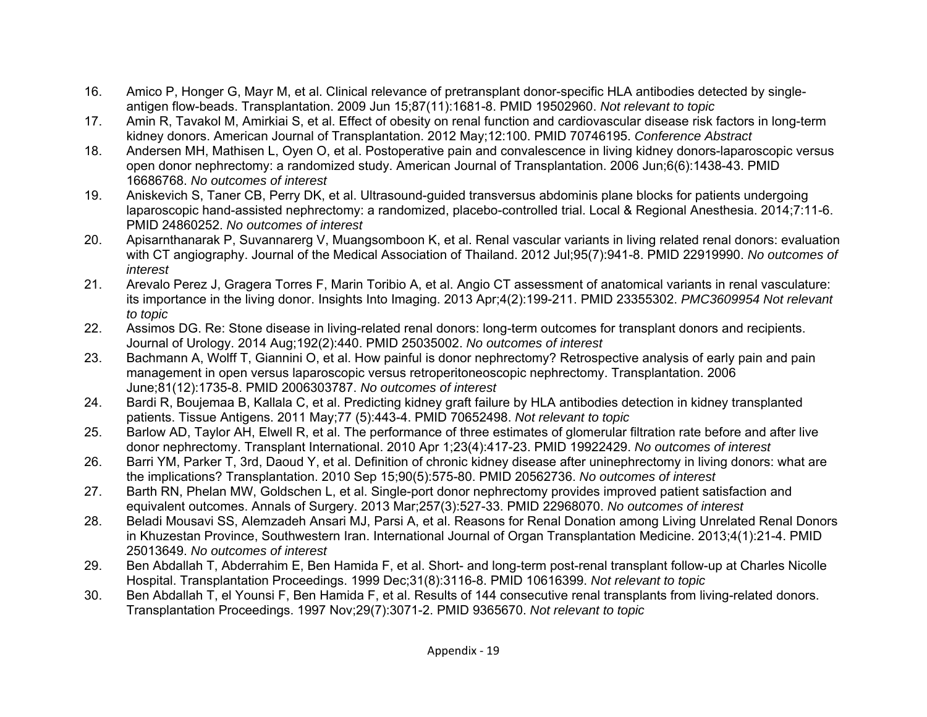- 16. Amico P, Honger G, Mayr M, et al. Clinical relevance of pretransplant donor-specific HLA antibodies detected by singleantigen flow-beads. Transplantation. 2009 Jun 15;87(11):1681-8. PMID 19502960. *Not relevant to topic*
- 17. Amin R, Tavakol M, Amirkiai S, et al. Effect of obesity on renal function and cardiovascular disease risk factors in long-term kidney donors. American Journal of Transplantation. 2012 May;12:100. PMID 70746195. *Conference Abstract*
- 18. Andersen MH, Mathisen L, Oyen O, et al. Postoperative pain and convalescence in living kidney donors-laparoscopic versus open donor nephrectomy: a randomized study. American Journal of Transplantation. 2006 Jun;6(6):1438-43. PMID 16686768. *No outcomes of interest*
- 19. Aniskevich S, Taner CB, Perry DK, et al. Ultrasound-guided transversus abdominis plane blocks for patients undergoing laparoscopic hand-assisted nephrectomy: a randomized, placebo-controlled trial. Local & Regional Anesthesia. 2014;7:11-6. PMID 24860252. *No outcomes of interest*
- 20. Apisarnthanarak P, Suvannarerg V, Muangsomboon K, et al. Renal vascular variants in living related renal donors: evaluation with CT angiography. Journal of the Medical Association of Thailand. 2012 Jul;95(7):941-8. PMID 22919990. *No outcomes of interest*
- 21. Arevalo Perez J, Gragera Torres F, Marin Toribio A, et al. Angio CT assessment of anatomical variants in renal vasculature: its importance in the living donor. Insights Into Imaging. 2013 Apr;4(2):199-211. PMID 23355302. *PMC3609954 Not relevant to topic*
- 22. Assimos DG. Re: Stone disease in living-related renal donors: long-term outcomes for transplant donors and recipients. Journal of Urology. 2014 Aug;192(2):440. PMID 25035002. *No outcomes of interest*
- 23. Bachmann A, Wolff T, Giannini O, et al. How painful is donor nephrectomy? Retrospective analysis of early pain and pain management in open versus laparoscopic versus retroperitoneoscopic nephrectomy. Transplantation. 2006 June;81(12):1735-8. PMID 2006303787. *No outcomes of interest*
- 24. Bardi R, Boujemaa B, Kallala C, et al. Predicting kidney graft failure by HLA antibodies detection in kidney transplanted patients. Tissue Antigens. 2011 May;77 (5):443-4. PMID 70652498. *Not relevant to topic*
- 25. Barlow AD, Taylor AH, Elwell R, et al. The performance of three estimates of glomerular filtration rate before and after live donor nephrectomy. Transplant International. 2010 Apr 1;23(4):417-23. PMID 19922429. *No outcomes of interest*
- 26. Barri YM, Parker T, 3rd, Daoud Y, et al. Definition of chronic kidney disease after uninephrectomy in living donors: what are the implications? Transplantation. 2010 Sep 15;90(5):575-80. PMID 20562736. *No outcomes of interest*
- 27. Barth RN, Phelan MW, Goldschen L, et al. Single-port donor nephrectomy provides improved patient satisfaction and equivalent outcomes. Annals of Surgery. 2013 Mar;257(3):527-33. PMID 22968070. *No outcomes of interest*
- 28. Beladi Mousavi SS, Alemzadeh Ansari MJ, Parsi A, et al. Reasons for Renal Donation among Living Unrelated Renal Donors in Khuzestan Province, Southwestern Iran. International Journal of Organ Transplantation Medicine. 2013;4(1):21-4. PMID 25013649. *No outcomes of interest*
- 29. Ben Abdallah T, Abderrahim E, Ben Hamida F, et al. Short- and long-term post-renal transplant follow-up at Charles Nicolle Hospital. Transplantation Proceedings. 1999 Dec;31(8):3116-8. PMID 10616399. *Not relevant to topic*
- 30. Ben Abdallah T, el Younsi F, Ben Hamida F, et al. Results of 144 consecutive renal transplants from living-related donors. Transplantation Proceedings. 1997 Nov;29(7):3071-2. PMID 9365670. *Not relevant to topic*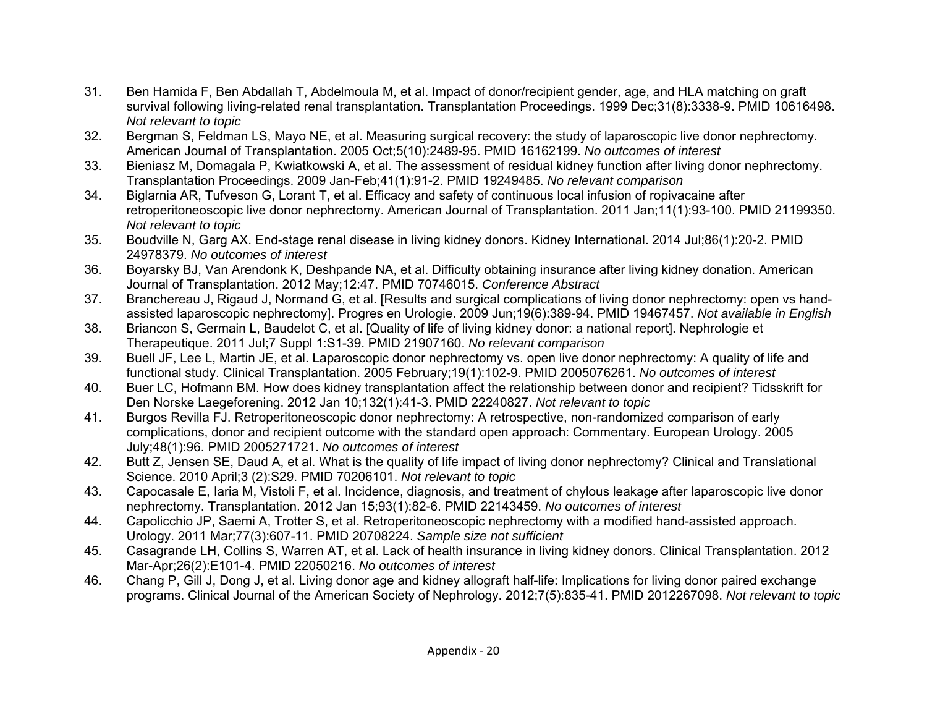- 31. Ben Hamida F, Ben Abdallah T, Abdelmoula M, et al. Impact of donor/recipient gender, age, and HLA matching on graft survival following living-related renal transplantation. Transplantation Proceedings. 1999 Dec;31(8):3338-9. PMID 10616498. *Not relevant to topic*
- 32. Bergman S, Feldman LS, Mayo NE, et al. Measuring surgical recovery: the study of laparoscopic live donor nephrectomy. American Journal of Transplantation. 2005 Oct;5(10):2489-95. PMID 16162199. *No outcomes of interest*
- 33. Bieniasz M, Domagala P, Kwiatkowski A, et al. The assessment of residual kidney function after living donor nephrectomy. Transplantation Proceedings. 2009 Jan-Feb;41(1):91-2. PMID 19249485. *No relevant comparison*
- 34. Biglarnia AR, Tufveson G, Lorant T, et al. Efficacy and safety of continuous local infusion of ropivacaine after retroperitoneoscopic live donor nephrectomy. American Journal of Transplantation. 2011 Jan;11(1):93-100. PMID 21199350. *Not relevant to topic*
- 35. Boudville N, Garg AX. End-stage renal disease in living kidney donors. Kidney International. 2014 Jul;86(1):20-2. PMID 24978379. *No outcomes of interest*
- 36. Boyarsky BJ, Van Arendonk K, Deshpande NA, et al. Difficulty obtaining insurance after living kidney donation. American Journal of Transplantation. 2012 May;12:47. PMID 70746015. *Conference Abstract*
- 37. Branchereau J, Rigaud J, Normand G, et al. [Results and surgical complications of living donor nephrectomy: open vs handassisted laparoscopic nephrectomy]. Progres en Urologie. 2009 Jun;19(6):389-94. PMID 19467457. *Not available in English*
- 38. Briancon S, Germain L, Baudelot C, et al. [Quality of life of living kidney donor: a national report]. Nephrologie et Therapeutique. 2011 Jul;7 Suppl 1:S1-39. PMID 21907160. *No relevant comparison*
- 39. Buell JF, Lee L, Martin JE, et al. Laparoscopic donor nephrectomy vs. open live donor nephrectomy: A quality of life and functional study. Clinical Transplantation. 2005 February;19(1):102-9. PMID 2005076261. *No outcomes of interest*
- 40. Buer LC, Hofmann BM. How does kidney transplantation affect the relationship between donor and recipient? Tidsskrift for Den Norske Laegeforening. 2012 Jan 10;132(1):41-3. PMID 22240827. *Not relevant to topic*
- 41. Burgos Revilla FJ. Retroperitoneoscopic donor nephrectomy: A retrospective, non-randomized comparison of early complications, donor and recipient outcome with the standard open approach: Commentary. European Urology. 2005 July;48(1):96. PMID 2005271721. *No outcomes of interest*
- 42. Butt Z, Jensen SE, Daud A, et al. What is the quality of life impact of living donor nephrectomy? Clinical and Translational Science. 2010 April;3 (2):S29. PMID 70206101. *Not relevant to topic*
- 43. Capocasale E, Iaria M, Vistoli F, et al. Incidence, diagnosis, and treatment of chylous leakage after laparoscopic live donor nephrectomy. Transplantation. 2012 Jan 15;93(1):82-6. PMID 22143459. *No outcomes of interest*
- 44. Capolicchio JP, Saemi A, Trotter S, et al. Retroperitoneoscopic nephrectomy with a modified hand-assisted approach. Urology. 2011 Mar;77(3):607-11. PMID 20708224. *Sample size not sufficient*
- 45. Casagrande LH, Collins S, Warren AT, et al. Lack of health insurance in living kidney donors. Clinical Transplantation. 2012 Mar-Apr;26(2):E101-4. PMID 22050216. *No outcomes of interest*
- 46. Chang P, Gill J, Dong J, et al. Living donor age and kidney allograft half-life: Implications for living donor paired exchange programs. Clinical Journal of the American Society of Nephrology. 2012;7(5):835-41. PMID 2012267098. *Not relevant to topic*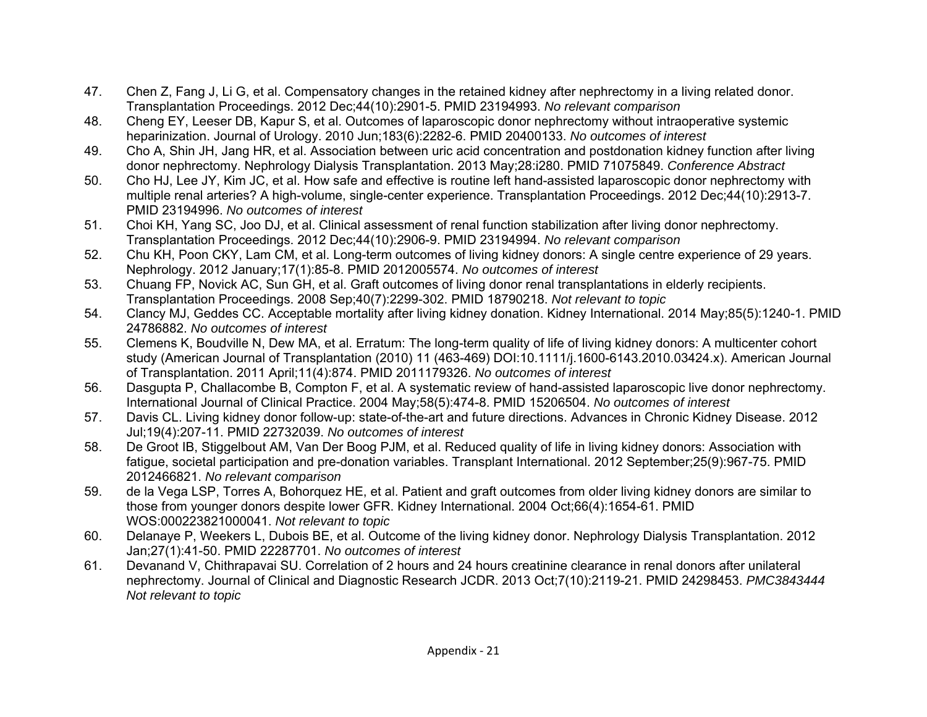- 47. Chen Z, Fang J, Li G, et al. Compensatory changes in the retained kidney after nephrectomy in a living related donor. Transplantation Proceedings. 2012 Dec;44(10):2901-5. PMID 23194993. *No relevant comparison*
- 48. Cheng EY, Leeser DB, Kapur S, et al. Outcomes of laparoscopic donor nephrectomy without intraoperative systemic heparinization. Journal of Urology. 2010 Jun;183(6):2282-6. PMID 20400133. *No outcomes of interest*
- 49. Cho A, Shin JH, Jang HR, et al. Association between uric acid concentration and postdonation kidney function after living donor nephrectomy. Nephrology Dialysis Transplantation. 2013 May;28:i280. PMID 71075849. *Conference Abstract*
- 50. Cho HJ, Lee JY, Kim JC, et al. How safe and effective is routine left hand-assisted laparoscopic donor nephrectomy with multiple renal arteries? A high-volume, single-center experience. Transplantation Proceedings. 2012 Dec;44(10):2913-7. PMID 23194996. *No outcomes of interest*
- 51. Choi KH, Yang SC, Joo DJ, et al. Clinical assessment of renal function stabilization after living donor nephrectomy. Transplantation Proceedings. 2012 Dec;44(10):2906-9. PMID 23194994. *No relevant comparison*
- 52. Chu KH, Poon CKY, Lam CM, et al. Long-term outcomes of living kidney donors: A single centre experience of 29 years. Nephrology. 2012 January;17(1):85-8. PMID 2012005574. *No outcomes of interest*
- 53. Chuang FP, Novick AC, Sun GH, et al. Graft outcomes of living donor renal transplantations in elderly recipients. Transplantation Proceedings. 2008 Sep;40(7):2299-302. PMID 18790218. *Not relevant to topic*
- 54. Clancy MJ, Geddes CC. Acceptable mortality after living kidney donation. Kidney International. 2014 May;85(5):1240-1. PMID 24786882. *No outcomes of interest*
- 55. Clemens K, Boudville N, Dew MA, et al. Erratum: The long-term quality of life of living kidney donors: A multicenter cohort study (American Journal of Transplantation (2010) 11 (463-469) DOI:10.1111/j.1600-6143.2010.03424.x). American Journal of Transplantation. 2011 April;11(4):874. PMID 2011179326. *No outcomes of interest*
- 56. Dasgupta P, Challacombe B, Compton F, et al. A systematic review of hand-assisted laparoscopic live donor nephrectomy. International Journal of Clinical Practice. 2004 May;58(5):474-8. PMID 15206504. *No outcomes of interest*
- 57. Davis CL. Living kidney donor follow-up: state-of-the-art and future directions. Advances in Chronic Kidney Disease. 2012 Jul;19(4):207-11. PMID 22732039. *No outcomes of interest*
- 58. De Groot IB, Stiggelbout AM, Van Der Boog PJM, et al. Reduced quality of life in living kidney donors: Association with fatigue, societal participation and pre-donation variables. Transplant International. 2012 September;25(9):967-75. PMID 2012466821. *No relevant comparison*
- 59. de la Vega LSP, Torres A, Bohorquez HE, et al. Patient and graft outcomes from older living kidney donors are similar to those from younger donors despite lower GFR. Kidney International. 2004 Oct;66(4):1654-61. PMID WOS:000223821000041. *Not relevant to topic*
- 60. Delanaye P, Weekers L, Dubois BE, et al. Outcome of the living kidney donor. Nephrology Dialysis Transplantation. 2012 Jan;27(1):41-50. PMID 22287701. *No outcomes of interest*
- 61. Devanand V, Chithrapavai SU. Correlation of 2 hours and 24 hours creatinine clearance in renal donors after unilateral nephrectomy. Journal of Clinical and Diagnostic Research JCDR. 2013 Oct;7(10):2119-21. PMID 24298453. *PMC3843444 Not relevant to topic*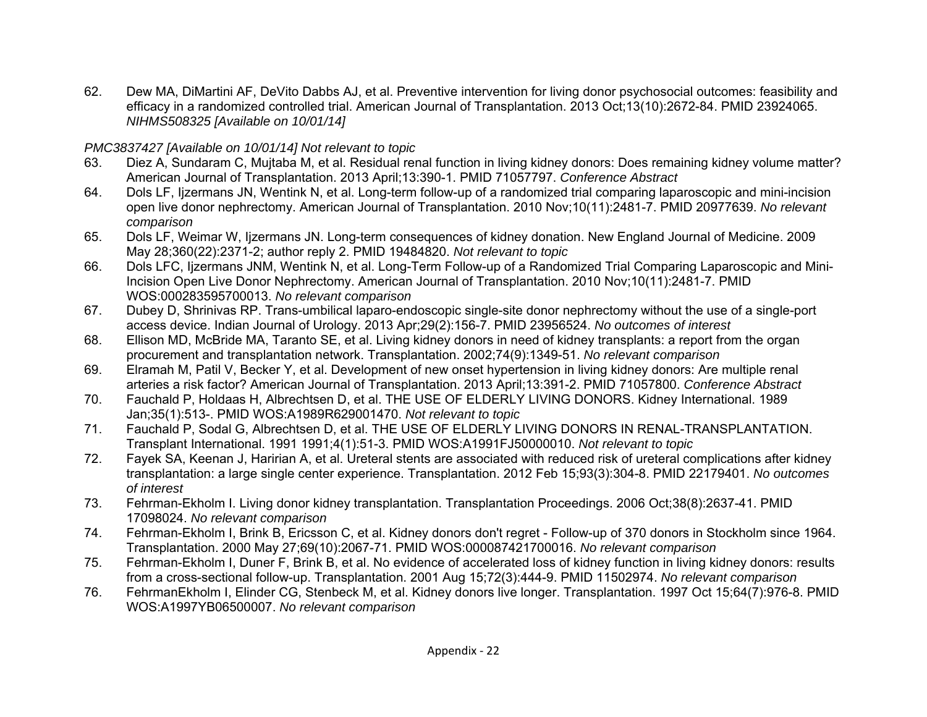62. Dew MA, DiMartini AF, DeVito Dabbs AJ, et al. Preventive intervention for living donor psychosocial outcomes: feasibility and efficacy in a randomized controlled trial. American Journal of Transplantation. 2013 Oct;13(10):2672-84. PMID 23924065. *NIHMS508325 [Available on 10/01/14]* 

#### *PMC3837427 [Available on 10/01/14] Not relevant to topic*

- 63. Diez A, Sundaram C, Mujtaba M, et al. Residual renal function in living kidney donors: Does remaining kidney volume matter? American Journal of Transplantation. 2013 April;13:390-1. PMID 71057797. *Conference Abstract*
- 64. Dols LF, Ijzermans JN, Wentink N, et al. Long-term follow-up of a randomized trial comparing laparoscopic and mini-incision open live donor nephrectomy. American Journal of Transplantation. 2010 Nov;10(11):2481-7. PMID 20977639. *No relevant comparison*
- 65. Dols LF, Weimar W, Ijzermans JN. Long-term consequences of kidney donation. New England Journal of Medicine. 2009 May 28;360(22):2371-2; author reply 2. PMID 19484820. *Not relevant to topic*
- 66. Dols LFC, Ijzermans JNM, Wentink N, et al. Long-Term Follow-up of a Randomized Trial Comparing Laparoscopic and Mini-Incision Open Live Donor Nephrectomy. American Journal of Transplantation. 2010 Nov;10(11):2481-7. PMID WOS:000283595700013. *No relevant comparison*
- 67. Dubey D, Shrinivas RP. Trans-umbilical laparo-endoscopic single-site donor nephrectomy without the use of a single-port access device. Indian Journal of Urology. 2013 Apr;29(2):156-7. PMID 23956524. *No outcomes of interest*
- 68. Ellison MD, McBride MA, Taranto SE, et al. Living kidney donors in need of kidney transplants: a report from the organ procurement and transplantation network. Transplantation. 2002;74(9):1349-51. *No relevant comparison*
- 69. Elramah M, Patil V, Becker Y, et al. Development of new onset hypertension in living kidney donors: Are multiple renal arteries a risk factor? American Journal of Transplantation. 2013 April;13:391-2. PMID 71057800. *Conference Abstract*
- 70. Fauchald P, Holdaas H, Albrechtsen D, et al. THE USE OF ELDERLY LIVING DONORS. Kidney International. 1989 Jan;35(1):513-. PMID WOS:A1989R629001470. *Not relevant to topic*
- 71. Fauchald P, Sodal G, Albrechtsen D, et al. THE USE OF ELDERLY LIVING DONORS IN RENAL-TRANSPLANTATION. Transplant International. 1991 1991;4(1):51-3. PMID WOS:A1991FJ50000010. *Not relevant to topic*
- 72. Fayek SA, Keenan J, Haririan A, et al. Ureteral stents are associated with reduced risk of ureteral complications after kidney transplantation: a large single center experience. Transplantation. 2012 Feb 15;93(3):304-8. PMID 22179401. *No outcomes of interest*
- 73. Fehrman-Ekholm I. Living donor kidney transplantation. Transplantation Proceedings. 2006 Oct;38(8):2637-41. PMID 17098024. *No relevant comparison*
- 74. Fehrman-Ekholm I, Brink B, Ericsson C, et al. Kidney donors don't regret Follow-up of 370 donors in Stockholm since 1964. Transplantation. 2000 May 27;69(10):2067-71. PMID WOS:000087421700016. *No relevant comparison*
- 75. Fehrman-Ekholm I, Duner F, Brink B, et al. No evidence of accelerated loss of kidney function in living kidney donors: results from a cross-sectional follow-up. Transplantation. 2001 Aug 15;72(3):444-9. PMID 11502974. *No relevant comparison*
- 76. FehrmanEkholm I, Elinder CG, Stenbeck M, et al. Kidney donors live longer. Transplantation. 1997 Oct 15;64(7):976-8. PMID WOS:A1997YB06500007. *No relevant comparison*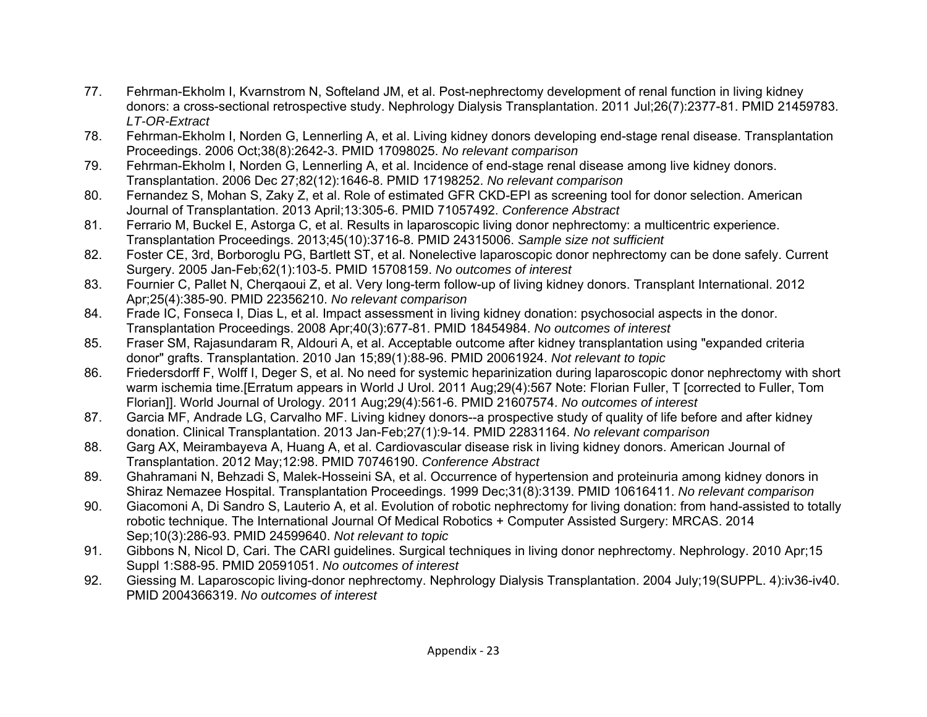- 77. Fehrman-Ekholm I, Kvarnstrom N, Softeland JM, et al. Post-nephrectomy development of renal function in living kidney donors: a cross-sectional retrospective study. Nephrology Dialysis Transplantation. 2011 Jul;26(7):2377-81. PMID 21459783. *LT-OR-Extract*
- 78. Fehrman-Ekholm I, Norden G, Lennerling A, et al. Living kidney donors developing end-stage renal disease. Transplantation Proceedings. 2006 Oct;38(8):2642-3. PMID 17098025. *No relevant comparison*
- 79. Fehrman-Ekholm I, Norden G, Lennerling A, et al. Incidence of end-stage renal disease among live kidney donors. Transplantation. 2006 Dec 27;82(12):1646-8. PMID 17198252. *No relevant comparison*
- 80. Fernandez S, Mohan S, Zaky Z, et al. Role of estimated GFR CKD-EPI as screening tool for donor selection. American Journal of Transplantation. 2013 April;13:305-6. PMID 71057492. *Conference Abstract*
- 81. Ferrario M, Buckel E, Astorga C, et al. Results in laparoscopic living donor nephrectomy: a multicentric experience. Transplantation Proceedings. 2013;45(10):3716-8. PMID 24315006. *Sample size not sufficient*
- 82. Foster CE, 3rd, Borboroglu PG, Bartlett ST, et al. Nonelective laparoscopic donor nephrectomy can be done safely. Current Surgery. 2005 Jan-Feb;62(1):103-5. PMID 15708159. *No outcomes of interest*
- 83. Fournier C, Pallet N, Cherqaoui Z, et al. Very long-term follow-up of living kidney donors. Transplant International. 2012 Apr;25(4):385-90. PMID 22356210. *No relevant comparison*
- 84. Frade IC, Fonseca I, Dias L, et al. Impact assessment in living kidney donation: psychosocial aspects in the donor. Transplantation Proceedings. 2008 Apr;40(3):677-81. PMID 18454984. *No outcomes of interest*
- 85. Fraser SM, Rajasundaram R, Aldouri A, et al. Acceptable outcome after kidney transplantation using "expanded criteria donor" grafts. Transplantation. 2010 Jan 15;89(1):88-96. PMID 20061924. *Not relevant to topic*
- 86. Friedersdorff F, Wolff I, Deger S, et al. No need for systemic heparinization during laparoscopic donor nephrectomy with short warm ischemia time.[Erratum appears in World J Urol. 2011 Aug;29(4):567 Note: Florian Fuller, T [corrected to Fuller, Tom Florian]]. World Journal of Urology. 2011 Aug;29(4):561-6. PMID 21607574. *No outcomes of interest*
- 87. Garcia MF, Andrade LG, Carvalho MF. Living kidney donors--a prospective study of quality of life before and after kidney donation. Clinical Transplantation. 2013 Jan-Feb;27(1):9-14. PMID 22831164. *No relevant comparison*
- 88. Garg AX, Meirambayeva A, Huang A, et al. Cardiovascular disease risk in living kidney donors. American Journal of Transplantation. 2012 May;12:98. PMID 70746190. *Conference Abstract*
- 89. Ghahramani N, Behzadi S, Malek-Hosseini SA, et al. Occurrence of hypertension and proteinuria among kidney donors in Shiraz Nemazee Hospital. Transplantation Proceedings. 1999 Dec;31(8):3139. PMID 10616411. *No relevant comparison*
- 90. Giacomoni A, Di Sandro S, Lauterio A, et al. Evolution of robotic nephrectomy for living donation: from hand-assisted to totally robotic technique. The International Journal Of Medical Robotics + Computer Assisted Surgery: MRCAS. 2014 Sep;10(3):286-93. PMID 24599640. *Not relevant to topic*
- 91. Gibbons N, Nicol D, Cari. The CARI guidelines. Surgical techniques in living donor nephrectomy. Nephrology. 2010 Apr;15 Suppl 1:S88-95. PMID 20591051. *No outcomes of interest*
- 92. Giessing M. Laparoscopic living-donor nephrectomy. Nephrology Dialysis Transplantation. 2004 July;19(SUPPL. 4):iv36-iv40. PMID 2004366319. *No outcomes of interest*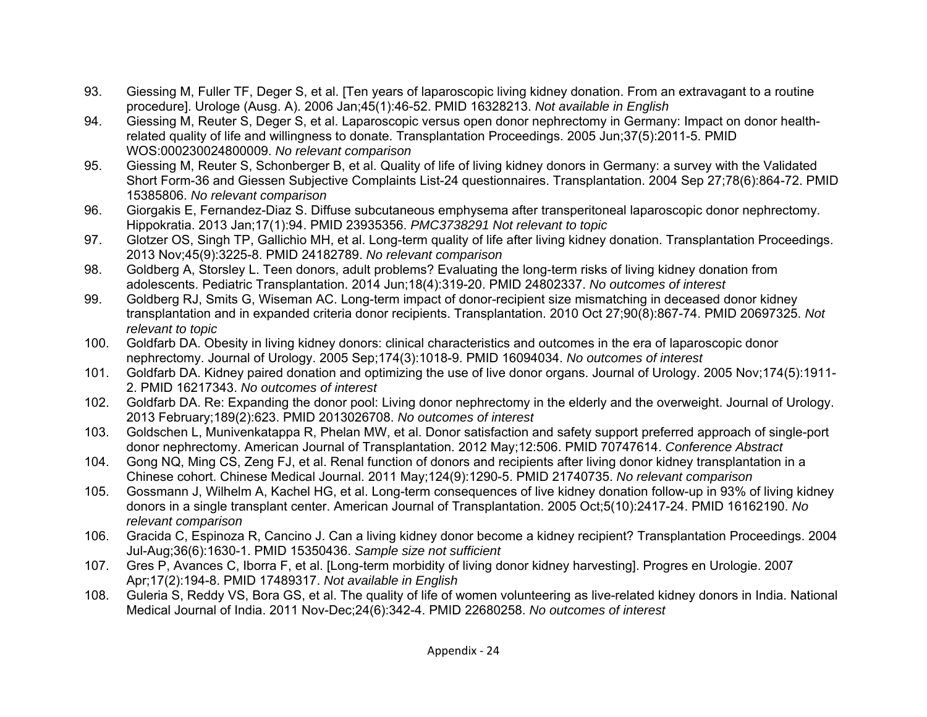- 93. Giessing M, Fuller TF, Deger S, et al. [Ten years of laparoscopic living kidney donation. From an extravagant to a routine procedure]. Urologe (Ausg. A). 2006 Jan;45(1):46-52. PMID 16328213. *Not available in English*
- 94. Giessing M, Reuter S, Deger S, et al. Laparoscopic versus open donor nephrectomy in Germany: Impact on donor healthrelated quality of life and willingness to donate. Transplantation Proceedings. 2005 Jun;37(5):2011-5. PMID WOS:000230024800009. *No relevant comparison*
- 95. Giessing M, Reuter S, Schonberger B, et al. Quality of life of living kidney donors in Germany: a survey with the Validated Short Form-36 and Giessen Subjective Complaints List-24 questionnaires. Transplantation. 2004 Sep 27;78(6):864-72. PMID 15385806. *No relevant comparison*
- 96. Giorgakis E, Fernandez-Diaz S. Diffuse subcutaneous emphysema after transperitoneal laparoscopic donor nephrectomy. Hippokratia. 2013 Jan;17(1):94. PMID 23935356. *PMC3738291 Not relevant to topic*
- 97. Glotzer OS, Singh TP, Gallichio MH, et al. Long-term quality of life after living kidney donation. Transplantation Proceedings. 2013 Nov;45(9):3225-8. PMID 24182789. *No relevant comparison*
- 98. Goldberg A, Storsley L. Teen donors, adult problems? Evaluating the long-term risks of living kidney donation from adolescents. Pediatric Transplantation. 2014 Jun;18(4):319-20. PMID 24802337. *No outcomes of interest*
- 99. Goldberg RJ, Smits G, Wiseman AC. Long-term impact of donor-recipient size mismatching in deceased donor kidney transplantation and in expanded criteria donor recipients. Transplantation. 2010 Oct 27;90(8):867-74. PMID 20697325. *Not relevant to topic*
- 100. Goldfarb DA. Obesity in living kidney donors: clinical characteristics and outcomes in the era of laparoscopic donor nephrectomy. Journal of Urology. 2005 Sep;174(3):1018-9. PMID 16094034. *No outcomes of interest*
- 101. Goldfarb DA. Kidney paired donation and optimizing the use of live donor organs. Journal of Urology. 2005 Nov;174(5):1911- 2. PMID 16217343. *No outcomes of interest*
- 102. Goldfarb DA. Re: Expanding the donor pool: Living donor nephrectomy in the elderly and the overweight. Journal of Urology. 2013 February;189(2):623. PMID 2013026708. *No outcomes of interest*
- 103. Goldschen L, Munivenkatappa R, Phelan MW, et al. Donor satisfaction and safety support preferred approach of single-port donor nephrectomy. American Journal of Transplantation. 2012 May;12:506. PMID 70747614. *Conference Abstract*
- 104. Gong NQ, Ming CS, Zeng FJ, et al. Renal function of donors and recipients after living donor kidney transplantation in a Chinese cohort. Chinese Medical Journal. 2011 May;124(9):1290-5. PMID 21740735. *No relevant comparison*
- 105. Gossmann J, Wilhelm A, Kachel HG, et al. Long-term consequences of live kidney donation follow-up in 93% of living kidney donors in a single transplant center. American Journal of Transplantation. 2005 Oct;5(10):2417-24. PMID 16162190. *No relevant comparison*
- 106. Gracida C, Espinoza R, Cancino J. Can a living kidney donor become a kidney recipient? Transplantation Proceedings. 2004 Jul-Aug;36(6):1630-1. PMID 15350436. *Sample size not sufficient*
- 107. Gres P, Avances C, Iborra F, et al. [Long-term morbidity of living donor kidney harvesting]. Progres en Urologie. 2007 Apr;17(2):194-8. PMID 17489317. *Not available in English*
- 108. Guleria S, Reddy VS, Bora GS, et al. The quality of life of women volunteering as live-related kidney donors in India. National Medical Journal of India. 2011 Nov-Dec;24(6):342-4. PMID 22680258. *No outcomes of interest*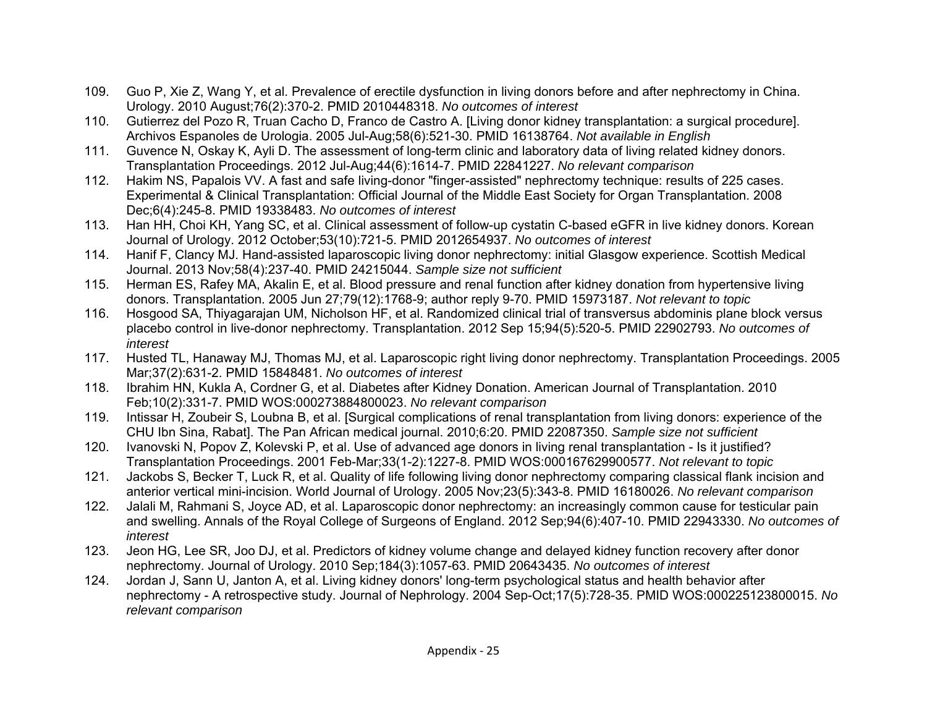- 109. Guo P, Xie Z, Wang Y, et al. Prevalence of erectile dysfunction in living donors before and after nephrectomy in China. Urology. 2010 August;76(2):370-2. PMID 2010448318. *No outcomes of interest*
- 110. Gutierrez del Pozo R, Truan Cacho D, Franco de Castro A. [Living donor kidney transplantation: a surgical procedure]. Archivos Espanoles de Urologia. 2005 Jul-Aug;58(6):521-30. PMID 16138764. *Not available in English*
- 111. Guvence N, Oskay K, Ayli D. The assessment of long-term clinic and laboratory data of living related kidney donors. Transplantation Proceedings. 2012 Jul-Aug;44(6):1614-7. PMID 22841227. *No relevant comparison*
- 112. Hakim NS, Papalois VV. A fast and safe living-donor "finger-assisted" nephrectomy technique: results of 225 cases. Experimental & Clinical Transplantation: Official Journal of the Middle East Society for Organ Transplantation. 2008 Dec;6(4):245-8. PMID 19338483. *No outcomes of interest*
- 113. Han HH, Choi KH, Yang SC, et al. Clinical assessment of follow-up cystatin C-based eGFR in live kidney donors. Korean Journal of Urology. 2012 October;53(10):721-5. PMID 2012654937. *No outcomes of interest*
- 114. Hanif F, Clancy MJ. Hand-assisted laparoscopic living donor nephrectomy: initial Glasgow experience. Scottish Medical Journal. 2013 Nov;58(4):237-40. PMID 24215044. *Sample size not sufficient*
- 115. Herman ES, Rafey MA, Akalin E, et al. Blood pressure and renal function after kidney donation from hypertensive living donors. Transplantation. 2005 Jun 27;79(12):1768-9; author reply 9-70. PMID 15973187. *Not relevant to topic*
- 116. Hosgood SA, Thiyagarajan UM, Nicholson HF, et al. Randomized clinical trial of transversus abdominis plane block versus placebo control in live-donor nephrectomy. Transplantation. 2012 Sep 15;94(5):520-5. PMID 22902793. *No outcomes of interest*
- 117. Husted TL, Hanaway MJ, Thomas MJ, et al. Laparoscopic right living donor nephrectomy. Transplantation Proceedings. 2005 Mar;37(2):631-2. PMID 15848481. *No outcomes of interest*
- 118. Ibrahim HN, Kukla A, Cordner G, et al. Diabetes after Kidney Donation. American Journal of Transplantation. 2010 Feb;10(2):331-7. PMID WOS:000273884800023. *No relevant comparison*
- 119. Intissar H, Zoubeir S, Loubna B, et al. [Surgical complications of renal transplantation from living donors: experience of the CHU Ibn Sina, Rabat]. The Pan African medical journal. 2010;6:20. PMID 22087350. *Sample size not sufficient*
- 120. Ivanovski N, Popov Z, Kolevski P, et al. Use of advanced age donors in living renal transplantation Is it justified? Transplantation Proceedings. 2001 Feb-Mar;33(1-2):1227-8. PMID WOS:000167629900577. *Not relevant to topic*
- 121. Jackobs S, Becker T, Luck R, et al. Quality of life following living donor nephrectomy comparing classical flank incision and anterior vertical mini-incision. World Journal of Urology. 2005 Nov;23(5):343-8. PMID 16180026. *No relevant comparison*
- 122. Jalali M, Rahmani S, Joyce AD, et al. Laparoscopic donor nephrectomy: an increasingly common cause for testicular pain and swelling. Annals of the Royal College of Surgeons of England. 2012 Sep;94(6):407-10. PMID 22943330. *No outcomes of interest*
- 123. Jeon HG, Lee SR, Joo DJ, et al. Predictors of kidney volume change and delayed kidney function recovery after donor nephrectomy. Journal of Urology. 2010 Sep;184(3):1057-63. PMID 20643435. *No outcomes of interest*
- 124. Jordan J, Sann U, Janton A, et al. Living kidney donors' long-term psychological status and health behavior after nephrectomy - A retrospective study. Journal of Nephrology. 2004 Sep-Oct;17(5):728-35. PMID WOS:000225123800015. *No relevant comparison*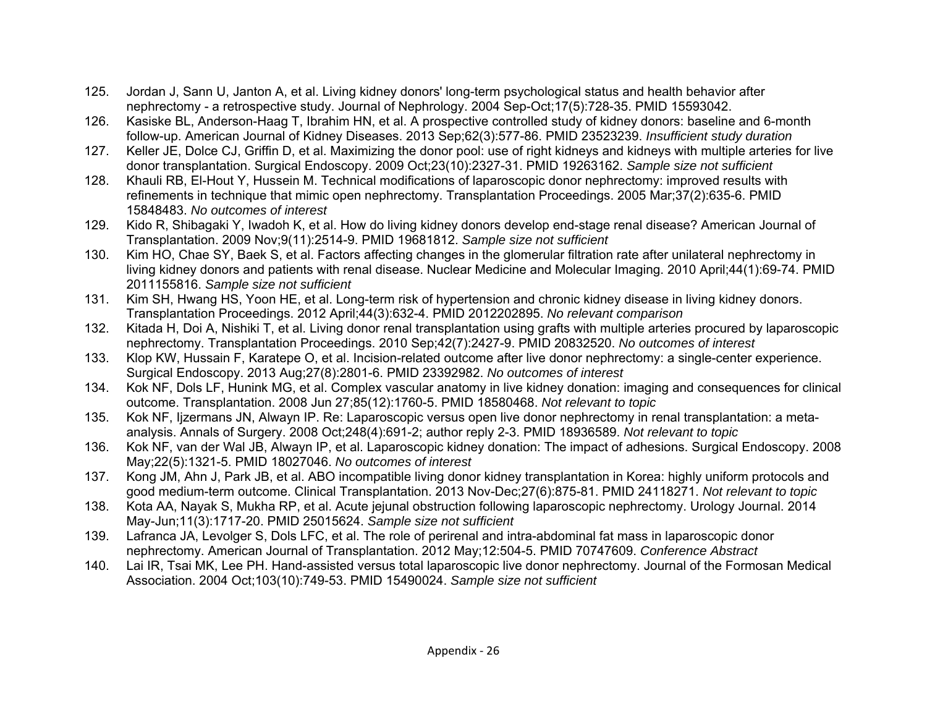- 125. Jordan J, Sann U, Janton A, et al. Living kidney donors' long-term psychological status and health behavior after nephrectomy - a retrospective study. Journal of Nephrology. 2004 Sep-Oct;17(5):728-35. PMID 15593042.
- 126. Kasiske BL, Anderson-Haag T, Ibrahim HN, et al. A prospective controlled study of kidney donors: baseline and 6-month follow-up. American Journal of Kidney Diseases. 2013 Sep;62(3):577-86. PMID 23523239. *Insufficient study duration*
- 127. Keller JE, Dolce CJ, Griffin D, et al. Maximizing the donor pool: use of right kidneys and kidneys with multiple arteries for live donor transplantation. Surgical Endoscopy. 2009 Oct;23(10):2327-31. PMID 19263162. *Sample size not sufficient*
- 128. Khauli RB, El-Hout Y, Hussein M. Technical modifications of laparoscopic donor nephrectomy: improved results with refinements in technique that mimic open nephrectomy. Transplantation Proceedings. 2005 Mar;37(2):635-6. PMID 15848483. *No outcomes of interest*
- 129. Kido R, Shibagaki Y, Iwadoh K, et al. How do living kidney donors develop end-stage renal disease? American Journal of Transplantation. 2009 Nov;9(11):2514-9. PMID 19681812. *Sample size not sufficient*
- 130. Kim HO, Chae SY, Baek S, et al. Factors affecting changes in the glomerular filtration rate after unilateral nephrectomy in living kidney donors and patients with renal disease. Nuclear Medicine and Molecular Imaging. 2010 April;44(1):69-74. PMID 2011155816. *Sample size not sufficient*
- 131. Kim SH, Hwang HS, Yoon HE, et al. Long-term risk of hypertension and chronic kidney disease in living kidney donors. Transplantation Proceedings. 2012 April;44(3):632-4. PMID 2012202895. *No relevant comparison*
- 132. Kitada H, Doi A, Nishiki T, et al. Living donor renal transplantation using grafts with multiple arteries procured by laparoscopic nephrectomy. Transplantation Proceedings. 2010 Sep;42(7):2427-9. PMID 20832520. *No outcomes of interest*
- 133. Klop KW, Hussain F, Karatepe O, et al. Incision-related outcome after live donor nephrectomy: a single-center experience. Surgical Endoscopy. 2013 Aug;27(8):2801-6. PMID 23392982. *No outcomes of interest*
- 134. Kok NF, Dols LF, Hunink MG, et al. Complex vascular anatomy in live kidney donation: imaging and consequences for clinical outcome. Transplantation. 2008 Jun 27;85(12):1760-5. PMID 18580468. *Not relevant to topic*
- 135. Kok NF, Ijzermans JN, Alwayn IP. Re: Laparoscopic versus open live donor nephrectomy in renal transplantation: a metaanalysis. Annals of Surgery. 2008 Oct;248(4):691-2; author reply 2-3. PMID 18936589. *Not relevant to topic*
- 136. Kok NF, van der Wal JB, Alwayn IP, et al. Laparoscopic kidney donation: The impact of adhesions. Surgical Endoscopy. 2008 May;22(5):1321-5. PMID 18027046. *No outcomes of interest*
- 137. Kong JM, Ahn J, Park JB, et al. ABO incompatible living donor kidney transplantation in Korea: highly uniform protocols and good medium-term outcome. Clinical Transplantation. 2013 Nov-Dec;27(6):875-81. PMID 24118271. *Not relevant to topic*
- 138. Kota AA, Nayak S, Mukha RP, et al. Acute jejunal obstruction following laparoscopic nephrectomy. Urology Journal. 2014 May-Jun;11(3):1717-20. PMID 25015624. *Sample size not sufficient*
- 139. Lafranca JA, Levolger S, Dols LFC, et al. The role of perirenal and intra-abdominal fat mass in laparoscopic donor nephrectomy. American Journal of Transplantation. 2012 May;12:504-5. PMID 70747609. *Conference Abstract*
- 140. Lai IR, Tsai MK, Lee PH. Hand-assisted versus total laparoscopic live donor nephrectomy. Journal of the Formosan Medical Association. 2004 Oct;103(10):749-53. PMID 15490024. *Sample size not sufficient*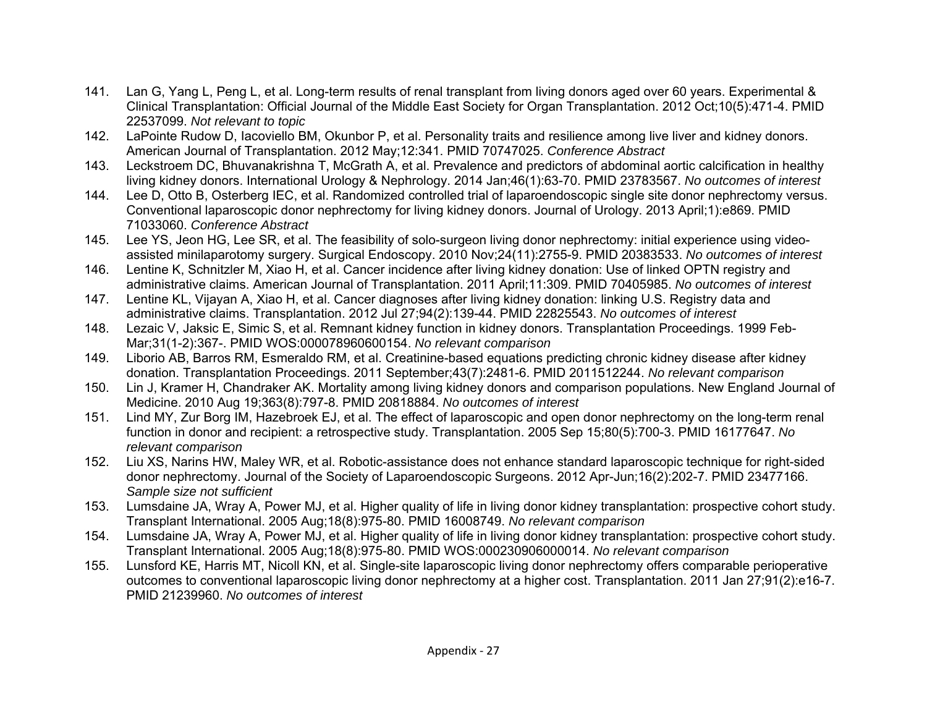- 141. Lan G, Yang L, Peng L, et al. Long-term results of renal transplant from living donors aged over 60 years. Experimental & Clinical Transplantation: Official Journal of the Middle East Society for Organ Transplantation. 2012 Oct;10(5):471-4. PMID 22537099. *Not relevant to topic*
- 142. LaPointe Rudow D, Iacoviello BM, Okunbor P, et al. Personality traits and resilience among live liver and kidney donors. American Journal of Transplantation. 2012 May;12:341. PMID 70747025. *Conference Abstract*
- 143. Leckstroem DC, Bhuvanakrishna T, McGrath A, et al. Prevalence and predictors of abdominal aortic calcification in healthy living kidney donors. International Urology & Nephrology. 2014 Jan;46(1):63-70. PMID 23783567. *No outcomes of interest*
- 144. Lee D, Otto B, Osterberg IEC, et al. Randomized controlled trial of laparoendoscopic single site donor nephrectomy versus. Conventional laparoscopic donor nephrectomy for living kidney donors. Journal of Urology. 2013 April;1):e869. PMID 71033060. *Conference Abstract*
- 145. Lee YS, Jeon HG, Lee SR, et al. The feasibility of solo-surgeon living donor nephrectomy: initial experience using videoassisted minilaparotomy surgery. Surgical Endoscopy. 2010 Nov;24(11):2755-9. PMID 20383533. *No outcomes of interest*
- 146. Lentine K, Schnitzler M, Xiao H, et al. Cancer incidence after living kidney donation: Use of linked OPTN registry and administrative claims. American Journal of Transplantation. 2011 April;11:309. PMID 70405985. *No outcomes of interest*
- 147. Lentine KL, Vijayan A, Xiao H, et al. Cancer diagnoses after living kidney donation: linking U.S. Registry data and administrative claims. Transplantation. 2012 Jul 27;94(2):139-44. PMID 22825543. *No outcomes of interest*
- 148. Lezaic V, Jaksic E, Simic S, et al. Remnant kidney function in kidney donors. Transplantation Proceedings. 1999 Feb-Mar;31(1-2):367-. PMID WOS:000078960600154. *No relevant comparison*
- 149. Liborio AB, Barros RM, Esmeraldo RM, et al. Creatinine-based equations predicting chronic kidney disease after kidney donation. Transplantation Proceedings. 2011 September;43(7):2481-6. PMID 2011512244. *No relevant comparison*
- 150. Lin J, Kramer H, Chandraker AK. Mortality among living kidney donors and comparison populations. New England Journal of Medicine. 2010 Aug 19;363(8):797-8. PMID 20818884. *No outcomes of interest*
- 151. Lind MY, Zur Borg IM, Hazebroek EJ, et al. The effect of laparoscopic and open donor nephrectomy on the long-term renal function in donor and recipient: a retrospective study. Transplantation. 2005 Sep 15;80(5):700-3. PMID 16177647. *No relevant comparison*
- 152. Liu XS, Narins HW, Maley WR, et al. Robotic-assistance does not enhance standard laparoscopic technique for right-sided donor nephrectomy. Journal of the Society of Laparoendoscopic Surgeons. 2012 Apr-Jun;16(2):202-7. PMID 23477166. *Sample size not sufficient*
- 153. Lumsdaine JA, Wray A, Power MJ, et al. Higher quality of life in living donor kidney transplantation: prospective cohort study. Transplant International. 2005 Aug;18(8):975-80. PMID 16008749. *No relevant comparison*
- 154. Lumsdaine JA, Wray A, Power MJ, et al. Higher quality of life in living donor kidney transplantation: prospective cohort study. Transplant International. 2005 Aug;18(8):975-80. PMID WOS:000230906000014. *No relevant comparison*
- 155. Lunsford KE, Harris MT, Nicoll KN, et al. Single-site laparoscopic living donor nephrectomy offers comparable perioperative outcomes to conventional laparoscopic living donor nephrectomy at a higher cost. Transplantation. 2011 Jan 27;91(2):e16-7. PMID 21239960. *No outcomes of interest*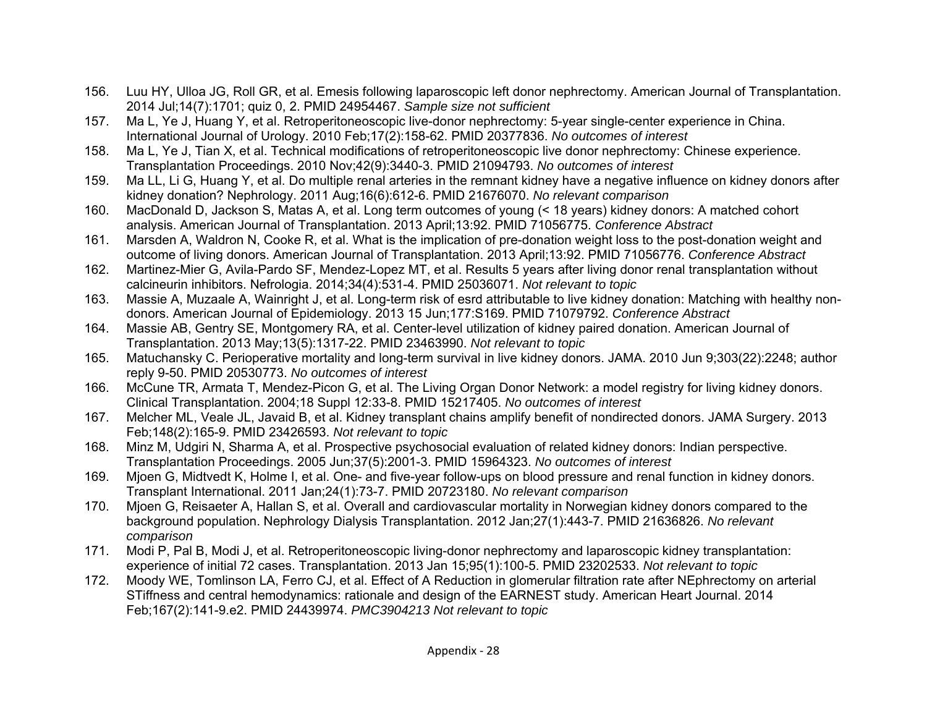- 156. Luu HY, Ulloa JG, Roll GR, et al. Emesis following laparoscopic left donor nephrectomy. American Journal of Transplantation. 2014 Jul;14(7):1701; quiz 0, 2. PMID 24954467. *Sample size not sufficient*
- 157. Ma L, Ye J, Huang Y, et al. Retroperitoneoscopic live-donor nephrectomy: 5-year single-center experience in China. International Journal of Urology. 2010 Feb;17(2):158-62. PMID 20377836. *No outcomes of interest*
- 158. Ma L, Ye J, Tian X, et al. Technical modifications of retroperitoneoscopic live donor nephrectomy: Chinese experience. Transplantation Proceedings. 2010 Nov;42(9):3440-3. PMID 21094793. *No outcomes of interest*
- 159. Ma LL, Li G, Huang Y, et al. Do multiple renal arteries in the remnant kidney have a negative influence on kidney donors after kidney donation? Nephrology. 2011 Aug;16(6):612-6. PMID 21676070. *No relevant comparison*
- 160. MacDonald D, Jackson S, Matas A, et al. Long term outcomes of young (< 18 years) kidney donors: A matched cohort analysis. American Journal of Transplantation. 2013 April;13:92. PMID 71056775. *Conference Abstract*
- 161. Marsden A, Waldron N, Cooke R, et al. What is the implication of pre-donation weight loss to the post-donation weight and outcome of living donors. American Journal of Transplantation. 2013 April;13:92. PMID 71056776. *Conference Abstract*
- 162. Martinez-Mier G, Avila-Pardo SF, Mendez-Lopez MT, et al. Results 5 years after living donor renal transplantation without calcineurin inhibitors. Nefrologia. 2014;34(4):531-4. PMID 25036071. *Not relevant to topic*
- 163. Massie A, Muzaale A, Wainright J, et al. Long-term risk of esrd attributable to live kidney donation: Matching with healthy nondonors. American Journal of Epidemiology. 2013 15 Jun;177:S169. PMID 71079792. *Conference Abstract*
- 164. Massie AB, Gentry SE, Montgomery RA, et al. Center-level utilization of kidney paired donation. American Journal of Transplantation. 2013 May;13(5):1317-22. PMID 23463990. *Not relevant to topic*
- 165. Matuchansky C. Perioperative mortality and long-term survival in live kidney donors. JAMA. 2010 Jun 9;303(22):2248; author reply 9-50. PMID 20530773. *No outcomes of interest*
- 166. McCune TR, Armata T, Mendez-Picon G, et al. The Living Organ Donor Network: a model registry for living kidney donors. Clinical Transplantation. 2004;18 Suppl 12:33-8. PMID 15217405. *No outcomes of interest*
- 167. Melcher ML, Veale JL, Javaid B, et al. Kidney transplant chains amplify benefit of nondirected donors. JAMA Surgery. 2013 Feb;148(2):165-9. PMID 23426593. *Not relevant to topic*
- 168. Minz M, Udgiri N, Sharma A, et al. Prospective psychosocial evaluation of related kidney donors: Indian perspective. Transplantation Proceedings. 2005 Jun;37(5):2001-3. PMID 15964323. *No outcomes of interest*
- 169. Mjoen G, Midtvedt K, Holme I, et al. One- and five-year follow-ups on blood pressure and renal function in kidney donors. Transplant International. 2011 Jan;24(1):73-7. PMID 20723180. *No relevant comparison*
- 170. Mjoen G, Reisaeter A, Hallan S, et al. Overall and cardiovascular mortality in Norwegian kidney donors compared to the background population. Nephrology Dialysis Transplantation. 2012 Jan;27(1):443-7. PMID 21636826. *No relevant comparison*
- 171. Modi P, Pal B, Modi J, et al. Retroperitoneoscopic living-donor nephrectomy and laparoscopic kidney transplantation: experience of initial 72 cases. Transplantation. 2013 Jan 15;95(1):100-5. PMID 23202533. *Not relevant to topic*
- 172. Moody WE, Tomlinson LA, Ferro CJ, et al. Effect of A Reduction in glomerular filtration rate after NEphrectomy on arterial STiffness and central hemodynamics: rationale and design of the EARNEST study. American Heart Journal. 2014 Feb;167(2):141-9.e2. PMID 24439974. *PMC3904213 Not relevant to topic*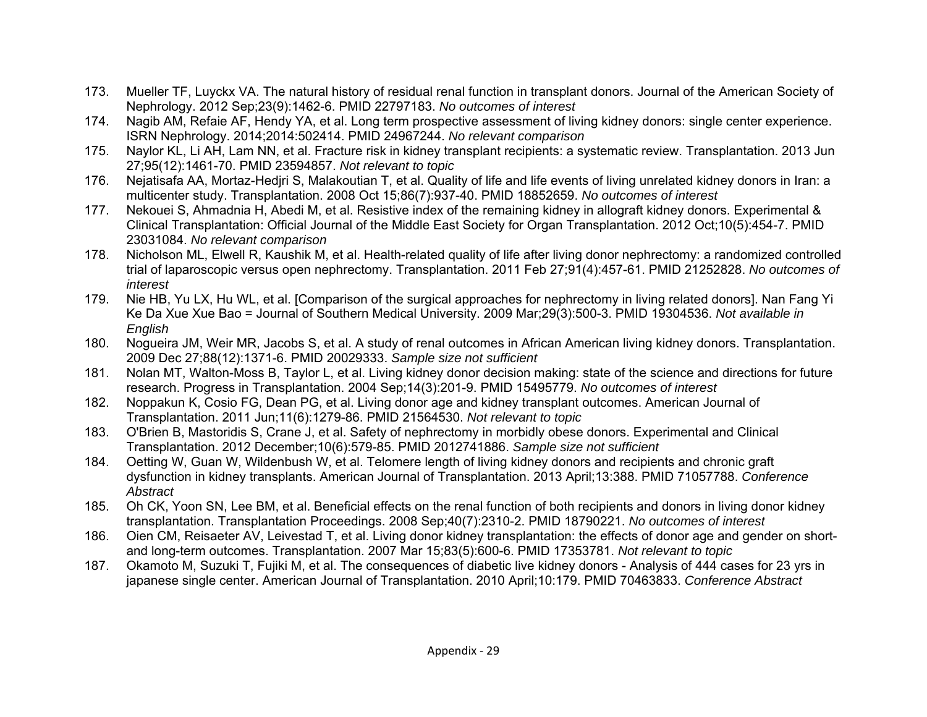- 173. Mueller TF, Luyckx VA. The natural history of residual renal function in transplant donors. Journal of the American Society of Nephrology. 2012 Sep;23(9):1462-6. PMID 22797183. *No outcomes of interest*
- 174. Nagib AM, Refaie AF, Hendy YA, et al. Long term prospective assessment of living kidney donors: single center experience. ISRN Nephrology. 2014;2014:502414. PMID 24967244. *No relevant comparison*
- 175. Naylor KL, Li AH, Lam NN, et al. Fracture risk in kidney transplant recipients: a systematic review. Transplantation. 2013 Jun 27;95(12):1461-70. PMID 23594857. *Not relevant to topic*
- 176. Nejatisafa AA, Mortaz-Hedjri S, Malakoutian T, et al. Quality of life and life events of living unrelated kidney donors in Iran: a multicenter study. Transplantation. 2008 Oct 15;86(7):937-40. PMID 18852659. *No outcomes of interest*
- 177. Nekouei S, Ahmadnia H, Abedi M, et al. Resistive index of the remaining kidney in allograft kidney donors. Experimental & Clinical Transplantation: Official Journal of the Middle East Society for Organ Transplantation. 2012 Oct;10(5):454-7. PMID 23031084. *No relevant comparison*
- 178. Nicholson ML, Elwell R, Kaushik M, et al. Health-related quality of life after living donor nephrectomy: a randomized controlled trial of laparoscopic versus open nephrectomy. Transplantation. 2011 Feb 27;91(4):457-61. PMID 21252828. *No outcomes of interest*
- 179. Nie HB, Yu LX, Hu WL, et al. [Comparison of the surgical approaches for nephrectomy in living related donors]. Nan Fang Yi Ke Da Xue Xue Bao = Journal of Southern Medical University. 2009 Mar;29(3):500-3. PMID 19304536. *Not available in English*
- 180. Nogueira JM, Weir MR, Jacobs S, et al. A study of renal outcomes in African American living kidney donors. Transplantation. 2009 Dec 27;88(12):1371-6. PMID 20029333. *Sample size not sufficient*
- 181. Nolan MT, Walton-Moss B, Taylor L, et al. Living kidney donor decision making: state of the science and directions for future research. Progress in Transplantation. 2004 Sep;14(3):201-9. PMID 15495779. *No outcomes of interest*
- 182. Noppakun K, Cosio FG, Dean PG, et al. Living donor age and kidney transplant outcomes. American Journal of Transplantation. 2011 Jun;11(6):1279-86. PMID 21564530. *Not relevant to topic*
- 183. O'Brien B, Mastoridis S, Crane J, et al. Safety of nephrectomy in morbidly obese donors. Experimental and Clinical Transplantation. 2012 December;10(6):579-85. PMID 2012741886. *Sample size not sufficient*
- 184. Oetting W, Guan W, Wildenbush W, et al. Telomere length of living kidney donors and recipients and chronic graft dysfunction in kidney transplants. American Journal of Transplantation. 2013 April;13:388. PMID 71057788. *Conference Abstract*
- 185. Oh CK, Yoon SN, Lee BM, et al. Beneficial effects on the renal function of both recipients and donors in living donor kidney transplantation. Transplantation Proceedings. 2008 Sep;40(7):2310-2. PMID 18790221. *No outcomes of interest*
- 186. Oien CM, Reisaeter AV, Leivestad T, et al. Living donor kidney transplantation: the effects of donor age and gender on shortand long-term outcomes. Transplantation. 2007 Mar 15;83(5):600-6. PMID 17353781. *Not relevant to topic*
- 187. Okamoto M, Suzuki T, Fujiki M, et al. The consequences of diabetic live kidney donors Analysis of 444 cases for 23 yrs in japanese single center. American Journal of Transplantation. 2010 April;10:179. PMID 70463833. *Conference Abstract*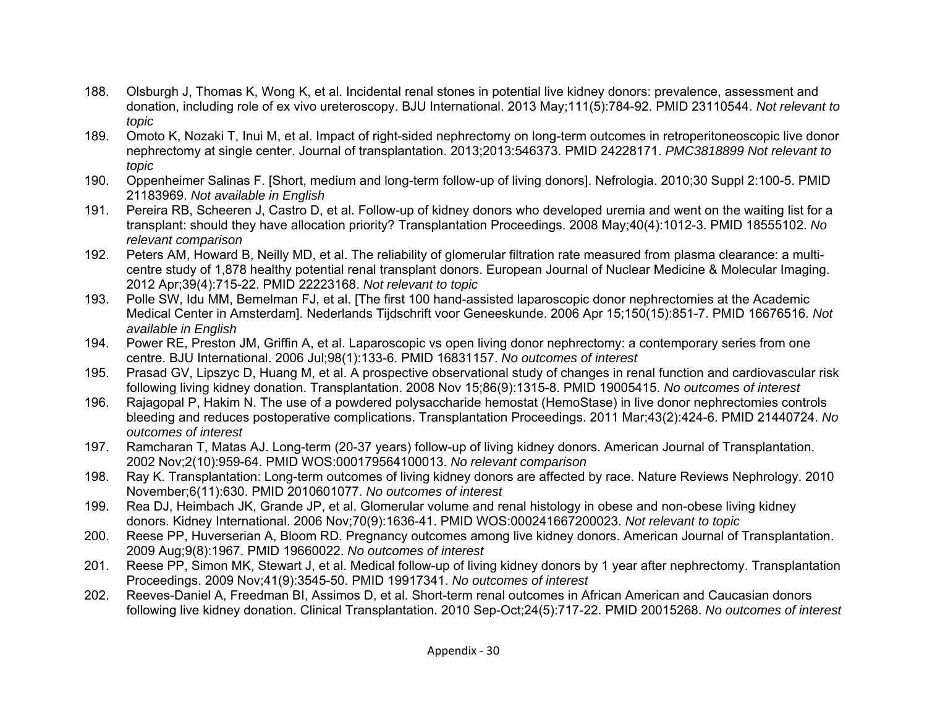- 188. Olsburgh J, Thomas K, Wong K, et al. Incidental renal stones in potential live kidney donors: prevalence, assessment and donation, including role of ex vivo ureteroscopy. BJU International. 2013 May;111(5):784-92. PMID 23110544. *Not relevant to topic*
- 189. Omoto K, Nozaki T, Inui M, et al. Impact of right-sided nephrectomy on long-term outcomes in retroperitoneoscopic live donor nephrectomy at single center. Journal of transplantation. 2013;2013:546373. PMID 24228171. *PMC3818899 Not relevant to topic*
- 190. Oppenheimer Salinas F. [Short, medium and long-term follow-up of living donors]. Nefrologia. 2010;30 Suppl 2:100-5. PMID 21183969. *Not available in English*
- 191. Pereira RB, Scheeren J, Castro D, et al. Follow-up of kidney donors who developed uremia and went on the waiting list for a transplant: should they have allocation priority? Transplantation Proceedings. 2008 May;40(4):1012-3. PMID 18555102. *No relevant comparison*
- 192. Peters AM, Howard B, Neilly MD, et al. The reliability of glomerular filtration rate measured from plasma clearance: a multicentre study of 1,878 healthy potential renal transplant donors. European Journal of Nuclear Medicine & Molecular Imaging. 2012 Apr;39(4):715-22. PMID 22223168. *Not relevant to topic*
- 193. Polle SW, Idu MM, Bemelman FJ, et al. [The first 100 hand-assisted laparoscopic donor nephrectomies at the Academic Medical Center in Amsterdam]. Nederlands Tijdschrift voor Geneeskunde. 2006 Apr 15;150(15):851-7. PMID 16676516. *Not available in English*
- 194. Power RE, Preston JM, Griffin A, et al. Laparoscopic vs open living donor nephrectomy: a contemporary series from one centre. BJU International. 2006 Jul;98(1):133-6. PMID 16831157. *No outcomes of interest*
- 195. Prasad GV, Lipszyc D, Huang M, et al. A prospective observational study of changes in renal function and cardiovascular risk following living kidney donation. Transplantation. 2008 Nov 15;86(9):1315-8. PMID 19005415. *No outcomes of interest*
- 196. Rajagopal P, Hakim N. The use of a powdered polysaccharide hemostat (HemoStase) in live donor nephrectomies controls bleeding and reduces postoperative complications. Transplantation Proceedings. 2011 Mar;43(2):424-6. PMID 21440724. *No outcomes of interest*
- 197. Ramcharan T, Matas AJ. Long-term (20-37 years) follow-up of living kidney donors. American Journal of Transplantation. 2002 Nov;2(10):959-64. PMID WOS:000179564100013. *No relevant comparison*
- 198. Ray K. Transplantation: Long-term outcomes of living kidney donors are affected by race. Nature Reviews Nephrology. 2010 November;6(11):630. PMID 2010601077. *No outcomes of interest*
- 199. Rea DJ, Heimbach JK, Grande JP, et al. Glomerular volume and renal histology in obese and non-obese living kidney donors. Kidney International. 2006 Nov;70(9):1636-41. PMID WOS:000241667200023. *Not relevant to topic*
- 200. Reese PP, Huverserian A, Bloom RD. Pregnancy outcomes among live kidney donors. American Journal of Transplantation. 2009 Aug;9(8):1967. PMID 19660022. *No outcomes of interest*
- 201. Reese PP, Simon MK, Stewart J, et al. Medical follow-up of living kidney donors by 1 year after nephrectomy. Transplantation Proceedings. 2009 Nov;41(9):3545-50. PMID 19917341. *No outcomes of interest*
- 202. Reeves-Daniel A, Freedman BI, Assimos D, et al. Short-term renal outcomes in African American and Caucasian donors following live kidney donation. Clinical Transplantation. 2010 Sep-Oct;24(5):717-22. PMID 20015268. *No outcomes of interest*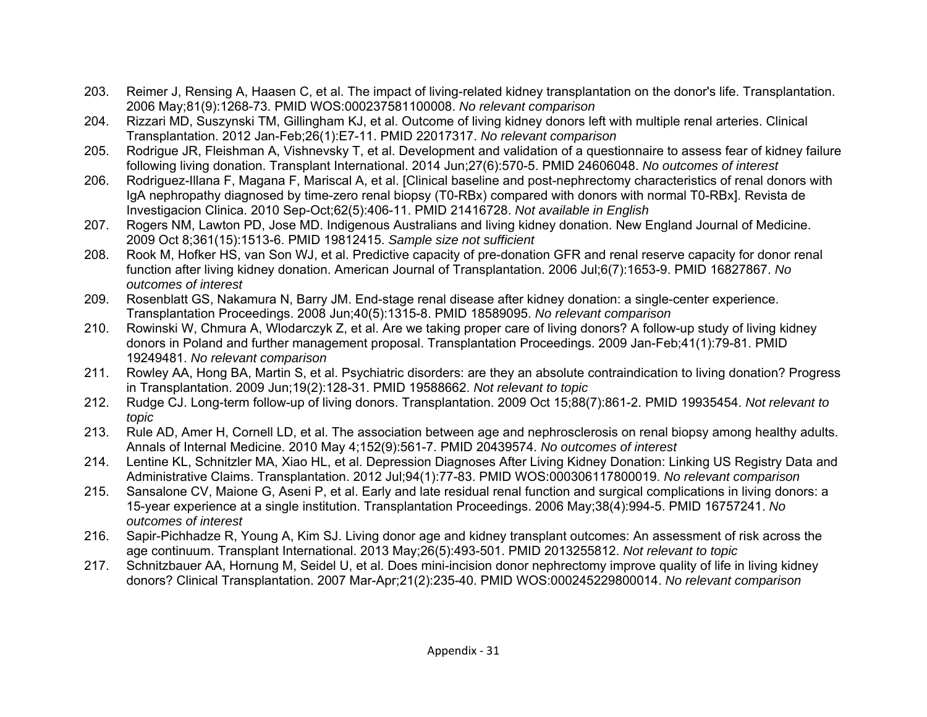- 203. Reimer J, Rensing A, Haasen C, et al. The impact of living-related kidney transplantation on the donor's life. Transplantation. 2006 May;81(9):1268-73. PMID WOS:000237581100008. *No relevant comparison*
- 204. Rizzari MD, Suszynski TM, Gillingham KJ, et al. Outcome of living kidney donors left with multiple renal arteries. Clinical Transplantation. 2012 Jan-Feb;26(1):E7-11. PMID 22017317. *No relevant comparison*
- 205. Rodrigue JR, Fleishman A, Vishnevsky T, et al. Development and validation of a questionnaire to assess fear of kidney failure following living donation. Transplant International. 2014 Jun;27(6):570-5. PMID 24606048. *No outcomes of interest*
- 206. Rodriguez-Illana F, Magana F, Mariscal A, et al. [Clinical baseline and post-nephrectomy characteristics of renal donors with IgA nephropathy diagnosed by time-zero renal biopsy (T0-RBx) compared with donors with normal T0-RBx]. Revista de Investigacion Clinica. 2010 Sep-Oct;62(5):406-11. PMID 21416728. *Not available in English*
- 207. Rogers NM, Lawton PD, Jose MD. Indigenous Australians and living kidney donation. New England Journal of Medicine. 2009 Oct 8;361(15):1513-6. PMID 19812415. *Sample size not sufficient*
- 208. Rook M, Hofker HS, van Son WJ, et al. Predictive capacity of pre-donation GFR and renal reserve capacity for donor renal function after living kidney donation. American Journal of Transplantation. 2006 Jul;6(7):1653-9. PMID 16827867. *No outcomes of interest*
- 209. Rosenblatt GS, Nakamura N, Barry JM. End-stage renal disease after kidney donation: a single-center experience. Transplantation Proceedings. 2008 Jun;40(5):1315-8. PMID 18589095. *No relevant comparison*
- 210. Rowinski W, Chmura A, Wlodarczyk Z, et al. Are we taking proper care of living donors? A follow-up study of living kidney donors in Poland and further management proposal. Transplantation Proceedings. 2009 Jan-Feb;41(1):79-81. PMID 19249481. *No relevant comparison*
- 211. Rowley AA, Hong BA, Martin S, et al. Psychiatric disorders: are they an absolute contraindication to living donation? Progress in Transplantation. 2009 Jun;19(2):128-31. PMID 19588662. *Not relevant to topic*
- 212. Rudge CJ. Long-term follow-up of living donors. Transplantation. 2009 Oct 15;88(7):861-2. PMID 19935454. *Not relevant to topic*
- 213. Rule AD, Amer H, Cornell LD, et al. The association between age and nephrosclerosis on renal biopsy among healthy adults. Annals of Internal Medicine. 2010 May 4;152(9):561-7. PMID 20439574. *No outcomes of interest*
- 214. Lentine KL, Schnitzler MA, Xiao HL, et al. Depression Diagnoses After Living Kidney Donation: Linking US Registry Data and Administrative Claims. Transplantation. 2012 Jul;94(1):77-83. PMID WOS:000306117800019. *No relevant comparison*
- 215. Sansalone CV, Maione G, Aseni P, et al. Early and late residual renal function and surgical complications in living donors: a 15-year experience at a single institution. Transplantation Proceedings. 2006 May;38(4):994-5. PMID 16757241. *No outcomes of interest*
- 216. Sapir-Pichhadze R, Young A, Kim SJ. Living donor age and kidney transplant outcomes: An assessment of risk across the age continuum. Transplant International. 2013 May;26(5):493-501. PMID 2013255812. *Not relevant to topic*
- 217. Schnitzbauer AA, Hornung M, Seidel U, et al. Does mini-incision donor nephrectomy improve quality of life in living kidney donors? Clinical Transplantation. 2007 Mar-Apr;21(2):235-40. PMID WOS:000245229800014. *No relevant comparison*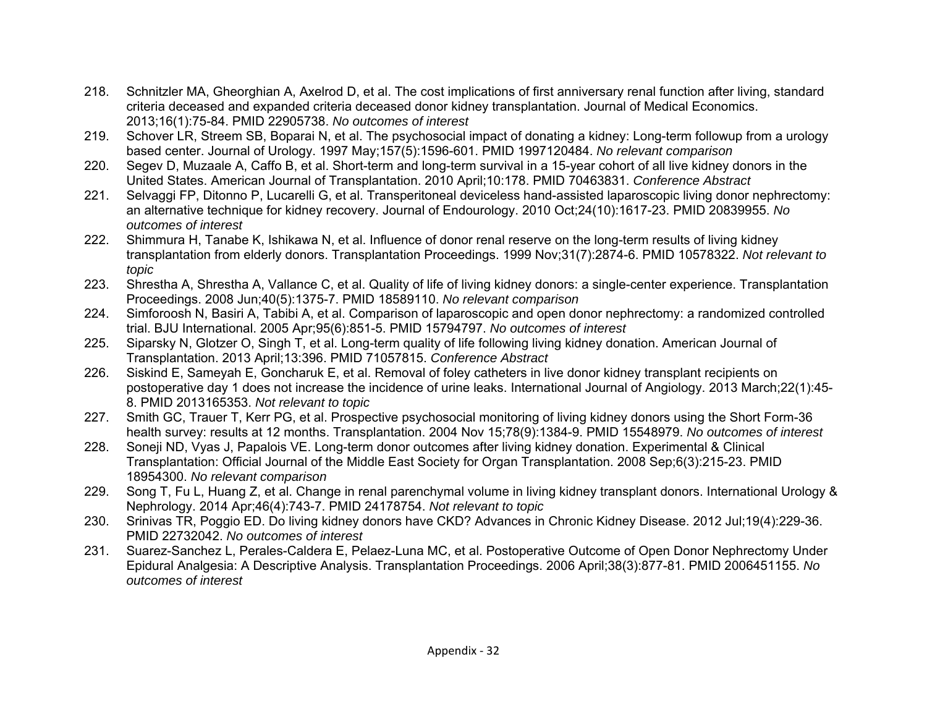- 218. Schnitzler MA, Gheorghian A, Axelrod D, et al. The cost implications of first anniversary renal function after living, standard criteria deceased and expanded criteria deceased donor kidney transplantation. Journal of Medical Economics. 2013;16(1):75-84. PMID 22905738. *No outcomes of interest*
- 219. Schover LR, Streem SB, Boparai N, et al. The psychosocial impact of donating a kidney: Long-term followup from a urology based center. Journal of Urology. 1997 May;157(5):1596-601. PMID 1997120484. *No relevant comparison*
- 220. Segev D, Muzaale A, Caffo B, et al. Short-term and long-term survival in a 15-year cohort of all live kidney donors in the United States. American Journal of Transplantation. 2010 April;10:178. PMID 70463831. *Conference Abstract*
- 221. Selvaggi FP, Ditonno P, Lucarelli G, et al. Transperitoneal deviceless hand-assisted laparoscopic living donor nephrectomy: an alternative technique for kidney recovery. Journal of Endourology. 2010 Oct;24(10):1617-23. PMID 20839955. *No outcomes of interest*
- 222. Shimmura H, Tanabe K, Ishikawa N, et al. Influence of donor renal reserve on the long-term results of living kidney transplantation from elderly donors. Transplantation Proceedings. 1999 Nov;31(7):2874-6. PMID 10578322. *Not relevant to topic*
- 223. Shrestha A, Shrestha A, Vallance C, et al. Quality of life of living kidney donors: a single-center experience. Transplantation Proceedings. 2008 Jun;40(5):1375-7. PMID 18589110. *No relevant comparison*
- 224. Simforoosh N, Basiri A, Tabibi A, et al. Comparison of laparoscopic and open donor nephrectomy: a randomized controlled trial. BJU International. 2005 Apr;95(6):851-5. PMID 15794797. *No outcomes of interest*
- 225. Siparsky N, Glotzer O, Singh T, et al. Long-term quality of life following living kidney donation. American Journal of Transplantation. 2013 April;13:396. PMID 71057815. *Conference Abstract*
- 226. Siskind E, Sameyah E, Goncharuk E, et al. Removal of foley catheters in live donor kidney transplant recipients on postoperative day 1 does not increase the incidence of urine leaks. International Journal of Angiology. 2013 March;22(1):45- 8. PMID 2013165353. *Not relevant to topic*
- 227. Smith GC, Trauer T, Kerr PG, et al. Prospective psychosocial monitoring of living kidney donors using the Short Form-36 health survey: results at 12 months. Transplantation. 2004 Nov 15;78(9):1384-9. PMID 15548979. *No outcomes of interest*
- 228. Soneji ND, Vyas J, Papalois VE. Long-term donor outcomes after living kidney donation. Experimental & Clinical Transplantation: Official Journal of the Middle East Society for Organ Transplantation. 2008 Sep;6(3):215-23. PMID 18954300. *No relevant comparison*
- 229. Song T, Fu L, Huang Z, et al. Change in renal parenchymal volume in living kidney transplant donors. International Urology & Nephrology. 2014 Apr;46(4):743-7. PMID 24178754. *Not relevant to topic*
- 230. Srinivas TR, Poggio ED. Do living kidney donors have CKD? Advances in Chronic Kidney Disease. 2012 Jul;19(4):229-36. PMID 22732042. *No outcomes of interest*
- 231. Suarez-Sanchez L, Perales-Caldera E, Pelaez-Luna MC, et al. Postoperative Outcome of Open Donor Nephrectomy Under Epidural Analgesia: A Descriptive Analysis. Transplantation Proceedings. 2006 April;38(3):877-81. PMID 2006451155. *No outcomes of interest*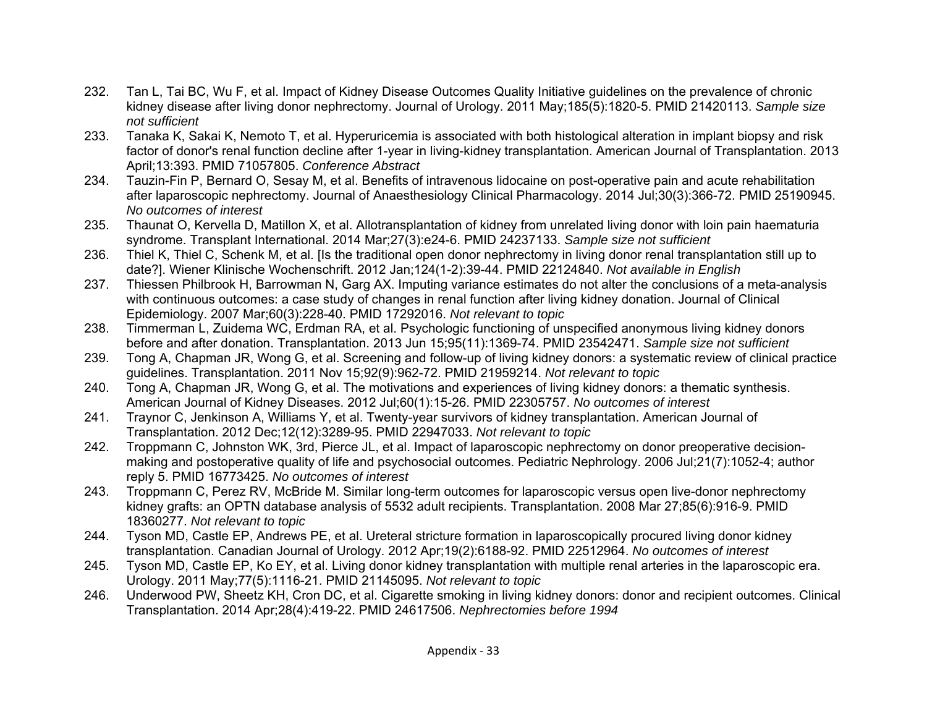- 232. Tan L, Tai BC, Wu F, et al. Impact of Kidney Disease Outcomes Quality Initiative guidelines on the prevalence of chronic kidney disease after living donor nephrectomy. Journal of Urology. 2011 May;185(5):1820-5. PMID 21420113. *Sample size not sufficient*
- 233. Tanaka K, Sakai K, Nemoto T, et al. Hyperuricemia is associated with both histological alteration in implant biopsy and risk factor of donor's renal function decline after 1-year in living-kidney transplantation. American Journal of Transplantation. 2013 April;13:393. PMID 71057805. *Conference Abstract*
- 234. Tauzin-Fin P, Bernard O, Sesay M, et al. Benefits of intravenous lidocaine on post-operative pain and acute rehabilitation after laparoscopic nephrectomy. Journal of Anaesthesiology Clinical Pharmacology. 2014 Jul;30(3):366-72. PMID 25190945. *No outcomes of interest*
- 235. Thaunat O, Kervella D, Matillon X, et al. Allotransplantation of kidney from unrelated living donor with loin pain haematuria syndrome. Transplant International. 2014 Mar;27(3):e24-6. PMID 24237133. *Sample size not sufficient*
- 236. Thiel K, Thiel C, Schenk M, et al. [Is the traditional open donor nephrectomy in living donor renal transplantation still up to date?]. Wiener Klinische Wochenschrift. 2012 Jan;124(1-2):39-44. PMID 22124840. *Not available in English*
- 237. Thiessen Philbrook H, Barrowman N, Garg AX. Imputing variance estimates do not alter the conclusions of a meta-analysis with continuous outcomes: a case study of changes in renal function after living kidney donation. Journal of Clinical Epidemiology. 2007 Mar;60(3):228-40. PMID 17292016. *Not relevant to topic*
- 238. Timmerman L, Zuidema WC, Erdman RA, et al. Psychologic functioning of unspecified anonymous living kidney donors before and after donation. Transplantation. 2013 Jun 15;95(11):1369-74. PMID 23542471. *Sample size not sufficient*
- 239. Tong A, Chapman JR, Wong G, et al. Screening and follow-up of living kidney donors: a systematic review of clinical practice guidelines. Transplantation. 2011 Nov 15;92(9):962-72. PMID 21959214. *Not relevant to topic*
- 240. Tong A, Chapman JR, Wong G, et al. The motivations and experiences of living kidney donors: a thematic synthesis. American Journal of Kidney Diseases. 2012 Jul;60(1):15-26. PMID 22305757. *No outcomes of interest*
- 241. Traynor C, Jenkinson A, Williams Y, et al. Twenty-year survivors of kidney transplantation. American Journal of Transplantation. 2012 Dec;12(12):3289-95. PMID 22947033. *Not relevant to topic*
- 242. Troppmann C, Johnston WK, 3rd, Pierce JL, et al. Impact of laparoscopic nephrectomy on donor preoperative decisionmaking and postoperative quality of life and psychosocial outcomes. Pediatric Nephrology. 2006 Jul;21(7):1052-4; author reply 5. PMID 16773425. *No outcomes of interest*
- 243. Troppmann C, Perez RV, McBride M. Similar long-term outcomes for laparoscopic versus open live-donor nephrectomy kidney grafts: an OPTN database analysis of 5532 adult recipients. Transplantation. 2008 Mar 27;85(6):916-9. PMID 18360277. *Not relevant to topic*
- 244. Tyson MD, Castle EP, Andrews PE, et al. Ureteral stricture formation in laparoscopically procured living donor kidney transplantation. Canadian Journal of Urology. 2012 Apr;19(2):6188-92. PMID 22512964. *No outcomes of interest*
- 245. Tyson MD, Castle EP, Ko EY, et al. Living donor kidney transplantation with multiple renal arteries in the laparoscopic era. Urology. 2011 May;77(5):1116-21. PMID 21145095. *Not relevant to topic*
- 246. Underwood PW, Sheetz KH, Cron DC, et al. Cigarette smoking in living kidney donors: donor and recipient outcomes. Clinical Transplantation. 2014 Apr;28(4):419-22. PMID 24617506. *Nephrectomies before 1994*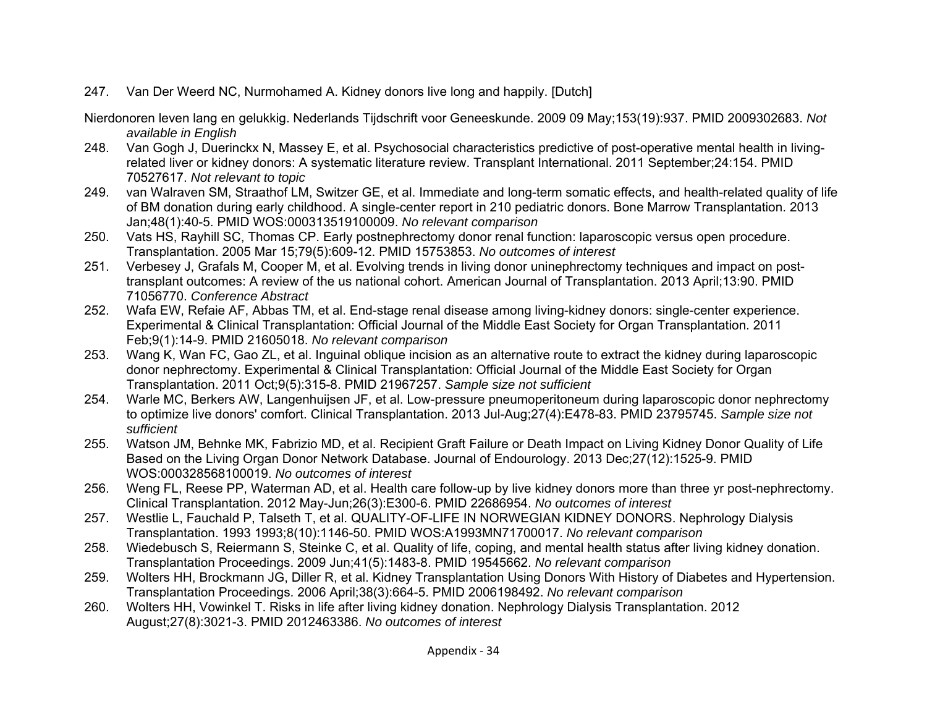247. Van Der Weerd NC, Nurmohamed A. Kidney donors live long and happily. [Dutch]

Nierdonoren leven lang en gelukkig. Nederlands Tijdschrift voor Geneeskunde. 2009 09 May;153(19):937. PMID 2009302683. *Not available in English* 

- 248. Van Gogh J, Duerinckx N, Massey E, et al. Psychosocial characteristics predictive of post-operative mental health in livingrelated liver or kidney donors: A systematic literature review. Transplant International. 2011 September;24:154. PMID 70527617. *Not relevant to topic*
- 249. van Walraven SM, Straathof LM, Switzer GE, et al. Immediate and long-term somatic effects, and health-related quality of life of BM donation during early childhood. A single-center report in 210 pediatric donors. Bone Marrow Transplantation. 2013 Jan;48(1):40-5. PMID WOS:000313519100009. *No relevant comparison*
- 250. Vats HS, Rayhill SC, Thomas CP. Early postnephrectomy donor renal function: laparoscopic versus open procedure. Transplantation. 2005 Mar 15;79(5):609-12. PMID 15753853. *No outcomes of interest*
- 251. Verbesey J, Grafals M, Cooper M, et al. Evolving trends in living donor uninephrectomy techniques and impact on posttransplant outcomes: A review of the us national cohort. American Journal of Transplantation. 2013 April;13:90. PMID 71056770. *Conference Abstract*
- 252. Wafa EW, Refaie AF, Abbas TM, et al. End-stage renal disease among living-kidney donors: single-center experience. Experimental & Clinical Transplantation: Official Journal of the Middle East Society for Organ Transplantation. 2011 Feb;9(1):14-9. PMID 21605018. *No relevant comparison*
- 253. Wang K, Wan FC, Gao ZL, et al. Inguinal oblique incision as an alternative route to extract the kidney during laparoscopic donor nephrectomy. Experimental & Clinical Transplantation: Official Journal of the Middle East Society for Organ Transplantation. 2011 Oct;9(5):315-8. PMID 21967257. *Sample size not sufficient*
- 254. Warle MC, Berkers AW, Langenhuijsen JF, et al. Low-pressure pneumoperitoneum during laparoscopic donor nephrectomy to optimize live donors' comfort. Clinical Transplantation. 2013 Jul-Aug;27(4):E478-83. PMID 23795745. *Sample size not sufficient*
- 255. Watson JM, Behnke MK, Fabrizio MD, et al. Recipient Graft Failure or Death Impact on Living Kidney Donor Quality of Life Based on the Living Organ Donor Network Database. Journal of Endourology. 2013 Dec;27(12):1525-9. PMID WOS:000328568100019. *No outcomes of interest*
- 256. Weng FL, Reese PP, Waterman AD, et al. Health care follow-up by live kidney donors more than three yr post-nephrectomy. Clinical Transplantation. 2012 May-Jun;26(3):E300-6. PMID 22686954. *No outcomes of interest*
- 257. Westlie L, Fauchald P, Talseth T, et al. QUALITY-OF-LIFE IN NORWEGIAN KIDNEY DONORS. Nephrology Dialysis Transplantation. 1993 1993;8(10):1146-50. PMID WOS:A1993MN71700017. *No relevant comparison*
- 258. Wiedebusch S, Reiermann S, Steinke C, et al. Quality of life, coping, and mental health status after living kidney donation. Transplantation Proceedings. 2009 Jun;41(5):1483-8. PMID 19545662. *No relevant comparison*
- 259. Wolters HH, Brockmann JG, Diller R, et al. Kidney Transplantation Using Donors With History of Diabetes and Hypertension. Transplantation Proceedings. 2006 April;38(3):664-5. PMID 2006198492. *No relevant comparison*
- 260. Wolters HH, Vowinkel T. Risks in life after living kidney donation. Nephrology Dialysis Transplantation. 2012 August;27(8):3021-3. PMID 2012463386. *No outcomes of interest*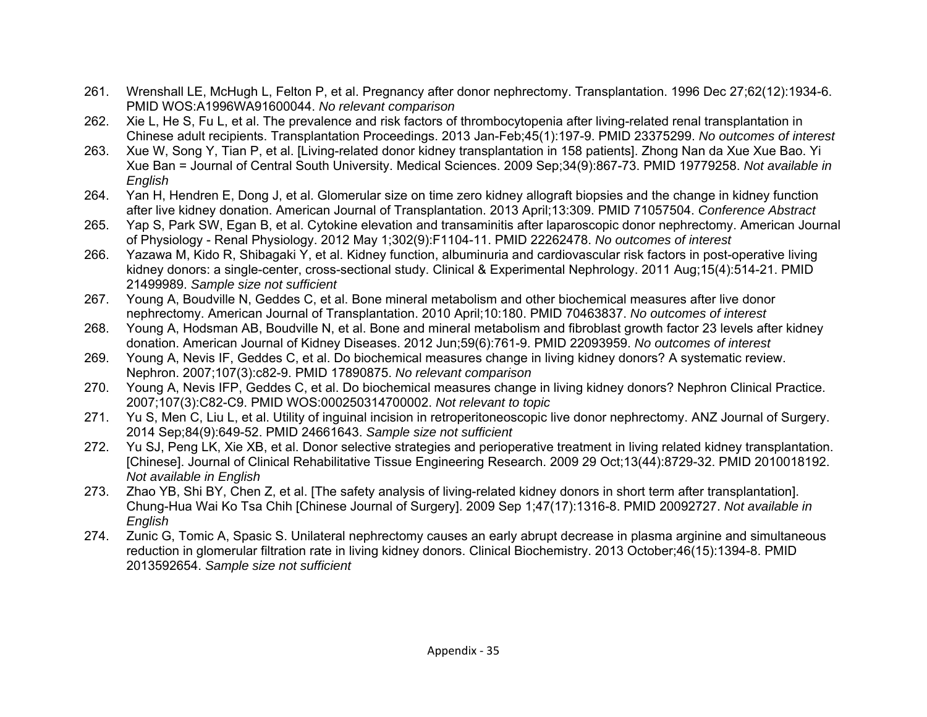- 261. Wrenshall LE, McHugh L, Felton P, et al. Pregnancy after donor nephrectomy. Transplantation. 1996 Dec 27;62(12):1934-6. PMID WOS:A1996WA91600044. *No relevant comparison*
- 262. Xie L, He S, Fu L, et al. The prevalence and risk factors of thrombocytopenia after living-related renal transplantation in Chinese adult recipients. Transplantation Proceedings. 2013 Jan-Feb;45(1):197-9. PMID 23375299. *No outcomes of interest*
- 263. Xue W, Song Y, Tian P, et al. [Living-related donor kidney transplantation in 158 patients]. Zhong Nan da Xue Xue Bao. Yi Xue Ban = Journal of Central South University. Medical Sciences. 2009 Sep;34(9):867-73. PMID 19779258. *Not available in English*
- 264. Yan H, Hendren E, Dong J, et al. Glomerular size on time zero kidney allograft biopsies and the change in kidney function after live kidney donation. American Journal of Transplantation. 2013 April;13:309. PMID 71057504. *Conference Abstract*
- 265. Yap S, Park SW, Egan B, et al. Cytokine elevation and transaminitis after laparoscopic donor nephrectomy. American Journal of Physiology - Renal Physiology. 2012 May 1;302(9):F1104-11. PMID 22262478. *No outcomes of interest*
- 266. Yazawa M, Kido R, Shibagaki Y, et al. Kidney function, albuminuria and cardiovascular risk factors in post-operative living kidney donors: a single-center, cross-sectional study. Clinical & Experimental Nephrology. 2011 Aug;15(4):514-21. PMID 21499989. *Sample size not sufficient*
- 267. Young A, Boudville N, Geddes C, et al. Bone mineral metabolism and other biochemical measures after live donor nephrectomy. American Journal of Transplantation. 2010 April;10:180. PMID 70463837. *No outcomes of interest*
- 268. Young A, Hodsman AB, Boudville N, et al. Bone and mineral metabolism and fibroblast growth factor 23 levels after kidney donation. American Journal of Kidney Diseases. 2012 Jun;59(6):761-9. PMID 22093959. *No outcomes of interest*
- 269. Young A, Nevis IF, Geddes C, et al. Do biochemical measures change in living kidney donors? A systematic review. Nephron. 2007;107(3):c82-9. PMID 17890875. *No relevant comparison*
- 270. Young A, Nevis IFP, Geddes C, et al. Do biochemical measures change in living kidney donors? Nephron Clinical Practice. 2007;107(3):C82-C9. PMID WOS:000250314700002. *Not relevant to topic*
- 271. Yu S, Men C, Liu L, et al. Utility of inguinal incision in retroperitoneoscopic live donor nephrectomy. ANZ Journal of Surgery. 2014 Sep;84(9):649-52. PMID 24661643. *Sample size not sufficient*
- 272. Yu SJ, Peng LK, Xie XB, et al. Donor selective strategies and perioperative treatment in living related kidney transplantation. [Chinese]. Journal of Clinical Rehabilitative Tissue Engineering Research. 2009 29 Oct;13(44):8729-32. PMID 2010018192. *Not available in English*
- 273. Zhao YB, Shi BY, Chen Z, et al. [The safety analysis of living-related kidney donors in short term after transplantation]. Chung-Hua Wai Ko Tsa Chih [Chinese Journal of Surgery]. 2009 Sep 1;47(17):1316-8. PMID 20092727. *Not available in English*
- 274. Zunic G, Tomic A, Spasic S. Unilateral nephrectomy causes an early abrupt decrease in plasma arginine and simultaneous reduction in glomerular filtration rate in living kidney donors. Clinical Biochemistry. 2013 October;46(15):1394-8. PMID 2013592654. *Sample size not sufficient*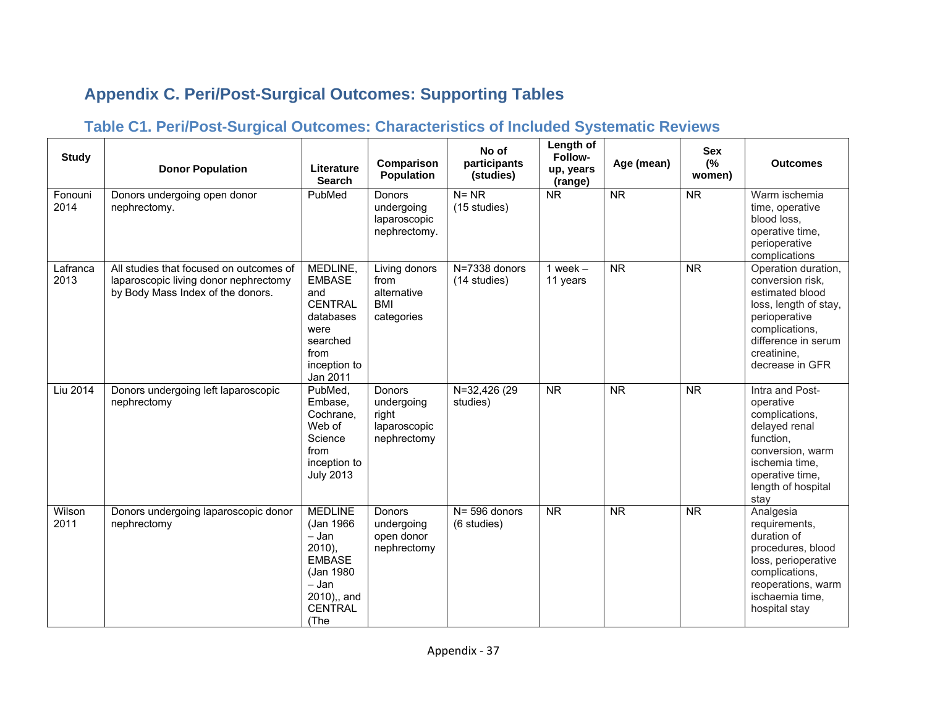# **Appendix C. Peri/Post-Surgical Outcomes: Supporting Tables**

## **Table C1. Peri/Post-Surgical Outcomes: Characteristics of Included Systematic Reviews**

| <b>Study</b>     | <b>Donor Population</b>                                                                                               | Literature<br><b>Search</b>                                                                                                          | Comparison<br><b>Population</b>                                  | No of<br>participants<br>(studies)    | Length of<br>Follow-<br>up, years<br>(range) | Age (mean)             | <b>Sex</b><br>(%<br>women) | <b>Outcomes</b>                                                                                                                                                                 |
|------------------|-----------------------------------------------------------------------------------------------------------------------|--------------------------------------------------------------------------------------------------------------------------------------|------------------------------------------------------------------|---------------------------------------|----------------------------------------------|------------------------|----------------------------|---------------------------------------------------------------------------------------------------------------------------------------------------------------------------------|
| Fonouni<br>2014  | Donors undergoing open donor<br>nephrectomy.                                                                          | PubMed                                                                                                                               | Donors<br>undergoing<br>laparoscopic<br>nephrectomy.             | $N = NR$<br>(15 studies)              | <b>NR</b>                                    | $\overline{\text{NR}}$ | $\overline{\text{NR}}$     | Warm ischemia<br>time, operative<br>blood loss,<br>operative time,<br>perioperative<br>complications                                                                            |
| Lafranca<br>2013 | All studies that focused on outcomes of<br>laparoscopic living donor nephrectomy<br>by Body Mass Index of the donors. | MEDLINE,<br><b>EMBASE</b><br>and<br><b>CENTRAL</b><br>databases<br>were<br>searched<br>from<br>inception to<br>Jan 2011              | Living donors<br>from<br>alternative<br><b>BMI</b><br>categories | $N = 7338$ donors<br>(14 studies)     | 1 week $-$<br>11 years                       | <b>NR</b>              | <b>NR</b>                  | Operation duration,<br>conversion risk,<br>estimated blood<br>loss, length of stay,<br>perioperative<br>complications,<br>difference in serum<br>creatinine.<br>decrease in GFR |
| Liu 2014         | Donors undergoing left laparoscopic<br>nephrectomy                                                                    | PubMed,<br>Embase.<br>Cochrane.<br>Web of<br>Science<br>from<br>inception to<br><b>July 2013</b>                                     | Donors<br>undergoing<br>right<br>laparoscopic<br>nephrectomy     | $\overline{N=32,426}$ (29<br>studies) | $\overline{\text{NR}}$                       | $\overline{\text{NR}}$ | $\overline{\text{NR}}$     | Intra and Post-<br>operative<br>complications,<br>delayed renal<br>function,<br>conversion, warm<br>ischemia time,<br>operative time,<br>length of hospital<br>stav             |
| Wilson<br>2011   | Donors undergoing laparoscopic donor<br>nephrectomy                                                                   | <b>MEDLINE</b><br>(Jan 1966<br>$-$ Jan<br>$2010$ ),<br><b>EMBASE</b><br>(Jan 1980)<br>- Jan<br>2010),, and<br><b>CENTRAL</b><br>(The | Donors<br>undergoing<br>open donor<br>nephrectomy                | $N = 596$ donors<br>(6 studies)       | <b>NR</b>                                    | <b>NR</b>              | $\overline{\text{NR}}$     | Analgesia<br>requirements,<br>duration of<br>procedures, blood<br>loss, perioperative<br>complications,<br>reoperations, warm<br>ischaemia time,<br>hospital stay               |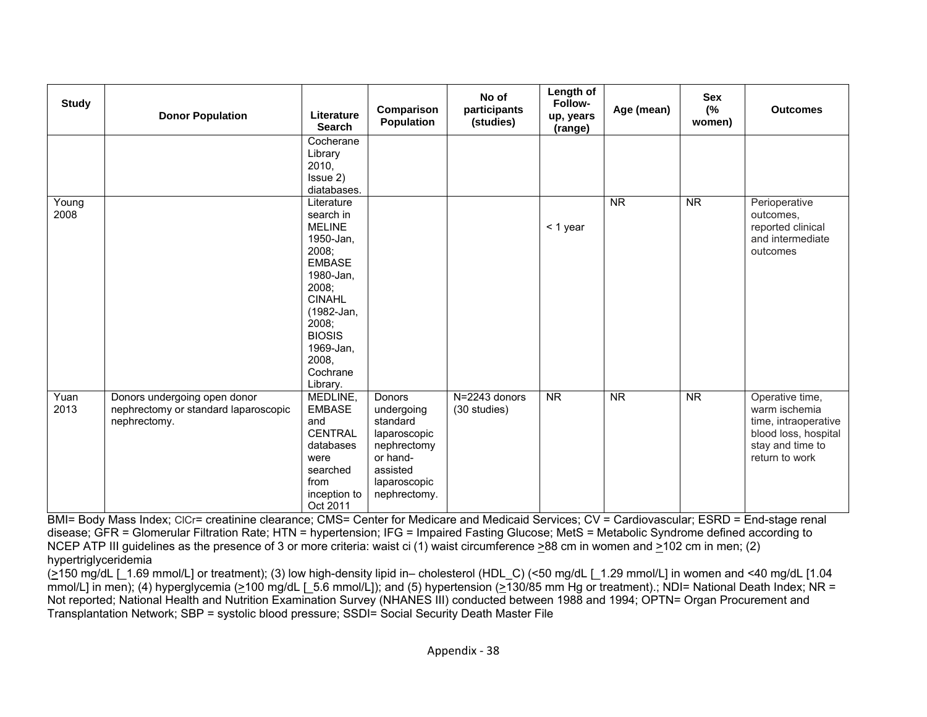| <b>Study</b>  | <b>Donor Population</b>                                                              | Literature<br>Search                                                                                                                                                                                         | Comparison<br><b>Population</b>                                                                                         | No of<br>participants<br>(studies) | Length of<br>Follow-<br>up, years<br>(range) | Age (mean)             | Sex<br>(%<br>women)    | <b>Outcomes</b>                                                                                                        |
|---------------|--------------------------------------------------------------------------------------|--------------------------------------------------------------------------------------------------------------------------------------------------------------------------------------------------------------|-------------------------------------------------------------------------------------------------------------------------|------------------------------------|----------------------------------------------|------------------------|------------------------|------------------------------------------------------------------------------------------------------------------------|
|               |                                                                                      | Cocherane<br>Library<br>2010,<br>Issue 2)<br>diatabases.                                                                                                                                                     |                                                                                                                         |                                    |                                              |                        |                        |                                                                                                                        |
| Young<br>2008 |                                                                                      | Literature<br>search in<br><b>MELINE</b><br>1950-Jan.<br>2008;<br><b>EMBASE</b><br>1980-Jan,<br>2008;<br><b>CINAHL</b><br>(1982-Jan,<br>2008;<br><b>BIOSIS</b><br>1969-Jan,<br>2008.<br>Cochrane<br>Library. |                                                                                                                         |                                    | $<$ 1 year                                   | $\overline{\text{NR}}$ | $\overline{\text{NR}}$ | Perioperative<br>outcomes,<br>reported clinical<br>and intermediate<br>outcomes                                        |
| Yuan<br>2013  | Donors undergoing open donor<br>nephrectomy or standard laparoscopic<br>nephrectomy. | MEDLINE,<br><b>EMBASE</b><br>and<br><b>CENTRAL</b><br>databases<br>were<br>searched<br>from<br>inception to<br>Oct 2011                                                                                      | Donors<br>undergoing<br>standard<br>laparoscopic<br>nephrectomy<br>or hand-<br>assisted<br>laparoscopic<br>nephrectomy. | N=2243 donors<br>(30 studies)      | $\overline{\text{NR}}$                       | $\overline{\text{NR}}$ | $\overline{\text{NR}}$ | Operative time,<br>warm ischemia<br>time, intraoperative<br>blood loss, hospital<br>stay and time to<br>return to work |

BMI= Body Mass Index; CICr= creatinine clearance; CMS= Center for Medicare and Medicaid Services; CV = Cardiovascular; ESRD = End-stage renal disease; GFR = Glomerular Filtration Rate; HTN = hypertension; IFG = Impaired Fasting Glucose; MetS = Metabolic Syndrome defined according to NCEP ATP III guidelines as the presence of 3 or more criteria: waist ci (1) waist circumference >88 cm in women and >102 cm in men; (2) hypertriglyceridemia

(>150 mg/dL [\_1.69 mmol/L] or treatment); (3) low high-density lipid in– cholesterol (HDL\_C) (<50 mg/dL [\_1.29 mmol/L] in women and <40 mg/dL [1.04 mmol/L] in men); (4) hyperglycemia (>100 mg/dL [\_5.6 mmol/L]); and (5) hypertension (>130/85 mm Hg or treatment).; NDI= National Death Index; NR = Not reported; National Health and Nutrition Examination Survey (NHANES III) conducted between 1988 and 1994; OPTN= Organ Procurement and Transplantation Network; SBP = systolic blood pressure; SSDI= Social Security Death Master File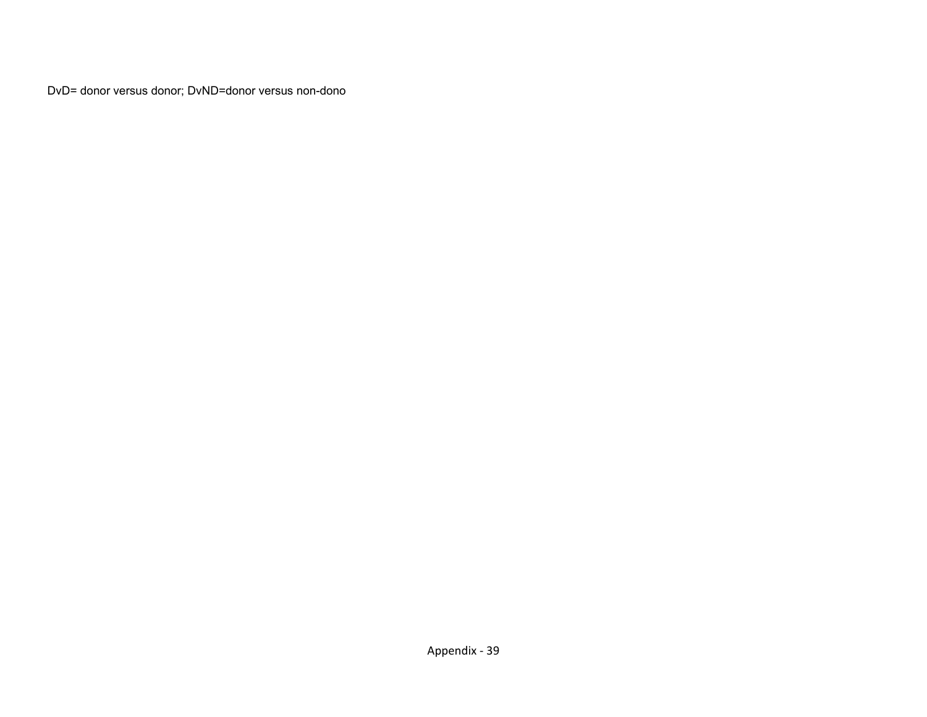DvD= donor versus donor; DvND=donor versus non-dono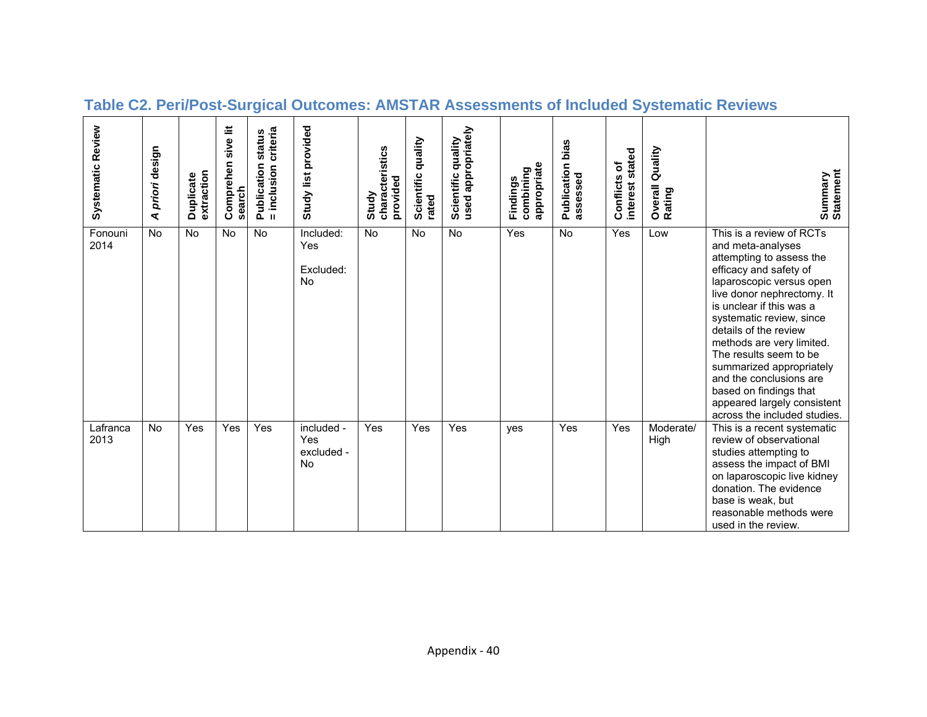| Systematic Review | priori design<br>⋖ | extraction<br>Duplicate | sive lit<br>Comprehen<br>search | criteria<br>status<br>Publication<br>= inclusion | Study list provided                    | characteristics<br>provided<br>Study | quality<br>Scientific<br>rated | used appropriately<br>Scientific quality | appropriate<br>combining<br>Findings | bias<br>Publication<br>assessed | stated<br>Conflicts of<br>interest | Quality<br>Overall<br>Rating | Summary<br>Statement                                                                                                                                                                                                                                                                                                                                                                                                                                  |
|-------------------|--------------------|-------------------------|---------------------------------|--------------------------------------------------|----------------------------------------|--------------------------------------|--------------------------------|------------------------------------------|--------------------------------------|---------------------------------|------------------------------------|------------------------------|-------------------------------------------------------------------------------------------------------------------------------------------------------------------------------------------------------------------------------------------------------------------------------------------------------------------------------------------------------------------------------------------------------------------------------------------------------|
| Fonouni<br>2014   | <b>No</b>          | <b>No</b>               | <b>No</b>                       | No                                               | Included:<br>Yes<br>Excluded:<br>No.   | <b>No</b>                            | <b>No</b>                      | <b>No</b>                                | Yes                                  | <b>No</b>                       | Yes                                | Low                          | This is a review of RCTs<br>and meta-analyses<br>attempting to assess the<br>efficacy and safety of<br>laparoscopic versus open<br>live donor nephrectomy. It<br>is unclear if this was a<br>systematic review, since<br>details of the review<br>methods are very limited.<br>The results seem to be<br>summarized appropriately<br>and the conclusions are<br>based on findings that<br>appeared largely consistent<br>across the included studies. |
| Lafranca<br>2013  | <b>No</b>          | Yes                     | Yes                             | Yes                                              | included -<br>Yes<br>excluded -<br>No. | Yes                                  | Yes                            | Yes                                      | yes                                  | Yes                             | Yes                                | Moderate/<br>High            | This is a recent systematic<br>review of observational<br>studies attempting to<br>assess the impact of BMI<br>on laparoscopic live kidney<br>donation. The evidence<br>base is weak, but<br>reasonable methods were<br>used in the review.                                                                                                                                                                                                           |

# **Table C2. Peri/Post-Surgical Outcomes: AMSTAR Assessments of Included Systematic Reviews**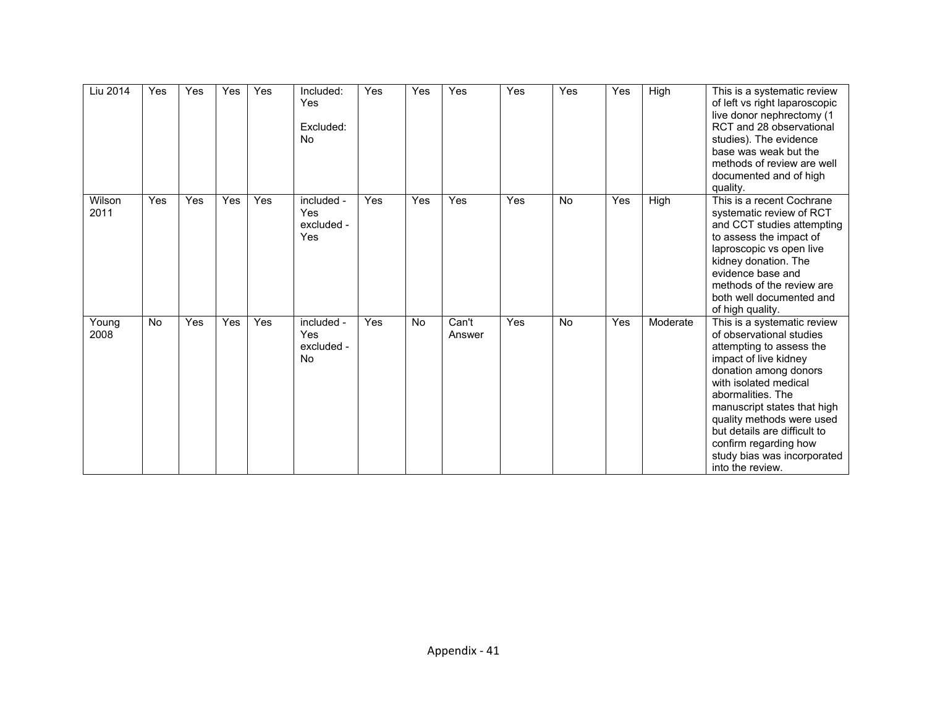| Liu 2014       | Yes       | Yes | Yes | Yes | Included:<br>Yes<br>Excluded:<br><b>No</b>   | <b>Yes</b> | Yes       | Yes             | Yes | Yes       | Yes | High     | This is a systematic review<br>of left vs right laparoscopic<br>live donor nephrectomy (1<br>RCT and 28 observational<br>studies). The evidence<br>base was weak but the<br>methods of review are well<br>documented and of high<br>quality.                                                                                                                |
|----------------|-----------|-----|-----|-----|----------------------------------------------|------------|-----------|-----------------|-----|-----------|-----|----------|-------------------------------------------------------------------------------------------------------------------------------------------------------------------------------------------------------------------------------------------------------------------------------------------------------------------------------------------------------------|
| Wilson<br>2011 | Yes       | Yes | Yes | Yes | included -<br>Yes<br>excluded -<br>Yes       | Yes        | Yes       | Yes             | Yes | <b>No</b> | Yes | High     | This is a recent Cochrane<br>systematic review of RCT<br>and CCT studies attempting<br>to assess the impact of<br>laproscopic vs open live<br>kidney donation. The<br>evidence base and<br>methods of the review are<br>both well documented and<br>of high quality.                                                                                        |
| Young<br>2008  | <b>No</b> | Yes | Yes | Yes | included -<br>Yes<br>excluded -<br><b>No</b> | Yes        | <b>No</b> | Can't<br>Answer | Yes | <b>No</b> | Yes | Moderate | This is a systematic review<br>of observational studies<br>attempting to assess the<br>impact of live kidney<br>donation among donors<br>with isolated medical<br>abormalities. The<br>manuscript states that high<br>quality methods were used<br>but details are difficult to<br>confirm regarding how<br>study bias was incorporated<br>into the review. |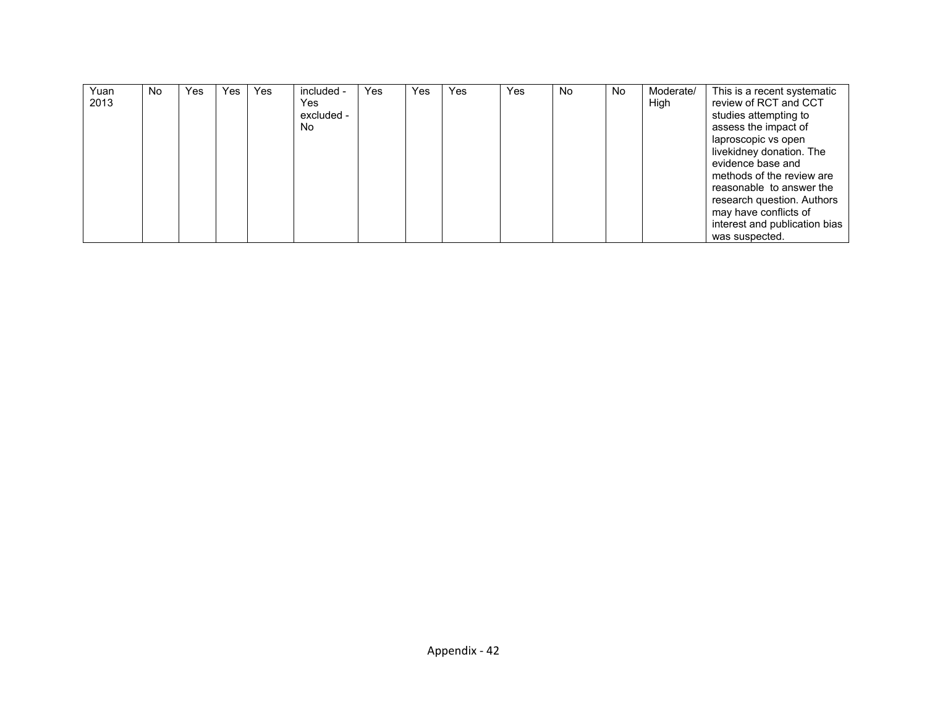| Yuan | No. | Yes | Yes | Yes | included - | Yes | Yes | Yes | Yes | No | No. | Moderate/ | This is a recent systematic   |
|------|-----|-----|-----|-----|------------|-----|-----|-----|-----|----|-----|-----------|-------------------------------|
| 2013 |     |     |     |     | Yes.       |     |     |     |     |    |     | High      | review of RCT and CCT         |
|      |     |     |     |     | excluded - |     |     |     |     |    |     |           | studies attempting to         |
|      |     |     |     |     | No.        |     |     |     |     |    |     |           | assess the impact of          |
|      |     |     |     |     |            |     |     |     |     |    |     |           | laproscopic vs open           |
|      |     |     |     |     |            |     |     |     |     |    |     |           | livekidney donation. The      |
|      |     |     |     |     |            |     |     |     |     |    |     |           | evidence base and             |
|      |     |     |     |     |            |     |     |     |     |    |     |           | methods of the review are     |
|      |     |     |     |     |            |     |     |     |     |    |     |           | reasonable to answer the      |
|      |     |     |     |     |            |     |     |     |     |    |     |           | research question. Authors    |
|      |     |     |     |     |            |     |     |     |     |    |     |           | may have conflicts of         |
|      |     |     |     |     |            |     |     |     |     |    |     |           | interest and publication bias |
|      |     |     |     |     |            |     |     |     |     |    |     |           | was suspected.                |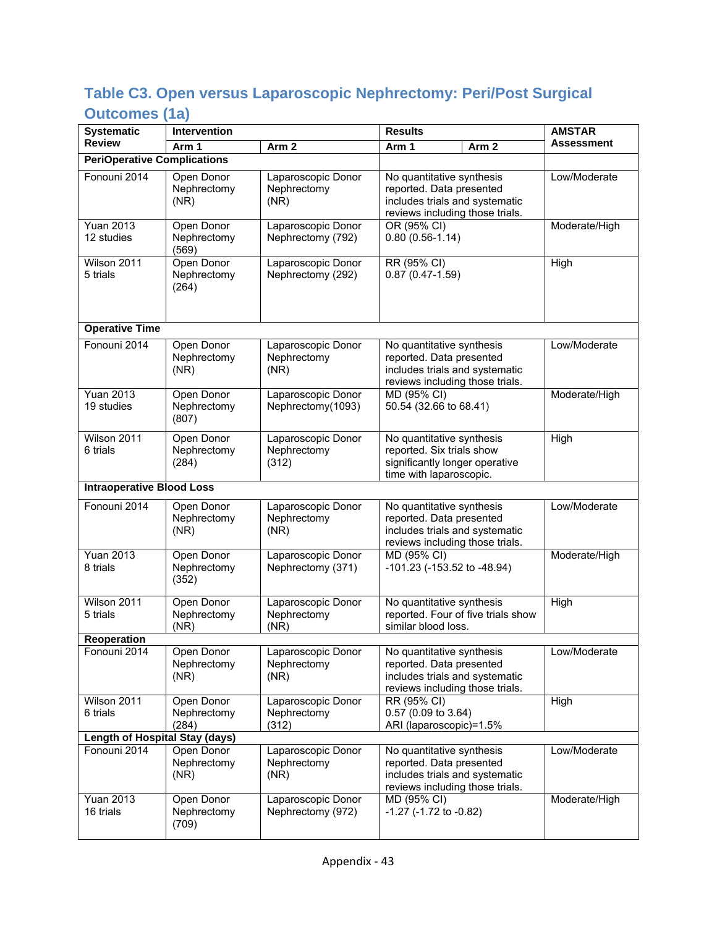## **Table C3. Open versus Laparoscopic Nephrectomy: Peri/Post Surgical Outcomes (1a)**

| <b>Systematic</b>                     | Intervention                       |                                            | <b>Results</b>                                                                                                             | <b>AMSTAR</b> |
|---------------------------------------|------------------------------------|--------------------------------------------|----------------------------------------------------------------------------------------------------------------------------|---------------|
| <b>Review</b>                         | Arm 1                              | Arm <sub>2</sub>                           | Arm 1<br>Arm <sub>2</sub>                                                                                                  | Assessment    |
| <b>PeriOperative Complications</b>    |                                    |                                            |                                                                                                                            |               |
| Fonouni 2014                          | Open Donor<br>Nephrectomy<br>(NR)  | Laparoscopic Donor<br>Nephrectomy<br>(NR)  | No quantitative synthesis<br>reported. Data presented<br>includes trials and systematic<br>reviews including those trials. | Low/Moderate  |
| <b>Yuan 2013</b><br>12 studies        | Open Donor<br>Nephrectomy<br>(569) | Laparoscopic Donor<br>Nephrectomy (792)    | OR (95% CI)<br>$0.80(0.56-1.14)$                                                                                           | Moderate/High |
| Wilson 2011<br>5 trials               | Open Donor<br>Nephrectomy<br>(264) | Laparoscopic Donor<br>Nephrectomy (292)    | RR (95% CI)<br>$0.87(0.47-1.59)$                                                                                           | High          |
| <b>Operative Time</b>                 |                                    |                                            |                                                                                                                            |               |
| Fonouni 2014                          | Open Donor<br>Nephrectomy<br>(NR)  | Laparoscopic Donor<br>Nephrectomy<br>(NR)  | No quantitative synthesis<br>reported. Data presented<br>includes trials and systematic<br>reviews including those trials. | Low/Moderate  |
| <b>Yuan 2013</b><br>19 studies        | Open Donor<br>Nephrectomy<br>(807) | Laparoscopic Donor<br>Nephrectomy(1093)    | MD (95% CI)<br>50.54 (32.66 to 68.41)                                                                                      | Moderate/High |
| Wilson 2011<br>6 trials               | Open Donor<br>Nephrectomy<br>(284) | Laparoscopic Donor<br>Nephrectomy<br>(312) | No quantitative synthesis<br>reported. Six trials show<br>significantly longer operative<br>time with laparoscopic.        | High          |
| <b>Intraoperative Blood Loss</b>      |                                    |                                            |                                                                                                                            |               |
| Fonouni 2014                          | Open Donor<br>Nephrectomy<br>(NR)  | Laparoscopic Donor<br>Nephrectomy<br>(NR)  | No quantitative synthesis<br>reported. Data presented<br>includes trials and systematic<br>reviews including those trials. | Low/Moderate  |
| <b>Yuan 2013</b><br>8 trials          | Open Donor<br>Nephrectomy<br>(352) | Laparoscopic Donor<br>Nephrectomy (371)    | MD (95% CI)<br>-101.23 (-153.52 to -48.94)                                                                                 | Moderate/High |
| Wilson 2011<br>5 trials               | Open Donor<br>Nephrectomy<br>(NR)  | Laparoscopic Donor<br>Nephrectomy<br>(NR)  | No quantitative synthesis<br>reported. Four of five trials show<br>similar blood loss.                                     | High          |
| Reoperation                           |                                    |                                            |                                                                                                                            |               |
| Fonouni 2014                          | Open Donor<br>Nephrectomy<br>(NR)  | Laparoscopic Donor<br>Nephrectomy<br>(NR)  | No quantitative synthesis<br>reported. Data presented<br>includes trials and systematic<br>reviews including those trials. | Low/Moderate  |
| Wilson 2011<br>6 trials               | Open Donor<br>Nephrectomy<br>(284) | Laparoscopic Donor<br>Nephrectomy<br>(312) | RR (95% CI)<br>0.57 (0.09 to 3.64)<br>ARI (laparoscopic)=1.5%                                                              | High          |
| <b>Length of Hospital Stay (days)</b> |                                    |                                            |                                                                                                                            |               |
| Fonouni 2014                          | Open Donor<br>Nephrectomy<br>(NR)  | Laparoscopic Donor<br>Nephrectomy<br>(NR)  | No quantitative synthesis<br>reported. Data presented<br>includes trials and systematic<br>reviews including those trials. | Low/Moderate  |
| <b>Yuan 2013</b><br>16 trials         | Open Donor<br>Nephrectomy<br>(709) | Laparoscopic Donor<br>Nephrectomy (972)    | MD (95% CI)<br>$-1.27$ ( $-1.72$ to $-0.82$ )                                                                              | Moderate/High |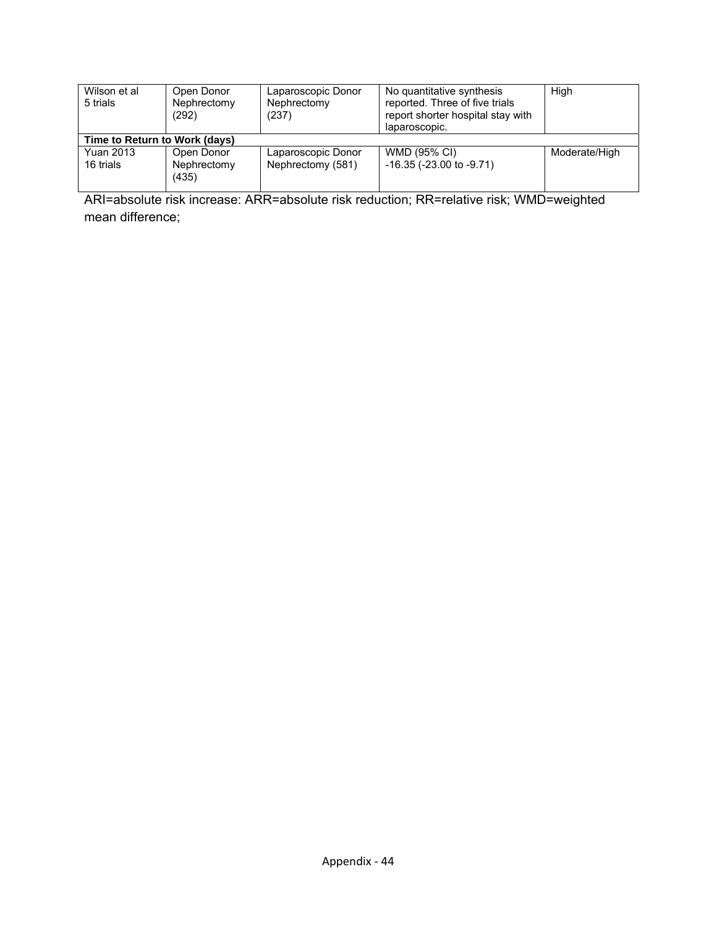| Wilson et al<br>Laparoscopic Donor<br>Open Donor<br>5 trials<br>Nephrectomy<br>Nephrectomy<br>(237)<br>(292) |                                    |                                         | No quantitative synthesis<br>reported. Three of five trials<br>report shorter hospital stay with<br>laparoscopic. | High          |  |  |  |  |
|--------------------------------------------------------------------------------------------------------------|------------------------------------|-----------------------------------------|-------------------------------------------------------------------------------------------------------------------|---------------|--|--|--|--|
|                                                                                                              | Time to Return to Work (days)      |                                         |                                                                                                                   |               |  |  |  |  |
| <b>Yuan 2013</b><br>16 trials                                                                                | Open Donor<br>Nephrectomy<br>(435) | Laparoscopic Donor<br>Nephrectomy (581) | WMD (95% CI)<br>$-16.35$ ( $-23.00$ to $-9.71$ )                                                                  | Moderate/High |  |  |  |  |

ARI=absolute risk increase: ARR=absolute risk reduction; RR=relative risk; WMD=weighted mean difference;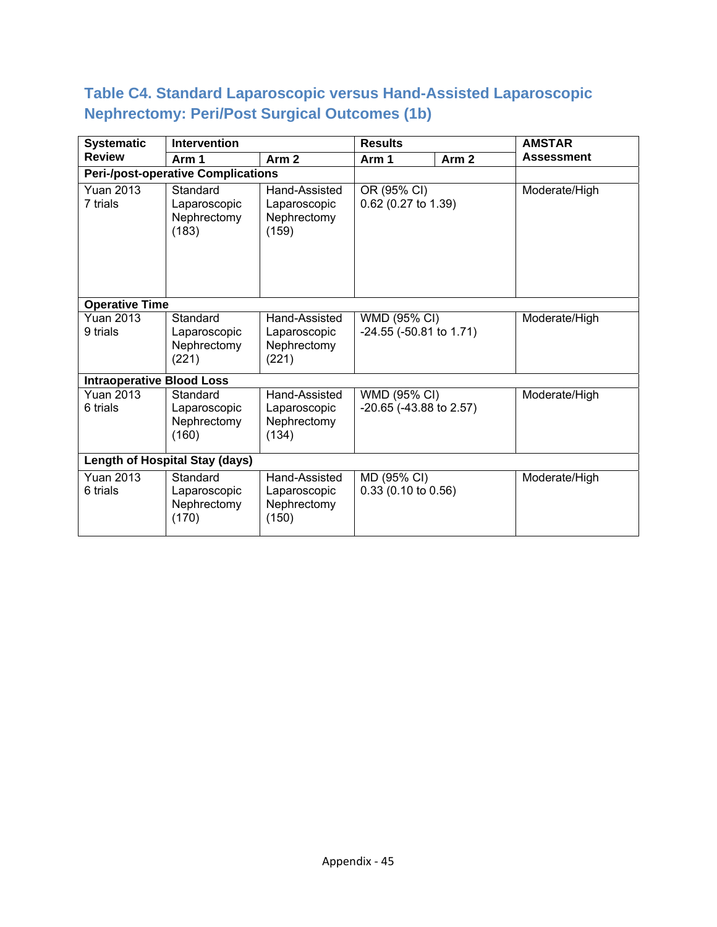### **Table C4. Standard Laparoscopic versus Hand-Assisted Laparoscopic Nephrectomy: Peri/Post Surgical Outcomes (1b)**

| <b>Systematic</b>                | <b>Intervention</b>                              |                                                       | <b>Results</b>                               |                  | <b>AMSTAR</b>     |  |               |
|----------------------------------|--------------------------------------------------|-------------------------------------------------------|----------------------------------------------|------------------|-------------------|--|---------------|
| <b>Review</b>                    | Arm 1                                            | Arm <sub>2</sub>                                      | Arm 1                                        | Arm <sub>2</sub> | <b>Assessment</b> |  |               |
|                                  | <b>Peri-/post-operative Complications</b>        |                                                       |                                              |                  |                   |  |               |
| <b>Yuan 2013</b><br>7 trials     | Standard<br>Laparoscopic<br>Nephrectomy<br>(183) | Hand-Assisted<br>Laparoscopic<br>Nephrectomy<br>(159) | OR (95% CI)<br>0.62 (0.27 to 1.39)           |                  |                   |  | Moderate/High |
| <b>Operative Time</b>            |                                                  |                                                       |                                              |                  |                   |  |               |
| <b>Yuan 2013</b><br>9 trials     | Standard<br>Laparoscopic<br>Nephrectomy<br>(221) | Hand-Assisted<br>Laparoscopic<br>Nephrectomy<br>(221) | WMD (95% CI)<br>$-24.55$ ( $-50.81$ to 1.71) |                  | Moderate/High     |  |               |
| <b>Intraoperative Blood Loss</b> |                                                  |                                                       |                                              |                  |                   |  |               |
| <b>Yuan 2013</b><br>6 trials     | Standard<br>Laparoscopic<br>Nephrectomy<br>(160) | Hand-Assisted<br>Laparoscopic<br>Nephrectomy<br>(134) | WMD (95% CI)<br>$-20.65$ ( $-43.88$ to 2.57) |                  | Moderate/High     |  |               |
|                                  | <b>Length of Hospital Stay (days)</b>            |                                                       |                                              |                  |                   |  |               |
| <b>Yuan 2013</b><br>6 trials     | Standard<br>Laparoscopic<br>Nephrectomy<br>(170) | Hand-Assisted<br>Laparoscopic<br>Nephrectomy<br>(150) | MD (95% CI)<br>$0.33(0.10 \text{ to } 0.56)$ |                  | Moderate/High     |  |               |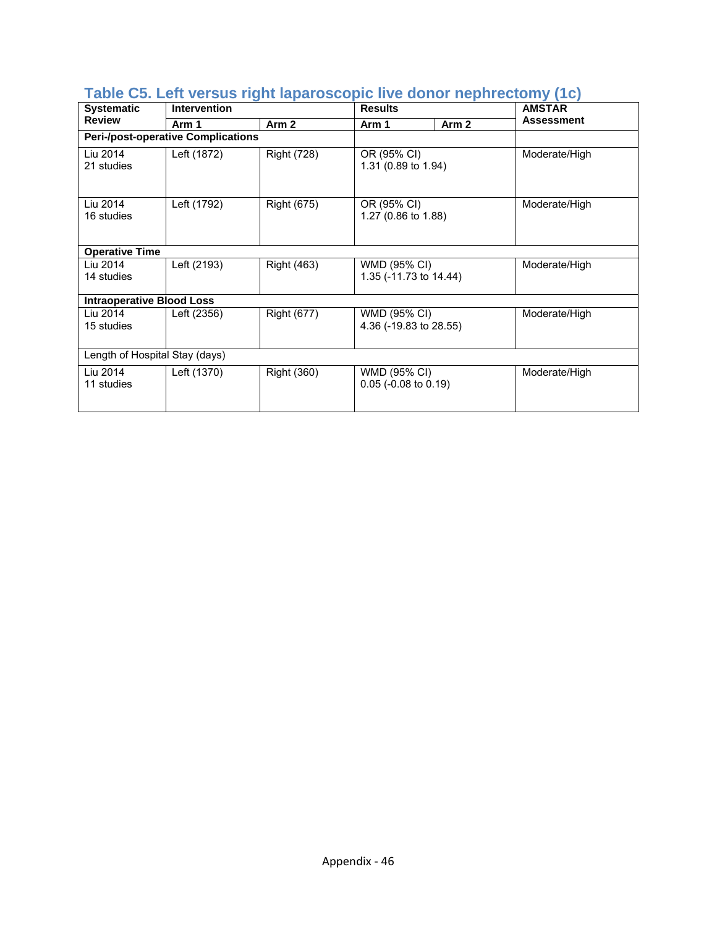| <b>Systematic</b>                | <b>Intervention</b>                       |                                                          | <b>Results</b>                         |                  | <b>AMSTAR</b>     |
|----------------------------------|-------------------------------------------|----------------------------------------------------------|----------------------------------------|------------------|-------------------|
| <b>Review</b>                    | Arm 1                                     | Arm <sub>2</sub>                                         | Arm 1                                  | Arm <sub>2</sub> | <b>Assessment</b> |
|                                  | <b>Peri-/post-operative Complications</b> |                                                          |                                        |                  |                   |
| Liu 2014<br>21 studies           | Left (1872)                               | <b>Right (728)</b>                                       | OR (95% CI)<br>1.31 (0.89 to 1.94)     |                  | Moderate/High     |
| Liu 2014<br>16 studies           | Left (1792)                               | <b>Right (675)</b><br>OR (95% CI)<br>1.27 (0.86 to 1.88) |                                        |                  | Moderate/High     |
| <b>Operative Time</b>            |                                           |                                                          |                                        |                  |                   |
| Liu 2014<br>14 studies           | Left (2193)                               | <b>Right (463)</b>                                       | WMD (95% CI)<br>1.35 (-11.73 to 14.44) |                  | Moderate/High     |
| <b>Intraoperative Blood Loss</b> |                                           |                                                          |                                        |                  |                   |
| Liu 2014<br>15 studies           | Left (2356)                               | <b>Right (677)</b>                                       | WMD (95% CI)<br>4.36 (-19.83 to 28.55) |                  | Moderate/High     |
| Length of Hospital Stay (days)   |                                           |                                                          |                                        |                  |                   |
| Liu 2014<br>11 studies           | Left (1370)                               | <b>Right (360)</b>                                       | WMD (95% CI)<br>$0.05$ (-0.08 to 0.19) |                  | Moderate/High     |

#### **Table C5. Left versus right laparoscopic live donor nephrectomy (1c)**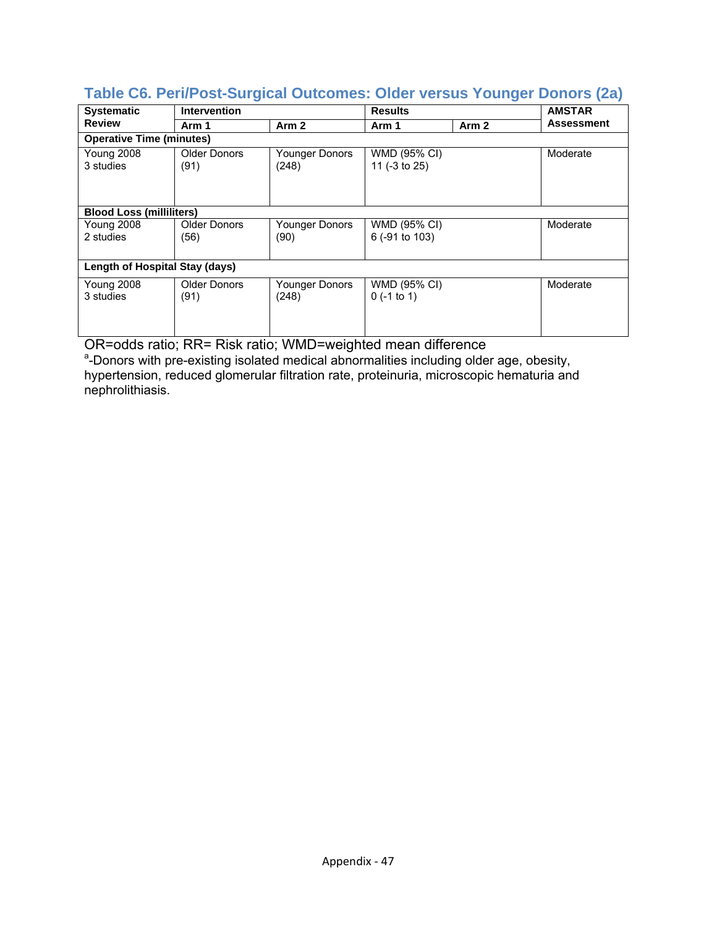| <b>Systematic</b>               | <b>Intervention</b>             |                         | <b>Results</b>                 |       | <b>AMSTAR</b> |  |  |  |  |
|---------------------------------|---------------------------------|-------------------------|--------------------------------|-------|---------------|--|--|--|--|
| <b>Review</b>                   | Arm 1                           | Arm <sub>2</sub>        | Arm 1                          | Arm 2 | Assessment    |  |  |  |  |
| <b>Operative Time (minutes)</b> |                                 |                         |                                |       |               |  |  |  |  |
| Young 2008<br>3 studies         | <b>Older Donors</b><br>(91)     | Younger Donors<br>(248) | WMD (95% CI)<br>11 (-3 to 25)  |       | Moderate      |  |  |  |  |
|                                 | <b>Blood Loss (milliliters)</b> |                         |                                |       |               |  |  |  |  |
| <b>Young 2008</b><br>2 studies  | Older Donors<br>(56)            | Younger Donors<br>(90)  | WMD (95% CI)<br>6 (-91 to 103) |       | Moderate      |  |  |  |  |
| Length of Hospital Stay (days)  |                                 |                         |                                |       |               |  |  |  |  |
| <b>Young 2008</b><br>3 studies  | <b>Older Donors</b><br>(91)     | Younger Donors<br>(248) | WMD (95% CI)<br>$0$ (-1 to 1)  |       | Moderate      |  |  |  |  |

#### **Table C6. Peri/Post-Surgical Outcomes: Older versus Younger Donors (2a)**

OR=odds ratio; RR= Risk ratio; WMD=weighted mean difference<br>ª-Donors with pre-existing isolated medical abnormalities including older age, obesity, hypertension, reduced glomerular filtration rate, proteinuria, microscopic hematuria and nephrolithiasis.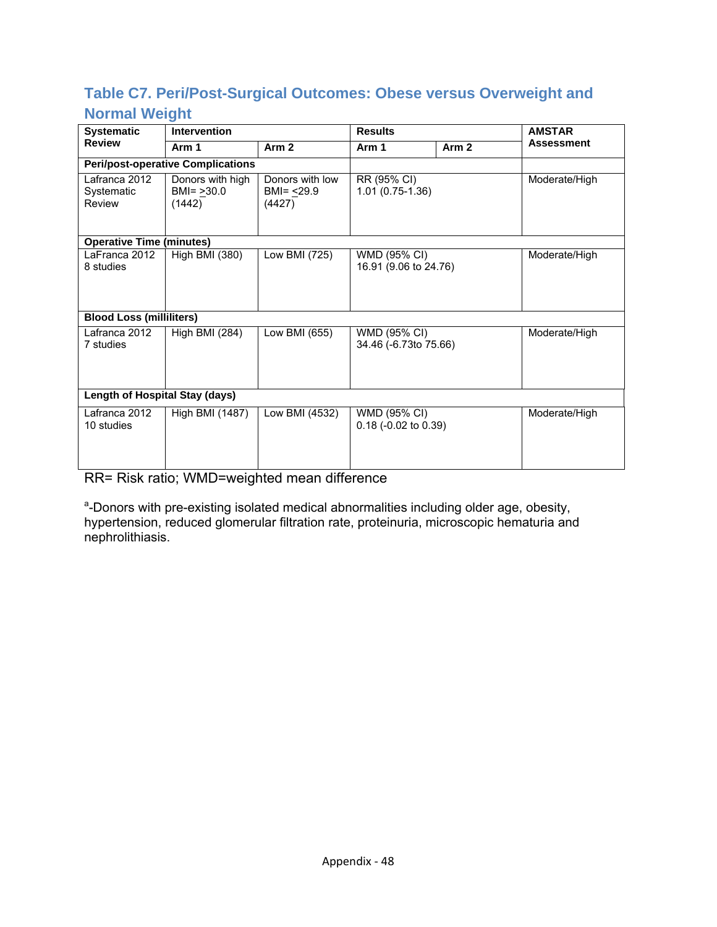### **Table C7. Peri/Post-Surgical Outcomes: Obese versus Overweight and Normal Weight**

| <b>Systematic</b>                     | <b>Intervention</b>                         |                                                    | <b>Results</b>                        |                  | <b>AMSTAR</b>     |
|---------------------------------------|---------------------------------------------|----------------------------------------------------|---------------------------------------|------------------|-------------------|
| <b>Review</b>                         | Arm 1                                       | Arm <sub>2</sub>                                   | Arm 1                                 | Arm <sub>2</sub> | <b>Assessment</b> |
|                                       | <b>Peri/post-operative Complications</b>    |                                                    |                                       |                  |                   |
| Lafranca 2012<br>Systematic<br>Review | Donors with high<br>$BMI = >30.0$<br>(1442) | Donors with low<br>BMI= <u>&lt;</u> 29.9<br>(4427) | RR (95% CI)<br>$1.01(0.75-1.36)$      |                  | Moderate/High     |
| <b>Operative Time (minutes)</b>       |                                             |                                                    |                                       |                  |                   |
| LaFranca 2012<br>8 studies            | High BMI (380)                              | Low BMI (725)                                      | WMD (95% CI)<br>16.91 (9.06 to 24.76) |                  | Moderate/High     |
| <b>Blood Loss (milliliters)</b>       |                                             |                                                    |                                       |                  |                   |
| Lafranca 2012<br>7 studies            | High BMI (284)                              | Low BMI (655)                                      | WMD (95% CI)<br>34.46 (-6.73to 75.66) |                  | Moderate/High     |
| <b>Length of Hospital Stay (days)</b> |                                             |                                                    |                                       |                  |                   |
| Lafranca 2012<br>10 studies           | High BMI (1487)                             | Low BMI (4532)                                     | WMD (95% CI)<br>0.18 (-0.02 to 0.39)  |                  | Moderate/High     |

RR= Risk ratio; WMD=weighted mean difference

<sup>a</sup>-Donors with pre-existing isolated medical abnormalities including older age, obesity, hypertension, reduced glomerular filtration rate, proteinuria, microscopic hematuria and nephrolithiasis.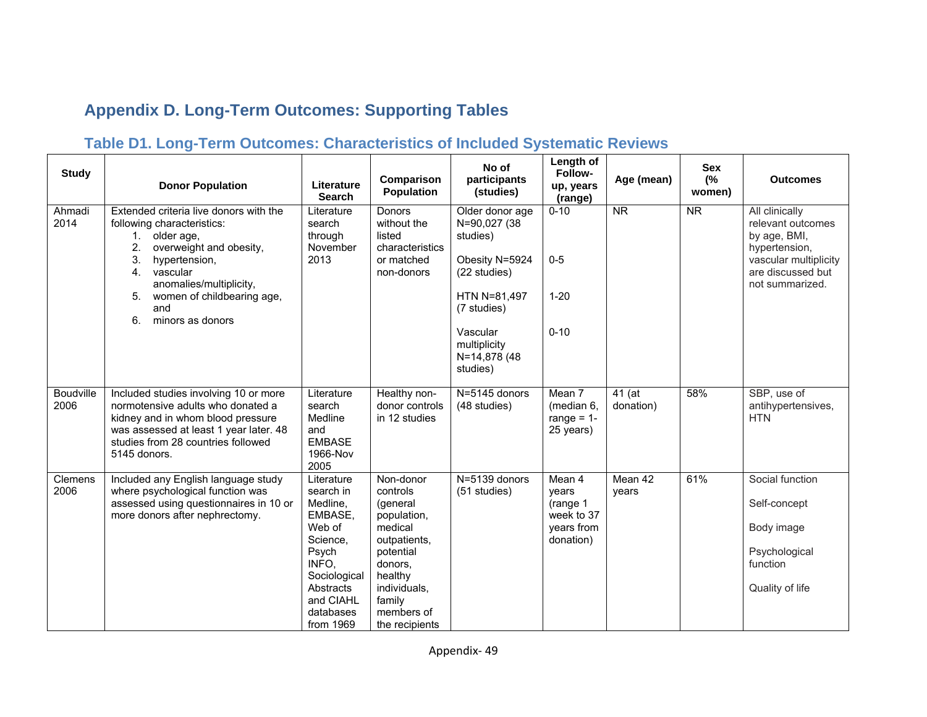# **Appendix D. Long-Term Outcomes: Supporting Tables**

## **Table D1. Long-Term Outcomes: Characteristics of Included Systematic Reviews**

| <b>Study</b>      | <b>Donor Population</b>                                                                                                                                                                                                                                            | Literature<br><b>Search</b>                                                                                                                                | Comparison<br>Population                                                                                                                                                 | No of<br>participants<br>(studies)                                                                                                                                   | Length of<br>Follow-<br>up, years<br>(range)                                               | Age (mean)             | <b>Sex</b><br>(%<br>women) | <b>Outcomes</b>                                                                                                                       |
|-------------------|--------------------------------------------------------------------------------------------------------------------------------------------------------------------------------------------------------------------------------------------------------------------|------------------------------------------------------------------------------------------------------------------------------------------------------------|--------------------------------------------------------------------------------------------------------------------------------------------------------------------------|----------------------------------------------------------------------------------------------------------------------------------------------------------------------|--------------------------------------------------------------------------------------------|------------------------|----------------------------|---------------------------------------------------------------------------------------------------------------------------------------|
| Ahmadi<br>2014    | Extended criteria live donors with the<br>following characteristics:<br>older age,<br>1.<br>2.<br>overweight and obesity,<br>3.<br>hypertension,<br>vascular<br>4.<br>anomalies/multiplicity,<br>women of childbearing age,<br>5.<br>and<br>minors as donors<br>6. | Literature<br>search<br>through<br>November<br>2013                                                                                                        | <b>Donors</b><br>without the<br>listed<br>characteristics<br>or matched<br>non-donors                                                                                    | Older donor age<br>N=90,027 (38<br>studies)<br>Obesity N=5924<br>(22 studies)<br>HTN N=81,497<br>(7 studies)<br>Vascular<br>multiplicity<br>N=14,878 (48<br>studies) | $0 - 10$<br>$0-5$<br>$1 - 20$<br>$0 - 10$                                                  | $\overline{\text{NR}}$ | $\overline{\text{NR}}$     | All clinically<br>relevant outcomes<br>by age, BMI,<br>hypertension,<br>vascular multiplicity<br>are discussed but<br>not summarized. |
| Boudville<br>2006 | Included studies involving 10 or more<br>normotensive adults who donated a<br>kidney and in whom blood pressure<br>was assessed at least 1 year later. 48<br>studies from 28 countries followed<br>5145 donors.                                                    | Literature<br>search<br>Medline<br>and<br><b>EMBASE</b><br>1966-Nov<br>2005                                                                                | Healthy non-<br>donor controls<br>in 12 studies                                                                                                                          | N=5145 donors<br>(48 studies)                                                                                                                                        | Mean 7<br>(median 6,<br>range = $1-$<br>25 years)                                          | 41 (at<br>donation)    | 58%                        | SBP, use of<br>antihypertensives,<br><b>HTN</b>                                                                                       |
| Clemens<br>2006   | Included any English language study<br>where psychological function was<br>assessed using questionnaires in 10 or<br>more donors after nephrectomy.                                                                                                                | Literature<br>search in<br>Medline,<br>EMBASE,<br>Web of<br>Science,<br>Psych<br>INFO.<br>Sociological<br>Abstracts<br>and CIAHL<br>databases<br>from 1969 | Non-donor<br>controls<br>(general<br>population,<br>medical<br>outpatients,<br>potential<br>donors,<br>healthy<br>individuals,<br>family<br>members of<br>the recipients | N=5139 donors<br>(51 studies)                                                                                                                                        | $\overline{\mathsf{Mean}}$ 4<br>years<br>(range 1<br>week to 37<br>years from<br>donation) | Mean 42<br>years       | 61%                        | Social function<br>Self-concept<br>Body image<br>Psychological<br>function<br>Quality of life                                         |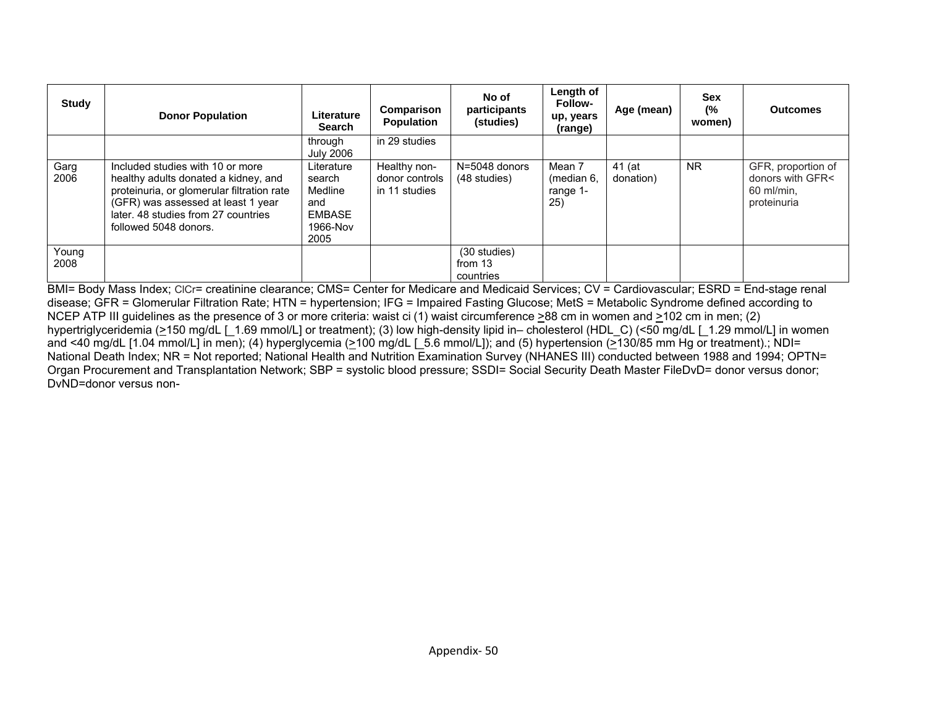| <b>Study</b>  | <b>Donor Population</b>                                                                                                                                                                                                      | Literature<br><b>Search</b>                                                 | Comparison<br><b>Population</b>                 | No of<br>participants<br>(studies)   | Length of<br><b>Follow-</b><br>up, years<br>(range) | Age (mean)          | Sex<br>(%<br>women) | <b>Outcomes</b>                                                     |
|---------------|------------------------------------------------------------------------------------------------------------------------------------------------------------------------------------------------------------------------------|-----------------------------------------------------------------------------|-------------------------------------------------|--------------------------------------|-----------------------------------------------------|---------------------|---------------------|---------------------------------------------------------------------|
|               |                                                                                                                                                                                                                              | through<br><b>July 2006</b>                                                 | in 29 studies                                   |                                      |                                                     |                     |                     |                                                                     |
| Garg<br>2006  | Included studies with 10 or more<br>healthy adults donated a kidney, and<br>proteinuria, or glomerular filtration rate<br>(GFR) was assessed at least 1 year<br>later. 48 studies from 27 countries<br>followed 5048 donors. | Literature<br>search<br>Medline<br>and<br><b>EMBASE</b><br>1966-Nov<br>2005 | Healthy non-<br>donor controls<br>in 11 studies | $N = 5048$ donors<br>(48 studies)    | Mean 7<br>(median 6,<br>range 1-<br>25)             | 41 (at<br>donation) | NR.                 | GFR, proportion of<br>donors with GFR<<br>60 ml/min.<br>proteinuria |
| Young<br>2008 |                                                                                                                                                                                                                              |                                                                             |                                                 | (30 studies)<br>from 13<br>countries |                                                     |                     |                     |                                                                     |

BMI= Body Mass Index; CICr= creatinine clearance; CMS= Center for Medicare and Medicaid Services; CV = Cardiovascular; ESRD = End-stage renal disease; GFR = Glomerular Filtration Rate; HTN = hypertension; IFG = Impaired Fasting Glucose; MetS = Metabolic Syndrome defined according to NCEP ATP III guidelines as the presence of 3 or more criteria: waist ci (1) waist circumference >88 cm in women and >102 cm in men; (2) hypertriglyceridemia (>150 mg/dL [\_1.69 mmol/L] or treatment); (3) low high-density lipid in– cholesterol (HDL\_C) (<50 mg/dL [\_1.29 mmol/L] in women and <40 mg/dL [1.04 mmol/L] in men); (4) hyperglycemia (>100 mg/dL [ 5.6 mmol/L]); and (5) hypertension (>130/85 mm Hg or treatment).; NDI= National Death Index; NR = Not reported; National Health and Nutrition Examination Survey (NHANES III) conducted between 1988 and 1994; OPTN= Organ Procurement and Transplantation Network; SBP = systolic blood pressure; SSDI= Social Security Death Master FileDvD= donor versus donor; DvND=donor versus non-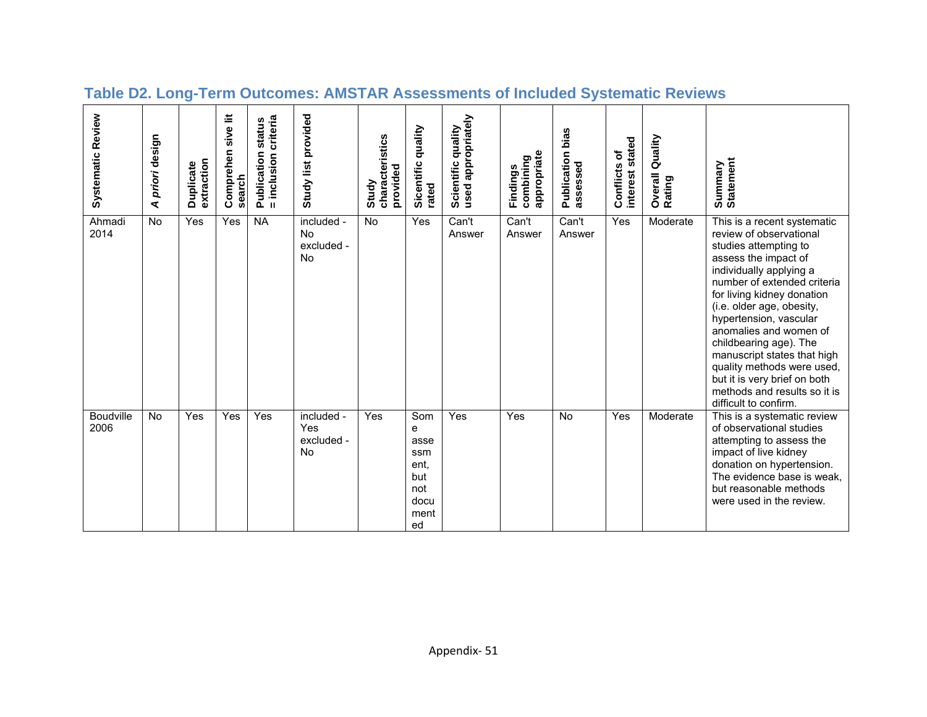| Systematic Review        | priori design<br>⋖ | extraction<br>Duplicate | sive lit<br>Comprehen<br>search | criteria<br><b>Publication status</b><br>= inclusion | Study list provided                                | characteristics<br>provided<br>Study | quality<br>Sicentific<br>rated                                      | used appropriately<br>Scientific quality | appropriate<br>combining<br>Findings | bias<br>Publication<br>assessed | stated<br>Conflicts of<br><b>interest</b> | Quality<br>Overall<br>Rating | Summary<br>Statement                                                                                                                                                                                                                                                                                                                                                                                                                                             |
|--------------------------|--------------------|-------------------------|---------------------------------|------------------------------------------------------|----------------------------------------------------|--------------------------------------|---------------------------------------------------------------------|------------------------------------------|--------------------------------------|---------------------------------|-------------------------------------------|------------------------------|------------------------------------------------------------------------------------------------------------------------------------------------------------------------------------------------------------------------------------------------------------------------------------------------------------------------------------------------------------------------------------------------------------------------------------------------------------------|
| Ahmadi<br>2014           | <b>No</b>          | Yes                     | Yes                             | <b>NA</b>                                            | included -<br><b>No</b><br>excluded -<br><b>No</b> | No                                   | Yes                                                                 | Can't<br>Answer                          | Can't<br>Answer                      | Can't<br>Answer                 | Yes                                       | Moderate                     | This is a recent systematic<br>review of observational<br>studies attempting to<br>assess the impact of<br>individually applying a<br>number of extended criteria<br>for living kidney donation<br>(i.e. older age, obesity,<br>hypertension, vascular<br>anomalies and women of<br>childbearing age). The<br>manuscript states that high<br>quality methods were used,<br>but it is very brief on both<br>methods and results so it is<br>difficult to confirm. |
| <b>Boudville</b><br>2006 | <b>No</b>          | Yes                     | Yes                             | Yes                                                  | included -<br>Yes<br>excluded -<br>No.             | Yes                                  | Som<br>e<br>asse<br>ssm<br>ent,<br>but<br>not<br>docu<br>ment<br>ed | Yes                                      | Yes                                  | <b>No</b>                       | Yes                                       | Moderate                     | This is a systematic review<br>of observational studies<br>attempting to assess the<br>impact of live kidney<br>donation on hypertension.<br>The evidence base is weak,<br>but reasonable methods<br>were used in the review.                                                                                                                                                                                                                                    |

## **Table D2. Long-Term Outcomes: AMSTAR Assessments of Included Systematic Reviews**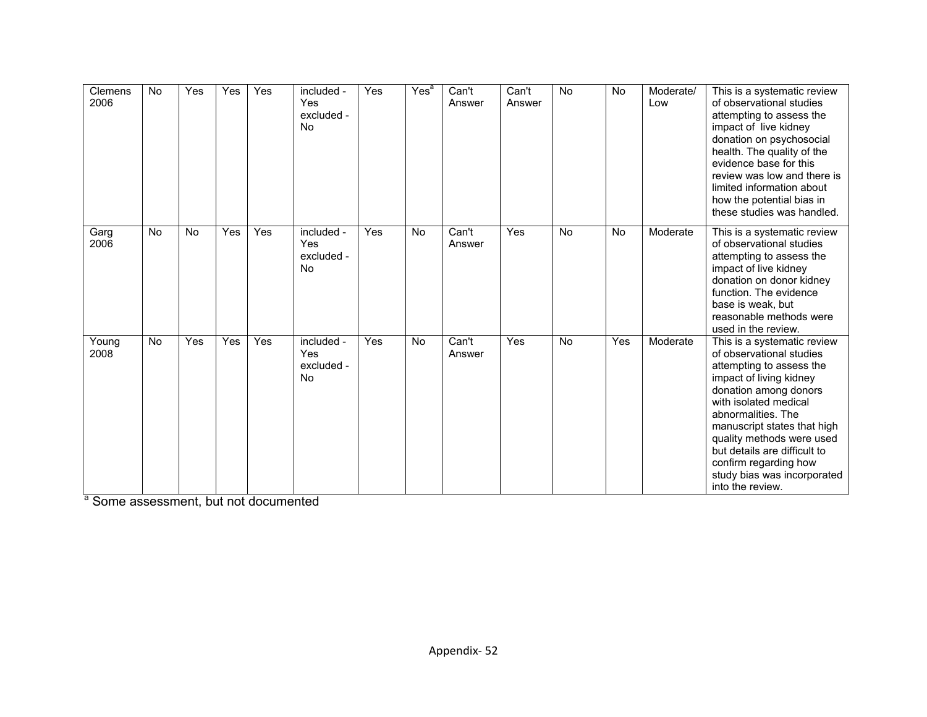| Clemens<br>2006 | <b>No</b> | Yes       | Yes | Yes | included -<br>Yes<br>excluded -<br><b>No</b> | <b>Yes</b> | Yes <sup>a</sup> | Can't<br>Answer | Can't<br>Answer | <b>No</b> | <b>No</b> | Moderate/<br>Low | This is a systematic review<br>of observational studies<br>attempting to assess the<br>impact of live kidney<br>donation on psychosocial<br>health. The quality of the<br>evidence base for this<br>review was low and there is<br>limited information about<br>how the potential bias in<br>these studies was handled.                                        |
|-----------------|-----------|-----------|-----|-----|----------------------------------------------|------------|------------------|-----------------|-----------------|-----------|-----------|------------------|----------------------------------------------------------------------------------------------------------------------------------------------------------------------------------------------------------------------------------------------------------------------------------------------------------------------------------------------------------------|
| Garg<br>2006    | <b>No</b> | <b>No</b> | Yes | Yes | included -<br>Yes<br>excluded -<br><b>No</b> | <b>Yes</b> | <b>No</b>        | Can't<br>Answer | Yes             | <b>No</b> | <b>No</b> | Moderate         | This is a systematic review<br>of observational studies<br>attempting to assess the<br>impact of live kidney<br>donation on donor kidney<br>function. The evidence<br>base is weak, but<br>reasonable methods were<br>used in the review.                                                                                                                      |
| Young<br>2008   | No        | Yes       | Yes | Yes | included -<br>Yes<br>excluded -<br><b>No</b> | Yes        | <b>No</b>        | Can't<br>Answer | Yes             | <b>No</b> | Yes       | Moderate         | This is a systematic review<br>of observational studies<br>attempting to assess the<br>impact of living kidney<br>donation among donors<br>with isolated medical<br>abnormalities. The<br>manuscript states that high<br>quality methods were used<br>but details are difficult to<br>confirm regarding how<br>study bias was incorporated<br>into the review. |

a Some assessment, but not documented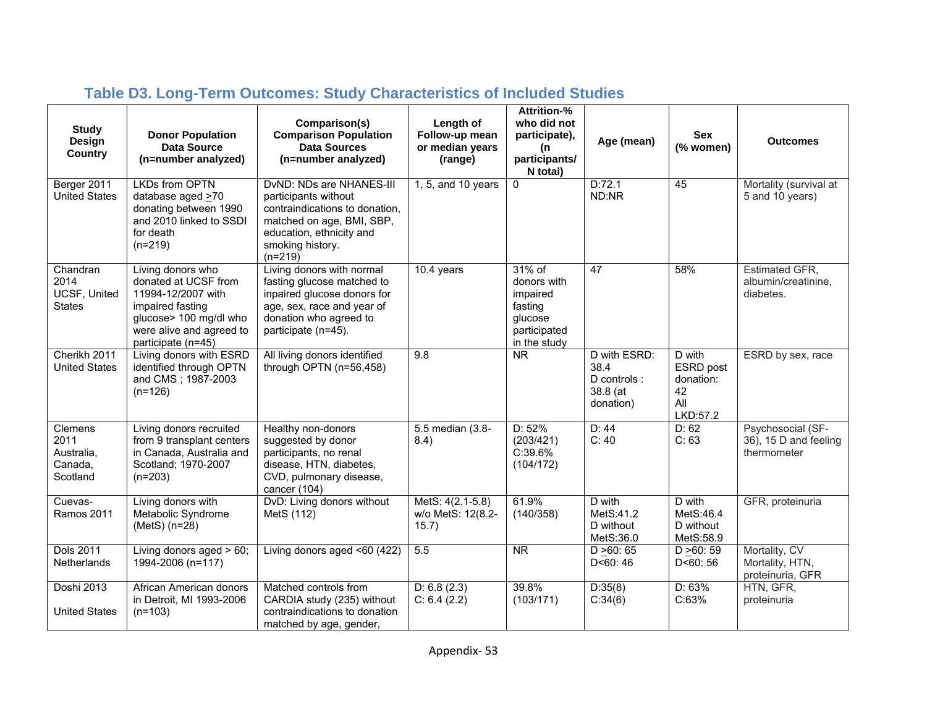| <b>Study</b><br><b>Design</b><br><b>Country</b>      | <b>Donor Population</b><br><b>Data Source</b><br>(n=number analyzed)                                                                                            | Comparison(s)<br><b>Comparison Population</b><br><b>Data Sources</b><br>(n=number analyzed)                                                                                  | Length of<br>Follow-up mean<br>or median years<br>(range) | <b>Attrition-%</b><br>who did not<br>participate),<br>(n<br>participants/<br>N total)      | Age (mean)                                                   | <b>Sex</b><br>(% women)                                   | <b>Outcomes</b>                                           |
|------------------------------------------------------|-----------------------------------------------------------------------------------------------------------------------------------------------------------------|------------------------------------------------------------------------------------------------------------------------------------------------------------------------------|-----------------------------------------------------------|--------------------------------------------------------------------------------------------|--------------------------------------------------------------|-----------------------------------------------------------|-----------------------------------------------------------|
| Berger 2011<br><b>United States</b>                  | <b>LKDs from OPTN</b><br>database aged $\geq 70$<br>donating between 1990<br>and 2010 linked to SSDI<br>for death<br>$(n=219)$                                  | DvND: NDs are NHANES-III<br>participants without<br>contraindications to donation,<br>matched on age, BMI, SBP,<br>education, ethnicity and<br>smoking history.<br>$(n=219)$ | 1, 5, and 10 years                                        | $\Omega$                                                                                   | D:72.1<br>ND:NR                                              | 45                                                        | Mortality (survival at<br>5 and 10 years)                 |
| Chandran<br>2014<br>UCSF, United<br><b>States</b>    | Living donors who<br>donated at UCSF from<br>11994-12/2007 with<br>impaired fasting<br>glucose> 100 mg/dl who<br>were alive and agreed to<br>participate (n=45) | Living donors with normal<br>fasting glucose matched to<br>inpaired glucose donors for<br>age, sex, race and year of<br>donation who agreed to<br>participate (n=45).        | 10.4 years                                                | $31\%$ of<br>donors with<br>impaired<br>fasting<br>glucose<br>participated<br>in the study | 47                                                           | 58%                                                       | Estimated GFR,<br>albumin/creatinine,<br>diabetes.        |
| Cherikh 2011<br><b>United States</b>                 | Living donors with ESRD<br>identified through OPTN<br>and CMS; 1987-2003<br>$(n=126)$                                                                           | All living donors identified<br>through OPTN (n=56,458)                                                                                                                      | 9.8                                                       | $\overline{\text{NR}}$                                                                     | D with ESRD:<br>38.4<br>D controls:<br>38.8 (at<br>donation) | D with<br>ESRD post<br>donation:<br>42<br>All<br>LKD:57.2 | ESRD by sex, race                                         |
| Clemens<br>2011<br>Australia,<br>Canada,<br>Scotland | Living donors recruited<br>from 9 transplant centers<br>in Canada, Australia and<br>Scotland; 1970-2007<br>$(n=203)$                                            | Healthy non-donors<br>suggested by donor<br>participants, no renal<br>disease, HTN, diabetes,<br>CVD, pulmonary disease,<br>cancer (104)                                     | 5.5 median (3.8-<br>8.4)                                  | D: 52%<br>(203/421)<br>C:39.6%<br>(104/172)                                                | D: 44<br>C: 40                                               | D: 62<br>C: 63                                            | Psychosocial (SF-<br>36), 15 D and feeling<br>thermometer |
| Cuevas-<br><b>Ramos 2011</b>                         | Living donors with<br>Metabolic Syndrome<br>(MetS) (n=28)                                                                                                       | DvD: Living donors without<br>MetS (112)                                                                                                                                     | MetS: 4(2.1-5.8)<br>w/o MetS: 12(8.2-<br>15.7)            | 61.9%<br>(140/358)                                                                         | D with<br>MetS:41.2<br>D without<br>MetS:36.0                | D with<br>MetS:46.4<br>D without<br>MetS:58.9             | GFR, proteinuria                                          |
| <b>Dols 2011</b><br><b>Netherlands</b>               | Living donors aged $> 60$ ;<br>1994-2006 (n=117)                                                                                                                | Living donors aged <60 (422)                                                                                                                                                 | 5.5                                                       | $\overline{\text{NR}}$                                                                     | D > 60:65<br>D < 60:46                                       | D > 60:59<br>D < 60:56                                    | Mortality, CV<br>Mortality, HTN,<br>proteinuria, GFR      |
| Doshi 2013<br><b>United States</b>                   | African American donors<br>in Detroit, MI 1993-2006<br>$(n=103)$                                                                                                | Matched controls from<br>CARDIA study (235) without<br>contraindications to donation<br>matched by age, gender,                                                              | D: 6.8(2.3)<br>C: 6.4 (2.2)                               | 39.8%<br>(103/171)                                                                         | D:35(8)<br>C:34(6)                                           | D: 63%<br>C:63%                                           | HTN, GFR,<br>proteinuria                                  |

# **Table D3. Long-Term Outcomes: Study Characteristics of Included Studies**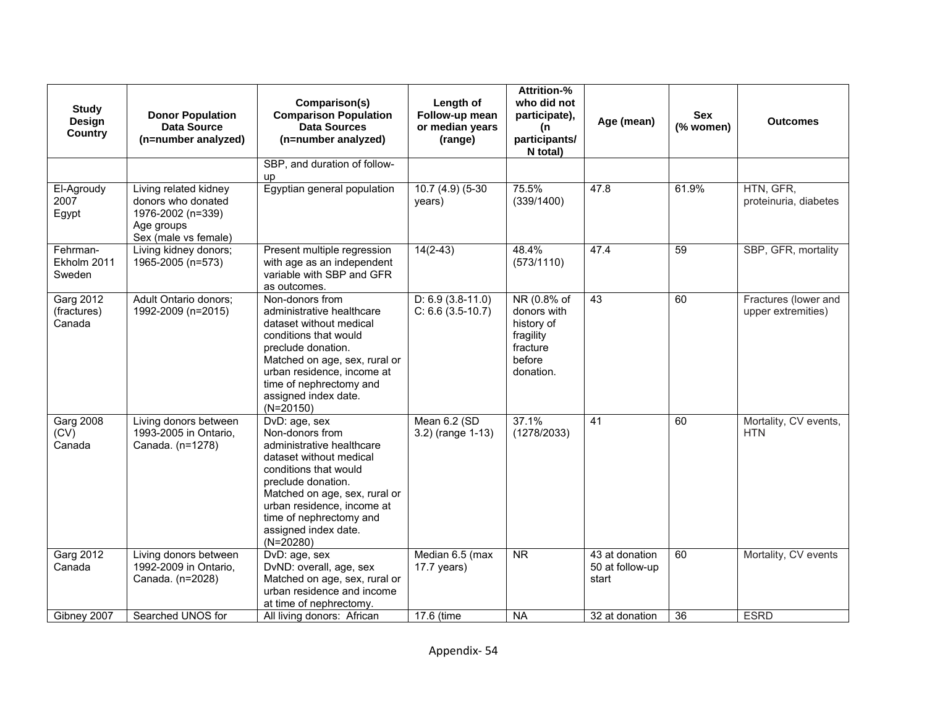| <b>Study</b><br>Design<br><b>Country</b> | <b>Donor Population</b><br>Data Source<br>(n=number analyzed)                                          | Comparison(s)<br><b>Comparison Population</b><br><b>Data Sources</b><br>(n=number analyzed)                                                                                                                                                                              | Length of<br>Follow-up mean<br>or median years<br>(range) | <b>Attrition-%</b><br>who did not<br>participate),<br>(n<br>participants/<br>N total)    | Age (mean)                                 | Sex<br>(% women) | <b>Outcomes</b>                            |
|------------------------------------------|--------------------------------------------------------------------------------------------------------|--------------------------------------------------------------------------------------------------------------------------------------------------------------------------------------------------------------------------------------------------------------------------|-----------------------------------------------------------|------------------------------------------------------------------------------------------|--------------------------------------------|------------------|--------------------------------------------|
|                                          |                                                                                                        | SBP, and duration of follow-<br>up                                                                                                                                                                                                                                       |                                                           |                                                                                          |                                            |                  |                                            |
| El-Agroudy<br>2007<br>Egypt              | Living related kidney<br>donors who donated<br>1976-2002 (n=339)<br>Age groups<br>Sex (male vs female) | Egyptian general population                                                                                                                                                                                                                                              | $10.7(4.9)(5-30)$<br>years)                               | 75.5%<br>(339/1400)                                                                      | 47.8                                       | 61.9%            | HTN, GFR,<br>proteinuria, diabetes         |
| Fehrman-<br>Ekholm 2011<br>Sweden        | Living kidney donors;<br>1965-2005 (n=573)                                                             | Present multiple regression<br>with age as an independent<br>variable with SBP and GFR<br>as outcomes.                                                                                                                                                                   | $14(2-43)$                                                | 48.4%<br>(573/1110)                                                                      | 47.4                                       | 59               | SBP, GFR, mortality                        |
| Garg 2012<br>(fractures)<br>Canada       | Adult Ontario donors;<br>1992-2009 (n=2015)                                                            | Non-donors from<br>administrative healthcare<br>dataset without medical<br>conditions that would<br>preclude donation.<br>Matched on age, sex, rural or<br>urban residence, income at<br>time of nephrectomy and<br>assigned index date.<br>$(N=20150)$                  | $D: 6.9$ (3.8-11.0)<br>$C: 6.6 (3.5-10.7)$                | NR (0.8% of<br>donors with<br>history of<br>fragility<br>fracture<br>before<br>donation. | 43                                         | 60               | Fractures (lower and<br>upper extremities) |
| <b>Garg 2008</b><br>(CV)<br>Canada       | Living donors between<br>1993-2005 in Ontario,<br>Canada. (n=1278)                                     | DvD: age, sex<br>Non-donors from<br>administrative healthcare<br>dataset without medical<br>conditions that would<br>preclude donation.<br>Matched on age, sex, rural or<br>urban residence, income at<br>time of nephrectomy and<br>assigned index date.<br>$(N=20280)$ | Mean 6.2 (SD<br>3.2) (range 1-13)                         | 37.1%<br>(1278/2033)                                                                     | 41                                         | 60               | Mortality, CV events,<br><b>HTN</b>        |
| <b>Garg 2012</b><br>Canada               | Living donors between<br>1992-2009 in Ontario,<br>Canada. (n=2028)                                     | DvD: age, sex<br>DvND: overall, age, sex<br>Matched on age, sex, rural or<br>urban residence and income<br>at time of nephrectomy.                                                                                                                                       | Median 6.5 (max<br>$17.7$ years)                          | $\overline{\text{NR}}$                                                                   | 43 at donation<br>50 at follow-up<br>start | 60               | Mortality, CV events                       |
| Gibney 2007                              | Searched UNOS for                                                                                      | All living donors: African                                                                                                                                                                                                                                               | 17.6 (time                                                | <b>NA</b>                                                                                | 32 at donation                             | 36               | <b>ESRD</b>                                |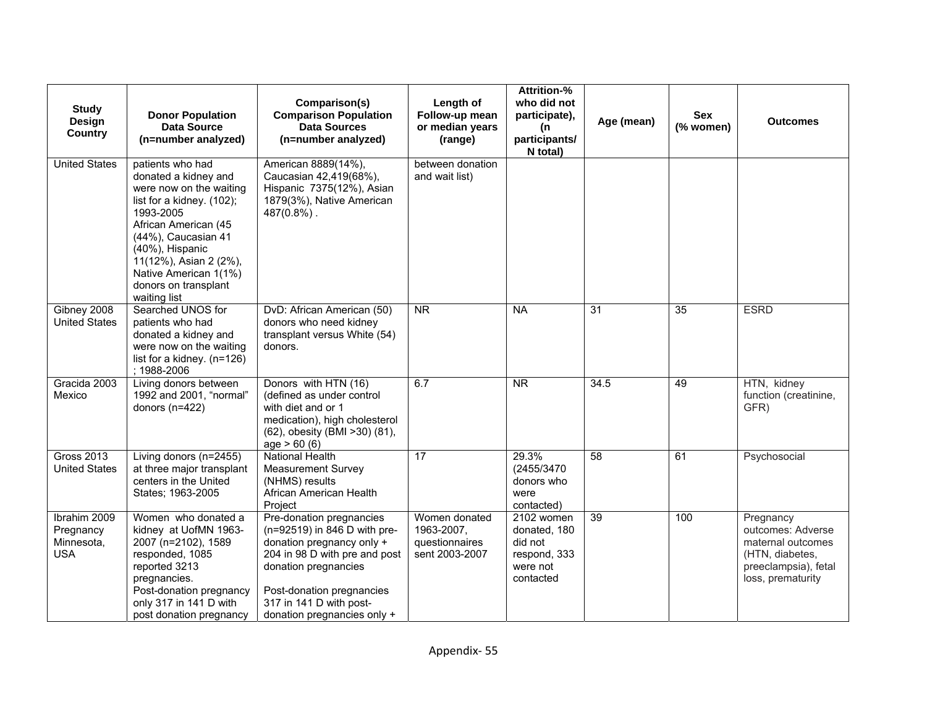| <b>Study</b><br><b>Design</b><br><b>Country</b>       | <b>Donor Population</b><br><b>Data Source</b><br>(n=number analyzed)                                                                                                                                                                                                       | Comparison(s)<br><b>Comparison Population</b><br><b>Data Sources</b><br>(n=number analyzed)                                                                                                                                           | Length of<br>Follow-up mean<br>or median years<br>(range)       | <b>Attrition-%</b><br>who did not<br>participate),<br>(n<br>participants/<br>N total) | Age (mean)      | <b>Sex</b><br>(% women) | <b>Outcomes</b>                                                                                                     |
|-------------------------------------------------------|----------------------------------------------------------------------------------------------------------------------------------------------------------------------------------------------------------------------------------------------------------------------------|---------------------------------------------------------------------------------------------------------------------------------------------------------------------------------------------------------------------------------------|-----------------------------------------------------------------|---------------------------------------------------------------------------------------|-----------------|-------------------------|---------------------------------------------------------------------------------------------------------------------|
| <b>United States</b>                                  | patients who had<br>donated a kidney and<br>were now on the waiting<br>list for a kidney. (102);<br>1993-2005<br>African American (45<br>(44%), Caucasian 41<br>(40%), Hispanic<br>11(12%), Asian 2 (2%),<br>Native American 1(1%)<br>donors on transplant<br>waiting list | American 8889(14%),<br>Caucasian 42,419(68%),<br>Hispanic 7375(12%), Asian<br>1879(3%), Native American<br>$487(0.8%)$ .                                                                                                              | between donation<br>and wait list)                              |                                                                                       |                 |                         |                                                                                                                     |
| Gibney 2008<br><b>United States</b>                   | Searched UNOS for<br>patients who had<br>donated a kidney and<br>were now on the waiting<br>list for a kidney. $(n=126)$<br>; 1988-2006                                                                                                                                    | DvD: African American (50)<br>donors who need kidney<br>transplant versus White (54)<br>donors.                                                                                                                                       | $\overline{\text{NR}}$                                          | <b>NA</b>                                                                             | $\overline{31}$ | $\overline{35}$         | <b>ESRD</b>                                                                                                         |
| Gracida 2003<br>Mexico                                | Living donors between<br>1992 and 2001, "normal"<br>donors (n=422)                                                                                                                                                                                                         | Donors with HTN (16)<br>(defined as under control<br>with diet and or 1<br>medication), high cholesterol<br>(62), obesity (BMI > 30) (81),<br>age > 60(6)                                                                             | 6.7                                                             | <b>NR</b>                                                                             | 34.5            | 49                      | HTN, kidney<br>function (creatinine,<br>GFR)                                                                        |
| <b>Gross 2013</b><br><b>United States</b>             | Living donors (n=2455)<br>at three major transplant<br>centers in the United<br>States; 1963-2005                                                                                                                                                                          | <b>National Health</b><br><b>Measurement Survey</b><br>(NHMS) results<br>African American Health<br>Project                                                                                                                           | 17                                                              | 29.3%<br>(2455/3470<br>donors who<br>were<br>contacted)                               | $\overline{58}$ | 61                      | Psychosocial                                                                                                        |
| Ibrahim 2009<br>Pregnancy<br>Minnesota,<br><b>USA</b> | Women who donated a<br>kidney at UofMN 1963-<br>2007 (n=2102), 1589<br>responded, 1085<br>reported 3213<br>pregnancies.<br>Post-donation pregnancy<br>only 317 in 141 D with<br>post donation pregnancy                                                                    | Pre-donation pregnancies<br>(n=92519) in 846 D with pre-<br>donation pregnancy only +<br>204 in 98 D with pre and post<br>donation pregnancies<br>Post-donation pregnancies<br>317 in 141 D with post-<br>donation pregnancies only + | Women donated<br>1963-2007,<br>questionnaires<br>sent 2003-2007 | 2102 women<br>donated, 180<br>did not<br>respond, 333<br>were not<br>contacted        | 39              | 100                     | Pregnancy<br>outcomes: Adverse<br>maternal outcomes<br>(HTN, diabetes,<br>preeclampsia), fetal<br>loss, prematurity |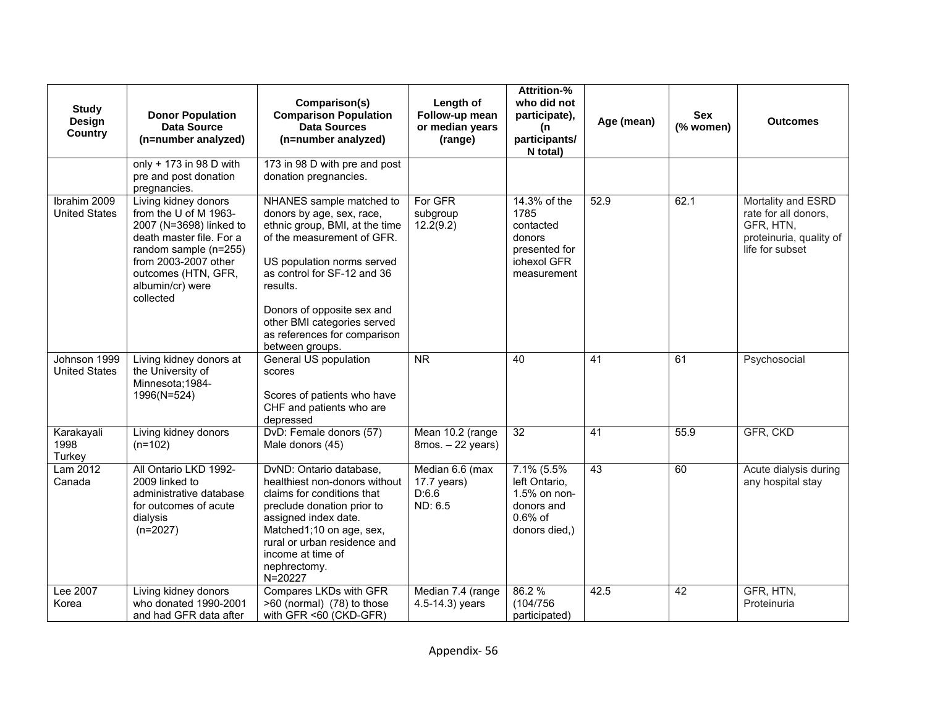| <b>Study</b><br>Design<br><b>Country</b> | <b>Donor Population</b><br><b>Data Source</b><br>(n=number analyzed)                                                                                                                                          | Comparison(s)<br><b>Comparison Population</b><br><b>Data Sources</b><br>(n=number analyzed)                                                                                                                                                                                                                    | Length of<br>Follow-up mean<br>or median years<br>(range) | <b>Attrition-%</b><br>who did not<br>participate),<br>(n<br>participants/<br>N total)      | Age (mean) | <b>Sex</b><br>(% women) | <b>Outcomes</b>                                                                                       |
|------------------------------------------|---------------------------------------------------------------------------------------------------------------------------------------------------------------------------------------------------------------|----------------------------------------------------------------------------------------------------------------------------------------------------------------------------------------------------------------------------------------------------------------------------------------------------------------|-----------------------------------------------------------|--------------------------------------------------------------------------------------------|------------|-------------------------|-------------------------------------------------------------------------------------------------------|
|                                          | only + 173 in 98 D with<br>pre and post donation<br>pregnancies.                                                                                                                                              | 173 in 98 D with pre and post<br>donation pregnancies.                                                                                                                                                                                                                                                         |                                                           |                                                                                            |            |                         |                                                                                                       |
| Ibrahim 2009<br><b>United States</b>     | Living kidney donors<br>from the U of M 1963-<br>2007 (N=3698) linked to<br>death master file. For a<br>random sample (n=255)<br>from 2003-2007 other<br>outcomes (HTN, GFR,<br>albumin/cr) were<br>collected | NHANES sample matched to<br>donors by age, sex, race,<br>ethnic group, BMI, at the time<br>of the measurement of GFR.<br>US population norms served<br>as control for SF-12 and 36<br>results.<br>Donors of opposite sex and<br>other BMI categories served<br>as references for comparison<br>between groups. | For GFR<br>subgroup<br>12.2(9.2)                          | 14.3% of the<br>1785<br>contacted<br>donors<br>presented for<br>iohexol GFR<br>measurement | 52.9       | 62.1                    | Mortality and ESRD<br>rate for all donors,<br>GFR, HTN,<br>proteinuria, quality of<br>life for subset |
| Johnson 1999<br><b>United States</b>     | Living kidney donors at<br>the University of<br>Minnesota; 1984-<br>1996(N=524)                                                                                                                               | General US population<br>scores<br>Scores of patients who have<br>CHF and patients who are<br>depressed                                                                                                                                                                                                        | <b>NR</b>                                                 | 40                                                                                         | 41         | 61                      | Psychosocial                                                                                          |
| Karakayali<br>1998<br>Turkey             | Living kidney donors<br>$(n=102)$                                                                                                                                                                             | DvD: Female donors (57)<br>Male donors (45)                                                                                                                                                                                                                                                                    | Mean 10.2 (range<br>$8$ mos. $-22$ years)                 | 32                                                                                         | 41         | 55.9                    | GFR, CKD                                                                                              |
| Lam 2012<br>Canada                       | All Ontario LKD 1992-<br>2009 linked to<br>administrative database<br>for outcomes of acute<br>dialysis<br>$(n=2027)$                                                                                         | DvND: Ontario database,<br>healthiest non-donors without<br>claims for conditions that<br>preclude donation prior to<br>assigned index date.<br>Matched1;10 on age, sex,<br>rural or urban residence and<br>income at time of<br>nephrectomy.<br>N=20227                                                       | Median 6.6 (max<br>$17.7$ years)<br>D:6.6<br>ND: 6.5      | 7.1% (5.5%<br>left Ontario,<br>1.5% on non-<br>donors and<br>$0.6%$ of<br>donors died,)    | 43         | 60                      | Acute dialysis during<br>any hospital stay                                                            |
| Lee 2007<br>Korea                        | Living kidney donors<br>who donated 1990-2001<br>and had GFR data after                                                                                                                                       | Compares LKDs with GFR<br>>60 (normal) (78) to those<br>with GFR <60 (CKD-GFR)                                                                                                                                                                                                                                 | Median 7.4 (range<br>4.5-14.3) years                      | 86.2 %<br>(104/756)<br>participated)                                                       | 42.5       | 42                      | GFR, HTN,<br>Proteinuria                                                                              |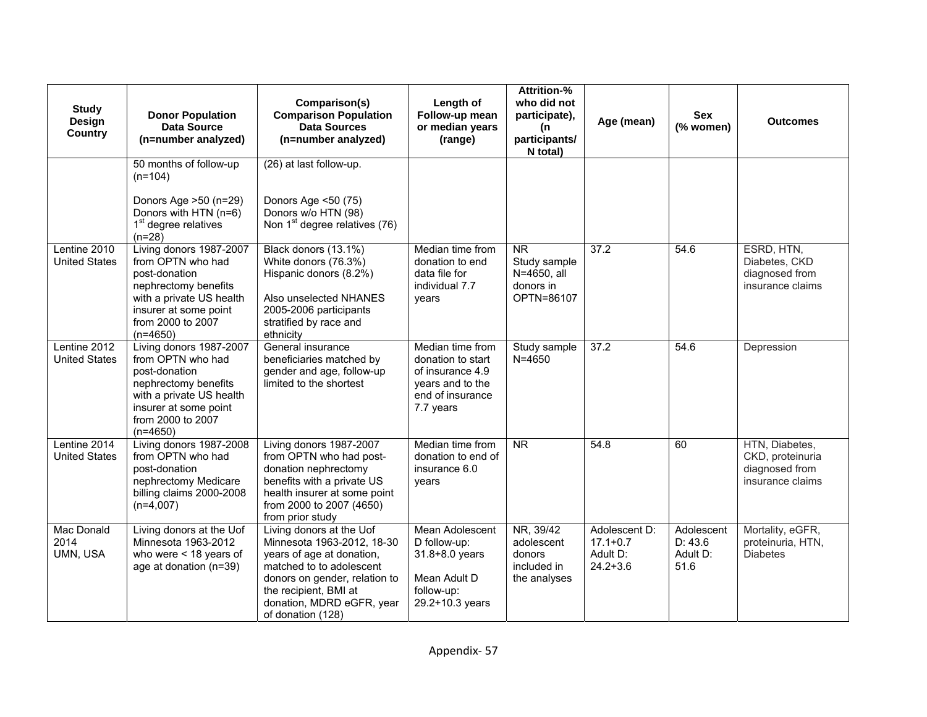| <b>Study</b><br>Design<br><b>Country</b> | <b>Donor Population</b><br>Data Source<br>(n=number analyzed)                                                                                                                 | Comparison(s)<br><b>Comparison Population</b><br><b>Data Sources</b><br>(n=number analyzed)                                                                                                                                 | Length of<br>Follow-up mean<br>or median years<br>(range)                                                      | <b>Attrition-%</b><br>who did not<br>participate),<br>(n<br>participants/<br>N total) | Age (mean)                                                | <b>Sex</b><br>(% women)                   | <b>Outcomes</b>                                                          |
|------------------------------------------|-------------------------------------------------------------------------------------------------------------------------------------------------------------------------------|-----------------------------------------------------------------------------------------------------------------------------------------------------------------------------------------------------------------------------|----------------------------------------------------------------------------------------------------------------|---------------------------------------------------------------------------------------|-----------------------------------------------------------|-------------------------------------------|--------------------------------------------------------------------------|
|                                          | 50 months of follow-up<br>$(n=104)$<br>Donors Age >50 (n=29)<br>Donors with HTN (n=6)<br>1 <sup>st</sup> degree relatives<br>$(n=28)$                                         | (26) at last follow-up.<br>Donors Age <50 (75)<br>Donors w/o HTN (98)<br>Non 1 <sup>st</sup> degree relatives (76)                                                                                                          |                                                                                                                |                                                                                       |                                                           |                                           |                                                                          |
| Lentine 2010<br><b>United States</b>     | Living donors 1987-2007<br>from OPTN who had<br>post-donation<br>nephrectomy benefits<br>with a private US health<br>insurer at some point<br>from 2000 to 2007<br>$(n=4650)$ | Black donors (13.1%)<br>White donors (76.3%)<br>Hispanic donors (8.2%)<br>Also unselected NHANES<br>2005-2006 participants<br>stratified by race and<br>ethnicity                                                           | Median time from<br>donation to end<br>data file for<br>individual 7.7<br>years                                | <b>NR</b><br>Study sample<br>N=4650, all<br>donors in<br>OPTN=86107                   | 37.2                                                      | 54.6                                      | ESRD, HTN,<br>Diabetes, CKD<br>diagnosed from<br>insurance claims        |
| Lentine 2012<br><b>United States</b>     | Living donors 1987-2007<br>from OPTN who had<br>post-donation<br>nephrectomy benefits<br>with a private US health<br>insurer at some point<br>from 2000 to 2007<br>$(n=4650)$ | General insurance<br>beneficiaries matched by<br>gender and age, follow-up<br>limited to the shortest                                                                                                                       | Median time from<br>donation to start<br>of insurance 4.9<br>years and to the<br>end of insurance<br>7.7 years | Study sample<br>$N = 4650$                                                            | 37.2                                                      | 54.6                                      | Depression                                                               |
| Lentine 2014<br><b>United States</b>     | Living donors 1987-2008<br>from OPTN who had<br>post-donation<br>nephrectomy Medicare<br>billing claims 2000-2008<br>$(n=4,007)$                                              | Living donors 1987-2007<br>from OPTN who had post-<br>donation nephrectomy<br>benefits with a private US<br>health insurer at some point<br>from 2000 to 2007 (4650)<br>from prior study                                    | Median time from<br>donation to end of<br>insurance 6.0<br>vears                                               | N <sub>R</sub>                                                                        | 54.8                                                      | 60                                        | HTN, Diabetes,<br>CKD, proteinuria<br>diagnosed from<br>insurance claims |
| Mac Donald<br>2014<br>UMN, USA           | Living donors at the Uof<br>Minnesota 1963-2012<br>who were $<$ 18 years of<br>age at donation (n=39)                                                                         | Living donors at the Uof<br>Minnesota 1963-2012, 18-30<br>years of age at donation,<br>matched to to adolescent<br>donors on gender, relation to<br>the recipient, BMI at<br>donation, MDRD eGFR, year<br>of donation (128) | <b>Mean Adolescent</b><br>D follow-up:<br>31.8+8.0 years<br>Mean Adult D<br>follow-up:<br>29.2+10.3 years      | NR, 39/42<br>adolescent<br>donors<br>included in<br>the analyses                      | Adolescent D:<br>$17.1 + 0.7$<br>Adult D:<br>$24.2 + 3.6$ | Adolescent<br>D: 43.6<br>Adult D:<br>51.6 | Mortality, eGFR,<br>proteinuria, HTN,<br><b>Diabetes</b>                 |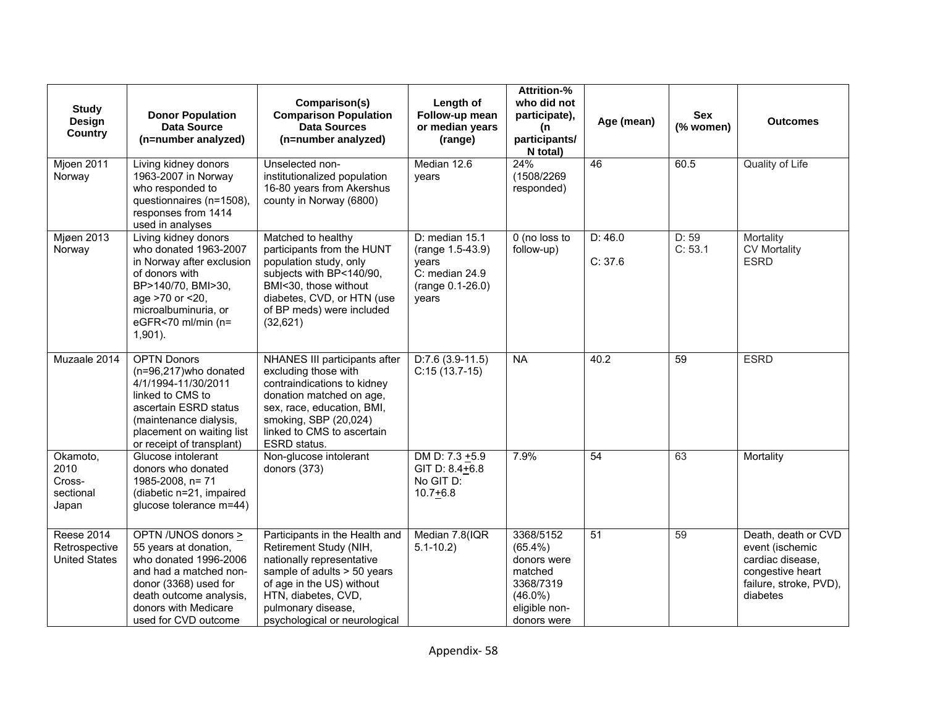| <b>Study</b><br>Design<br><b>Country</b>                   | <b>Donor Population</b><br><b>Data Source</b><br>(n=number analyzed)                                                                                                                                | Comparison(s)<br><b>Comparison Population</b><br><b>Data Sources</b><br>(n=number analyzed)                                                                                                                                     | Length of<br>Follow-up mean<br>or median years<br>(range)                                    | Attrition-%<br>who did not<br>participate),<br>(n<br>participants/<br>N total)                               | Age (mean)         | <b>Sex</b><br>(% women) | <b>Outcomes</b>                                                                                                      |
|------------------------------------------------------------|-----------------------------------------------------------------------------------------------------------------------------------------------------------------------------------------------------|---------------------------------------------------------------------------------------------------------------------------------------------------------------------------------------------------------------------------------|----------------------------------------------------------------------------------------------|--------------------------------------------------------------------------------------------------------------|--------------------|-------------------------|----------------------------------------------------------------------------------------------------------------------|
| Mjoen 2011<br>Norway                                       | Living kidney donors<br>1963-2007 in Norway<br>who responded to<br>questionnaires (n=1508),<br>responses from 1414<br>used in analyses                                                              | Unselected non-<br>institutionalized population<br>16-80 years from Akershus<br>county in Norway (6800)                                                                                                                         | Median 12.6<br>vears                                                                         | 24%<br>(1508/2269<br>responded)                                                                              | 46                 | 60.5                    | Quality of Life                                                                                                      |
| <b>Mjøen 2013</b><br>Norway                                | Living kidney donors<br>who donated 1963-2007<br>in Norway after exclusion<br>of donors with<br>BP>140/70, BMI>30,<br>age >70 or <20,<br>microalbuminuria, or<br>eGFR<70 ml/min (n=<br>$1,901$ ).   | Matched to healthy<br>participants from the HUNT<br>population study, only<br>subjects with BP<140/90,<br>BMI<30, those without<br>diabetes, CVD, or HTN (use<br>of BP meds) were included<br>(32,621)                          | D: median 15.1<br>(range 1.5-43.9)<br>vears<br>$C:$ median 24.9<br>(range 0.1-26.0)<br>years | 0 (no loss to<br>follow-up)                                                                                  | D: 46.0<br>C: 37.6 | D: 59<br>C: 53.1        | Mortality<br><b>CV Mortality</b><br><b>ESRD</b>                                                                      |
| Muzaale 2014                                               | <b>OPTN Donors</b><br>(n=96,217)who donated<br>4/1/1994-11/30/2011<br>linked to CMS to<br>ascertain ESRD status<br>(maintenance dialysis,<br>placement on waiting list<br>or receipt of transplant) | NHANES III participants after<br>excluding those with<br>contraindications to kidney<br>donation matched on age,<br>sex, race, education, BMI,<br>smoking, SBP (20,024)<br>linked to CMS to ascertain<br>ESRD status.           | $D:7.6(3.9-11.5)$<br>$C:15(13.7-15)$                                                         | <b>NA</b>                                                                                                    | 40.2               | 59                      | <b>ESRD</b>                                                                                                          |
| Okamoto,<br>2010<br>Cross-<br>sectional<br>Japan           | Glucose intolerant<br>donors who donated<br>1985-2008, n= 71<br>(diabetic n=21, impaired<br>glucose tolerance m=44)                                                                                 | Non-glucose intolerant<br>donors (373)                                                                                                                                                                                          | DM D: 7.3 +5.9<br>GIT D: 8.4+6.8<br>No GIT D:<br>$10.7 + 6.8$                                | 7.9%                                                                                                         | $\overline{54}$    | 63                      | Mortality                                                                                                            |
| <b>Reese 2014</b><br>Retrospective<br><b>United States</b> | OPTN /UNOS donors ><br>55 years at donation,<br>who donated 1996-2006<br>and had a matched non-<br>donor (3368) used for<br>death outcome analysis,<br>donors with Medicare<br>used for CVD outcome | Participants in the Health and<br>Retirement Study (NIH,<br>nationally representative<br>sample of adults > 50 years<br>of age in the US) without<br>HTN, diabetes, CVD,<br>pulmonary disease,<br>psychological or neurological | Median 7.8(IQR<br>$5.1 - 10.2$                                                               | 3368/5152<br>$(65.4\%)$<br>donors were<br>matched<br>3368/7319<br>$(46.0\%)$<br>eligible non-<br>donors were | 51                 | 59                      | Death, death or CVD<br>event (ischemic<br>cardiac disease.<br>congestive heart<br>failure, stroke, PVD),<br>diabetes |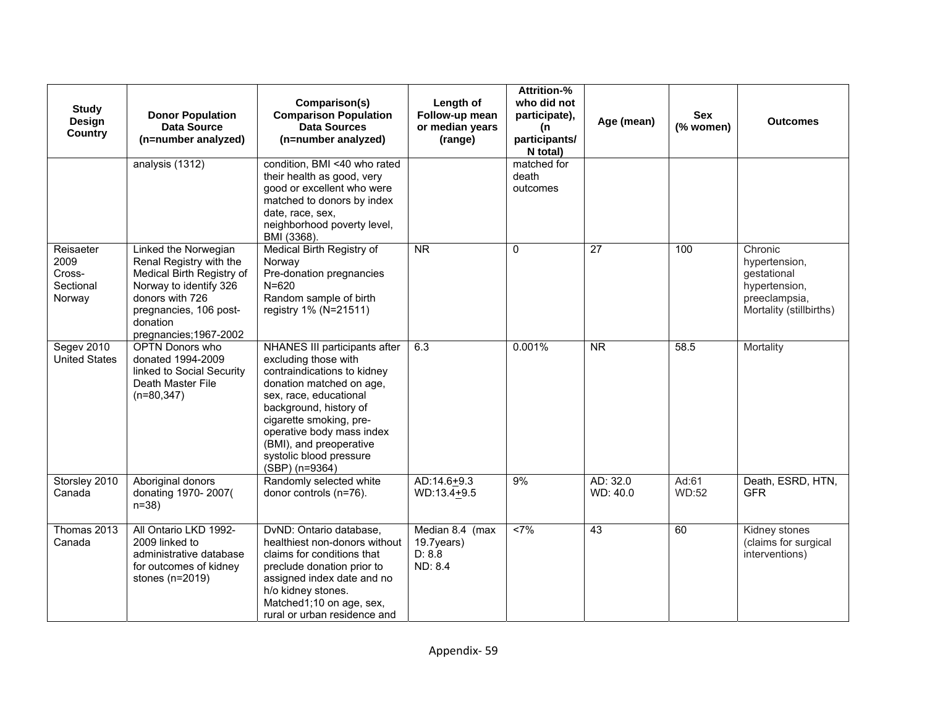| <b>Study</b><br>Design<br><b>Country</b>           | <b>Donor Population</b><br>Data Source<br>(n=number analyzed)                                                                                                                             | Comparison(s)<br><b>Comparison Population</b><br><b>Data Sources</b><br>(n=number analyzed)                                                                                                                                                                                                          | Length of<br>Follow-up mean<br>or median years<br>(range) | <b>Attrition-%</b><br>who did not<br>participate),<br>(n<br>participants/<br>N total) | Age (mean)           | Sex<br>(% women)      | <b>Outcomes</b>                                                                                      |
|----------------------------------------------------|-------------------------------------------------------------------------------------------------------------------------------------------------------------------------------------------|------------------------------------------------------------------------------------------------------------------------------------------------------------------------------------------------------------------------------------------------------------------------------------------------------|-----------------------------------------------------------|---------------------------------------------------------------------------------------|----------------------|-----------------------|------------------------------------------------------------------------------------------------------|
|                                                    | analysis (1312)                                                                                                                                                                           | condition, BMI <40 who rated<br>their health as good, very<br>good or excellent who were<br>matched to donors by index<br>date, race, sex,<br>neighborhood poverty level,<br>BMI (3368).                                                                                                             |                                                           | matched for<br>death<br>outcomes                                                      |                      |                       |                                                                                                      |
| Reisaeter<br>2009<br>Cross-<br>Sectional<br>Norway | Linked the Norwegian<br>Renal Registry with the<br>Medical Birth Registry of<br>Norway to identify 326<br>donors with 726<br>pregnancies, 106 post-<br>donation<br>pregnancies; 1967-2002 | Medical Birth Registry of<br>Norway<br>Pre-donation pregnancies<br>$N = 620$<br>Random sample of birth<br>registry 1% (N=21511)                                                                                                                                                                      | $\overline{\text{NR}}$                                    | $\mathbf 0$                                                                           | $\overline{27}$      | 100                   | Chronic<br>hypertension,<br>gestational<br>hypertension,<br>preeclampsia,<br>Mortality (stillbirths) |
| Segev 2010<br><b>United States</b>                 | <b>OPTN Donors who</b><br>donated 1994-2009<br>linked to Social Security<br>Death Master File<br>$(n=80, 347)$                                                                            | NHANES III participants after<br>excluding those with<br>contraindications to kidney<br>donation matched on age,<br>sex, race, educational<br>background, history of<br>cigarette smoking, pre-<br>operative body mass index<br>(BMI), and preoperative<br>systolic blood pressure<br>(SBP) (n=9364) | 6.3                                                       | 0.001%                                                                                | <b>NR</b>            | 58.5                  | Mortality                                                                                            |
| Storsley 2010<br>Canada                            | Aboriginal donors<br>donating 1970-2007(<br>$n = 38$                                                                                                                                      | Randomly selected white<br>donor controls (n=76).                                                                                                                                                                                                                                                    | AD:14.6+9.3<br>$WD:13.4+9.5$                              | 9%                                                                                    | AD: 32.0<br>WD: 40.0 | Ad:61<br><b>WD:52</b> | Death, ESRD, HTN,<br><b>GFR</b>                                                                      |
| Thomas 2013<br>Canada                              | All Ontario LKD 1992-<br>2009 linked to<br>administrative database<br>for outcomes of kidney<br>stones (n=2019)                                                                           | DvND: Ontario database,<br>healthiest non-donors without<br>claims for conditions that<br>preclude donation prior to<br>assigned index date and no<br>h/o kidney stones.<br>Matched1;10 on age, sex,<br>rural or urban residence and                                                                 | Median 8.4 (max<br>19.7years)<br>D: 8.8<br>ND: 8.4        | <7%                                                                                   | 43                   | 60                    | Kidney stones<br>(claims for surgical<br>interventions)                                              |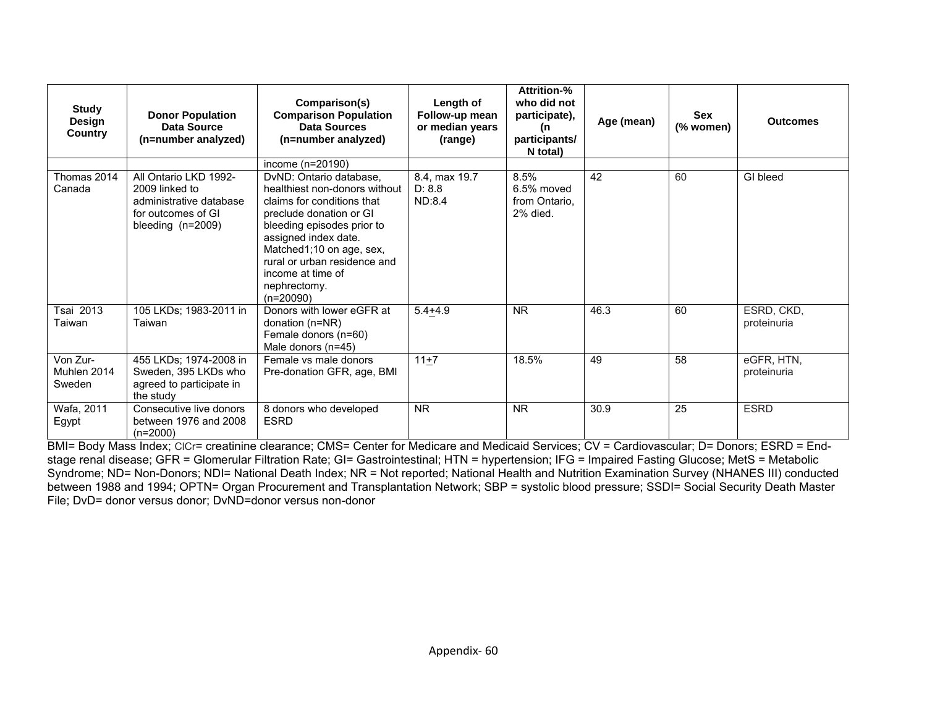| <b>Study</b><br>Design<br>Country | <b>Donor Population</b><br>Data Source<br>(n=number analyzed)                                                 | Comparison(s)<br><b>Comparison Population</b><br><b>Data Sources</b><br>(n=number analyzed)                                                                                                                                                                                             | Length of<br>Follow-up mean<br>or median years<br>(range) | Attrition-%<br>who did not<br>participate),<br>(n<br>participants/<br>N total) | Age (mean) | <b>Sex</b><br>(% women) | <b>Outcomes</b>           |
|-----------------------------------|---------------------------------------------------------------------------------------------------------------|-----------------------------------------------------------------------------------------------------------------------------------------------------------------------------------------------------------------------------------------------------------------------------------------|-----------------------------------------------------------|--------------------------------------------------------------------------------|------------|-------------------------|---------------------------|
|                                   |                                                                                                               | income (n=20190)                                                                                                                                                                                                                                                                        |                                                           |                                                                                |            |                         |                           |
| Thomas 2014<br>Canada             | All Ontario LKD 1992-<br>2009 linked to<br>administrative database<br>for outcomes of GI<br>bleeding (n=2009) | DvND: Ontario database,<br>healthiest non-donors without<br>claims for conditions that<br>preclude donation or GI<br>bleeding episodes prior to<br>assigned index date.<br>Matched1;10 on age, sex,<br>rural or urban residence and<br>income at time of<br>nephrectomy.<br>$(n=20090)$ | 8.4, max 19.7<br>D: 8.8<br>ND:8.4                         | 8.5%<br>6.5% moved<br>from Ontario.<br>2% died.                                | 42         | 60                      | GI bleed                  |
| Tsai 2013<br>Taiwan               | 105 LKDs; 1983-2011 in<br>Taiwan                                                                              | Donors with lower eGFR at<br>donation (n=NR)<br>Female donors (n=60)<br>Male donors (n=45)                                                                                                                                                                                              | $5.4 + 4.9$                                               | <b>NR</b>                                                                      | 46.3       | 60                      | ESRD, CKD,<br>proteinuria |
| Von Zur-<br>Muhlen 2014<br>Sweden | 455 LKDs; 1974-2008 in<br>Sweden, 395 LKDs who<br>agreed to participate in<br>the study                       | Female vs male donors<br>Pre-donation GFR, age, BMI                                                                                                                                                                                                                                     | $11+7$                                                    | 18.5%                                                                          | 49         | 58                      | eGFR, HTN,<br>proteinuria |
| Wafa, 2011<br>Egypt               | Consecutive live donors<br>between 1976 and 2008<br>$(n=2000)$                                                | 8 donors who developed<br><b>ESRD</b>                                                                                                                                                                                                                                                   | <b>NR</b>                                                 | <b>NR</b>                                                                      | 30.9       | 25                      | <b>ESRD</b>               |

BMI= Body Mass Index; CICr= creatinine clearance; CMS= Center for Medicare and Medicaid Services; CV = Cardiovascular; D= Donors; ESRD = Endstage renal disease; GFR = Glomerular Filtration Rate; GI= Gastrointestinal; HTN = hypertension; IFG = Impaired Fasting Glucose; MetS = Metabolic Syndrome; ND= Non-Donors; NDI= National Death Index; NR = Not reported; National Health and Nutrition Examination Survey (NHANES III) conducted between 1988 and 1994; OPTN= Organ Procurement and Transplantation Network; SBP = systolic blood pressure; SSDI= Social Security Death Master File; DvD= donor versus donor; DvND=donor versus non-donor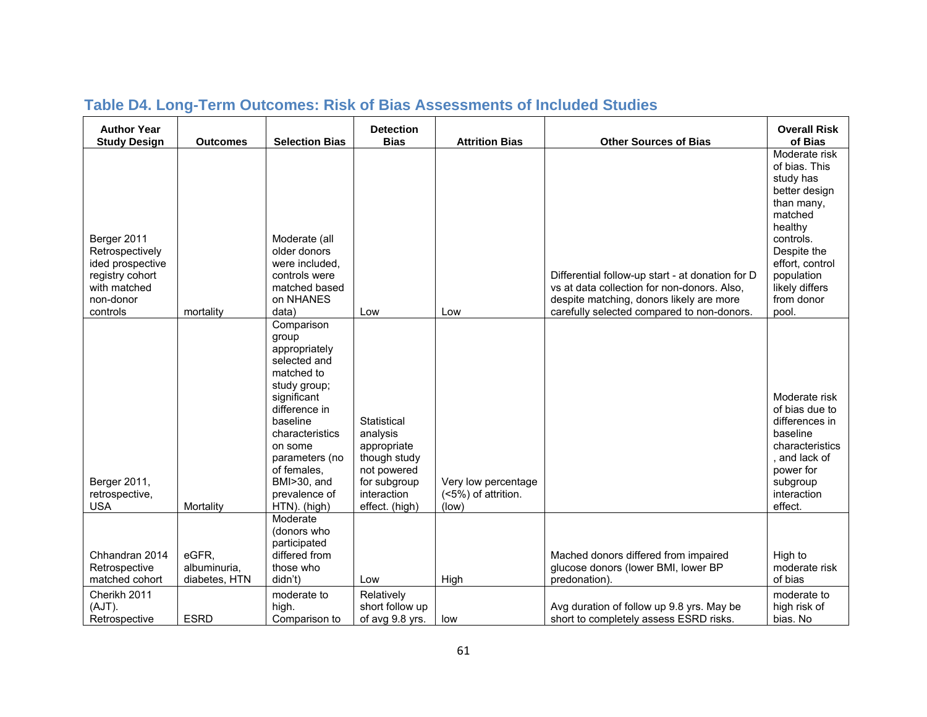| <b>Author Year</b><br><b>Study Design</b>                                                                      | <b>Outcomes</b>                        | <b>Selection Bias</b>                                                                                                                                                                                                                         | <b>Detection</b><br><b>Bias</b>                                                                                        | <b>Attrition Bias</b>                               | <b>Other Sources of Bias</b>                                                                                                                                                              | <b>Overall Risk</b><br>of Bias                                                                                                                                                                         |
|----------------------------------------------------------------------------------------------------------------|----------------------------------------|-----------------------------------------------------------------------------------------------------------------------------------------------------------------------------------------------------------------------------------------------|------------------------------------------------------------------------------------------------------------------------|-----------------------------------------------------|-------------------------------------------------------------------------------------------------------------------------------------------------------------------------------------------|--------------------------------------------------------------------------------------------------------------------------------------------------------------------------------------------------------|
| Berger 2011<br>Retrospectively<br>ided prospective<br>registry cohort<br>with matched<br>non-donor<br>controls | mortality                              | Moderate (all<br>older donors<br>were included,<br>controls were<br>matched based<br>on NHANES<br>data)                                                                                                                                       | Low                                                                                                                    | Low                                                 | Differential follow-up start - at donation for D<br>vs at data collection for non-donors. Also,<br>despite matching, donors likely are more<br>carefully selected compared to non-donors. | Moderate risk<br>of bias. This<br>study has<br>better design<br>than many,<br>matched<br>healthy<br>controls.<br>Despite the<br>effort, control<br>population<br>likely differs<br>from donor<br>pool. |
| Berger 2011,<br>retrospective,<br><b>USA</b>                                                                   | Mortality                              | Comparison<br>group<br>appropriately<br>selected and<br>matched to<br>study group;<br>significant<br>difference in<br>baseline<br>characteristics<br>on some<br>parameters (no<br>of females.<br>BMI>30, and<br>prevalence of<br>HTN). (high) | Statistical<br>analysis<br>appropriate<br>though study<br>not powered<br>for subgroup<br>interaction<br>effect. (high) | Very low percentage<br>(<5%) of attrition.<br>(low) |                                                                                                                                                                                           | Moderate risk<br>of bias due to<br>differences in<br>baseline<br>characteristics<br>and lack of<br>power for<br>subgroup<br>interaction<br>effect.                                                     |
| Chhandran 2014<br>Retrospective<br>matched cohort                                                              | eGFR,<br>albuminuria,<br>diabetes, HTN | Moderate<br>(donors who<br>participated<br>differed from<br>those who<br>didn't)                                                                                                                                                              | Low                                                                                                                    | High                                                | Mached donors differed from impaired<br>glucose donors (lower BMI, lower BP<br>predonation).                                                                                              | High to<br>moderate risk<br>of bias                                                                                                                                                                    |
| Cherikh 2011<br>(AJT).<br>Retrospective                                                                        | <b>ESRD</b>                            | moderate to<br>high.<br>Comparison to                                                                                                                                                                                                         | Relatively<br>short follow up<br>of avg 9.8 yrs.                                                                       | low                                                 | Avg duration of follow up 9.8 yrs. May be<br>short to completely assess ESRD risks.                                                                                                       | moderate to<br>high risk of<br>bias. No                                                                                                                                                                |

# **Table D4. Long-Term Outcomes: Risk of Bias Assessments of Included Studies**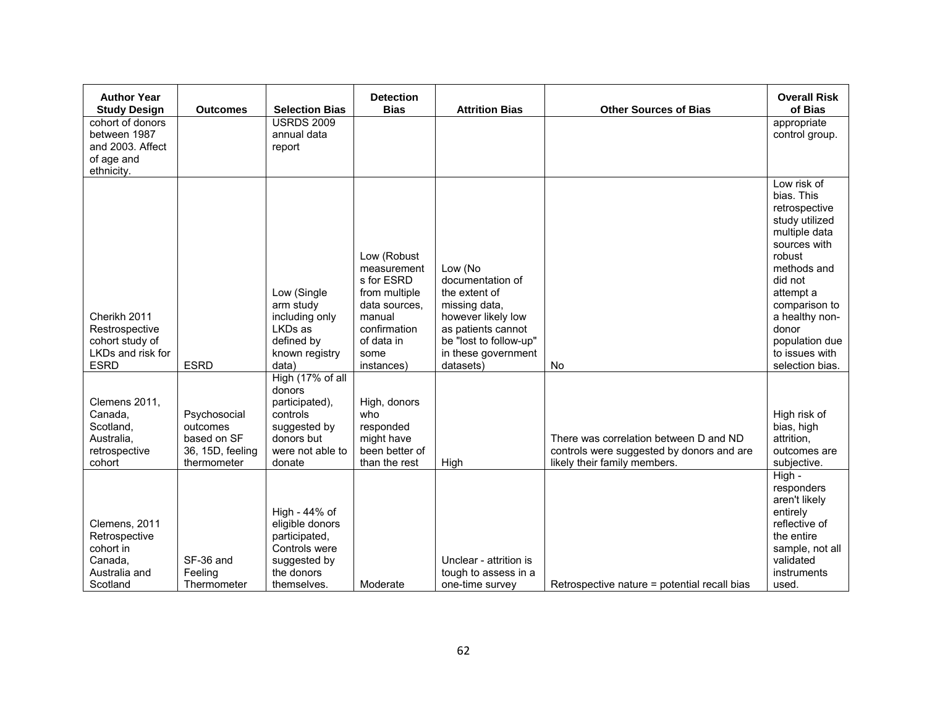| <b>Author Year</b><br><b>Study Design</b>                                             | <b>Outcomes</b>                                                            | <b>Selection Bias</b>                                                                                              | <b>Detection</b><br><b>Bias</b>                                                                                                          | <b>Attrition Bias</b>                                                                                                                                                   | <b>Other Sources of Bias</b>                                                                                        | <b>Overall Risk</b><br>of Bias                                                                                                                                                                                                                    |
|---------------------------------------------------------------------------------------|----------------------------------------------------------------------------|--------------------------------------------------------------------------------------------------------------------|------------------------------------------------------------------------------------------------------------------------------------------|-------------------------------------------------------------------------------------------------------------------------------------------------------------------------|---------------------------------------------------------------------------------------------------------------------|---------------------------------------------------------------------------------------------------------------------------------------------------------------------------------------------------------------------------------------------------|
| cohort of donors<br>between 1987<br>and 2003. Affect<br>of age and<br>ethnicity.      |                                                                            | <b>USRDS 2009</b><br>annual data<br>report                                                                         |                                                                                                                                          |                                                                                                                                                                         |                                                                                                                     | appropriate<br>control group.                                                                                                                                                                                                                     |
| Cherikh 2011<br>Restrospective<br>cohort study of<br>LKDs and risk for<br><b>ESRD</b> | <b>ESRD</b>                                                                | Low (Single<br>arm study<br>including only<br>LKDs as<br>defined by<br>known registry<br>data)<br>High (17% of all | Low (Robust<br>measurement<br>s for ESRD<br>from multiple<br>data sources,<br>manual<br>confirmation<br>of data in<br>some<br>instances) | Low (No<br>documentation of<br>the extent of<br>missing data,<br>however likely low<br>as patients cannot<br>be "lost to follow-up"<br>in these government<br>datasets) | No                                                                                                                  | Low risk of<br>bias. This<br>retrospective<br>study utilized<br>multiple data<br>sources with<br>robust<br>methods and<br>did not<br>attempt a<br>comparison to<br>a healthy non-<br>donor<br>population due<br>to issues with<br>selection bias. |
| Clemens 2011,<br>Canada,<br>Scotland,<br>Australia,<br>retrospective<br>cohort        | Psychosocial<br>outcomes<br>based on SF<br>36, 15D, feeling<br>thermometer | donors<br>participated),<br>controls<br>suggested by<br>donors but<br>were not able to<br>donate                   | High, donors<br>who<br>responded<br>might have<br>been better of<br>than the rest                                                        | High                                                                                                                                                                    | There was correlation between D and ND<br>controls were suggested by donors and are<br>likely their family members. | High risk of<br>bias, high<br>attrition.<br>outcomes are<br>subjective.                                                                                                                                                                           |
| Clemens, 2011<br>Retrospective<br>cohort in<br>Canada,<br>Australia and<br>Scotland   | SF-36 and<br>Feeling<br>Thermometer                                        | High - 44% of<br>eligible donors<br>participated,<br>Controls were<br>suggested by<br>the donors<br>themselves.    | Moderate                                                                                                                                 | Unclear - attrition is<br>tough to assess in a<br>one-time survey                                                                                                       | Retrospective nature = potential recall bias                                                                        | High -<br>responders<br>aren't likely<br>entirely<br>reflective of<br>the entire<br>sample, not all<br>validated<br>instruments<br>used.                                                                                                          |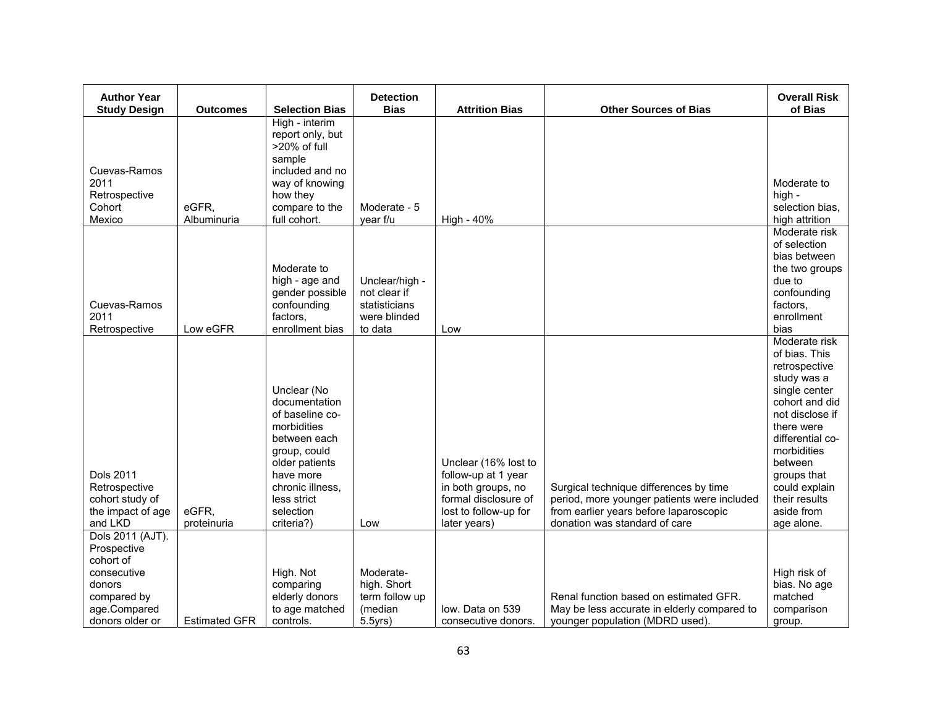| <b>Author Year</b>                           |                      |                                                                                                                               | <b>Detection</b>                           |                                             |                                             | <b>Overall Risk</b>                                                                                                                                                                             |
|----------------------------------------------|----------------------|-------------------------------------------------------------------------------------------------------------------------------|--------------------------------------------|---------------------------------------------|---------------------------------------------|-------------------------------------------------------------------------------------------------------------------------------------------------------------------------------------------------|
| <b>Study Design</b>                          | <b>Outcomes</b>      | <b>Selection Bias</b>                                                                                                         | <b>Bias</b>                                | <b>Attrition Bias</b>                       | <b>Other Sources of Bias</b>                | of Bias                                                                                                                                                                                         |
| Cuevas-Ramos                                 |                      | High - interim<br>report only, but<br>>20% of full<br>sample<br>included and no                                               |                                            |                                             |                                             |                                                                                                                                                                                                 |
| 2011                                         |                      | way of knowing                                                                                                                |                                            |                                             |                                             | Moderate to                                                                                                                                                                                     |
| Retrospective                                |                      | how they                                                                                                                      |                                            |                                             |                                             | high -                                                                                                                                                                                          |
| Cohort<br>Mexico                             | eGFR,<br>Albuminuria | compare to the<br>full cohort.                                                                                                | Moderate - 5<br>year f/u                   | High - 40%                                  |                                             | selection bias,<br>high attrition                                                                                                                                                               |
|                                              |                      |                                                                                                                               |                                            |                                             |                                             | Moderate risk                                                                                                                                                                                   |
|                                              |                      |                                                                                                                               |                                            |                                             |                                             | of selection                                                                                                                                                                                    |
|                                              |                      |                                                                                                                               |                                            |                                             |                                             | bias between                                                                                                                                                                                    |
|                                              |                      | Moderate to<br>high - age and                                                                                                 | Unclear/high -                             |                                             |                                             | the two groups<br>due to                                                                                                                                                                        |
|                                              |                      | gender possible                                                                                                               | not clear if                               |                                             |                                             | confounding                                                                                                                                                                                     |
| Cuevas-Ramos                                 |                      | confounding                                                                                                                   | statisticians                              |                                             |                                             | factors,                                                                                                                                                                                        |
| 2011                                         |                      | factors,                                                                                                                      | were blinded                               |                                             |                                             | enrollment                                                                                                                                                                                      |
| Retrospective                                | Low eGFR             | enrollment bias                                                                                                               | to data                                    | Low                                         |                                             | bias                                                                                                                                                                                            |
| <b>Dols 2011</b>                             |                      | Unclear (No<br>documentation<br>of baseline co-<br>morbidities<br>between each<br>group, could<br>older patients<br>have more |                                            | Unclear (16% lost to<br>follow-up at 1 year |                                             | Moderate risk<br>of bias. This<br>retrospective<br>study was a<br>single center<br>cohort and did<br>not disclose if<br>there were<br>differential co-<br>morbidities<br>between<br>groups that |
| Retrospective                                |                      | chronic illness,                                                                                                              |                                            | in both groups, no                          | Surgical technique differences by time      | could explain                                                                                                                                                                                   |
| cohort study of                              |                      | less strict                                                                                                                   |                                            | formal disclosure of                        | period, more younger patients were included | their results                                                                                                                                                                                   |
| the impact of age                            | eGFR,                | selection                                                                                                                     |                                            | lost to follow-up for                       | from earlier years before laparoscopic      | aside from                                                                                                                                                                                      |
| and LKD                                      | proteinuria          | criteria?)                                                                                                                    | Low                                        | later years)                                | donation was standard of care               | age alone.                                                                                                                                                                                      |
| Dols 2011 (AJT).<br>Prospective<br>cohort of |                      |                                                                                                                               |                                            |                                             |                                             |                                                                                                                                                                                                 |
| consecutive<br>donors<br>compared by         |                      | High. Not<br>comparing<br>elderly donors                                                                                      | Moderate-<br>high. Short<br>term follow up |                                             | Renal function based on estimated GFR.      | High risk of<br>bias. No age<br>matched                                                                                                                                                         |
| age.Compared                                 |                      | to age matched                                                                                                                | (median                                    | low. Data on 539                            | May be less accurate in elderly compared to | comparison                                                                                                                                                                                      |
| donors older or                              | <b>Estimated GFR</b> | controls.                                                                                                                     | 5.5yrs)                                    | consecutive donors.                         | younger population (MDRD used).             | group.                                                                                                                                                                                          |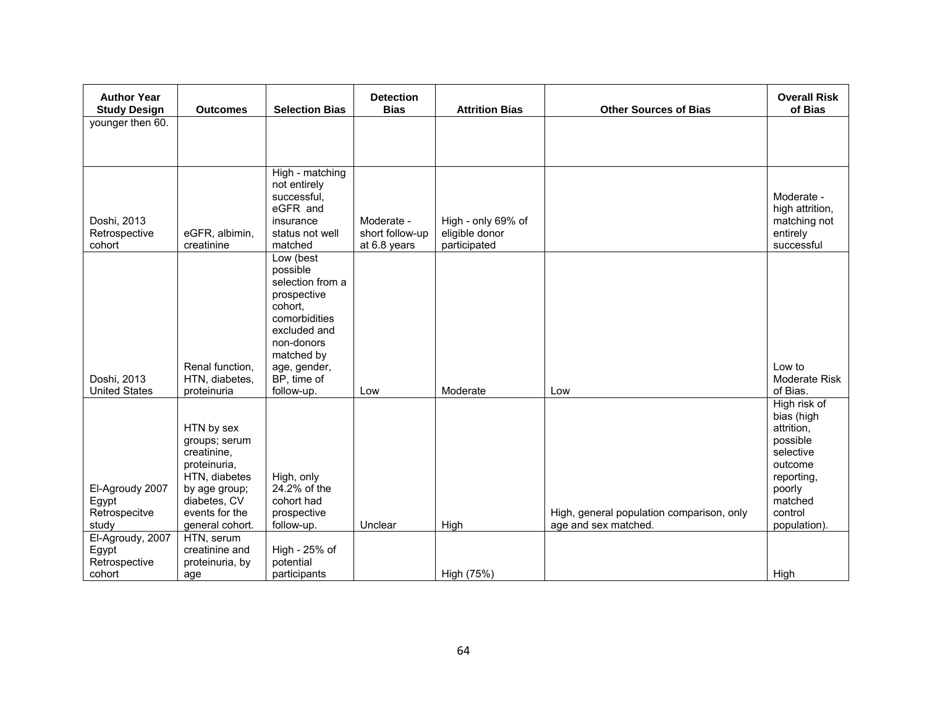| <b>Author Year</b>                                                     |                                                                                                                                                                 |                                                                                                                                                                               | <b>Detection</b>                              |                                                      |                                                                   | <b>Overall Risk</b>                                                                                                                        |
|------------------------------------------------------------------------|-----------------------------------------------------------------------------------------------------------------------------------------------------------------|-------------------------------------------------------------------------------------------------------------------------------------------------------------------------------|-----------------------------------------------|------------------------------------------------------|-------------------------------------------------------------------|--------------------------------------------------------------------------------------------------------------------------------------------|
| <b>Study Design</b>                                                    | <b>Outcomes</b>                                                                                                                                                 | <b>Selection Bias</b>                                                                                                                                                         | <b>Bias</b>                                   | <b>Attrition Bias</b>                                | <b>Other Sources of Bias</b>                                      | of Bias                                                                                                                                    |
| younger then 60.                                                       |                                                                                                                                                                 |                                                                                                                                                                               |                                               |                                                      |                                                                   |                                                                                                                                            |
|                                                                        |                                                                                                                                                                 |                                                                                                                                                                               |                                               |                                                      |                                                                   |                                                                                                                                            |
|                                                                        |                                                                                                                                                                 |                                                                                                                                                                               |                                               |                                                      |                                                                   |                                                                                                                                            |
| Doshi, 2013<br>Retrospective<br>cohort                                 | eGFR, albimin,<br>creatinine                                                                                                                                    | High - matching<br>not entirely<br>successful,<br>eGFR and<br>insurance<br>status not well<br>matched                                                                         | Moderate -<br>short follow-up<br>at 6.8 years | High - only 69% of<br>eligible donor<br>participated |                                                                   | Moderate -<br>high attrition,<br>matching not<br>entirely<br>successful                                                                    |
| Doshi, 2013<br><b>United States</b>                                    | Renal function.<br>HTN, diabetes,<br>proteinuria                                                                                                                | Low (best<br>possible<br>selection from a<br>prospective<br>cohort.<br>comorbidities<br>excluded and<br>non-donors<br>matched by<br>age, gender,<br>BP, time of<br>follow-up. | Low                                           | Moderate                                             | Low                                                               | Low to<br>Moderate Risk<br>of Bias.                                                                                                        |
| El-Agroudy 2007<br>Egypt<br>Retrospecitve<br>study<br>El-Agroudy, 2007 | HTN by sex<br>groups; serum<br>creatinine,<br>proteinuria,<br>HTN, diabetes<br>by age group;<br>diabetes, CV<br>events for the<br>general cohort.<br>HTN, serum | High, only<br>24.2% of the<br>cohort had<br>prospective<br>follow-up.                                                                                                         | Unclear                                       | High                                                 | High, general population comparison, only<br>age and sex matched. | High risk of<br>bias (high<br>attrition,<br>possible<br>selective<br>outcome<br>reporting,<br>poorly<br>matched<br>control<br>population). |
| Egypt<br>Retrospective<br>cohort                                       | creatinine and<br>proteinuria, by<br>age                                                                                                                        | High - 25% of<br>potential<br>participants                                                                                                                                    |                                               | High (75%)                                           |                                                                   | High                                                                                                                                       |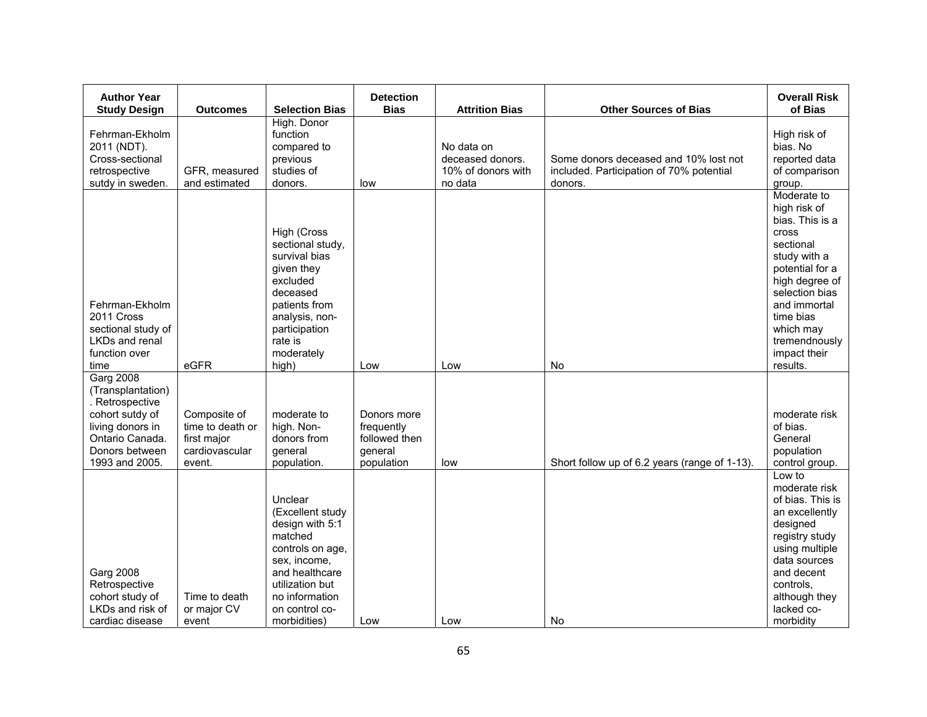| <b>Author Year</b><br><b>Study Design</b>                                                                                                              | <b>Outcomes</b>                                                             | <b>Selection Bias</b>                                                                                                                                                                  | <b>Detection</b><br><b>Bias</b>                                     | <b>Attrition Bias</b>                                           | <b>Other Sources of Bias</b>                                                                 | <b>Overall Risk</b><br>of Bias                                                                                                                                                                                                            |
|--------------------------------------------------------------------------------------------------------------------------------------------------------|-----------------------------------------------------------------------------|----------------------------------------------------------------------------------------------------------------------------------------------------------------------------------------|---------------------------------------------------------------------|-----------------------------------------------------------------|----------------------------------------------------------------------------------------------|-------------------------------------------------------------------------------------------------------------------------------------------------------------------------------------------------------------------------------------------|
| Fehrman-Ekholm<br>2011 (NDT).<br>Cross-sectional<br>retrospective<br>sutdy in sweden.                                                                  | GFR, measured<br>and estimated                                              | High. Donor<br>function<br>compared to<br>previous<br>studies of<br>donors.                                                                                                            | low                                                                 | No data on<br>deceased donors.<br>10% of donors with<br>no data | Some donors deceased and 10% lost not<br>included. Participation of 70% potential<br>donors. | High risk of<br>bias. No<br>reported data<br>of comparison<br>group.                                                                                                                                                                      |
| Fehrman-Ekholm<br>2011 Cross<br>sectional study of<br>LKDs and renal<br>function over<br>time                                                          | eGFR                                                                        | High (Cross<br>sectional study,<br>survival bias<br>given they<br>excluded<br>deceased<br>patients from<br>analysis, non-<br>participation<br>rate is<br>moderately<br>high)           | Low                                                                 | Low                                                             | No                                                                                           | Moderate to<br>high risk of<br>bias. This is a<br><b>Cross</b><br>sectional<br>study with a<br>potential for a<br>high degree of<br>selection bias<br>and immortal<br>time bias<br>which may<br>tremendnously<br>impact their<br>results. |
| <b>Garg 2008</b><br>(Transplantation)<br>. Retrospective<br>cohort sutdy of<br>living donors in<br>Ontario Canada.<br>Donors between<br>1993 and 2005. | Composite of<br>time to death or<br>first major<br>cardiovascular<br>event. | moderate to<br>high. Non-<br>donors from<br>general<br>population.                                                                                                                     | Donors more<br>frequently<br>followed then<br>general<br>population | low                                                             | Short follow up of 6.2 years (range of 1-13).                                                | moderate risk<br>of bias.<br>General<br>population<br>control group.                                                                                                                                                                      |
| <b>Garg 2008</b><br>Retrospective<br>cohort study of<br>LKDs and risk of<br>cardiac disease                                                            | Time to death<br>or major CV<br>event                                       | Unclear<br>(Excellent study<br>design with 5:1<br>matched<br>controls on age,<br>sex, income,<br>and healthcare<br>utilization but<br>no information<br>on control co-<br>morbidities) | Low                                                                 | Low                                                             | No                                                                                           | Low to<br>moderate risk<br>of bias. This is<br>an excellently<br>designed<br>registry study<br>using multiple<br>data sources<br>and decent<br>controls,<br>although they<br>lacked co-<br>morbidity                                      |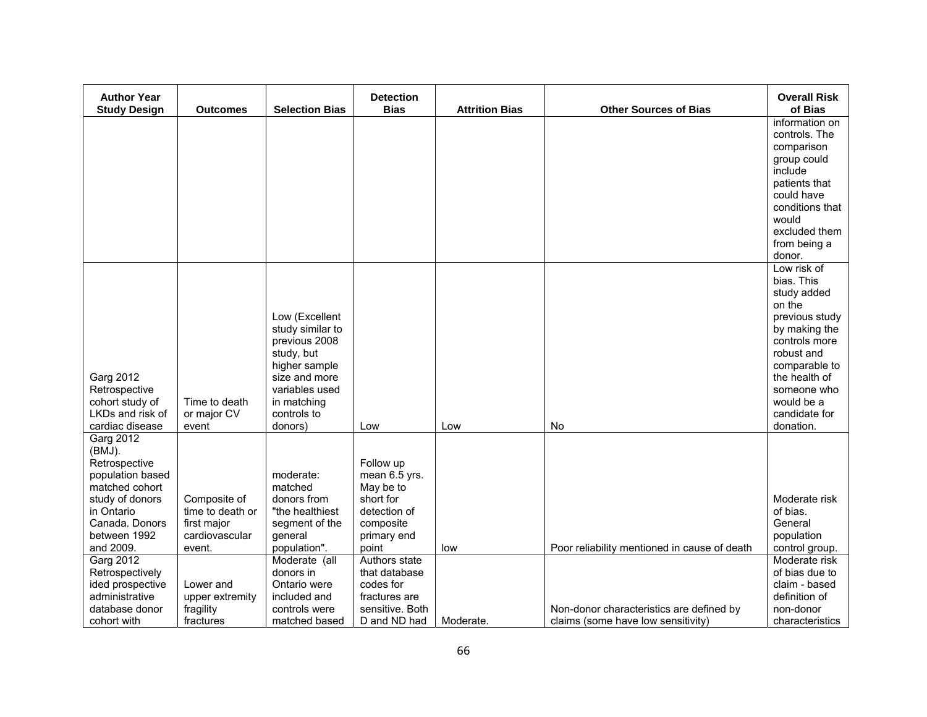| <b>Author Year</b><br><b>Study Design</b> |                               | <b>Selection Bias</b>          | <b>Detection</b><br><b>Bias</b> | <b>Attrition Bias</b> | <b>Other Sources of Bias</b>                 | <b>Overall Risk</b><br>of Bias |
|-------------------------------------------|-------------------------------|--------------------------------|---------------------------------|-----------------------|----------------------------------------------|--------------------------------|
|                                           | <b>Outcomes</b>               |                                |                                 |                       |                                              | information on                 |
|                                           |                               |                                |                                 |                       |                                              | controls. The                  |
|                                           |                               |                                |                                 |                       |                                              | comparison<br>group could      |
|                                           |                               |                                |                                 |                       |                                              | include                        |
|                                           |                               |                                |                                 |                       |                                              | patients that                  |
|                                           |                               |                                |                                 |                       |                                              | could have<br>conditions that  |
|                                           |                               |                                |                                 |                       |                                              | would                          |
|                                           |                               |                                |                                 |                       |                                              | excluded them                  |
|                                           |                               |                                |                                 |                       |                                              | from being a                   |
|                                           |                               |                                |                                 |                       |                                              | donor.<br>Low risk of          |
|                                           |                               |                                |                                 |                       |                                              | bias. This                     |
|                                           |                               |                                |                                 |                       |                                              | study added                    |
|                                           |                               | Low (Excellent                 |                                 |                       |                                              | on the<br>previous study       |
|                                           |                               | study similar to               |                                 |                       |                                              | by making the                  |
|                                           |                               | previous 2008                  |                                 |                       |                                              | controls more                  |
|                                           |                               | study, but                     |                                 |                       |                                              | robust and                     |
| <b>Garg 2012</b>                          |                               | higher sample<br>size and more |                                 |                       |                                              | comparable to<br>the health of |
| Retrospective                             |                               | variables used                 |                                 |                       |                                              | someone who                    |
| cohort study of                           | Time to death                 | in matching                    |                                 |                       |                                              | would be a                     |
| LKDs and risk of<br>cardiac disease       | or major CV<br>event          | controls to<br>donors)         | Low                             | Low                   | No                                           | candidate for<br>donation.     |
| Garg 2012                                 |                               |                                |                                 |                       |                                              |                                |
| $(BMJ)$ .                                 |                               |                                |                                 |                       |                                              |                                |
| Retrospective                             |                               |                                | Follow up                       |                       |                                              |                                |
| population based<br>matched cohort        |                               | moderate:<br>matched           | mean 6.5 yrs.<br>May be to      |                       |                                              |                                |
| study of donors                           | Composite of                  | donors from                    | short for                       |                       |                                              | Moderate risk                  |
| in Ontario                                | time to death or              | "the healthiest                | detection of                    |                       |                                              | of bias.                       |
| Canada, Donors<br>between 1992            | first major<br>cardiovascular | segment of the<br>general      | composite                       |                       |                                              | General                        |
| and 2009.                                 | event.                        | population".                   | primary end<br>point            | low                   | Poor reliability mentioned in cause of death | population<br>control group.   |
| Garg 2012                                 |                               | Moderate (all                  | Authors state                   |                       |                                              | Moderate risk                  |
| Retrospectively                           |                               | donors in                      | that database                   |                       |                                              | of bias due to                 |
| ided prospective<br>administrative        | Lower and<br>upper extremity  | Ontario were<br>included and   | codes for<br>fractures are      |                       |                                              | claim - based<br>definition of |
| database donor                            | fragility                     | controls were                  | sensitive. Both                 |                       | Non-donor characteristics are defined by     | non-donor                      |
| cohort with                               | fractures                     | matched based                  | D and ND had                    | Moderate.             | claims (some have low sensitivity)           | characteristics                |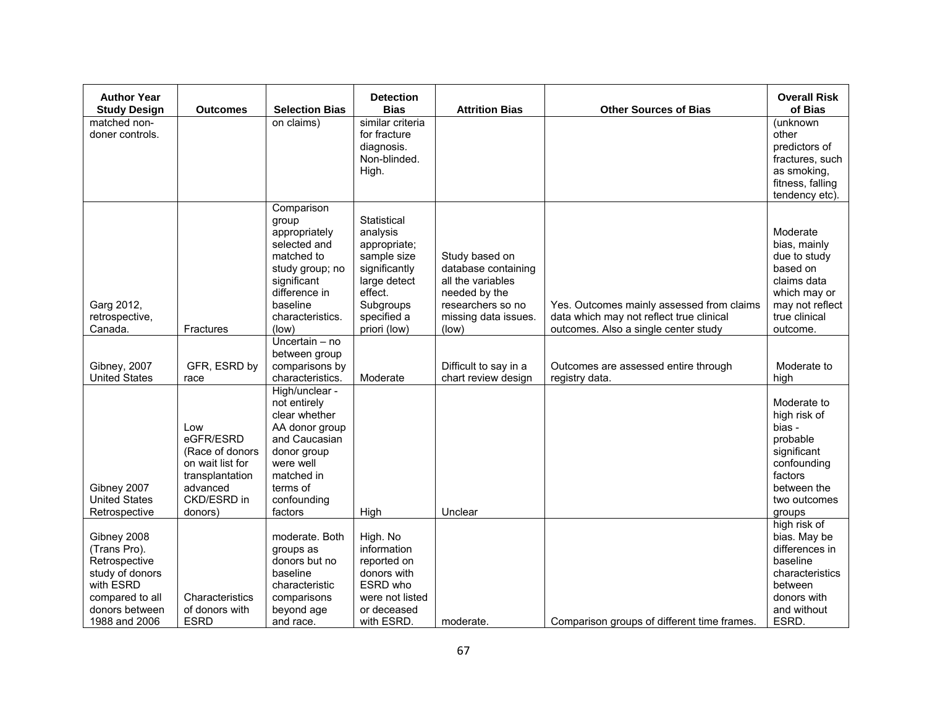| <b>Author Year</b><br><b>Study Design</b>           | <b>Outcomes</b> | <b>Selection Bias</b>           | <b>Detection</b><br><b>Bias</b> | <b>Attrition Bias</b>                    | <b>Other Sources of Bias</b>                | <b>Overall Risk</b><br>of Bias     |
|-----------------------------------------------------|-----------------|---------------------------------|---------------------------------|------------------------------------------|---------------------------------------------|------------------------------------|
| matched non-                                        |                 | on claims)                      | similar criteria                |                                          |                                             | (unknown                           |
| doner controls.                                     |                 |                                 | for fracture                    |                                          |                                             | other                              |
|                                                     |                 |                                 | diagnosis.                      |                                          |                                             | predictors of                      |
|                                                     |                 |                                 | Non-blinded.                    |                                          |                                             | fractures, such                    |
|                                                     |                 |                                 | High.                           |                                          |                                             | as smoking,                        |
|                                                     |                 |                                 |                                 |                                          |                                             | fitness, falling<br>tendency etc). |
|                                                     |                 | Comparison                      |                                 |                                          |                                             |                                    |
|                                                     |                 | group                           | Statistical                     |                                          |                                             |                                    |
|                                                     |                 | appropriately                   | analysis                        |                                          |                                             | Moderate                           |
|                                                     |                 | selected and                    | appropriate;                    |                                          |                                             | bias, mainly                       |
|                                                     |                 | matched to                      | sample size                     | Study based on                           |                                             | due to study<br>based on           |
|                                                     |                 | study group; no<br>significant  | significantly<br>large detect   | database containing<br>all the variables |                                             | claims data                        |
|                                                     |                 | difference in                   | effect.                         | needed by the                            |                                             | which may or                       |
| Garg 2012,                                          |                 | baseline                        | Subgroups                       | researchers so no                        | Yes. Outcomes mainly assessed from claims   | may not reflect                    |
| retrospective,                                      |                 | characteristics.                | specified a                     | missing data issues.                     | data which may not reflect true clinical    | true clinical                      |
| Canada.<br>Fractures                                |                 | (low)                           | priori (low)                    | (low)                                    | outcomes. Also a single center study        | outcome.                           |
|                                                     |                 | Uncertain - no                  |                                 |                                          |                                             |                                    |
| Gibney, 2007                                        | GFR, ESRD by    | between group<br>comparisons by |                                 | Difficult to say in a                    | Outcomes are assessed entire through        | Moderate to                        |
| <b>United States</b><br>race                        |                 | characteristics.                | Moderate                        | chart review design                      | registry data.                              | high                               |
|                                                     |                 | High/unclear -                  |                                 |                                          |                                             |                                    |
|                                                     |                 | not entirely                    |                                 |                                          |                                             | Moderate to                        |
|                                                     |                 | clear whether                   |                                 |                                          |                                             | high risk of                       |
| Low<br>eGFR/ESRD                                    |                 | AA donor group<br>and Caucasian |                                 |                                          |                                             | bias -<br>probable                 |
|                                                     | (Race of donors | donor group                     |                                 |                                          |                                             | significant                        |
| on wait list for                                    |                 | were well                       |                                 |                                          |                                             | confounding                        |
|                                                     | transplantation | matched in                      |                                 |                                          |                                             | factors                            |
| Gibney 2007<br>advanced                             |                 | terms of                        |                                 |                                          |                                             | between the                        |
| <b>United States</b><br>CKD/ESRD in                 |                 | confounding                     |                                 |                                          |                                             | two outcomes                       |
| Retrospective<br>donors)                            |                 | factors                         | High                            | Unclear                                  |                                             | groups<br>high risk of             |
| Gibney 2008                                         |                 | moderate. Both                  | High. No                        |                                          |                                             | bias. May be                       |
| (Trans Pro).                                        |                 | groups as                       | information                     |                                          |                                             | differences in                     |
| Retrospective                                       |                 | donors but no                   | reported on                     |                                          |                                             | baseline                           |
| study of donors                                     |                 | baseline                        | donors with                     |                                          |                                             | characteristics                    |
| with ESRD                                           |                 | characteristic                  | ESRD who                        |                                          |                                             | between                            |
| compared to all<br>of donors with<br>donors between | Characteristics | comparisons<br>beyond age       | were not listed<br>or deceased  |                                          |                                             | donors with<br>and without         |
| 1988 and 2006<br><b>ESRD</b>                        |                 | and race.                       | with ESRD.                      | moderate.                                | Comparison groups of different time frames. | ESRD.                              |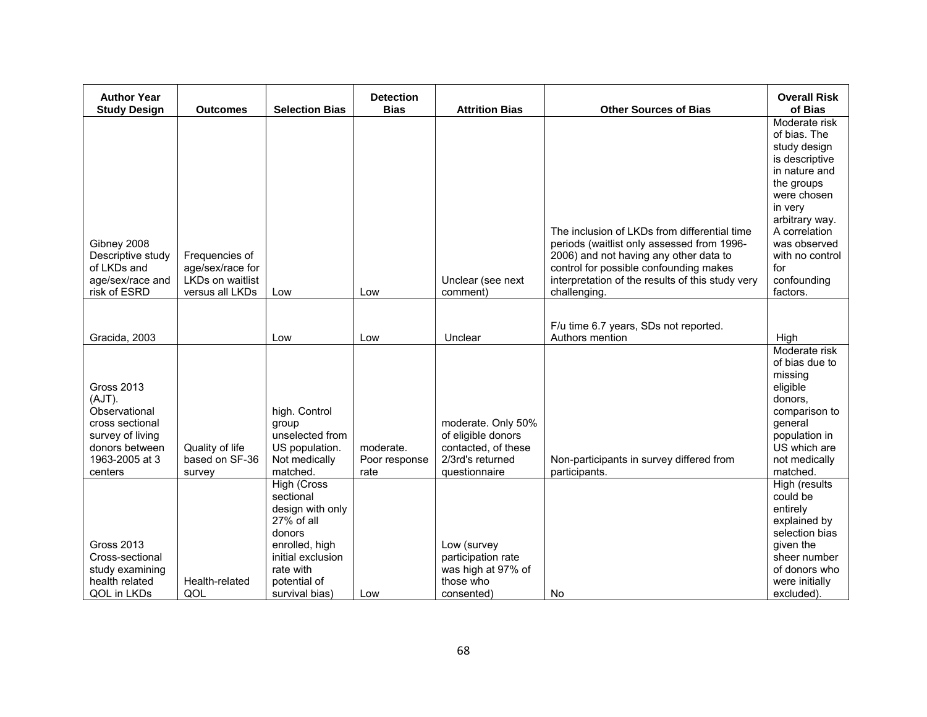| <b>Author Year</b><br><b>Study Design</b>                                                                                          | <b>Outcomes</b>                                                                  | <b>Selection Bias</b>                                                                                                                                      | <b>Detection</b><br><b>Bias</b>    | <b>Attrition Bias</b>                                                                                | <b>Other Sources of Bias</b>                                                                                                                                                                                                                       | <b>Overall Risk</b><br>of Bias                                                                                                                                                                                                   |
|------------------------------------------------------------------------------------------------------------------------------------|----------------------------------------------------------------------------------|------------------------------------------------------------------------------------------------------------------------------------------------------------|------------------------------------|------------------------------------------------------------------------------------------------------|----------------------------------------------------------------------------------------------------------------------------------------------------------------------------------------------------------------------------------------------------|----------------------------------------------------------------------------------------------------------------------------------------------------------------------------------------------------------------------------------|
| Gibney 2008<br>Descriptive study<br>of LKDs and<br>age/sex/race and<br>risk of ESRD                                                | Frequencies of<br>age/sex/race for<br><b>LKDs on waitlist</b><br>versus all LKDs | Low                                                                                                                                                        | Low                                | Unclear (see next<br>comment)                                                                        | The inclusion of LKDs from differential time<br>periods (waitlist only assessed from 1996-<br>2006) and not having any other data to<br>control for possible confounding makes<br>interpretation of the results of this study very<br>challenging. | Moderate risk<br>of bias. The<br>study design<br>is descriptive<br>in nature and<br>the groups<br>were chosen<br>in very<br>arbitrary way.<br>A correlation<br>was observed<br>with no control<br>for<br>confounding<br>factors. |
| Gracida, 2003                                                                                                                      |                                                                                  | Low                                                                                                                                                        | Low                                | Unclear                                                                                              | F/u time 6.7 years, SDs not reported.<br>Authors mention                                                                                                                                                                                           | High                                                                                                                                                                                                                             |
| <b>Gross 2013</b><br>(AJT).<br>Observational<br>cross sectional<br>survey of living<br>donors between<br>1963-2005 at 3<br>centers | Quality of life<br>based on SF-36<br>survey                                      | high. Control<br>group<br>unselected from<br>US population.<br>Not medically<br>matched.                                                                   | moderate.<br>Poor response<br>rate | moderate. Only 50%<br>of eligible donors<br>contacted, of these<br>2/3rd's returned<br>questionnaire | Non-participants in survey differed from<br>participants.                                                                                                                                                                                          | Moderate risk<br>of bias due to<br>missing<br>eligible<br>donors.<br>comparison to<br>general<br>population in<br>US which are<br>not medically<br>matched.                                                                      |
| <b>Gross 2013</b><br>Cross-sectional<br>study examining<br>health related<br>QOL in LKDs                                           | Health-related<br>QOL                                                            | High (Cross<br>sectional<br>design with only<br>27% of all<br>donors<br>enrolled, high<br>initial exclusion<br>rate with<br>potential of<br>survival bias) | Low                                | Low (survey<br>participation rate<br>was high at 97% of<br>those who<br>consented)                   | No                                                                                                                                                                                                                                                 | High (results<br>could be<br>entirely<br>explained by<br>selection bias<br>given the<br>sheer number<br>of donors who<br>were initially<br>excluded).                                                                            |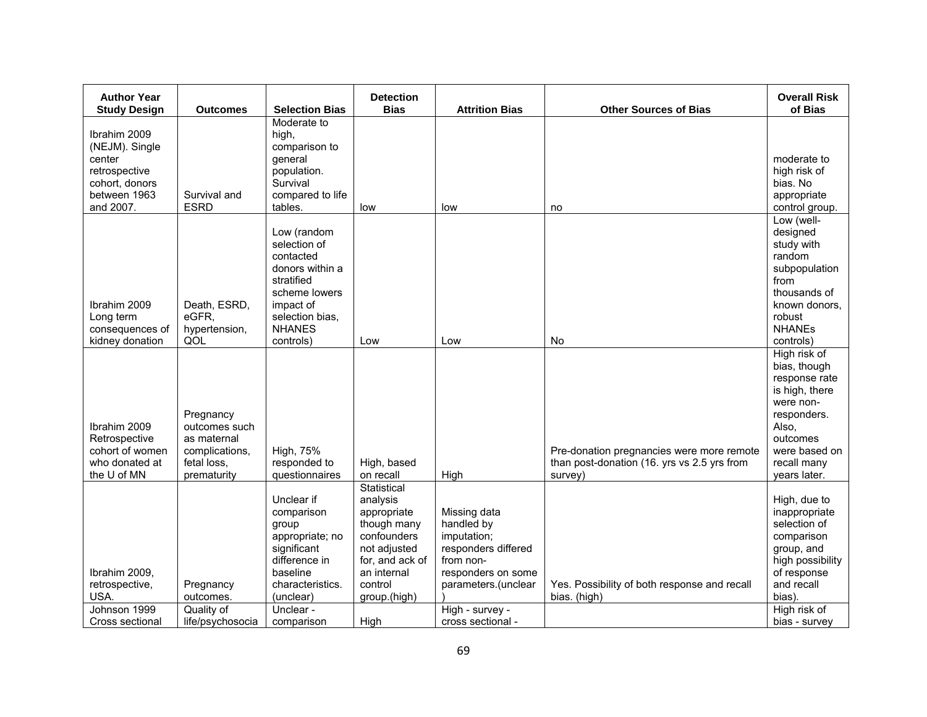| <b>Author Year</b><br><b>Study Design</b>                                                                | <b>Outcomes</b>                                                                           | <b>Selection Bias</b>                                                                                                                                        | <b>Detection</b><br><b>Bias</b>                                                                                                                           | <b>Attrition Bias</b>                                                                                                                                              | <b>Other Sources of Bias</b>                                                                        | <b>Overall Risk</b><br>of Bias                                                                                                                                        |
|----------------------------------------------------------------------------------------------------------|-------------------------------------------------------------------------------------------|--------------------------------------------------------------------------------------------------------------------------------------------------------------|-----------------------------------------------------------------------------------------------------------------------------------------------------------|--------------------------------------------------------------------------------------------------------------------------------------------------------------------|-----------------------------------------------------------------------------------------------------|-----------------------------------------------------------------------------------------------------------------------------------------------------------------------|
| Ibrahim 2009<br>(NEJM). Single<br>center<br>retrospective<br>cohort, donors<br>between 1963<br>and 2007. | Survival and<br><b>ESRD</b>                                                               | Moderate to<br>high,<br>comparison to<br>general<br>population.<br>Survival<br>compared to life<br>tables.                                                   | low                                                                                                                                                       | low                                                                                                                                                                | no                                                                                                  | moderate to<br>high risk of<br>bias. No<br>appropriate<br>control group.                                                                                              |
| Ibrahim 2009<br>Long term<br>consequences of<br>kidney donation                                          | Death, ESRD,<br>eGFR,<br>hypertension,<br>QOL                                             | Low (random<br>selection of<br>contacted<br>donors within a<br>stratified<br>scheme lowers<br>impact of<br>selection bias,<br><b>NHANES</b><br>controls)     | Low                                                                                                                                                       | Low                                                                                                                                                                | No                                                                                                  | Low (well-<br>designed<br>study with<br>random<br>subpopulation<br>from<br>thousands of<br>known donors,<br>robust<br><b>NHANEs</b><br>controls)                      |
| Ibrahim 2009<br>Retrospective<br>cohort of women<br>who donated at<br>the U of MN                        | Pregnancy<br>outcomes such<br>as maternal<br>complications,<br>fetal loss,<br>prematurity | High, 75%<br>responded to<br>questionnaires                                                                                                                  | High, based<br>on recall                                                                                                                                  | High                                                                                                                                                               | Pre-donation pregnancies were more remote<br>than post-donation (16. yrs vs 2.5 yrs from<br>survey) | High risk of<br>bias, though<br>response rate<br>is high, there<br>were non-<br>responders.<br>Also,<br>outcomes<br>were based on<br>recall many<br>years later.      |
| Ibrahim 2009,<br>retrospective,<br>USA.<br>Johnson 1999<br>Cross sectional                               | Pregnancy<br>outcomes.<br>Quality of<br>life/psychosocia                                  | Unclear if<br>comparison<br>group<br>appropriate; no<br>significant<br>difference in<br>baseline<br>characteristics.<br>(unclear)<br>Unclear -<br>comparison | Statistical<br>analysis<br>appropriate<br>though many<br>confounders<br>not adjusted<br>for, and ack of<br>an internal<br>control<br>group.(high)<br>High | Missing data<br>handled by<br>imputation;<br>responders differed<br>from non-<br>responders on some<br>parameters.(unclear<br>High - survey -<br>cross sectional - | Yes. Possibility of both response and recall<br>bias. (high)                                        | High, due to<br>inappropriate<br>selection of<br>comparison<br>group, and<br>high possibility<br>of response<br>and recall<br>bias).<br>High risk of<br>bias - survey |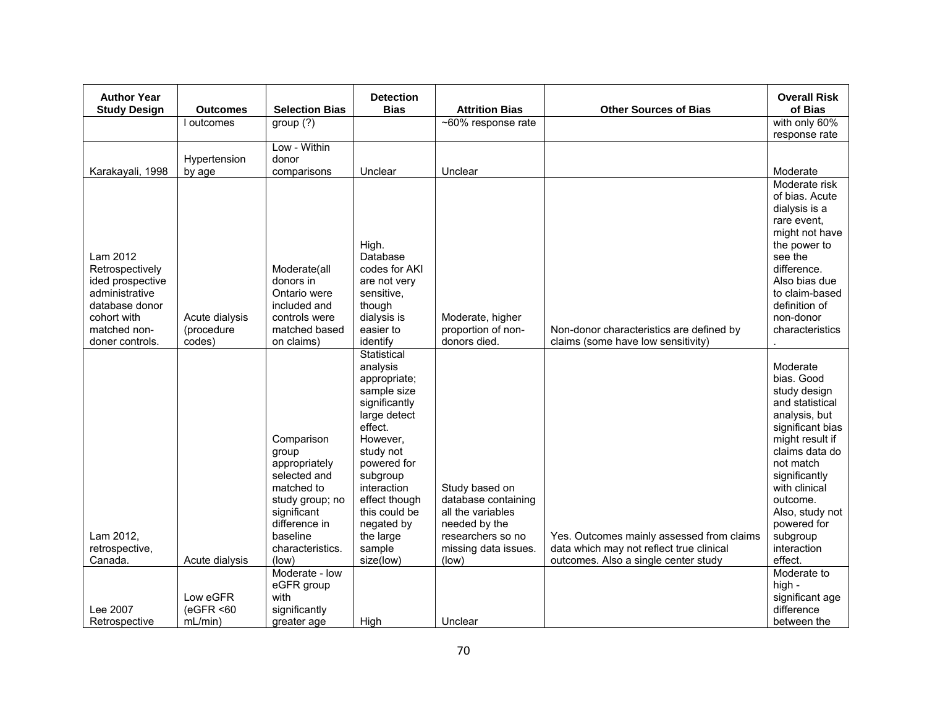| <b>Author Year</b><br><b>Study Design</b> | <b>Outcomes</b> | <b>Selection Bias</b>         | <b>Detection</b><br><b>Bias</b> | <b>Attrition Bias</b>              | <b>Other Sources of Bias</b>              | <b>Overall Risk</b><br>of Bias   |
|-------------------------------------------|-----------------|-------------------------------|---------------------------------|------------------------------------|-------------------------------------------|----------------------------------|
|                                           | I outcomes      | group(?)                      |                                 | ~60% response rate                 |                                           | with only 60%                    |
|                                           |                 |                               |                                 |                                    |                                           | response rate                    |
|                                           |                 | Low - Within                  |                                 |                                    |                                           |                                  |
|                                           | Hypertension    | donor                         |                                 |                                    |                                           |                                  |
| Karakayali, 1998                          | by age          | comparisons                   | Unclear                         | Unclear                            |                                           | Moderate<br>Moderate risk        |
|                                           |                 |                               |                                 |                                    |                                           | of bias. Acute                   |
|                                           |                 |                               |                                 |                                    |                                           | dialysis is a                    |
|                                           |                 |                               |                                 |                                    |                                           | rare event,                      |
|                                           |                 |                               | High.                           |                                    |                                           | might not have<br>the power to   |
| Lam 2012                                  |                 |                               | Database                        |                                    |                                           | see the                          |
| Retrospectively                           |                 | Moderate(all                  | codes for AKI                   |                                    |                                           | difference.                      |
| ided prospective                          |                 | donors in                     | are not very                    |                                    |                                           | Also bias due                    |
| administrative<br>database donor          |                 | Ontario were<br>included and  | sensitive,<br>though            |                                    |                                           | to claim-based<br>definition of  |
| cohort with                               | Acute dialysis  | controls were                 | dialysis is                     | Moderate, higher                   |                                           | non-donor                        |
| matched non-                              | (procedure      | matched based                 | easier to                       | proportion of non-                 | Non-donor characteristics are defined by  | characteristics                  |
| doner controls.                           | codes)          | on claims)                    | identify<br>Statistical         | donors died.                       | claims (some have low sensitivity)        |                                  |
|                                           |                 |                               | analysis                        |                                    |                                           | Moderate                         |
|                                           |                 |                               | appropriate:                    |                                    |                                           | bias. Good                       |
|                                           |                 |                               | sample size                     |                                    |                                           | study design                     |
|                                           |                 |                               | significantly<br>large detect   |                                    |                                           | and statistical<br>analysis, but |
|                                           |                 |                               | effect.                         |                                    |                                           | significant bias                 |
|                                           |                 | Comparison                    | However.                        |                                    |                                           | might result if                  |
|                                           |                 | group                         | study not<br>powered for        |                                    |                                           | claims data do<br>not match      |
|                                           |                 | appropriately<br>selected and | subgroup                        |                                    |                                           | significantly                    |
|                                           |                 | matched to                    | interaction                     | Study based on                     |                                           | with clinical                    |
|                                           |                 | study group; no               | effect though                   | database containing                |                                           | outcome.                         |
|                                           |                 | significant<br>difference in  | this could be<br>negated by     | all the variables<br>needed by the |                                           | Also, study not<br>powered for   |
| Lam 2012,                                 |                 | baseline                      | the large                       | researchers so no                  | Yes. Outcomes mainly assessed from claims | subgroup                         |
| retrospective,                            |                 | characteristics.              | sample                          | missing data issues.               | data which may not reflect true clinical  | interaction                      |
| Canada.                                   | Acute dialysis  | (low)                         | size(low)                       | (low)                              | outcomes. Also a single center study      | effect.                          |
|                                           |                 | Moderate - low<br>eGFR group  |                                 |                                    |                                           | Moderate to<br>high -            |
|                                           | Low eGFR        | with                          |                                 |                                    |                                           | significant age                  |
| Lee 2007                                  | (eGFR < 60      | significantly                 |                                 |                                    |                                           | difference                       |
| Retrospective                             | mL/min          | greater age                   | High                            | Unclear                            |                                           | between the                      |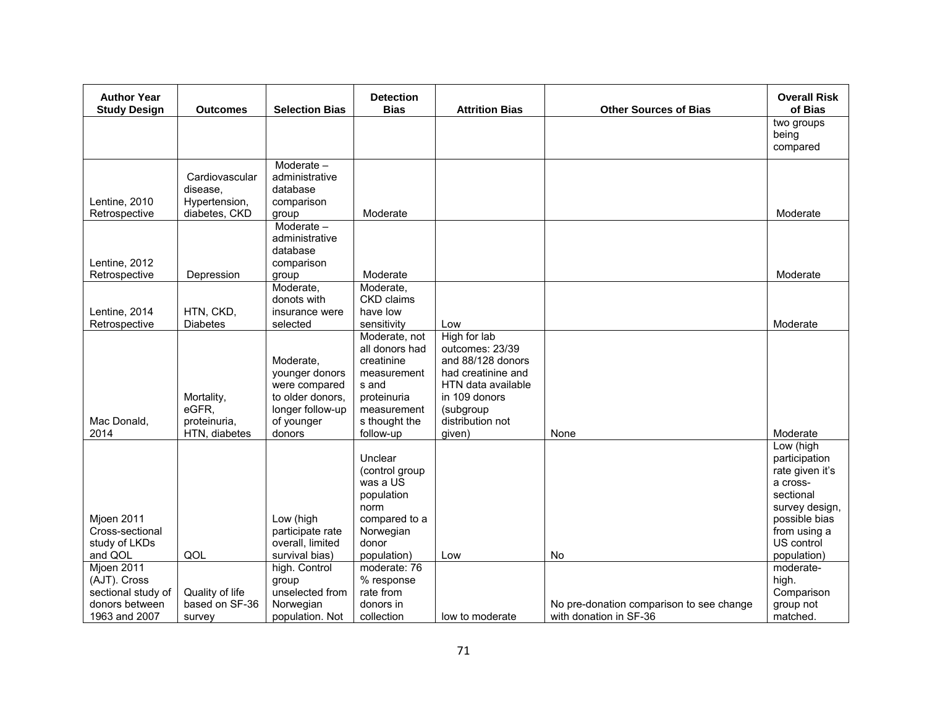| <b>Author Year</b><br><b>Study Design</b>                                           | <b>Outcomes</b>                                      | <b>Selection Bias</b>                                                                                        | <b>Detection</b><br><b>Bias</b>                                                                                                   | <b>Attrition Bias</b>                                                                                                                                        | <b>Other Sources of Bias</b>                                       | <b>Overall Risk</b><br>of Bias                                                                                                                         |
|-------------------------------------------------------------------------------------|------------------------------------------------------|--------------------------------------------------------------------------------------------------------------|-----------------------------------------------------------------------------------------------------------------------------------|--------------------------------------------------------------------------------------------------------------------------------------------------------------|--------------------------------------------------------------------|--------------------------------------------------------------------------------------------------------------------------------------------------------|
|                                                                                     |                                                      |                                                                                                              |                                                                                                                                   |                                                                                                                                                              |                                                                    | two groups<br>being<br>compared                                                                                                                        |
| Lentine, 2010                                                                       | Cardiovascular<br>disease.<br>Hypertension,          | Moderate -<br>administrative<br>database<br>comparison                                                       |                                                                                                                                   |                                                                                                                                                              |                                                                    |                                                                                                                                                        |
| Retrospective<br>Lentine, 2012<br>Retrospective                                     | diabetes, CKD<br>Depression                          | group<br>Moderate -<br>administrative<br>database<br>comparison                                              | Moderate<br>Moderate                                                                                                              |                                                                                                                                                              |                                                                    | Moderate<br>Moderate                                                                                                                                   |
| Lentine, 2014<br>Retrospective                                                      | HTN, CKD,<br><b>Diabetes</b>                         | group<br>Moderate,<br>donots with<br>insurance were<br>selected                                              | Moderate,<br>CKD claims<br>have low<br>sensitivity                                                                                | Low                                                                                                                                                          |                                                                    | Moderate                                                                                                                                               |
| Mac Donald.<br>2014                                                                 | Mortality,<br>eGFR,<br>proteinuria,<br>HTN, diabetes | Moderate.<br>younger donors<br>were compared<br>to older donors,<br>longer follow-up<br>of younger<br>donors | Moderate, not<br>all donors had<br>creatinine<br>measurement<br>s and<br>proteinuria<br>measurement<br>s thought the<br>follow-up | High for lab<br>outcomes: 23/39<br>and 88/128 donors<br>had creatinine and<br>HTN data available<br>in 109 donors<br>(subgroup<br>distribution not<br>given) | None                                                               | Moderate                                                                                                                                               |
| Mjoen 2011<br>Cross-sectional<br>study of LKDs<br>and QOL                           | QOL                                                  | Low (high<br>participate rate<br>overall, limited<br>survival bias)                                          | Unclear<br>(control group<br>was a US<br>population<br>norm<br>compared to a<br>Norwegian<br>donor<br>population)                 | Low                                                                                                                                                          | No                                                                 | Low (high<br>participation<br>rate given it's<br>a cross-<br>sectional<br>survey design,<br>possible bias<br>from using a<br>US control<br>population) |
| Mjoen 2011<br>(AJT). Cross<br>sectional study of<br>donors between<br>1963 and 2007 | Quality of life<br>based on SF-36<br>survey          | high. Control<br>group<br>unselected from<br>Norwegian<br>population. Not                                    | moderate: 76<br>% response<br>rate from<br>donors in<br>collection                                                                | low to moderate                                                                                                                                              | No pre-donation comparison to see change<br>with donation in SF-36 | moderate-<br>high.<br>Comparison<br>group not<br>matched.                                                                                              |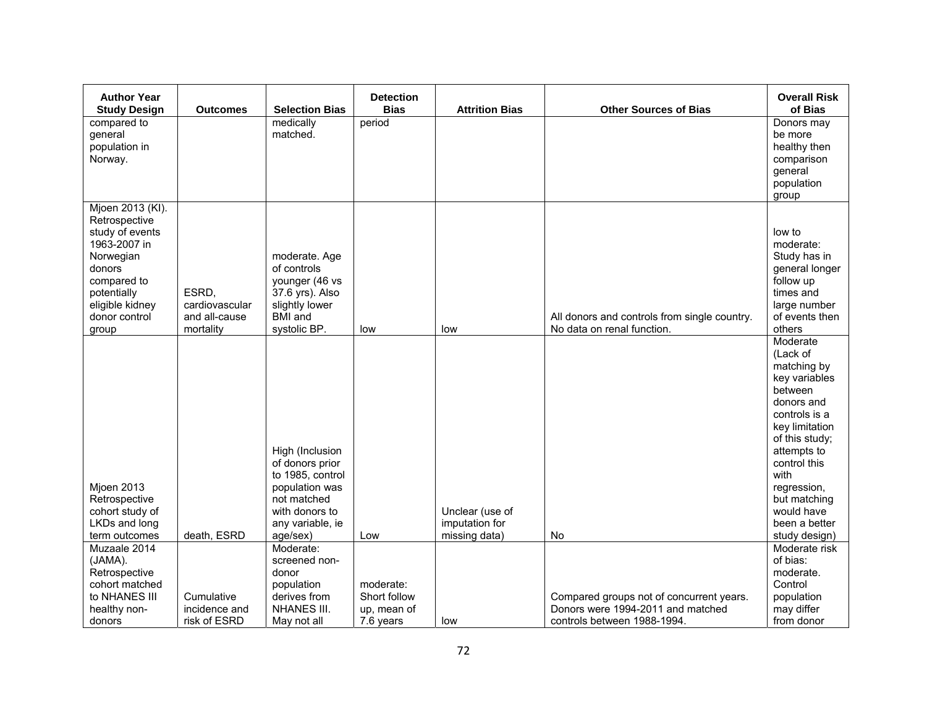| <b>Author Year</b><br><b>Study Design</b>                                                                                                                              | <b>Outcomes</b>                                       | <b>Selection Bias</b>                                                                                                                     | <b>Detection</b><br><b>Bias</b>                       | <b>Attrition Bias</b>                              | <b>Other Sources of Bias</b>                                                                                 | <b>Overall Risk</b><br>of Bias                                                                                                                                                                                                                           |
|------------------------------------------------------------------------------------------------------------------------------------------------------------------------|-------------------------------------------------------|-------------------------------------------------------------------------------------------------------------------------------------------|-------------------------------------------------------|----------------------------------------------------|--------------------------------------------------------------------------------------------------------------|----------------------------------------------------------------------------------------------------------------------------------------------------------------------------------------------------------------------------------------------------------|
| compared to<br>general<br>population in<br>Norway.                                                                                                                     |                                                       | medically<br>matched.                                                                                                                     | period                                                |                                                    |                                                                                                              | Donors may<br>be more<br>healthy then<br>comparison<br>general<br>population<br>group                                                                                                                                                                    |
| Mjoen 2013 (KI).<br>Retrospective<br>study of events<br>1963-2007 in<br>Norwegian<br>donors<br>compared to<br>potentially<br>eligible kidney<br>donor control<br>group | ESRD.<br>cardiovascular<br>and all-cause<br>mortality | moderate. Age<br>of controls<br>younger (46 vs<br>37.6 yrs). Also<br>slightly lower<br><b>BMI</b> and<br>systolic BP.                     | low                                                   | low                                                | All donors and controls from single country.<br>No data on renal function.                                   | low to<br>moderate:<br>Study has in<br>general longer<br>follow up<br>times and<br>large number<br>of events then<br>others                                                                                                                              |
| Mjoen 2013<br>Retrospective<br>cohort study of<br>LKDs and long<br>term outcomes                                                                                       | death, ESRD                                           | High (Inclusion<br>of donors prior<br>to 1985, control<br>population was<br>not matched<br>with donors to<br>any variable, ie<br>age/sex) | Low                                                   | Unclear (use of<br>imputation for<br>missing data) | No                                                                                                           | Moderate<br>(Lack of<br>matching by<br>key variables<br>between<br>donors and<br>controls is a<br>key limitation<br>of this study;<br>attempts to<br>control this<br>with<br>regression,<br>but matching<br>would have<br>been a better<br>study design) |
| Muzaale 2014<br>(JAMA).<br>Retrospective<br>cohort matched<br>to NHANES III<br>healthy non-<br>donors                                                                  | Cumulative<br>incidence and<br>risk of ESRD           | Moderate:<br>screened non-<br>donor<br>population<br>derives from<br><b>NHANES III.</b><br>May not all                                    | moderate:<br>Short follow<br>up, mean of<br>7.6 years | low                                                | Compared groups not of concurrent years.<br>Donors were 1994-2011 and matched<br>controls between 1988-1994. | Moderate risk<br>of bias:<br>moderate.<br>Control<br>population<br>may differ<br>from donor                                                                                                                                                              |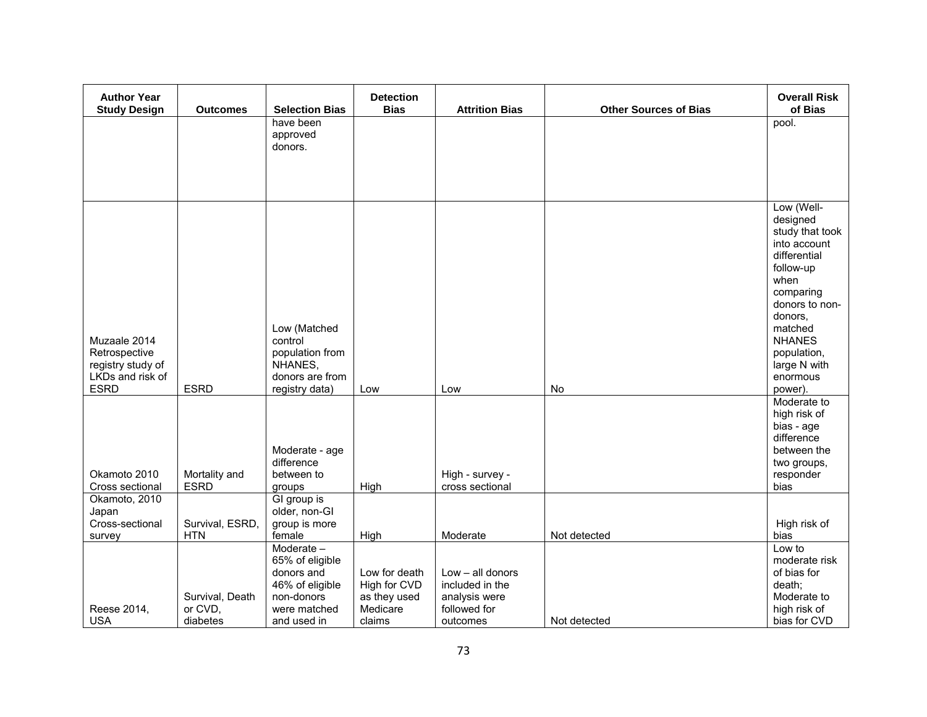| <b>Author Year</b><br><b>Study Design</b>                                             | <b>Outcomes</b>               | <b>Selection Bias</b>                                                                        | <b>Detection</b><br><b>Bias</b>                                     | <b>Attrition Bias</b>                                                  | <b>Other Sources of Bias</b> | <b>Overall Risk</b><br>of Bias                                                                                                                                                                                             |
|---------------------------------------------------------------------------------------|-------------------------------|----------------------------------------------------------------------------------------------|---------------------------------------------------------------------|------------------------------------------------------------------------|------------------------------|----------------------------------------------------------------------------------------------------------------------------------------------------------------------------------------------------------------------------|
|                                                                                       |                               | have been<br>approved                                                                        |                                                                     |                                                                        |                              | pool.                                                                                                                                                                                                                      |
|                                                                                       |                               | donors.                                                                                      |                                                                     |                                                                        |                              |                                                                                                                                                                                                                            |
|                                                                                       |                               |                                                                                              |                                                                     |                                                                        |                              |                                                                                                                                                                                                                            |
| Muzaale 2014<br>Retrospective<br>registry study of<br>LKDs and risk of<br><b>ESRD</b> | <b>ESRD</b>                   | Low (Matched<br>control<br>population from<br>NHANES,<br>donors are from<br>registry data)   | Low                                                                 | Low                                                                    | No                           | Low (Well-<br>designed<br>study that took<br>into account<br>differential<br>follow-up<br>when<br>comparing<br>donors to non-<br>donors,<br>matched<br><b>NHANES</b><br>population,<br>large N with<br>enormous<br>power). |
| Okamoto 2010<br>Cross sectional                                                       | Mortality and<br><b>ESRD</b>  | Moderate - age<br>difference<br>between to<br>groups                                         | High                                                                | High - survey -<br>cross sectional                                     |                              | Moderate to<br>high risk of<br>bias - age<br>difference<br>between the<br>two groups,<br>responder<br>bias                                                                                                                 |
| Okamoto, 2010<br>Japan                                                                |                               | GI group is<br>older, non-GI                                                                 |                                                                     |                                                                        |                              |                                                                                                                                                                                                                            |
| Cross-sectional<br>survey                                                             | Survival, ESRD,<br><b>HTN</b> | group is more<br>female                                                                      | High                                                                | Moderate                                                               | Not detected                 | High risk of<br>bias                                                                                                                                                                                                       |
| Reese 2014,                                                                           | Survival, Death<br>or CVD,    | Moderate -<br>65% of eligible<br>donors and<br>46% of eligible<br>non-donors<br>were matched | Low for death<br>High for CVD<br>as they used<br>Medicare<br>claims | $Low - all donors$<br>included in the<br>analysis were<br>followed for | Not detected                 | Low to<br>moderate risk<br>of bias for<br>death:<br>Moderate to<br>high risk of                                                                                                                                            |
| <b>USA</b>                                                                            | diabetes                      | and used in                                                                                  |                                                                     | outcomes                                                               |                              | bias for CVD                                                                                                                                                                                                               |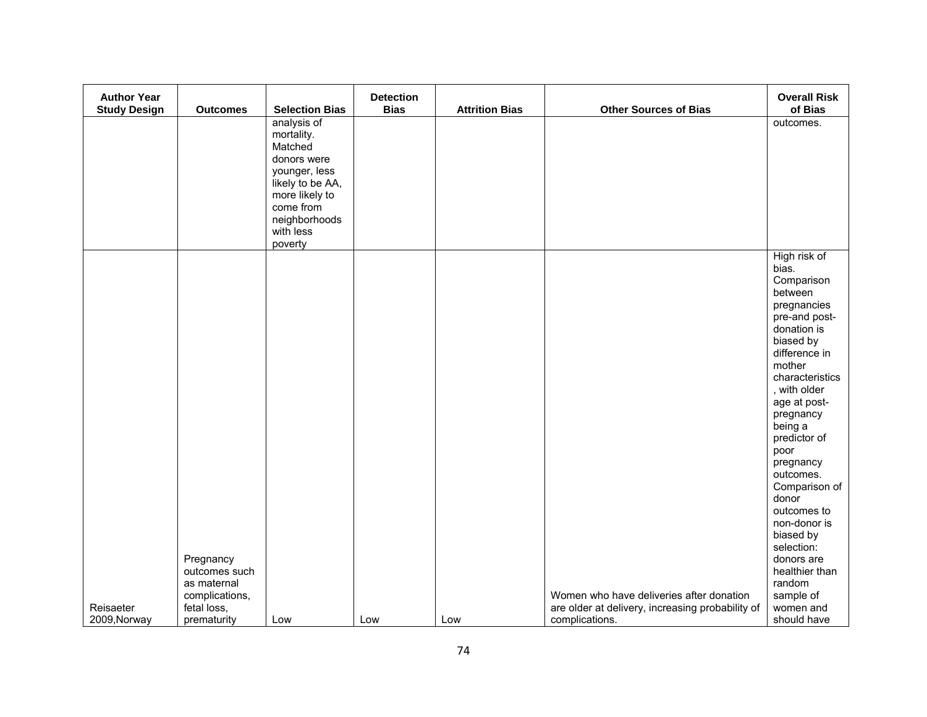| <b>Author Year</b>  |                 |                       | <b>Detection</b> |                       |                                                  | <b>Overall Risk</b>    |
|---------------------|-----------------|-----------------------|------------------|-----------------------|--------------------------------------------------|------------------------|
| <b>Study Design</b> | <b>Outcomes</b> | <b>Selection Bias</b> | <b>Bias</b>      | <b>Attrition Bias</b> | <b>Other Sources of Bias</b>                     | of Bias                |
|                     |                 | analysis of           |                  |                       |                                                  | outcomes.              |
|                     |                 | mortality.<br>Matched |                  |                       |                                                  |                        |
|                     |                 | donors were           |                  |                       |                                                  |                        |
|                     |                 | younger, less         |                  |                       |                                                  |                        |
|                     |                 | likely to be AA,      |                  |                       |                                                  |                        |
|                     |                 | more likely to        |                  |                       |                                                  |                        |
|                     |                 | come from             |                  |                       |                                                  |                        |
|                     |                 | neighborhoods         |                  |                       |                                                  |                        |
|                     |                 | with less             |                  |                       |                                                  |                        |
|                     |                 | poverty               |                  |                       |                                                  |                        |
|                     |                 |                       |                  |                       |                                                  | High risk of           |
|                     |                 |                       |                  |                       |                                                  | bias.                  |
|                     |                 |                       |                  |                       |                                                  | Comparison             |
|                     |                 |                       |                  |                       |                                                  | between<br>pregnancies |
|                     |                 |                       |                  |                       |                                                  | pre-and post-          |
|                     |                 |                       |                  |                       |                                                  | donation is            |
|                     |                 |                       |                  |                       |                                                  | biased by              |
|                     |                 |                       |                  |                       |                                                  | difference in          |
|                     |                 |                       |                  |                       |                                                  | mother                 |
|                     |                 |                       |                  |                       |                                                  | characteristics        |
|                     |                 |                       |                  |                       |                                                  | , with older           |
|                     |                 |                       |                  |                       |                                                  | age at post-           |
|                     |                 |                       |                  |                       |                                                  | pregnancy              |
|                     |                 |                       |                  |                       |                                                  | being a                |
|                     |                 |                       |                  |                       |                                                  | predictor of           |
|                     |                 |                       |                  |                       |                                                  | poor                   |
|                     |                 |                       |                  |                       |                                                  | pregnancy<br>outcomes. |
|                     |                 |                       |                  |                       |                                                  | Comparison of          |
|                     |                 |                       |                  |                       |                                                  | donor                  |
|                     |                 |                       |                  |                       |                                                  | outcomes to            |
|                     |                 |                       |                  |                       |                                                  | non-donor is           |
|                     |                 |                       |                  |                       |                                                  | biased by              |
|                     |                 |                       |                  |                       |                                                  | selection:             |
|                     | Pregnancy       |                       |                  |                       |                                                  | donors are             |
|                     | outcomes such   |                       |                  |                       |                                                  | healthier than         |
|                     | as maternal     |                       |                  |                       |                                                  | random                 |
|                     | complications,  |                       |                  |                       | Women who have deliveries after donation         | sample of              |
| Reisaeter           | fetal loss,     |                       |                  |                       | are older at delivery, increasing probability of | women and              |
| 2009, Norway        | prematurity     | Low                   | Low              | Low                   | complications.                                   | should have            |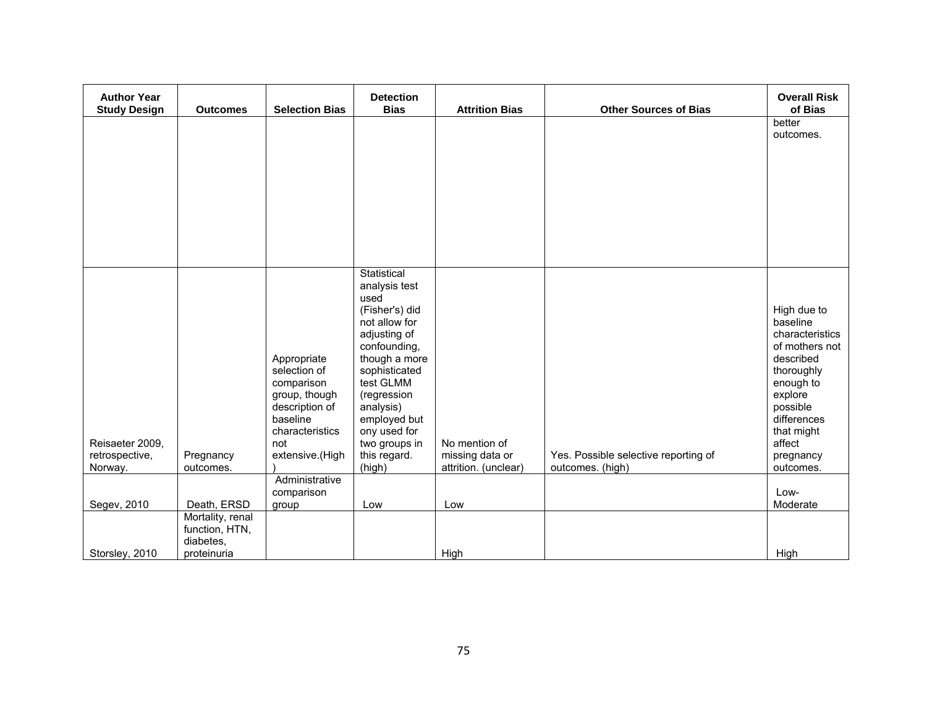| <b>Outcomes</b>  | <b>Selection Bias</b>                 | <b>Detection</b><br><b>Bias</b>                                                                            | <b>Attrition Bias</b>                                                                                                                                                          | <b>Other Sources of Bias</b>                    | <b>Overall Risk</b><br>of Bias       |
|------------------|---------------------------------------|------------------------------------------------------------------------------------------------------------|--------------------------------------------------------------------------------------------------------------------------------------------------------------------------------|-------------------------------------------------|--------------------------------------|
|                  |                                       |                                                                                                            |                                                                                                                                                                                |                                                 | better                               |
|                  |                                       |                                                                                                            |                                                                                                                                                                                |                                                 | outcomes.                            |
|                  |                                       |                                                                                                            |                                                                                                                                                                                |                                                 |                                      |
|                  |                                       |                                                                                                            |                                                                                                                                                                                |                                                 |                                      |
|                  |                                       |                                                                                                            |                                                                                                                                                                                |                                                 |                                      |
|                  |                                       |                                                                                                            |                                                                                                                                                                                |                                                 |                                      |
|                  |                                       |                                                                                                            |                                                                                                                                                                                |                                                 |                                      |
|                  |                                       |                                                                                                            |                                                                                                                                                                                |                                                 |                                      |
|                  |                                       |                                                                                                            |                                                                                                                                                                                |                                                 |                                      |
|                  |                                       |                                                                                                            |                                                                                                                                                                                |                                                 |                                      |
|                  |                                       | used                                                                                                       |                                                                                                                                                                                |                                                 |                                      |
|                  |                                       | (Fisher's) did                                                                                             |                                                                                                                                                                                |                                                 | High due to                          |
|                  |                                       |                                                                                                            |                                                                                                                                                                                |                                                 | baseline<br>characteristics          |
|                  |                                       | confounding,                                                                                               |                                                                                                                                                                                |                                                 | of mothers not                       |
|                  |                                       |                                                                                                            |                                                                                                                                                                                |                                                 | described<br>thoroughly              |
|                  | comparison                            | test GLMM                                                                                                  |                                                                                                                                                                                |                                                 | enough to                            |
|                  | group, though                         | (regression                                                                                                |                                                                                                                                                                                |                                                 | explore                              |
|                  |                                       |                                                                                                            |                                                                                                                                                                                |                                                 | possible<br>differences              |
|                  | characteristics                       | ony used for                                                                                               |                                                                                                                                                                                |                                                 | that might                           |
|                  |                                       |                                                                                                            |                                                                                                                                                                                |                                                 | affect                               |
| outcomes.        |                                       |                                                                                                            | attrition. (unclear)                                                                                                                                                           | outcomes. (high)                                | pregnancy<br>outcomes.               |
|                  | Administrative                        |                                                                                                            |                                                                                                                                                                                |                                                 |                                      |
|                  |                                       |                                                                                                            |                                                                                                                                                                                |                                                 | Low-<br>Moderate                     |
| Mortality, renal |                                       |                                                                                                            |                                                                                                                                                                                |                                                 |                                      |
| function, HTN,   |                                       |                                                                                                            |                                                                                                                                                                                |                                                 |                                      |
| proteinuria      |                                       |                                                                                                            |                                                                                                                                                                                |                                                 | High                                 |
|                  | Pregnancy<br>Death, ERSD<br>diabetes, | Appropriate<br>selection of<br>description of<br>baseline<br>not<br>extensive.(High<br>comparison<br>group | Statistical<br>analysis test<br>not allow for<br>adjusting of<br>though a more<br>sophisticated<br>analysis)<br>employed but<br>two groups in<br>this regard.<br>(high)<br>Low | No mention of<br>missing data or<br>Low<br>High | Yes. Possible selective reporting of |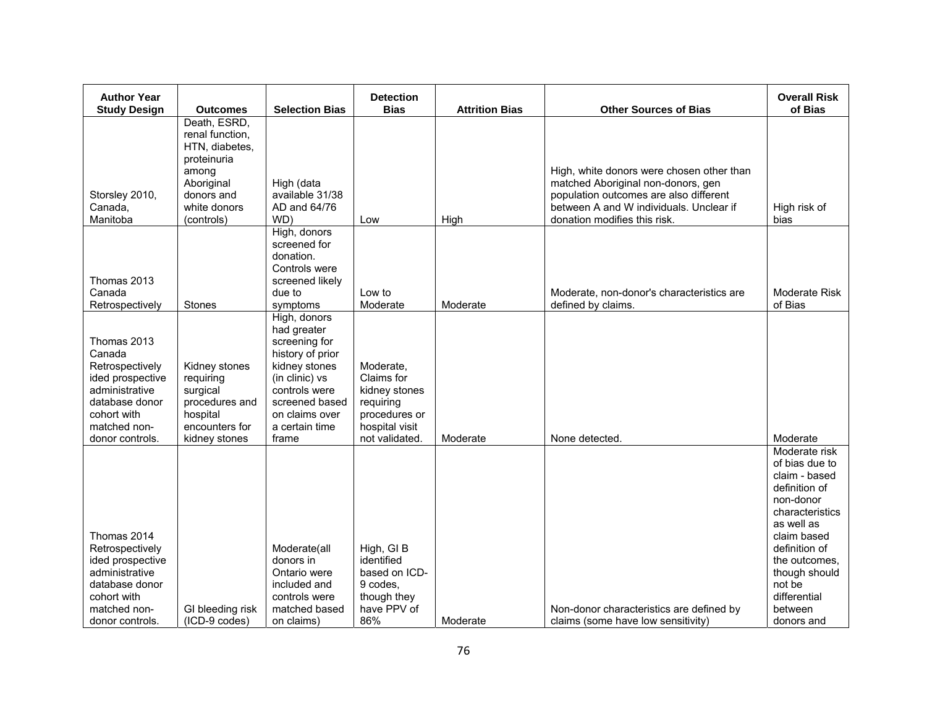| <b>Author Year</b><br><b>Study Design</b> | <b>Outcomes</b>            | <b>Selection Bias</b>            | <b>Detection</b><br><b>Bias</b> | <b>Attrition Bias</b> | <b>Other Sources of Bias</b>                                                 | <b>Overall Risk</b><br>of Bias |
|-------------------------------------------|----------------------------|----------------------------------|---------------------------------|-----------------------|------------------------------------------------------------------------------|--------------------------------|
|                                           | Death, ESRD,               |                                  |                                 |                       |                                                                              |                                |
|                                           | renal function.            |                                  |                                 |                       |                                                                              |                                |
|                                           | HTN, diabetes,             |                                  |                                 |                       |                                                                              |                                |
|                                           | proteinuria                |                                  |                                 |                       |                                                                              |                                |
|                                           | among                      |                                  |                                 |                       | High, white donors were chosen other than                                    |                                |
| Storsley 2010,                            | Aboriginal<br>donors and   | High (data<br>available 31/38    |                                 |                       | matched Aboriginal non-donors, gen<br>population outcomes are also different |                                |
| Canada,                                   | white donors               | AD and 64/76                     |                                 |                       | between A and W individuals. Unclear if                                      | High risk of                   |
| Manitoba                                  | (controls)                 | WD)                              | Low                             | High                  | donation modifies this risk.                                                 | bias                           |
|                                           |                            | High, donors                     |                                 |                       |                                                                              |                                |
|                                           |                            | screened for                     |                                 |                       |                                                                              |                                |
|                                           |                            | donation.<br>Controls were       |                                 |                       |                                                                              |                                |
| Thomas 2013                               |                            | screened likely                  |                                 |                       |                                                                              |                                |
| Canada                                    |                            | due to                           | Low to                          |                       | Moderate, non-donor's characteristics are                                    | Moderate Risk                  |
| Retrospectively                           | <b>Stones</b>              | symptoms                         | Moderate                        | Moderate              | defined by claims.                                                           | of Bias                        |
|                                           |                            | High, donors                     |                                 |                       |                                                                              |                                |
| Thomas 2013                               |                            | had greater<br>screening for     |                                 |                       |                                                                              |                                |
| Canada                                    |                            | history of prior                 |                                 |                       |                                                                              |                                |
| Retrospectively                           | Kidney stones              | kidney stones                    | Moderate,                       |                       |                                                                              |                                |
| ided prospective                          | requiring                  | (in clinic) vs                   | Claims for                      |                       |                                                                              |                                |
| administrative                            | surgical                   | controls were                    | kidney stones                   |                       |                                                                              |                                |
| database donor                            | procedures and             | screened based                   | requiring                       |                       |                                                                              |                                |
| cohort with<br>matched non-               | hospital<br>encounters for | on claims over<br>a certain time | procedures or<br>hospital visit |                       |                                                                              |                                |
| donor controls.                           | kidney stones              | frame                            | not validated.                  | Moderate              | None detected.                                                               | Moderate                       |
|                                           |                            |                                  |                                 |                       |                                                                              | Moderate risk                  |
|                                           |                            |                                  |                                 |                       |                                                                              | of bias due to                 |
|                                           |                            |                                  |                                 |                       |                                                                              | claim - based                  |
|                                           |                            |                                  |                                 |                       |                                                                              | definition of<br>non-donor     |
|                                           |                            |                                  |                                 |                       |                                                                              | characteristics                |
|                                           |                            |                                  |                                 |                       |                                                                              | as well as                     |
| Thomas 2014                               |                            |                                  |                                 |                       |                                                                              | claim based                    |
| Retrospectively                           |                            | Moderate(all                     | High, GIB                       |                       |                                                                              | definition of                  |
| ided prospective                          |                            | donors in                        | identified                      |                       |                                                                              | the outcomes,                  |
| administrative<br>database donor          |                            | Ontario were<br>included and     | based on ICD-<br>9 codes,       |                       |                                                                              | though should<br>not be        |
| cohort with                               |                            | controls were                    | though they                     |                       |                                                                              | differential                   |
| matched non-                              | GI bleeding risk           | matched based                    | have PPV of                     |                       | Non-donor characteristics are defined by                                     | between                        |
| donor controls.                           | (ICD-9 codes)              | on claims)                       | 86%                             | Moderate              | claims (some have low sensitivity)                                           | donors and                     |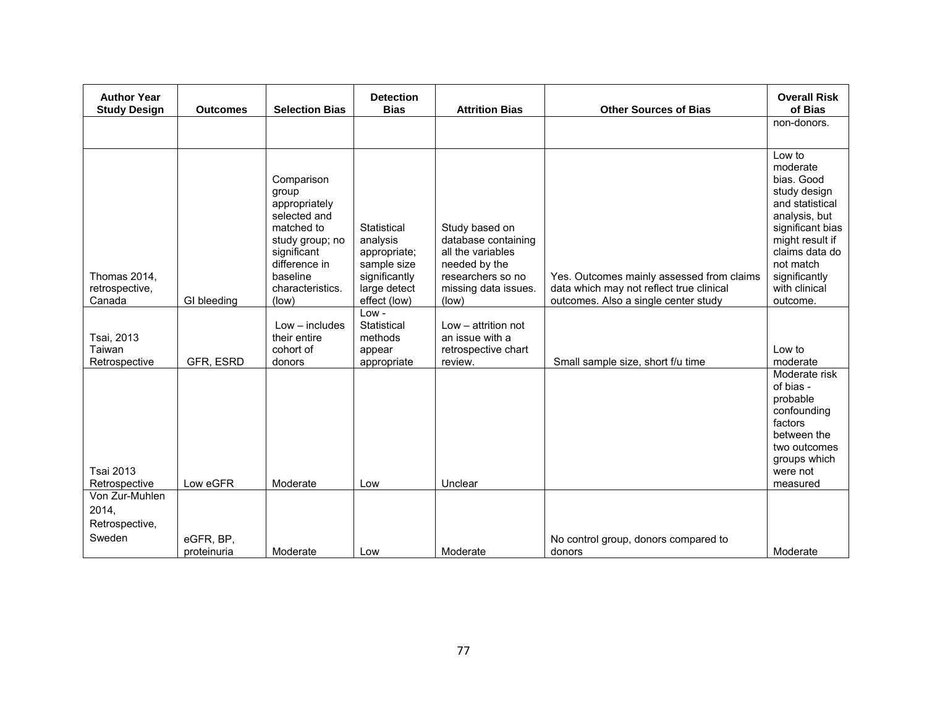| <b>Author Year</b><br><b>Study Design</b>           | <b>Outcomes</b>          | <b>Selection Bias</b>                                                                                                                                 | <b>Detection</b><br><b>Bias</b>                                                         | <b>Attrition Bias</b>                                                                                                    | <b>Other Sources of Bias</b>                                                          | <b>Overall Risk</b><br>of Bias                                                                                                                                                               |
|-----------------------------------------------------|--------------------------|-------------------------------------------------------------------------------------------------------------------------------------------------------|-----------------------------------------------------------------------------------------|--------------------------------------------------------------------------------------------------------------------------|---------------------------------------------------------------------------------------|----------------------------------------------------------------------------------------------------------------------------------------------------------------------------------------------|
|                                                     |                          |                                                                                                                                                       |                                                                                         |                                                                                                                          |                                                                                       | non-donors.                                                                                                                                                                                  |
| Thomas 2014,<br>retrospective,                      |                          | Comparison<br>group<br>appropriately<br>selected and<br>matched to<br>study group; no<br>significant<br>difference in<br>baseline<br>characteristics. | Statistical<br>analysis<br>appropriate;<br>sample size<br>significantly<br>large detect | Study based on<br>database containing<br>all the variables<br>needed by the<br>researchers so no<br>missing data issues. | Yes. Outcomes mainly assessed from claims<br>data which may not reflect true clinical | Low to<br>moderate<br>bias. Good<br>study design<br>and statistical<br>analysis, but<br>significant bias<br>might result if<br>claims data do<br>not match<br>significantly<br>with clinical |
| Canada                                              | GI bleeding              | (low)                                                                                                                                                 | effect (low)<br>$Low -$                                                                 | (low)                                                                                                                    | outcomes. Also a single center study                                                  | outcome.                                                                                                                                                                                     |
| Tsai, 2013<br>Taiwan<br>Retrospective               | GFR, ESRD                | $Low - includes$<br>their entire<br>cohort of<br>donors                                                                                               | Statistical<br>methods<br>appear<br>appropriate                                         | Low - attrition not<br>an issue with a<br>retrospective chart<br>review.                                                 | Small sample size, short f/u time                                                     | Low to<br>moderate                                                                                                                                                                           |
| <b>Tsai 2013</b><br>Retrospective                   | Low eGFR                 | Moderate                                                                                                                                              | Low                                                                                     | Unclear                                                                                                                  |                                                                                       | Moderate risk<br>of bias -<br>probable<br>confounding<br>factors<br>between the<br>two outcomes<br>groups which<br>were not<br>measured                                                      |
| Von Zur-Muhlen<br>2014,<br>Retrospective,<br>Sweden | eGFR, BP,<br>proteinuria | Moderate                                                                                                                                              | Low                                                                                     | Moderate                                                                                                                 | No control group, donors compared to<br>donors                                        | Moderate                                                                                                                                                                                     |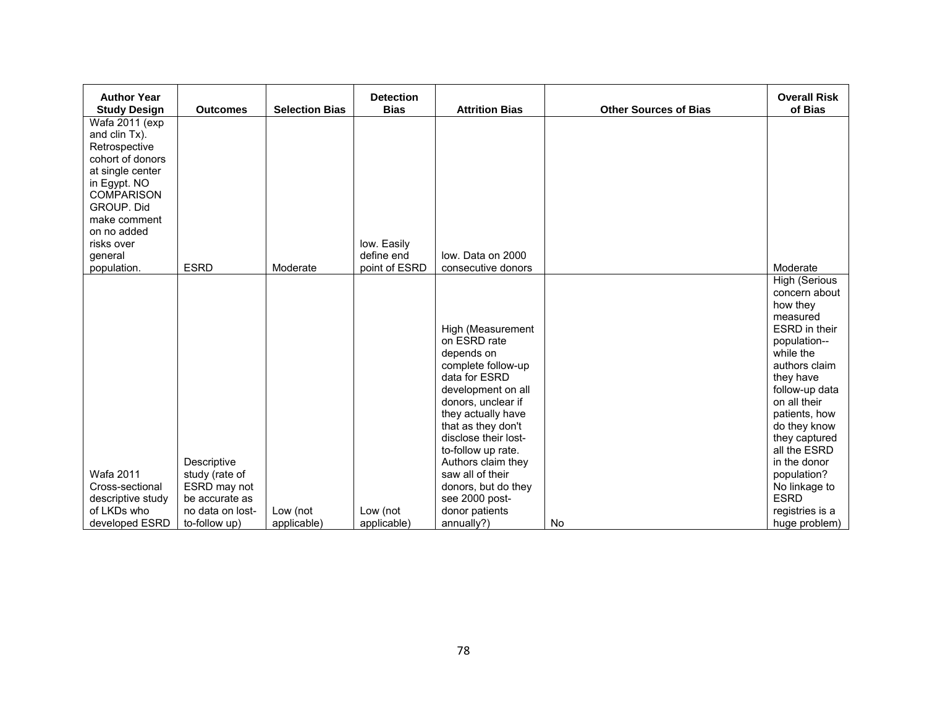| <b>Author Year</b><br><b>Study Design</b>                                           | <b>Outcomes</b>                                                                                      | <b>Selection Bias</b>   | <b>Detection</b><br><b>Bias</b> | <b>Attrition Bias</b>                                                                                                                 | <b>Other Sources of Bias</b> | <b>Overall Risk</b><br>of Bias                                                                                                      |
|-------------------------------------------------------------------------------------|------------------------------------------------------------------------------------------------------|-------------------------|---------------------------------|---------------------------------------------------------------------------------------------------------------------------------------|------------------------------|-------------------------------------------------------------------------------------------------------------------------------------|
| Wafa 2011 (exp<br>and clin Tx).<br>Retrospective<br>cohort of donors                |                                                                                                      |                         |                                 |                                                                                                                                       |                              |                                                                                                                                     |
| at single center<br>in Egypt. NO<br><b>COMPARISON</b><br>GROUP. Did<br>make comment |                                                                                                      |                         |                                 |                                                                                                                                       |                              |                                                                                                                                     |
| on no added                                                                         |                                                                                                      |                         |                                 |                                                                                                                                       |                              |                                                                                                                                     |
| risks over<br>general                                                               |                                                                                                      |                         | low. Easily<br>define end       | low. Data on 2000                                                                                                                     |                              |                                                                                                                                     |
| population.                                                                         | <b>ESRD</b>                                                                                          | Moderate                | point of ESRD                   | consecutive donors                                                                                                                    |                              | Moderate                                                                                                                            |
|                                                                                     |                                                                                                      |                         |                                 | High (Measurement<br>on ESRD rate<br>depends on<br>complete follow-up                                                                 |                              | <b>High (Serious</b><br>concern about<br>how they<br>measured<br><b>ESRD</b> in their<br>population--<br>while the<br>authors claim |
|                                                                                     |                                                                                                      |                         |                                 | data for ESRD<br>development on all<br>donors, unclear if<br>they actually have<br>that as they don't<br>disclose their lost-         |                              | they have<br>follow-up data<br>on all their<br>patients, how<br>do they know<br>they captured<br>all the ESRD                       |
| Wafa 2011<br>Cross-sectional<br>descriptive study<br>of LKDs who<br>developed ESRD  | Descriptive<br>study (rate of<br>ESRD may not<br>be accurate as<br>no data on lost-<br>to-follow up) | Low (not<br>applicable) | Low (not<br>applicable)         | to-follow up rate.<br>Authors claim they<br>saw all of their<br>donors, but do they<br>see 2000 post-<br>donor patients<br>annually?) | <b>No</b>                    | in the donor<br>population?<br>No linkage to<br><b>ESRD</b><br>registries is a<br>huge problem)                                     |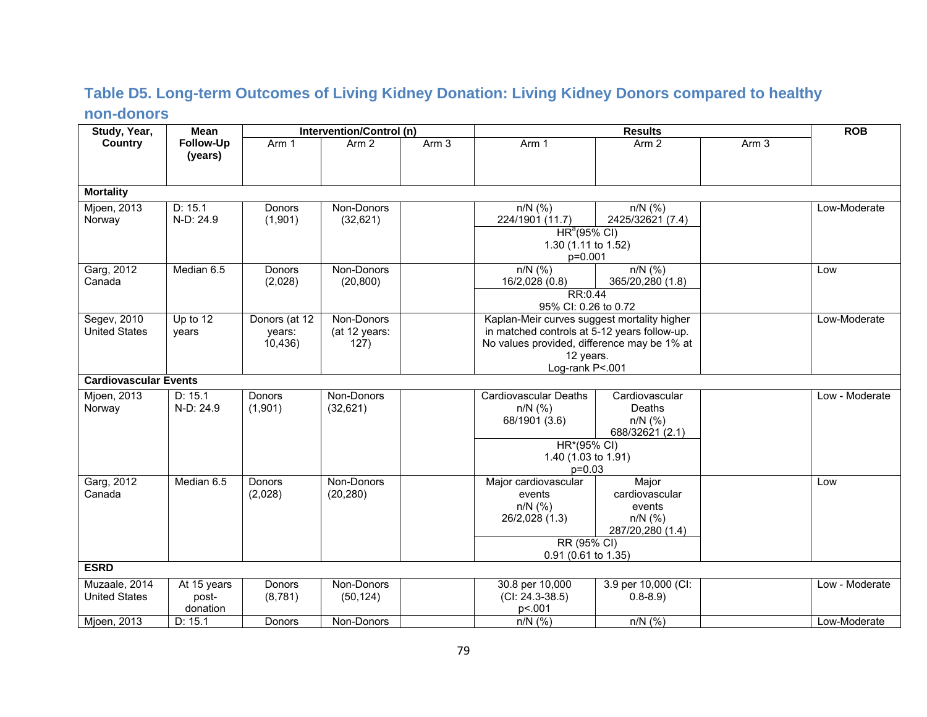#### **Table D5. Long-term Outcomes of Living Kidney Donation: Living Kidney Donors compared to healthy non-donors**

| Study, Year,                          | <b>Mean</b>                      |                                    | Intervention/Control (n)            |                  |                                                                                                                                                                            |                                                                    | <b>ROB</b>       |                |
|---------------------------------------|----------------------------------|------------------------------------|-------------------------------------|------------------|----------------------------------------------------------------------------------------------------------------------------------------------------------------------------|--------------------------------------------------------------------|------------------|----------------|
| <b>Country</b>                        | Follow-Up<br>(years)             | Arm 1                              | Arm <sub>2</sub>                    | Arm <sub>3</sub> | Arm 1                                                                                                                                                                      | Arm <sub>2</sub>                                                   | Arm <sub>3</sub> |                |
| <b>Mortality</b>                      |                                  |                                    |                                     |                  |                                                                                                                                                                            |                                                                    |                  |                |
| Mjoen, 2013<br>Norway                 | D: 15.1<br>N-D: 24.9             | Donors<br>(1,901)                  | Non-Donors<br>(32,621)              |                  | $n/N$ (%)<br>224/1901 (11.7)<br>HR <sup>a</sup> (95% CI)<br>1.30 (1.11 to 1.52)<br>p=0.001                                                                                 | $n/N$ (%)<br>2425/32621 (7.4)                                      |                  | Low-Moderate   |
| Garg, 2012<br>Canada                  | Median 6.5                       | Donors<br>(2,028)                  | Non-Donors<br>(20, 800)             |                  | $n/N$ (%)<br>16/2,028 (0.8)<br>RR:0.44<br>95% CI: 0.26 to 0.72                                                                                                             | $n/N$ (%)<br>365/20,280 (1.8)                                      |                  | Low            |
| Segev, 2010<br><b>United States</b>   | Up to 12<br>vears                | Donors (at 12<br>years:<br>10,436) | Non-Donors<br>(at 12 years:<br>127) |                  | Kaplan-Meir curves suggest mortality higher<br>in matched controls at 5-12 years follow-up.<br>No values provided, difference may be 1% at<br>12 years.<br>Log-rank P<.001 |                                                                    |                  | Low-Moderate   |
| <b>Cardiovascular Events</b>          |                                  |                                    |                                     |                  |                                                                                                                                                                            |                                                                    |                  |                |
| Mjoen, 2013<br>Norway                 | D: 15.1<br>N-D: 24.9             | <b>Donors</b><br>(1,901)           | Non-Donors<br>(32, 621)             |                  | Cardiovascular Deaths<br>$n/N$ (%)<br>68/1901 (3.6)<br>HR*(95% CI)<br>1.40 (1.03 to 1.91)                                                                                  | Cardiovascular<br>Deaths<br>$n/N$ (%)<br>688/32621 (2.1)           |                  | Low - Moderate |
|                                       |                                  |                                    |                                     |                  | $p=0.03$                                                                                                                                                                   |                                                                    |                  |                |
| Garg, 2012<br>Canada                  | Median 6.5                       | Donors<br>(2,028)                  | Non-Donors<br>(20, 280)             |                  | Major cardiovascular<br>events<br>$n/N$ (%)<br>26/2,028 (1.3)<br>RR (95% CI)                                                                                               | Major<br>cardiovascular<br>events<br>$n/N$ (%)<br>287/20,280 (1.4) |                  | Low            |
|                                       |                                  |                                    |                                     |                  | 0.91 (0.61 to 1.35)                                                                                                                                                        |                                                                    |                  |                |
| <b>ESRD</b>                           |                                  |                                    |                                     |                  |                                                                                                                                                                            |                                                                    |                  |                |
| Muzaale, 2014<br><b>United States</b> | At 15 years<br>post-<br>donation | Donors<br>(8,781)                  | Non-Donors<br>(50, 124)             |                  | 30.8 per 10,000<br>$(CI: 24.3-38.5)$<br>p<.001                                                                                                                             | 3.9 per 10,000 (CI:<br>$0.8 - 8.9$                                 |                  | Low - Moderate |
| Mjoen, 2013                           | D: 15.1                          | Donors                             | Non-Donors                          |                  | $n/N$ (%)                                                                                                                                                                  | $n/N$ (%)                                                          |                  | Low-Moderate   |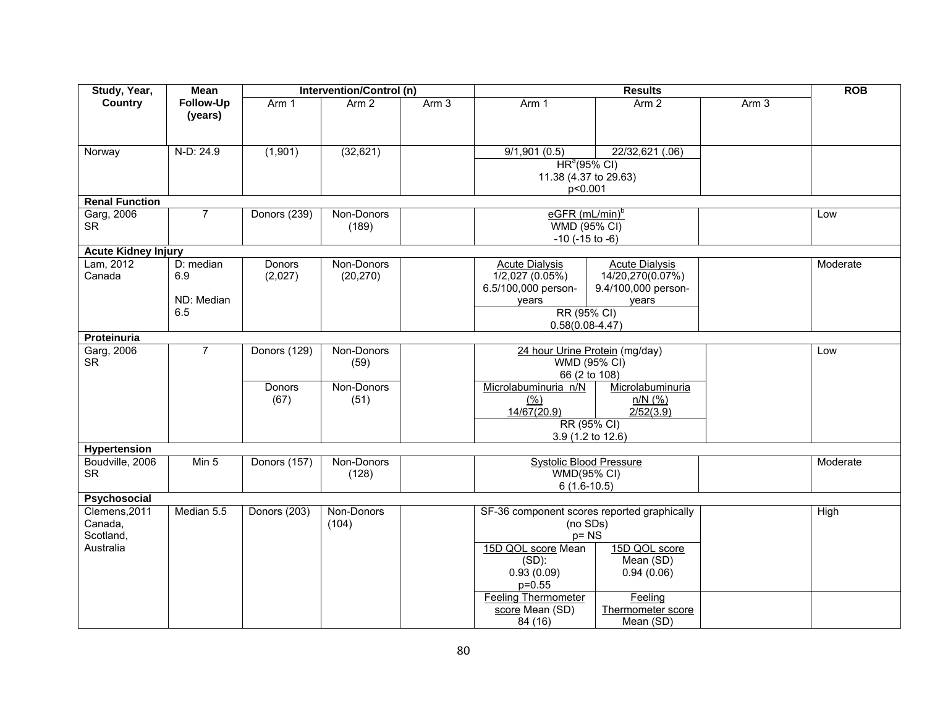| Study, Year,                                       | <b>Mean</b>                           |                       | Intervention/Control (n) |                  |                                                                                                                                                                 |                                                                                | <b>ROB</b>       |          |
|----------------------------------------------------|---------------------------------------|-----------------------|--------------------------|------------------|-----------------------------------------------------------------------------------------------------------------------------------------------------------------|--------------------------------------------------------------------------------|------------------|----------|
| Country                                            | Follow-Up<br>(years)                  | Arm 1                 | Arm 2                    | Arm <sub>3</sub> | Arm 1                                                                                                                                                           | <b>Results</b><br>Arm 2                                                        | Arm <sub>3</sub> |          |
| Norway                                             | $N-D: 24.9$                           | (1,901)               | (32, 621)                |                  | 9/1,901(0.5)<br>HR <sup>a</sup> (95% CI)<br>11.38 (4.37 to 29.63)<br>p<0.001                                                                                    | 22/32,621 (.06)                                                                |                  |          |
| <b>Renal Function</b>                              |                                       |                       |                          |                  |                                                                                                                                                                 |                                                                                |                  |          |
| Garg, 2006<br><b>SR</b>                            | $\overline{7}$                        | Donors (239)          | Non-Donors<br>(189)      |                  | eGFR (mL/min) <sup>b</sup><br>WMD (95% CI)<br>$-10$ ( $-15$ to $-6$ )                                                                                           |                                                                                |                  | Low      |
| <b>Acute Kidney Injury</b>                         |                                       |                       |                          |                  |                                                                                                                                                                 |                                                                                |                  |          |
| Lam, 2012<br>Canada                                | D: median<br>6.9<br>ND: Median<br>6.5 | Donors<br>(2,027)     | Non-Donors<br>(20, 270)  |                  | <b>Acute Dialysis</b><br>1/2,027(0.05%)<br>6.5/100,000 person-<br>years<br>RR (95% CI)<br>$0.58(0.08 - 4.47)$                                                   | <b>Acute Dialysis</b><br>14/20,270(0.07%)<br>9.4/100,000 person-<br>years      |                  | Moderate |
| Proteinuria                                        |                                       |                       |                          |                  |                                                                                                                                                                 |                                                                                |                  |          |
| Garg, 2006<br><b>SR</b>                            | $\overline{7}$                        | Donors (129)          | Non-Donors<br>(59)       |                  |                                                                                                                                                                 | 24 hour Urine Protein (mg/day)<br>WMD (95% CI)<br>66 (2 to 108)                |                  | Low      |
|                                                    |                                       | <b>Donors</b><br>(67) | Non-Donors<br>(51)       |                  | Microlabuminuria n/N<br>(%)<br>14/67(20.9)                                                                                                                      | Microlabuminuria<br>$n/N$ (%)<br>2/52(3.9)<br>RR (95% CI)<br>3.9 (1.2 to 12.6) |                  |          |
| Hypertension                                       |                                       |                       |                          |                  |                                                                                                                                                                 |                                                                                |                  |          |
| Boudville, 2006<br><b>SR</b>                       | Min <sub>5</sub>                      | Donors (157)          | Non-Donors<br>(128)      |                  | <b>Systolic Blood Pressure</b><br><b>WMD(95% CI)</b><br>$6(1.6-10.5)$                                                                                           |                                                                                |                  | Moderate |
| Psychosocial                                       |                                       |                       |                          |                  |                                                                                                                                                                 |                                                                                |                  |          |
| Clemens, 2011<br>Canada,<br>Scotland,<br>Australia | Median 5.5                            | Donors (203)          | Non-Donors<br>(104)      |                  | SF-36 component scores reported graphically<br>(no SDs)<br>$p = NS$<br>15D QOL score Mean<br>$(SD)$ :<br>0.93(0.09)<br>$p = 0.55$<br><b>Feeling Thermometer</b> | 15D QOL score<br>Mean (SD)<br>0.94(0.06)                                       |                  | High     |
|                                                    |                                       |                       |                          |                  | score Mean (SD)<br>84 (16)                                                                                                                                      | Feeling<br>Thermometer score<br>Mean (SD)                                      |                  |          |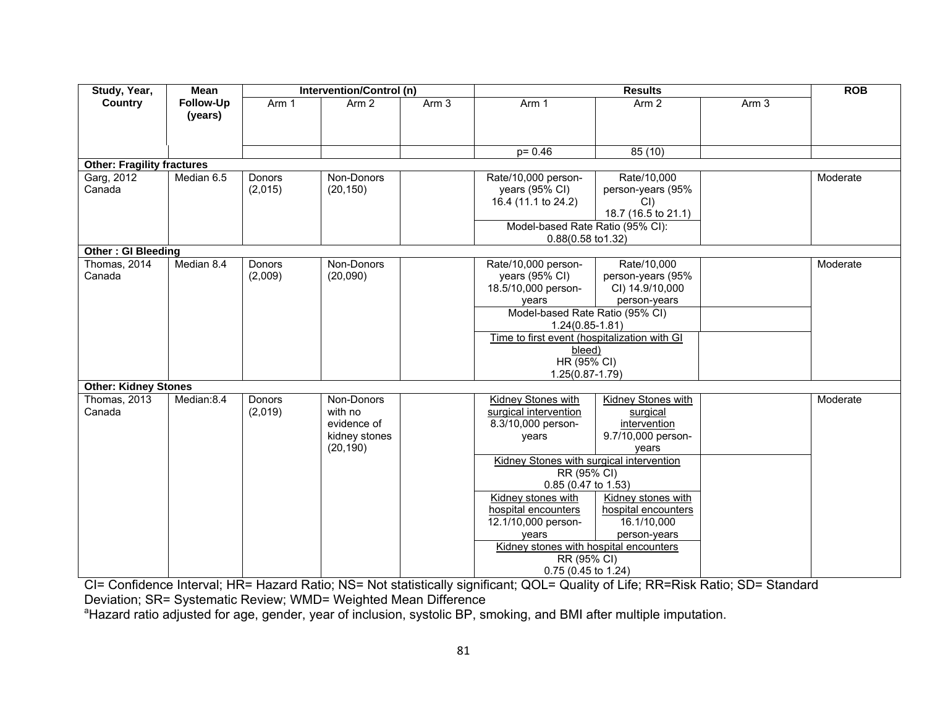| Study, Year,                                          | Mean                 |                          | Intervention/Control (n)                                           |       | <b>Results</b>                                                                                                                                                                                                                                                                                                            |                                                                                                                                                                  |                  | <b>ROB</b> |
|-------------------------------------------------------|----------------------|--------------------------|--------------------------------------------------------------------|-------|---------------------------------------------------------------------------------------------------------------------------------------------------------------------------------------------------------------------------------------------------------------------------------------------------------------------------|------------------------------------------------------------------------------------------------------------------------------------------------------------------|------------------|------------|
| Country                                               | Follow-Up<br>(years) | Arm 1                    | Arm <sub>2</sub>                                                   | Arm 3 | Arm 1                                                                                                                                                                                                                                                                                                                     | Arm <sub>2</sub>                                                                                                                                                 | Arm <sub>3</sub> |            |
|                                                       |                      |                          |                                                                    |       | $p = 0.46$                                                                                                                                                                                                                                                                                                                | 85(10)                                                                                                                                                           |                  |            |
| <b>Other: Fragility fractures</b>                     |                      |                          |                                                                    |       |                                                                                                                                                                                                                                                                                                                           |                                                                                                                                                                  |                  |            |
| Garg, 2012<br>Canada                                  | Median 6.5           | Donors<br>(2,015)        | Non-Donors<br>(20, 150)                                            |       | Rate/10,000 person-<br>years (95% CI)<br>16.4 (11.1 to 24.2)<br>Model-based Rate Ratio (95% CI):                                                                                                                                                                                                                          | Rate/10,000<br>person-years (95%<br>CI<br>18.7 (16.5 to 21.1)                                                                                                    |                  | Moderate   |
|                                                       |                      |                          |                                                                    |       | 0.88(0.58 to 1.32)                                                                                                                                                                                                                                                                                                        |                                                                                                                                                                  |                  |            |
| <b>Other: GI Bleeding</b><br>Thomas, 2014<br>Canada   | Median 8.4           | Donors<br>(2,009)        | Non-Donors<br>(20,090)                                             |       | Rate/10,000 person-<br>years (95% CI)<br>18.5/10,000 person-<br>years<br>Model-based Rate Ratio (95% CI)<br>$1.24(0.85 - 1.81)$<br>Time to first event (hospitalization with GI<br>bleed)<br>HR (95% CI)<br>$1.25(0.87 - 1.79)$                                                                                           | Rate/10,000<br>person-years (95%<br>CI) 14.9/10,000<br>person-years                                                                                              |                  | Moderate   |
| <b>Other: Kidney Stones</b><br>Thomas, 2013<br>Canada | Median:8.4           | <b>Donors</b><br>(2,019) | Non-Donors<br>with no<br>evidence of<br>kidney stones<br>(20, 190) |       | Kidney Stones with<br>surgical intervention<br>8.3/10,000 person-<br>years<br>Kidney Stones with surgical intervention<br>RR (95% CI)<br>0.85 (0.47 to 1.53)<br>Kidney stones with<br>hospital encounters<br>12.1/10,000 person-<br>vears<br>Kidney stones with hospital encounters<br>RR (95% CI)<br>0.75 (0.45 to 1.24) | <b>Kidney Stones with</b><br>surgical<br>intervention<br>9.7/10,000 person-<br>vears<br>Kidney stones with<br>hospital encounters<br>16.1/10,000<br>person-years |                  | Moderate   |

CI= Confidence Interval; HR= Hazard Ratio; NS= Not statistically significant; QOL= Quality of Life; RR=Risk Ratio; SD= Standard Deviation; SR= Systematic Review; WMD= Weighted Mean Difference

<sup>a</sup>Hazard ratio adjusted for age, gender, year of inclusion, systolic BP, smoking, and BMI after multiple imputation.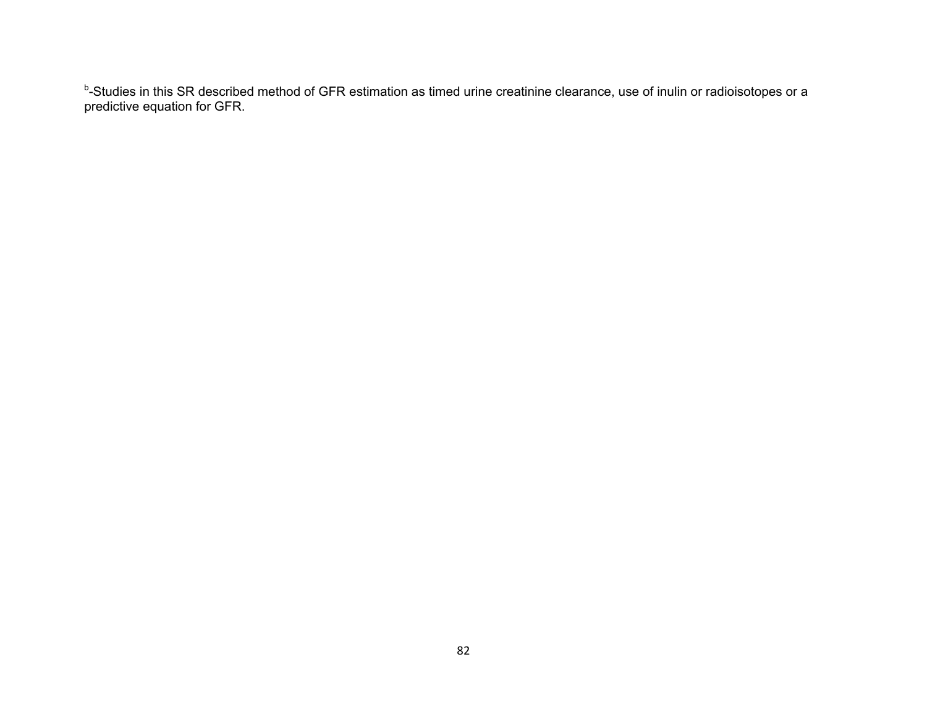<sup>b</sup>-Studies in this SR described method of GFR estimation as timed urine creatinine clearance, use of inulin or radioisotopes or a predictive equation for GFR.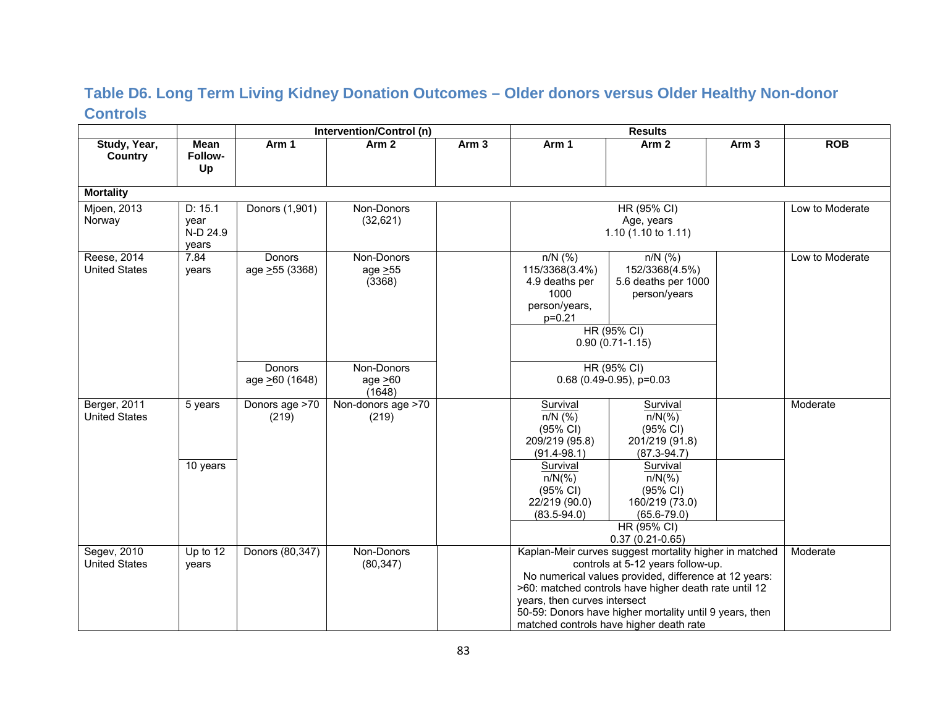#### **Table D6. Long Term Living Kidney Donation Outcomes – Older donors versus Older Healthy Non-donor Controls**

|                                      |                                      |                           | Intervention/Control (n)              |                  |                                                                                      | <b>Results</b>                                                                                                                                                                                                                                                                                                      |                  |                 |
|--------------------------------------|--------------------------------------|---------------------------|---------------------------------------|------------------|--------------------------------------------------------------------------------------|---------------------------------------------------------------------------------------------------------------------------------------------------------------------------------------------------------------------------------------------------------------------------------------------------------------------|------------------|-----------------|
| Study, Year,<br>Country              | <b>Mean</b><br>Follow-<br>Up         | Arm 1                     | Arm <sub>2</sub>                      | Arm <sub>3</sub> | Arm 1                                                                                | Arm <sub>2</sub>                                                                                                                                                                                                                                                                                                    | Arm <sub>3</sub> | <b>ROB</b>      |
| <b>Mortality</b>                     |                                      |                           |                                       |                  |                                                                                      |                                                                                                                                                                                                                                                                                                                     |                  |                 |
| Mjoen, 2013<br>Norway                | D: 15.1<br>year<br>N-D 24.9<br>years | Donors (1,901)            | Non-Donors<br>(32,621)                |                  |                                                                                      | HR (95% CI)<br>Age, years<br>1.10 $(1.10 \text{ to } 1.11)$                                                                                                                                                                                                                                                         |                  | Low to Moderate |
| Reese, 2014<br><b>United States</b>  | 7.84<br>years                        | Donors<br>age > 55 (3368) | Non-Donors<br>age $\geq 55$<br>(3368) |                  | $n/N$ (%)<br>115/3368(3.4%)<br>4.9 deaths per<br>1000<br>person/years,<br>$p = 0.21$ | $n/N$ (%)<br>152/3368(4.5%)<br>5.6 deaths per 1000<br>person/years<br>HR (95% CI)<br>$0.90(0.71-1.15)$                                                                                                                                                                                                              |                  | Low to Moderate |
|                                      |                                      | Donors<br>age >60 (1648)  | Non-Donors<br>age $\geq 60$<br>(1648) |                  |                                                                                      | HR (95% CI)<br>$0.68$ (0.49-0.95), p=0.03                                                                                                                                                                                                                                                                           |                  |                 |
| Berger, 2011<br><b>United States</b> | 5 years                              | Donors age >70<br>(219)   | Non-donors age >70<br>(219)           |                  | Survival<br>$n/N$ (%)<br>(95% CI)<br>209/219 (95.8)<br>$(91.4 - 98.1)$               | Survival<br>$n/N(\%)$<br>(95% CI)<br>201/219 (91.8)<br>$(87.3 - 94.7)$                                                                                                                                                                                                                                              |                  | Moderate        |
|                                      | 10 years                             |                           |                                       |                  | Survival<br>$n/N(\%)$<br>(95% CI)<br>22/219 (90.0)<br>$(83.5 - 94.0)$                | Survival<br>$n/N(\%)$<br>(95% CI)<br>160/219 (73.0)<br>$(65.6 - 79.0)$<br>HR (95% CI)                                                                                                                                                                                                                               |                  |                 |
|                                      |                                      |                           |                                       |                  |                                                                                      | $0.37(0.21-0.65)$                                                                                                                                                                                                                                                                                                   |                  |                 |
| Segev, 2010<br><b>United States</b>  | Up to 12<br>years                    | Donors (80,347)           | Non-Donors<br>(80, 347)               |                  | years, then curves intersect                                                         | Kaplan-Meir curves suggest mortality higher in matched<br>controls at 5-12 years follow-up.<br>No numerical values provided, difference at 12 years:<br>>60: matched controls have higher death rate until 12<br>50-59: Donors have higher mortality until 9 years, then<br>matched controls have higher death rate |                  | Moderate        |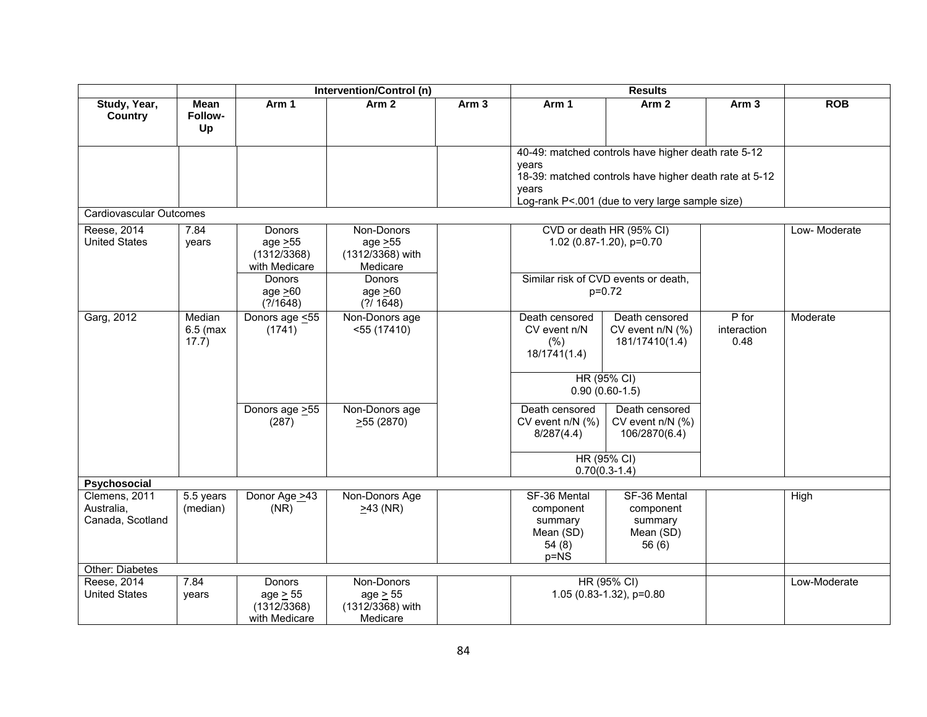|                                                 |                               |                                                         | Intervention/Control (n)                                    |                  |                                                                      | <b>Results</b>                                                                                                                                                   |                                |              |  |
|-------------------------------------------------|-------------------------------|---------------------------------------------------------|-------------------------------------------------------------|------------------|----------------------------------------------------------------------|------------------------------------------------------------------------------------------------------------------------------------------------------------------|--------------------------------|--------------|--|
| Study, Year,<br>Country                         | Mean<br>Follow-<br>Up         | Arm 1                                                   | Arm 2                                                       | Arm <sub>3</sub> | Arm 1                                                                | Arm <sub>2</sub>                                                                                                                                                 | Arm <sub>3</sub>               | <b>ROB</b>   |  |
|                                                 |                               |                                                         |                                                             |                  | vears<br>vears                                                       | 40-49: matched controls have higher death rate 5-12<br>18-39: matched controls have higher death rate at 5-12<br>Log-rank P<.001 (due to very large sample size) |                                |              |  |
| Cardiovascular Outcomes                         |                               |                                                         |                                                             |                  |                                                                      |                                                                                                                                                                  |                                |              |  |
| Reese, 2014<br><b>United States</b>             | 7.84<br>years                 | Donors<br>age $\geq 55$<br>(1312/3368)<br>with Medicare | Non-Donors<br>age $\geq 55$<br>(1312/3368) with<br>Medicare |                  |                                                                      | CVD or death HR (95% CI)<br>1.02 (0.87-1.20), p=0.70                                                                                                             |                                | Low-Moderate |  |
|                                                 |                               | Donors<br>age $>60$<br>(?)/1648)                        | Donors<br>age $>60$<br>$(?)$ 1648)                          |                  |                                                                      | Similar risk of CVD events or death,<br>$p=0.72$                                                                                                                 |                                |              |  |
| Garg, 2012                                      | Median<br>$6.5$ (max<br>17.7) | Donors age <55<br>(1741)                                | Non-Donors age<br>$<$ 55 (17410)                            |                  | Death censored<br>CV event n/N<br>(% )<br>18/1741(1.4)               | Death censored<br>CV event n/N (%)<br>181/17410(1.4)                                                                                                             | $P$ for<br>interaction<br>0.48 | Moderate     |  |
|                                                 |                               |                                                         |                                                             |                  |                                                                      | HR (95% CI)<br>$0.90(0.60-1.5)$                                                                                                                                  |                                |              |  |
|                                                 |                               | Donors age > 55<br>(287)                                | Non-Donors age<br>$\geq 55(2870)$                           |                  | Death censored<br>CV event $n/N$ (%)<br>8/287(4.4)                   | Death censored<br>CV event n/N (%)<br>106/2870(6.4)                                                                                                              |                                |              |  |
|                                                 |                               |                                                         |                                                             |                  |                                                                      | HR (95% CI)<br>$0.70(0.3-1.4)$                                                                                                                                   |                                |              |  |
| Psychosocial                                    |                               |                                                         |                                                             |                  |                                                                      |                                                                                                                                                                  |                                |              |  |
| Clemens, 2011<br>Australia.<br>Canada, Scotland | 5.5 years<br>(median)         | Donor Age >43<br>(NR)                                   | Non-Donors Age<br>$>43$ (NR)                                |                  | SF-36 Mental<br>component<br>summary<br>Mean (SD)<br>54(8)<br>$p=NS$ | SF-36 Mental<br>component<br>summary<br>Mean (SD)<br>56(6)                                                                                                       |                                | High         |  |
| Other: Diabetes                                 |                               |                                                         |                                                             |                  |                                                                      |                                                                                                                                                                  |                                |              |  |
| Reese, 2014<br><b>United States</b>             | 7.84<br>years                 | Donors<br>age $\geq$ 55<br>(1312/3368)<br>with Medicare | Non-Donors<br>$age \geq 55$<br>(1312/3368) with<br>Medicare |                  |                                                                      | HR (95% CI)<br>1.05 (0.83-1.32), p=0.80                                                                                                                          |                                | Low-Moderate |  |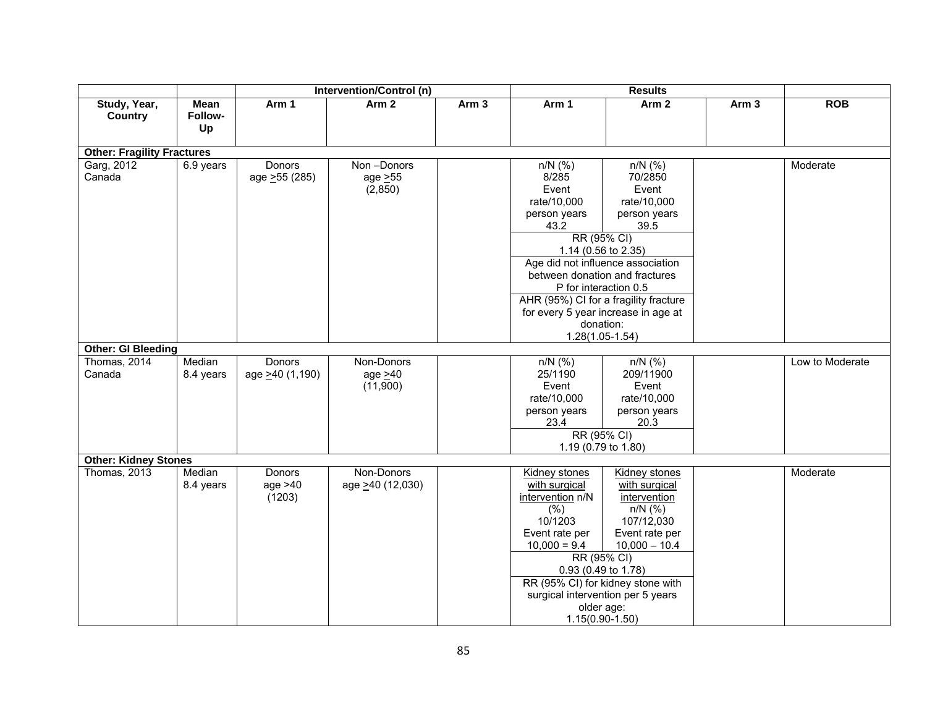|                                   |                       |                                      | Intervention/Control (n)                |                  |                                                                                                                                                                                    | <b>Results</b>                                                                                                                                                                           |                  |                 |  |
|-----------------------------------|-----------------------|--------------------------------------|-----------------------------------------|------------------|------------------------------------------------------------------------------------------------------------------------------------------------------------------------------------|------------------------------------------------------------------------------------------------------------------------------------------------------------------------------------------|------------------|-----------------|--|
| Study, Year,<br>Country           | Mean<br>Follow-<br>Up | Arm 1                                | Arm <sub>2</sub>                        | Arm <sub>3</sub> | Arm 1                                                                                                                                                                              | Arm <sub>2</sub>                                                                                                                                                                         | Arm <sub>3</sub> | <b>ROB</b>      |  |
| <b>Other: Fragility Fractures</b> |                       |                                      |                                         |                  |                                                                                                                                                                                    |                                                                                                                                                                                          |                  |                 |  |
| Garg, 2012<br>Canada              | 6.9 years             | Donors<br>age > 55 (285)             | Non-Donors<br>age > 55<br>(2,850)       |                  | $n/N$ (%)<br>8/285<br>Event<br>rate/10,000<br>person years<br>43.2<br>RR (95% CI)<br>1.14 (0.56 to 2.35)                                                                           | $n/N$ (%)<br>70/2850<br>Event<br>rate/10,000<br>person years<br>39.5                                                                                                                     |                  | Moderate        |  |
|                                   |                       |                                      |                                         |                  | Age did not influence association<br>P for interaction 0.5<br>donation:<br>$1.28(1.05-1.54)$                                                                                       | between donation and fractures<br>AHR (95%) CI for a fragility fracture<br>for every 5 year increase in age at                                                                           |                  |                 |  |
| <b>Other: GI Bleeding</b>         |                       |                                      |                                         |                  |                                                                                                                                                                                    |                                                                                                                                                                                          |                  |                 |  |
| Thomas, 2014<br>Canada            | Median<br>8.4 years   | Donors<br>age >40 (1,190)            | Non-Donors<br>age $\geq 40$<br>(11,900) |                  | $n/N$ (%)<br>25/1190<br>Event<br>rate/10,000<br>person years<br>23.4<br>RR (95% CI)                                                                                                | $n/N$ (%)<br>209/11900<br>Event<br>rate/10,000<br>person years<br>20.3<br>1.19 (0.79 to 1.80)                                                                                            |                  | Low to Moderate |  |
| <b>Other: Kidney Stones</b>       |                       |                                      |                                         |                  |                                                                                                                                                                                    |                                                                                                                                                                                          |                  |                 |  |
| Thomas, 2013                      | Median<br>8.4 years   | <b>Donors</b><br>age $>40$<br>(1203) | Non-Donors<br>age >40 (12,030)          |                  | Kidney stones<br>with surgical<br>intervention n/N<br>(% )<br>10/1203<br>Event rate per<br>$10,000 = 9.4$<br>RR (95% CI)<br>0.93 (0.49 to 1.78)<br>older age:<br>$1.15(0.90-1.50)$ | Kidney stones<br>with surgical<br>intervention<br>$n/N$ (%)<br>107/12,030<br>Event rate per<br>$10,000 - 10.4$<br>RR (95% CI) for kidney stone with<br>surgical intervention per 5 years |                  | Moderate        |  |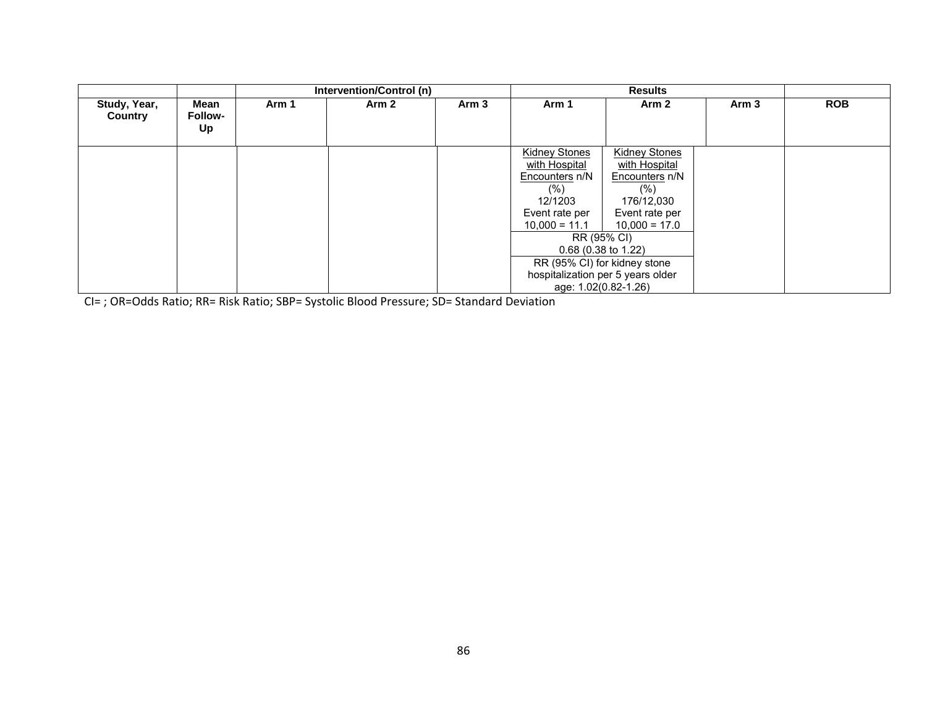|                         |                              | Intervention/Control (n) |       |                  |                                                                                                                                                                                                                                                         | <b>Results</b>                                                                                                     |       |            |
|-------------------------|------------------------------|--------------------------|-------|------------------|---------------------------------------------------------------------------------------------------------------------------------------------------------------------------------------------------------------------------------------------------------|--------------------------------------------------------------------------------------------------------------------|-------|------------|
| Study, Year,<br>Country | Mean<br><b>Follow-</b><br>Up | Arm 1                    | Arm 2 | Arm <sub>3</sub> | Arm 1                                                                                                                                                                                                                                                   | Arm <sub>2</sub>                                                                                                   | Arm 3 | <b>ROB</b> |
|                         |                              |                          |       |                  | <b>Kidney Stones</b><br>with Hospital<br>Encounters n/N<br>$(\% )$<br>12/1203<br>Event rate per<br>$10,000 = 11.1$<br>RR (95% CI)<br>$0.68$ (0.38 to 1.22)<br>RR (95% CI) for kidney stone<br>hospitalization per 5 years older<br>age: 1.02(0.82-1.26) | <b>Kidney Stones</b><br>with Hospital<br>Encounters n/N<br>(% )<br>176/12,030<br>Event rate per<br>$10,000 = 17.0$ |       |            |

CI= ; OR=Odds Ratio; RR= Risk Ratio; SBP= Systolic Blood Pressure; SD= Standard Deviation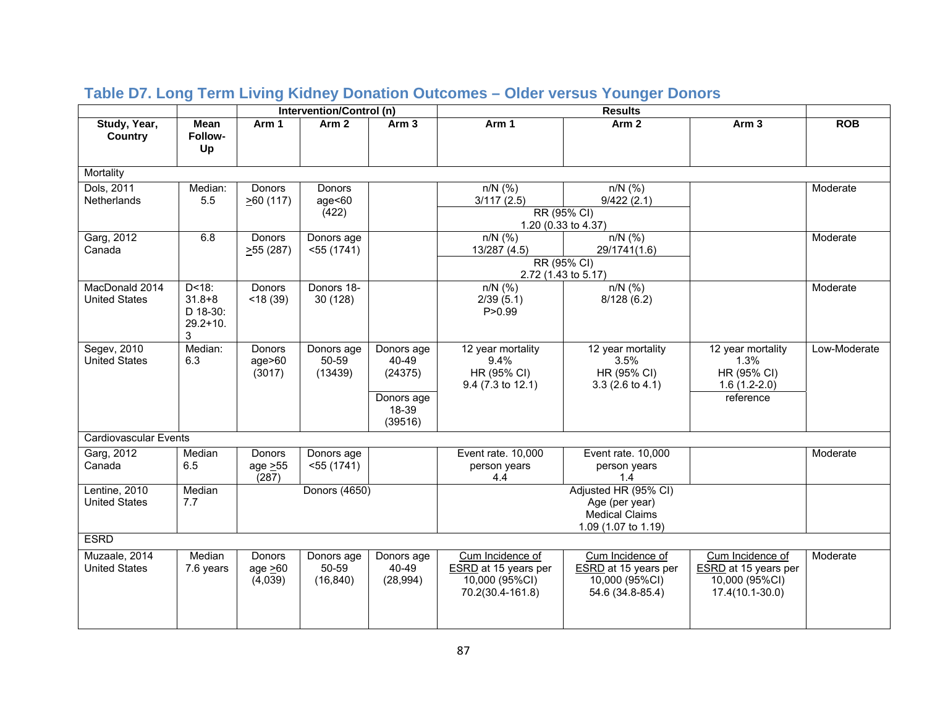|                                        |                                                           |                                  | Intervention/Control (n)         |                                                                  |                                                                                |                                                                                        |                                                                               |              |
|----------------------------------------|-----------------------------------------------------------|----------------------------------|----------------------------------|------------------------------------------------------------------|--------------------------------------------------------------------------------|----------------------------------------------------------------------------------------|-------------------------------------------------------------------------------|--------------|
| Study, Year,<br>Country                | <b>Mean</b><br>Follow-<br>Up                              | Arm 1                            | Arm <sub>2</sub>                 | Arm <sub>3</sub>                                                 | Arm 1                                                                          | Arm <sub>2</sub>                                                                       | Arm <sub>3</sub>                                                              | <b>ROB</b>   |
| Mortality                              |                                                           |                                  |                                  |                                                                  |                                                                                |                                                                                        |                                                                               |              |
| Dols, 2011<br>Netherlands              | Median:<br>5.5                                            | <b>Donors</b><br>$\geq 60$ (117) | Donors<br>age<60<br>(422)        |                                                                  | $n/N$ (%)<br>3/117(2.5)<br>RR (95% CI)<br>1.20 (0.33 to 4.37)                  | $n/N$ (%)<br>9/422(2.1)                                                                |                                                                               | Moderate     |
| Garg, 2012<br>Canada                   | 6.8                                                       | Donors<br>255(287)               | Donors age<br>$<$ 55 (1741)      |                                                                  | $n/N$ (%)<br>13/287 (4.5)<br>RR (95% CI)<br>2.72 (1.43 to 5.17)                | $n/N$ (%)<br>29/1741(1.6)                                                              |                                                                               | Moderate     |
| MacDonald 2014<br><b>United States</b> | $D < 18$ :<br>$31.8 + 8$<br>D 18-30:<br>$29.2 + 10.$<br>3 | Donors<br>$<$ 18 $(39)$          | Donors 18-<br>30(128)            |                                                                  | $n/N$ (%)<br>2/39(5.1)<br>P > 0.99                                             | $n/N$ (%)<br>8/128(6.2)                                                                |                                                                               | Moderate     |
| Segev, 2010<br><b>United States</b>    | Median:<br>6.3                                            | Donors<br>age > 60<br>(3017)     | Donors age<br>50-59<br>(13439)   | Donors age<br>40-49<br>(24375)<br>Donors age<br>18-39<br>(39516) | 12 year mortality<br>9.4%<br>HR (95% CI)<br>9.4 (7.3 to 12.1)                  | 12 year mortality<br>3.5%<br>HR (95% CI)<br>$3.3(2.6 \text{ to } 4.1)$                 | 12 year mortality<br>1.3%<br>HR (95% CI)<br>$1.6(1.2-2.0)$<br>reference       | Low-Moderate |
| <b>Cardiovascular Events</b>           |                                                           |                                  |                                  |                                                                  |                                                                                |                                                                                        |                                                                               |              |
| Garg, 2012<br>Canada                   | Median<br>6.5                                             | Donors<br>age $\geq 55$<br>(287) | Donors age<br>$<$ 55 (1741)      |                                                                  | Event rate. 10,000<br>person years<br>4.4                                      | Event rate. 10,000<br>person years<br>1.4                                              |                                                                               | Moderate     |
| Lentine, 2010<br><b>United States</b>  | Median<br>7.7                                             |                                  | Donors (4650)                    |                                                                  |                                                                                | Adjusted HR (95% CI)<br>Age (per year)<br><b>Medical Claims</b><br>1.09 (1.07 to 1.19) |                                                                               |              |
| <b>ESRD</b>                            |                                                           |                                  |                                  |                                                                  |                                                                                |                                                                                        |                                                                               |              |
| Muzaale, 2014<br><b>United States</b>  | Median<br>7.6 years                                       | Donors<br>age $>60$<br>(4,039)   | Donors age<br>50-59<br>(16, 840) | Donors age<br>40-49<br>(28, 994)                                 | Cum Incidence of<br>ESRD at 15 years per<br>10,000 (95%CI)<br>70.2(30.4-161.8) | Cum Incidence of<br>ESRD at 15 years per<br>10,000 (95%CI)<br>54.6 (34.8-85.4)         | Cum Incidence of<br>ESRD at 15 years per<br>10,000 (95%CI)<br>17.4(10.1-30.0) | Moderate     |

# **Table D7. Long Term Living Kidney Donation Outcomes – Older versus Younger Donors**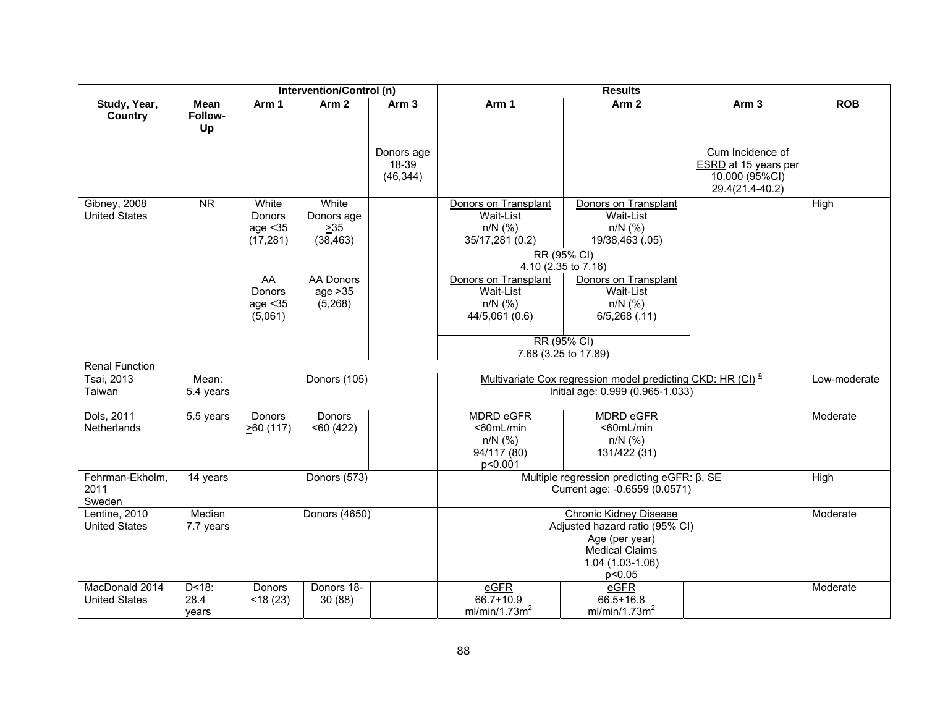|                                        |                             |                                          | Intervention/Control (n)                      |                                  |                                                                                                         | <b>Results</b>                                                                                             |                                                                               |              |
|----------------------------------------|-----------------------------|------------------------------------------|-----------------------------------------------|----------------------------------|---------------------------------------------------------------------------------------------------------|------------------------------------------------------------------------------------------------------------|-------------------------------------------------------------------------------|--------------|
| Study, Year,<br><b>Country</b>         | Mean<br>Follow-<br>Up       | Arm 1                                    | Arm <sub>2</sub>                              | Arm <sub>3</sub>                 | Arm 1                                                                                                   | Arm <sub>2</sub>                                                                                           | Arm <sub>3</sub>                                                              | <b>ROB</b>   |
|                                        |                             |                                          |                                               | Donors age<br>18-39<br>(46, 344) |                                                                                                         |                                                                                                            | Cum Incidence of<br>ESRD at 15 years per<br>10,000 (95%CI)<br>29.4(21.4-40.2) |              |
| Gibney, 2008<br><b>United States</b>   | <b>NR</b>                   | White<br>Donors<br>age < 35<br>(17, 281) | White<br>Donors age<br>$\geq$ 35<br>(38, 463) |                                  | Donors on Transplant<br>Wait-List<br>$n/N$ (%)<br>35/17,281 (0.2)<br>RR (95% CI)<br>4.10 (2.35 to 7.16) | Donors on Transplant<br>Wait-List<br>$n/N$ (%)<br>19/38,463 (.05)                                          |                                                                               | High         |
|                                        |                             | AA<br>Donors<br>age < 35<br>(5,061)      | <b>AA Donors</b><br>age $\geq$ 35<br>(5,268)  |                                  | Donors on Transplant<br>Wait-List<br>$n/N$ (%)<br>44/5,061 (0.6)                                        | Donors on Transplant<br>Wait-List<br>$n/N$ (%)<br>6/5,268(.11)<br>RR (95% CI)                              |                                                                               |              |
|                                        |                             |                                          |                                               |                                  |                                                                                                         | 7.68 (3.25 to 17.89)                                                                                       |                                                                               |              |
| <b>Renal Function</b>                  |                             |                                          |                                               |                                  |                                                                                                         |                                                                                                            |                                                                               |              |
| Tsai, 2013<br>Taiwan                   | Mean:<br>5.4 years          |                                          | Donors (105)                                  |                                  |                                                                                                         | Multivariate Cox regression model predicting CKD: HR (CI) <sup>a</sup><br>Initial age: 0.999 (0.965-1.033) |                                                                               | Low-moderate |
| Dols, 2011<br>Netherlands              | 5.5 years                   | Donors<br>$\geq 60$ (117)                | Donors<br>$<$ 60 $(422)$                      |                                  | <b>MDRD eGFR</b><br><60mL/min<br>$n/N$ (%)<br>94/117 (80)<br>p<0.001                                    | <b>MDRD eGFR</b><br><60mL/min<br>$n/N$ (%)<br>131/422 (31)                                                 |                                                                               | Moderate     |
| Fehrman-Ekholm,<br>2011<br>Sweden      | 14 years                    |                                          | <b>Donors (573)</b>                           |                                  |                                                                                                         | Multiple regression predicting eGFR: $\beta$ , SE<br>Current age: -0.6559 (0.0571)                         |                                                                               | High         |
| Lentine, 2010<br><b>United States</b>  | Median<br>7.7 years         |                                          | Donors (4650)                                 |                                  | Adjusted hazard ratio (95% CI)                                                                          |                                                                                                            | Moderate                                                                      |              |
| MacDonald 2014<br><b>United States</b> | $D < 18$ :<br>28.4<br>vears | Donors<br>$<$ 18 $(23)$                  | Donors 18-<br>30(88)                          |                                  | eGFR<br>66.7+10.9<br>ml/min/1.73 $\overline{m}^2$                                                       | eGFR<br>66.5+16.8<br>ml/min/1.73m <sup>2</sup>                                                             |                                                                               | Moderate     |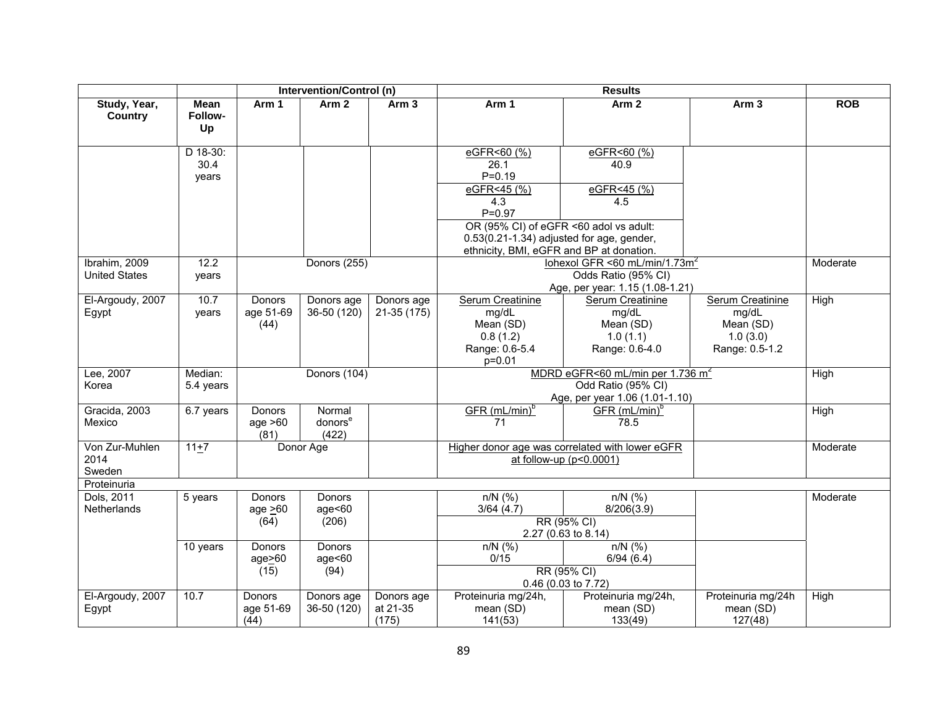|                      |             | Intervention/Control (n)<br><b>Results</b> |                     |                  |                                             |                                                 |                    |            |
|----------------------|-------------|--------------------------------------------|---------------------|------------------|---------------------------------------------|-------------------------------------------------|--------------------|------------|
| Study, Year,         | <b>Mean</b> | Arm 1                                      | Arm <sub>2</sub>    | Arm <sub>3</sub> | Arm 1                                       | Arm <sub>2</sub>                                | Arm <sub>3</sub>   | <b>ROB</b> |
| Country              | Follow-     |                                            |                     |                  |                                             |                                                 |                    |            |
|                      | Up          |                                            |                     |                  |                                             |                                                 |                    |            |
|                      |             |                                            |                     |                  |                                             |                                                 |                    |            |
|                      | D 18-30:    |                                            |                     |                  | eGFR<60 (%)                                 | eGFR<60 (%)                                     |                    |            |
|                      | 30.4        |                                            |                     |                  | 26.1                                        | 40.9                                            |                    |            |
|                      | years       |                                            |                     |                  | $P = 0.19$                                  |                                                 |                    |            |
|                      |             |                                            |                     |                  | eGFR<45 (%)                                 | eGFR<45 (%)                                     |                    |            |
|                      |             |                                            |                     |                  | 4.3                                         | 4.5                                             |                    |            |
|                      |             |                                            |                     |                  | $P = 0.97$                                  |                                                 |                    |            |
|                      |             |                                            |                     |                  | OR (95% CI) of eGFR <60 adol vs adult:      |                                                 |                    |            |
|                      |             |                                            |                     |                  | $0.53(0.21-1.34)$ adjusted for age, gender, |                                                 |                    |            |
|                      |             |                                            |                     |                  | ethnicity, BMI, eGFR and BP at donation.    |                                                 |                    |            |
| Ibrahim, 2009        | 12.2        |                                            | Donors (255)        |                  |                                             | lohexol GFR <60 mL/min/1.73m <sup>2</sup>       |                    | Moderate   |
| <b>United States</b> | years       |                                            |                     |                  |                                             | Odds Ratio (95% CI)                             |                    |            |
|                      |             |                                            |                     |                  |                                             | Age, per year: 1.15 (1.08-1.21)                 |                    |            |
| El-Argoudy, 2007     | 10.7        | Donors                                     | Donors age          | Donors age       | Serum Creatinine                            | Serum Creatinine                                | Serum Creatinine   | High       |
| Egypt                | years       | age 51-69                                  | 36-50 (120)         | $21-35(175)$     | mg/dL                                       | mg/dL                                           | mg/dL              |            |
|                      |             | (44)                                       |                     |                  | Mean (SD)                                   | Mean (SD)                                       | Mean (SD)          |            |
|                      |             |                                            |                     |                  | 0.8(1.2)                                    | 1.0(1.1)                                        | 1.0(3.0)           |            |
|                      |             |                                            |                     |                  | Range: 0.6-5.4                              | Range: 0.6-4.0                                  | Range: 0.5-1.2     |            |
|                      |             |                                            |                     |                  | $p = 0.01$                                  |                                                 |                    |            |
| Lee, 2007            | Median:     |                                            | Donors (104)        |                  |                                             | MDRD eGFR<60 mL/min per 1.736 m <sup>2</sup>    |                    | High       |
| Korea                | 5.4 years   |                                            |                     |                  |                                             | Odd Ratio (95% CI)                              |                    |            |
|                      |             |                                            |                     |                  |                                             | Age, per year 1.06 (1.01-1.10)                  |                    |            |
| Gracida, 2003        | 6.7 years   | <b>Donors</b>                              | Normal              |                  | $GFR$ (mL/min) <sup>b</sup>                 | $GFR$ (mL/min) <sup>b</sup>                     |                    | High       |
| Mexico               |             | age $>60$                                  | donors <sup>e</sup> |                  | 71                                          | 78.5                                            |                    |            |
|                      |             | (81)                                       | (422)               |                  |                                             |                                                 |                    |            |
| Von Zur-Muhlen       | $11+7$      |                                            | Donor Age           |                  |                                             | Higher donor age was correlated with lower eGFR |                    | Moderate   |
| 2014                 |             |                                            |                     |                  |                                             | at follow-up $(p<0.0001)$                       |                    |            |
| Sweden               |             |                                            |                     |                  |                                             |                                                 |                    |            |
| Proteinuria          |             |                                            |                     |                  |                                             |                                                 |                    |            |
| Dols, 2011           | 5 years     | Donors                                     | <b>Donors</b>       |                  | $n/N$ (%)                                   | $n/N$ (%)                                       |                    | Moderate   |
| Netherlands          |             | age $\geq 60$                              | age<60              |                  | 3/64(4.7)                                   | 8/206(3.9)                                      |                    |            |
|                      |             | (64)                                       | (206)               |                  |                                             | RR (95% CI)                                     |                    |            |
|                      |             |                                            |                     |                  |                                             | 2.27 (0.63 to 8.14)                             |                    |            |
|                      | 10 years    | Donors                                     | <b>Donors</b>       |                  | $n/N$ (%)                                   | $n/N$ (%)                                       |                    |            |
|                      |             | age > 60                                   | age<60              |                  | 0/15                                        | 6/94(6.4)                                       |                    |            |
|                      |             | (15)                                       | (94)                |                  | RR (95% CI)                                 |                                                 |                    |            |
|                      |             |                                            |                     |                  | 0.46 (0.03 to 7.72)                         |                                                 |                    |            |
| El-Argoudy, 2007     | 10.7        | Donors                                     | Donors age          | Donors age       | Proteinuria mg/24h,                         | Proteinuria mg/24h,                             | Proteinuria mg/24h | High       |
| Egypt                |             | age 51-69                                  | 36-50 (120)         | at 21-35         | mean (SD)                                   | mean (SD)                                       | mean (SD)          |            |
|                      |             | (44)                                       |                     | (175)            | 141(53)                                     | 133(49)                                         | 127(48)            |            |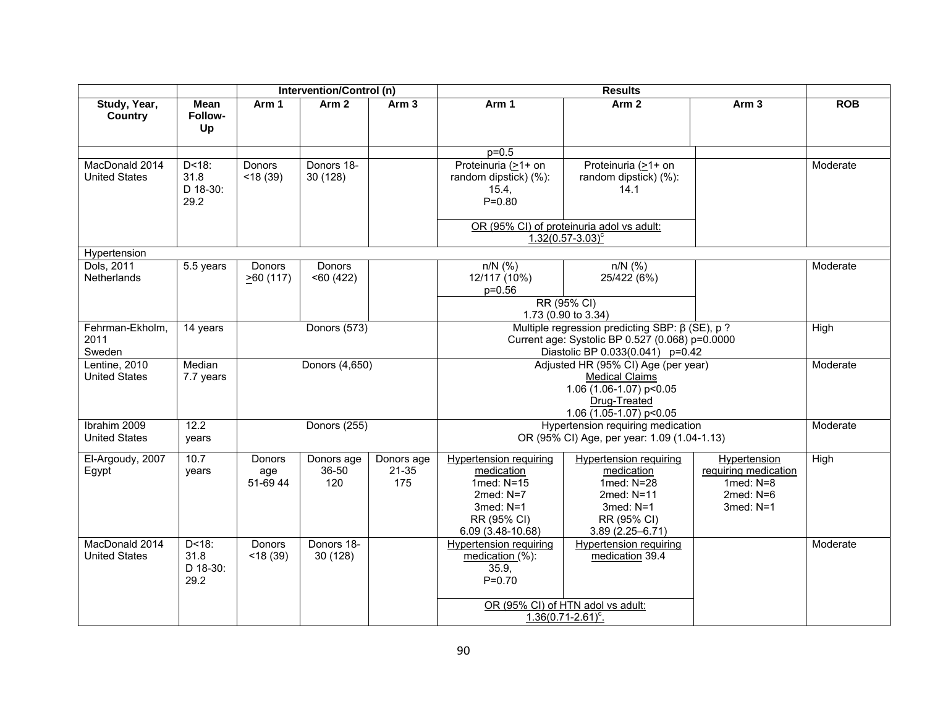|                                        |                                        |                                 | Intervention/Control (n)   |                                |                                                                                                                             |                                                                                                                                              |                                                                                        |            |  |  |
|----------------------------------------|----------------------------------------|---------------------------------|----------------------------|--------------------------------|-----------------------------------------------------------------------------------------------------------------------------|----------------------------------------------------------------------------------------------------------------------------------------------|----------------------------------------------------------------------------------------|------------|--|--|
| Study, Year,<br>Country                | <b>Mean</b><br>Follow-<br>Up           | Arm 1                           | Arm <sub>2</sub>           | Arm 3                          | Arm 1                                                                                                                       | Arm 2                                                                                                                                        | Arm <sub>3</sub>                                                                       | <b>ROB</b> |  |  |
|                                        |                                        |                                 |                            |                                | $p = 0.5$                                                                                                                   |                                                                                                                                              |                                                                                        |            |  |  |
| MacDonald 2014<br><b>United States</b> | $D < 18$ :<br>31.8<br>D 18-30:<br>29.2 | <b>Donors</b><br>$<$ 18 $(39)$  | Donors 18-<br>30(128)      |                                | Proteinuria (>1+ on<br>random dipstick) (%):<br>15.4,<br>$P = 0.80$                                                         | Proteinuria (>1+ on<br>random dipstick) (%):<br>14.1                                                                                         |                                                                                        | Moderate   |  |  |
|                                        |                                        |                                 |                            |                                |                                                                                                                             | OR (95% CI) of proteinuria adol vs adult:<br>$1.32(0.57 - 3.03)^c$                                                                           |                                                                                        |            |  |  |
| Hypertension                           |                                        |                                 |                            |                                |                                                                                                                             |                                                                                                                                              |                                                                                        |            |  |  |
| Dols, 2011<br>Netherlands              | 5.5 years                              | Donors<br>260(117)              | Donors<br>< 60(422)        |                                | $n/N$ (%)<br>12/117 (10%)<br>$p = 0.56$                                                                                     | $n/N$ (%)<br>25/422 (6%)                                                                                                                     |                                                                                        | Moderate   |  |  |
|                                        |                                        |                                 |                            |                                |                                                                                                                             | RR (95% CI)<br>1.73 (0.90 to 3.34)                                                                                                           |                                                                                        |            |  |  |
| Fehrman-Ekholm,<br>2011<br>Sweden      | 14 years                               |                                 | <b>Donors (573)</b>        |                                |                                                                                                                             | Multiple regression predicting SBP: $\beta$ (SE), p ?<br>Current age: Systolic BP 0.527 (0.068) p=0.0000<br>Diastolic BP 0.033(0.041) p=0.42 |                                                                                        |            |  |  |
| Lentine, 2010<br><b>United States</b>  | Median<br>7.7 years                    |                                 | Donors (4,650)             |                                |                                                                                                                             | Adjusted HR (95% CI) Age (per year)<br><b>Medical Claims</b><br>1.06 (1.06-1.07) p<0.05<br>Drug-Treated<br>1.06 (1.05-1.07) p<0.05           |                                                                                        | Moderate   |  |  |
| Ibrahim 2009<br><b>United States</b>   | 12.2<br>years                          |                                 | <b>Donors (255)</b>        |                                |                                                                                                                             | Hypertension requiring medication<br>OR (95% CI) Age, per year: 1.09 (1.04-1.13)                                                             |                                                                                        | Moderate   |  |  |
| El-Argoudy, 2007<br>Egypt              | 10.7<br>years                          | <b>Donors</b><br>age<br>51-6944 | Donors age<br>36-50<br>120 | Donors age<br>$21 - 35$<br>175 | Hypertension requiring<br>medication<br>1med: N=15<br>$2$ med: $N=7$<br>$3$ med: $N=1$<br>RR (95% CI)<br>$6.09(3.48-10.68)$ | Hypertension requiring<br>medication<br>1med: N=28<br>2med: N=11<br>$3$ med: $N=1$<br>RR (95% CI)<br>$3.89(2.25 - 6.71)$                     | Hypertension<br>requiring medication<br>1 $med: N=8$<br>2 $med: N=6$<br>$3$ med: $N=1$ | High       |  |  |
| MacDonald 2014<br><b>United States</b> | $D < 18$ :<br>31.8<br>D 18-30:<br>29.2 | Donors<br>$<$ 18 $(39)$         | Donors 18-<br>30 (128)     |                                | Hypertension requiring<br>medication (%):<br>35.9.<br>$P = 0.70$                                                            | <b>Hypertension requiring</b><br>medication 39.4<br>OR (95% CI) of HTN adol vs adult:<br>$1.36(0.71 - 2.61)^c$ .                             |                                                                                        | Moderate   |  |  |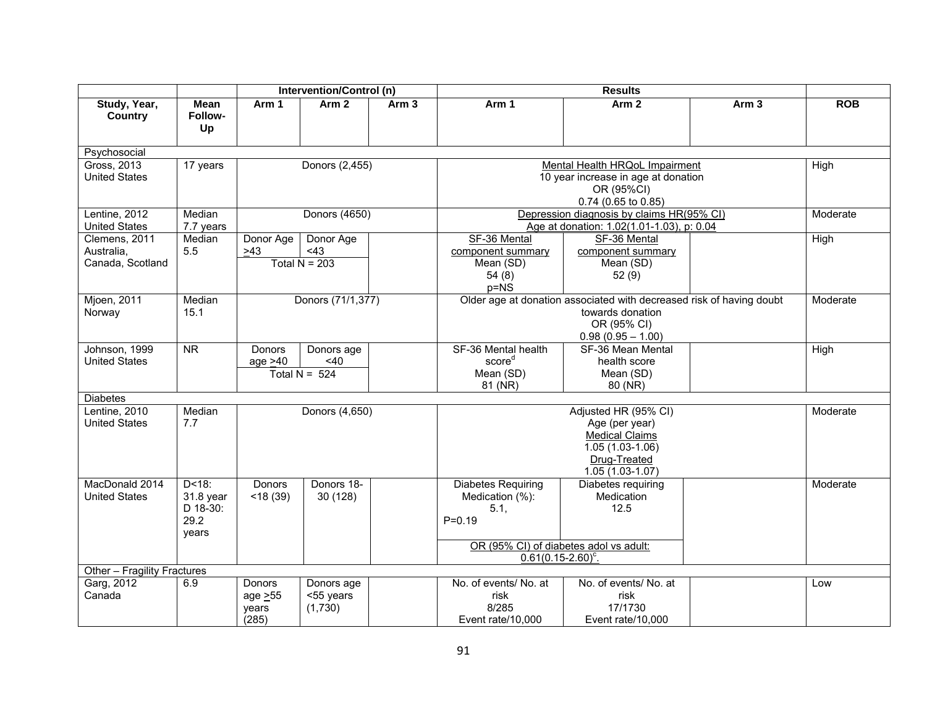|                                                 |                                                      | <b>Intervention/Control (n)</b><br><b>Results</b> |                                         |                  |                                                                                                              |                                                                                                                                |                  |            |  |  |  |
|-------------------------------------------------|------------------------------------------------------|---------------------------------------------------|-----------------------------------------|------------------|--------------------------------------------------------------------------------------------------------------|--------------------------------------------------------------------------------------------------------------------------------|------------------|------------|--|--|--|
| Study, Year,<br>Country                         | <b>Mean</b><br>Follow-<br>Up                         | Arm 1                                             | Arm <sub>2</sub>                        | Arm <sub>3</sub> | Arm 1                                                                                                        | Arm <sub>2</sub>                                                                                                               | Arm <sub>3</sub> | <b>ROB</b> |  |  |  |
| Psychosocial                                    |                                                      |                                                   |                                         |                  |                                                                                                              |                                                                                                                                |                  |            |  |  |  |
| Gross, 2013<br><b>United States</b>             | 17 years                                             |                                                   | Donors (2,455)                          |                  |                                                                                                              | Mental Health HRQoL Impairment<br>10 year increase in age at donation<br>OR (95%CI)<br>0.74 (0.65 to 0.85)                     |                  |            |  |  |  |
| Lentine, 2012                                   | Median                                               |                                                   | Donors (4650)                           |                  |                                                                                                              | Depression diagnosis by claims HR(95% CI)                                                                                      |                  |            |  |  |  |
| <b>United States</b>                            | 7.7 years                                            |                                                   |                                         |                  |                                                                                                              | Age at donation: 1.02(1.01-1.03), p: 0.04                                                                                      |                  |            |  |  |  |
| Clemens, 2011<br>Australia,<br>Canada, Scotland | Median<br>5.5                                        | Donor Age<br>>43                                  | Donor Age<br><43<br>Total $N = 203$     |                  | SF-36 Mental<br>component summary<br>Mean (SD)<br>54(8)<br>$p=NS$                                            | SF-36 Mental<br>component summary<br>Mean (SD)<br>52(9)                                                                        |                  | High       |  |  |  |
| <b>Mjoen, 2011</b><br>Norway                    | Median<br>15.1                                       |                                                   | Donors (71/1,377)                       |                  |                                                                                                              | Older age at donation associated with decreased risk of having doubt<br>towards donation<br>OR (95% CI)<br>$0.98(0.95 - 1.00)$ |                  |            |  |  |  |
| Johnson, 1999<br><b>United States</b>           | <b>NR</b>                                            | Donors<br>age $>40$                               | Donors age<br>$<$ 40<br>Total $N = 524$ |                  | SF-36 Mental health<br>score <sup>d</sup><br>Mean (SD)<br>81 (NR)                                            | SF-36 Mean Mental<br>health score<br>Mean (SD)<br>80 (NR)                                                                      |                  | High       |  |  |  |
| <b>Diabetes</b>                                 |                                                      |                                                   |                                         |                  |                                                                                                              |                                                                                                                                |                  |            |  |  |  |
| Lentine, 2010<br><b>United States</b>           | Median<br>7.7                                        |                                                   | Donors (4,650)                          |                  |                                                                                                              | Adjusted HR (95% CI)<br>Age (per year)<br><b>Medical Claims</b><br>1.05 (1.03-1.06)<br>Drug-Treated<br>$1.05(1.03-1.07)$       |                  | Moderate   |  |  |  |
| MacDonald 2014<br><b>United States</b>          | $D < 18$ :<br>31.8 year<br>D 18-30:<br>29.2<br>years | Donors<br>$<$ 18 $(39)$                           | Donors 18-<br>30 (128)                  |                  | <b>Diabetes Requiring</b><br>Medication (%):<br>5.1,<br>$P = 0.19$<br>OR (95% CI) of diabetes adol vs adult: | Diabetes requiring<br>Medication<br>12.5                                                                                       |                  | Moderate   |  |  |  |
|                                                 |                                                      |                                                   |                                         |                  | $0.61(0.15-2.60)^c$ .                                                                                        |                                                                                                                                |                  |            |  |  |  |
| Other - Fragility Fractures<br>Garg, 2012       | 6.9                                                  | <b>Donors</b>                                     | Donors age                              |                  | No. of events/ No. at                                                                                        | No. of events/ No. at                                                                                                          |                  | Low        |  |  |  |
| Canada                                          |                                                      | age > 55<br>years<br>(285)                        | <55 years<br>(1,730)                    |                  | risk<br>8/285<br>Event rate/10.000                                                                           | risk<br>17/1730<br>Event rate/10,000                                                                                           |                  |            |  |  |  |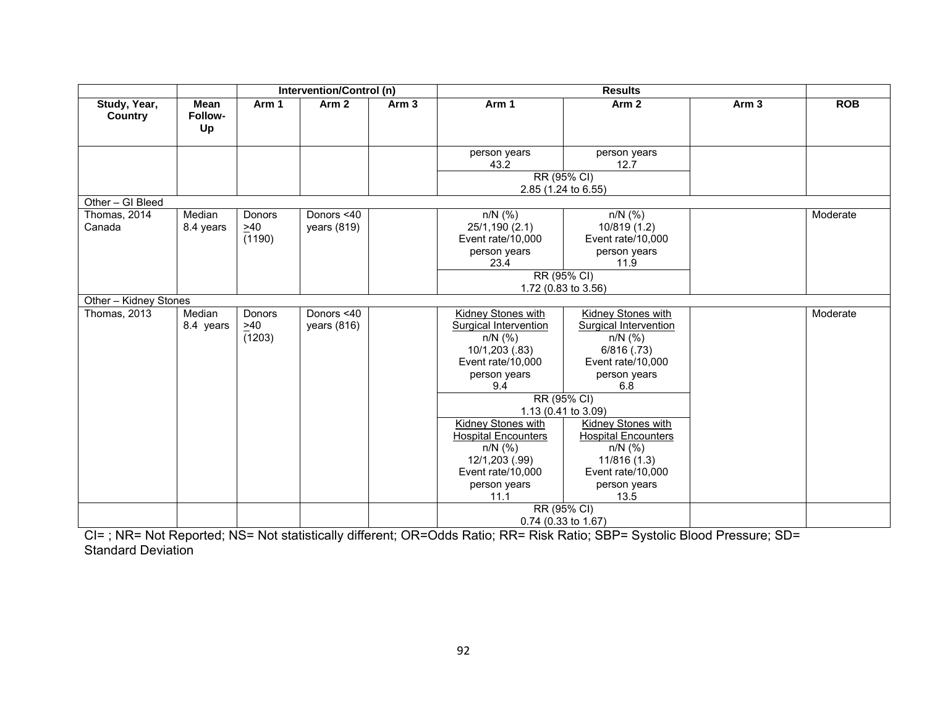|                                |                       | Intervention/Control (n)<br><b>Results</b> |                             |                  |                                                                                                                        |                                                                                                                         |                  |            |
|--------------------------------|-----------------------|--------------------------------------------|-----------------------------|------------------|------------------------------------------------------------------------------------------------------------------------|-------------------------------------------------------------------------------------------------------------------------|------------------|------------|
| Study, Year,<br><b>Country</b> | Mean<br>Follow-<br>Up | Arm 1                                      | Arm <sub>2</sub>            | Arm <sub>3</sub> | Arm 1                                                                                                                  | Arm <sub>2</sub>                                                                                                        | Arm <sub>3</sub> | <b>ROB</b> |
|                                |                       |                                            |                             |                  | person years<br>43.2                                                                                                   | person years<br>12.7                                                                                                    |                  |            |
|                                |                       |                                            |                             |                  | 2.85 (1.24 to 6.55)                                                                                                    | RR (95% CI)                                                                                                             |                  |            |
| Other - GI Bleed               |                       |                                            |                             |                  |                                                                                                                        |                                                                                                                         |                  |            |
| Thomas, 2014<br>Canada         | Median<br>8.4 years   | <b>Donors</b><br>$\geq 40$<br>(1190)       | Donors <40<br>years $(819)$ |                  | $n/N$ (%)<br>25/1,190 (2.1)<br>Event rate/10,000<br>person years<br>23.4                                               | $n/N$ (%)<br>10/819 (1.2)<br>Event rate/10,000<br>person years<br>11.9                                                  |                  | Moderate   |
|                                |                       |                                            |                             |                  |                                                                                                                        | RR (95% CI)<br>1.72 (0.83 to 3.56)                                                                                      |                  |            |
| Other - Kidney Stones          |                       |                                            |                             |                  |                                                                                                                        |                                                                                                                         |                  |            |
| Thomas, 2013                   | Median<br>8.4 years   | Donors<br>$\geq 40$<br>(1203)              | Donors <40<br>years (816)   |                  | Kidney Stones with<br>Surgical Intervention<br>$n/N$ (%)<br>10/1,203 (.83)<br>Event rate/10,000<br>person years<br>9.4 | Kidney Stones with<br>Surgical Intervention<br>$n/N$ (%)<br>$6/816$ $(.73)$<br>Event rate/10,000<br>person years<br>6.8 |                  | Moderate   |
|                                |                       |                                            |                             |                  |                                                                                                                        | RR (95% CI)                                                                                                             |                  |            |
|                                |                       |                                            |                             |                  |                                                                                                                        | 1.13 (0.41 to 3.09)                                                                                                     |                  |            |
|                                |                       |                                            |                             |                  | Kidney Stones with<br><b>Hospital Encounters</b><br>$n/N$ (%)<br>12/1,203 (.99)                                        | <b>Kidney Stones with</b><br><b>Hospital Encounters</b><br>$n/N$ (%)<br>11/816 (1.3)                                    |                  |            |
|                                |                       |                                            |                             |                  | Event rate/10,000                                                                                                      | Event rate/10,000                                                                                                       |                  |            |
|                                |                       |                                            |                             |                  | person years<br>11.1                                                                                                   | person years<br>13.5                                                                                                    |                  |            |
|                                |                       |                                            |                             |                  |                                                                                                                        | RR (95% CI)                                                                                                             |                  |            |
|                                |                       |                                            |                             |                  | 0.74 (0.33 to 1.67)                                                                                                    |                                                                                                                         |                  |            |

CI= ; NR= Not Reported; NS= Not statistically different; OR=Odds Ratio; RR= Risk Ratio; SBP= Systolic Blood Pressure; SD= Standard Deviation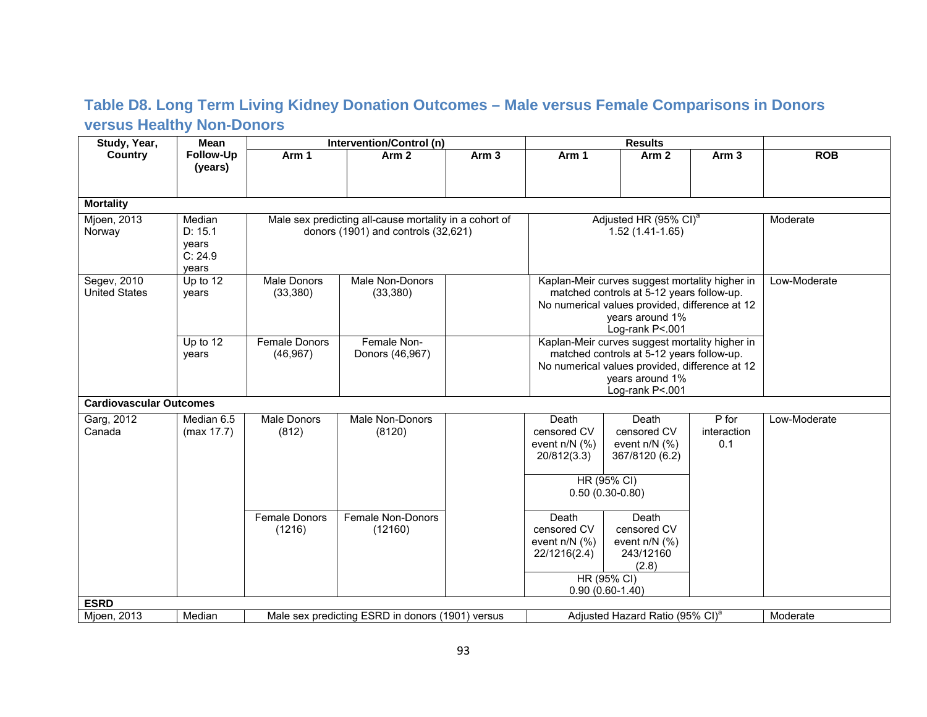#### **Table D8. Long Term Living Kidney Donation Outcomes – Male versus Female Comparisons in Donors versus Healthy Non-Donors**

| Study, Year,                        | <b>Mean</b>                                    |                                   | Intervention/Control (n)                                                                                                                                                                                            |                  |                                                         |                                                                                                   | <b>Results</b>              |              |  |
|-------------------------------------|------------------------------------------------|-----------------------------------|---------------------------------------------------------------------------------------------------------------------------------------------------------------------------------------------------------------------|------------------|---------------------------------------------------------|---------------------------------------------------------------------------------------------------|-----------------------------|--------------|--|
| <b>Country</b>                      | Follow-Up<br>(years)                           | Arm 1                             | Arm <sub>2</sub>                                                                                                                                                                                                    | Arm <sub>3</sub> | Arm 1                                                   | Arm <sub>2</sub>                                                                                  | Arm <sub>3</sub>            | <b>ROB</b>   |  |
| <b>Mortality</b>                    |                                                |                                   |                                                                                                                                                                                                                     |                  |                                                         |                                                                                                   |                             |              |  |
| Mjoen, 2013<br>Norway               | Median<br>D: 15.1<br>years<br>C: 24.9<br>years |                                   | Male sex predicting all-cause mortality in a cohort of<br>donors (1901) and controls (32,621)                                                                                                                       |                  | Adjusted HR (95% CI) <sup>a</sup><br>$1.52(1.41-1.65)$  |                                                                                                   | Moderate                    |              |  |
| Segev, 2010<br><b>United States</b> | Up to 12<br>years                              | <b>Male Donors</b><br>(33, 380)   | Male Non-Donors<br>Kaplan-Meir curves suggest mortality higher in<br>matched controls at 5-12 years follow-up.<br>(33, 380)<br>No numerical values provided, difference at 12<br>years around 1%<br>Log-rank P<.001 |                  |                                                         |                                                                                                   |                             | Low-Moderate |  |
|                                     | Up to $12$<br>years                            | <b>Female Donors</b><br>(46, 967) | Female Non-<br>Donors (46,967)                                                                                                                                                                                      |                  | matched controls at 5-12 years follow-up.               | Kaplan-Meir curves suggest mortality higher in<br>No numerical values provided, difference at 12  |                             |              |  |
| <b>Cardiovascular Outcomes</b>      |                                                |                                   |                                                                                                                                                                                                                     |                  |                                                         | Log-rank P<.001                                                                                   |                             |              |  |
| Garg, 2012<br>Canada                | Median 6.5<br>(max 17.7)                       | Male Donors<br>(812)              | Male Non-Donors<br>(8120)                                                                                                                                                                                           |                  | Death<br>censored CV<br>event $n/N$ (%)<br>20/812(3.3)  | Death<br>censored CV<br>event $n/N$ (%)<br>367/8120 (6.2)<br>HR (95% CI)<br>$0.50(0.30-0.80)$     | P for<br>interaction<br>0.1 | Low-Moderate |  |
|                                     |                                                | Female Donors<br>(1216)           | Female Non-Donors<br>(12160)                                                                                                                                                                                        |                  | Death<br>censored CV<br>event $n/N$ (%)<br>22/1216(2.4) | Death<br>censored CV<br>event $n/N$ (%)<br>243/12160<br>(2.8)<br>HR (95% CI)<br>$0.90(0.60-1.40)$ |                             |              |  |
| <b>ESRD</b>                         |                                                |                                   |                                                                                                                                                                                                                     |                  |                                                         |                                                                                                   |                             |              |  |
| Mjoen, 2013                         | Median                                         |                                   | Male sex predicting ESRD in donors (1901) versus                                                                                                                                                                    |                  | Adjusted Hazard Ratio (95% CI) <sup>a</sup><br>Moderate |                                                                                                   |                             |              |  |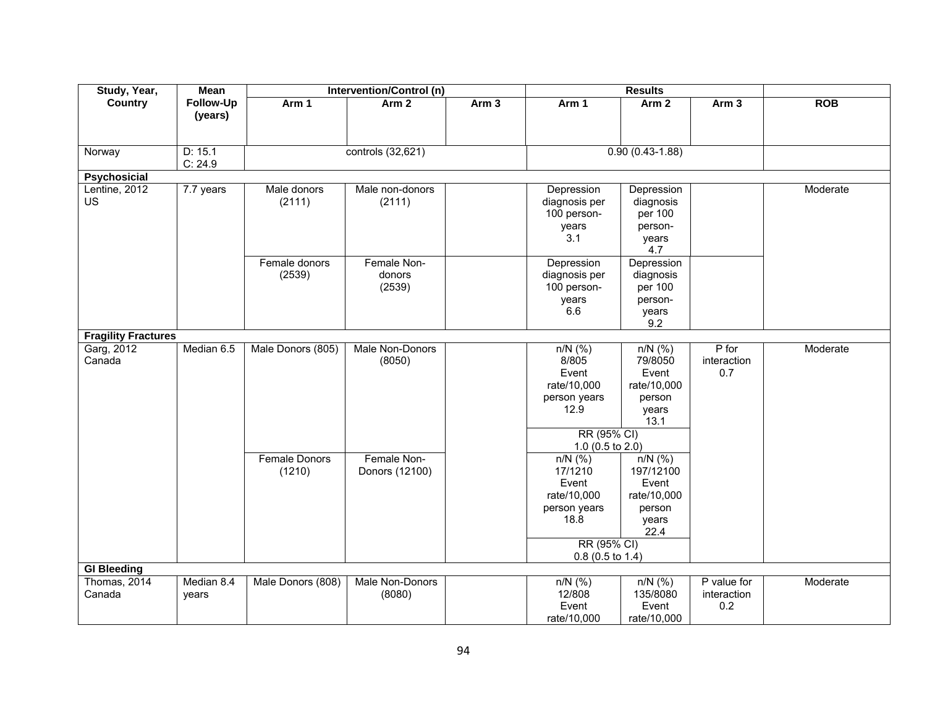| Study, Year,               | Mean       |                      | Intervention/Control (n) |       |                    |                   |                          |            |
|----------------------------|------------|----------------------|--------------------------|-------|--------------------|-------------------|--------------------------|------------|
| <b>Country</b>             | Follow-Up  | Arm 1                | Arm <sub>2</sub>         | Arm 3 | Arm 1              | Arm <sub>2</sub>  | Arm <sub>3</sub>         | <b>ROB</b> |
|                            | (years)    |                      |                          |       |                    |                   |                          |            |
|                            |            |                      |                          |       |                    |                   |                          |            |
| Norway                     | D: 15.1    |                      | controls (32,621)        |       |                    | $0.90(0.43-1.88)$ |                          |            |
|                            | C: 24.9    |                      |                          |       |                    |                   |                          |            |
| Psychosicial               |            |                      |                          |       |                    |                   |                          |            |
| Lentine, 2012              | 7.7 years  | Male donors          | Male non-donors          |       | Depression         | Depression        |                          | Moderate   |
| <b>US</b>                  |            | (2111)               | (2111)                   |       | diagnosis per      | diagnosis         |                          |            |
|                            |            |                      |                          |       | 100 person-        | per 100           |                          |            |
|                            |            |                      |                          |       | years              | person-           |                          |            |
|                            |            |                      |                          |       | 3.1                | years             |                          |            |
|                            |            |                      |                          |       |                    | 4.7               |                          |            |
|                            |            | Female donors        | Female Non-              |       | Depression         | Depression        |                          |            |
|                            |            | (2539)               | donors                   |       | diagnosis per      | diagnosis         |                          |            |
|                            |            |                      | (2539)                   |       | 100 person-        | per 100           |                          |            |
|                            |            |                      |                          |       | years              | person-           |                          |            |
|                            |            |                      |                          |       | 6.6                | years             |                          |            |
|                            |            |                      |                          |       |                    | 9.2               |                          |            |
| <b>Fragility Fractures</b> |            |                      |                          |       |                    |                   |                          |            |
| Garg, 2012                 | Median 6.5 | Male Donors (805)    | Male Non-Donors          |       | $n/N$ (%)          | $n/N$ (%)         | $P$ for                  | Moderate   |
| Canada                     |            |                      | (8050)                   |       | 8/805<br>Event     | 79/8050<br>Event  | interaction<br>0.7       |            |
|                            |            |                      |                          |       | rate/10,000        | rate/10,000       |                          |            |
|                            |            |                      |                          |       | person years       | person            |                          |            |
|                            |            |                      |                          |       | 12.9               | years             |                          |            |
|                            |            |                      |                          |       |                    | 13.1              |                          |            |
|                            |            |                      |                          |       | RR (95% CI)        |                   |                          |            |
|                            |            |                      |                          |       | 1.0 (0.5 to 2.0)   |                   |                          |            |
|                            |            | <b>Female Donors</b> | Female Non-              |       | $n/N$ (%)          | $n/N$ (%)         |                          |            |
|                            |            | (1210)               | Donors (12100)           |       | 17/1210            | 197/12100         |                          |            |
|                            |            |                      |                          |       | Event              | Event             |                          |            |
|                            |            |                      |                          |       | rate/10,000        | rate/10,000       |                          |            |
|                            |            |                      |                          |       | person years       | person            |                          |            |
|                            |            |                      |                          |       | 18.8               | years             |                          |            |
|                            |            |                      |                          |       |                    | 22.4              |                          |            |
|                            |            |                      |                          |       | RR (95% CI)        |                   |                          |            |
|                            |            |                      |                          |       | $0.8$ (0.5 to 1.4) |                   |                          |            |
| <b>GI Bleeding</b>         |            |                      |                          |       |                    |                   |                          |            |
| Thomas, 2014               | Median 8.4 | Male Donors (808)    | Male Non-Donors          |       | $n/N$ (%)          | $n/N$ (%)         | $\overline{P}$ value for | Moderate   |
| Canada                     | years      |                      | (8080)                   |       | 12/808             | 135/8080          | interaction              |            |
|                            |            |                      |                          |       | Event              | Event             | 0.2                      |            |
|                            |            |                      |                          |       | rate/10,000        | rate/10,000       |                          |            |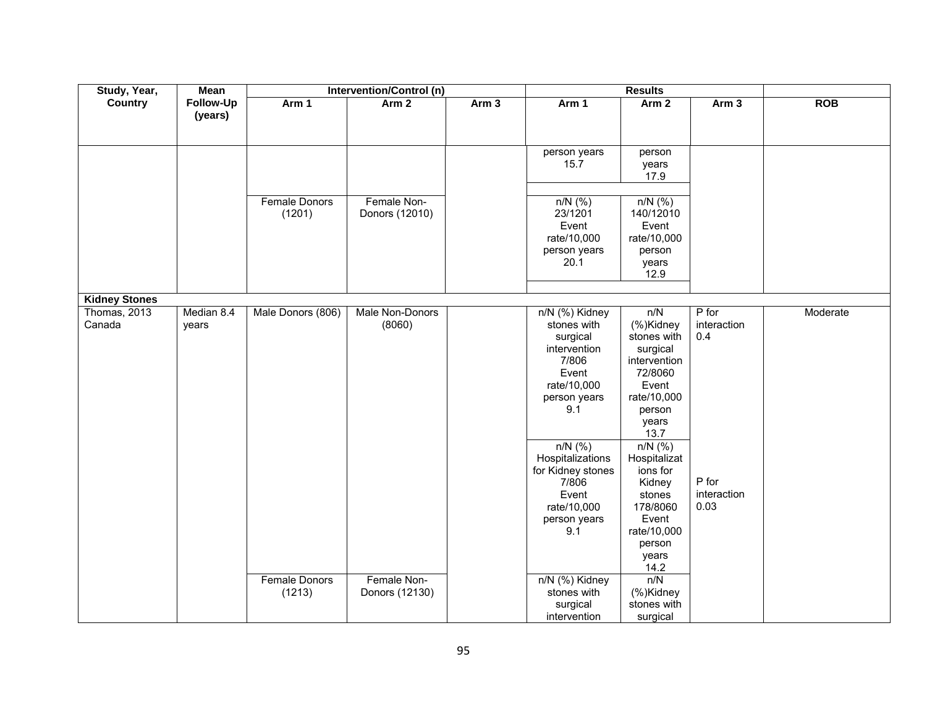| Study, Year,         | <b>Mean</b> |                      | Intervention/Control (n) |                  |                     |                  |                  |            |
|----------------------|-------------|----------------------|--------------------------|------------------|---------------------|------------------|------------------|------------|
| <b>Country</b>       | Follow-Up   | Arm 1                | Arm <sub>2</sub>         | Arm <sub>3</sub> | Arm 1               | Arm <sub>2</sub> | Arm <sub>3</sub> | <b>ROB</b> |
|                      | (years)     |                      |                          |                  |                     |                  |                  |            |
|                      |             |                      |                          |                  |                     |                  |                  |            |
|                      |             |                      |                          |                  | person years        | person           |                  |            |
|                      |             |                      |                          |                  | 15.7                | years            |                  |            |
|                      |             |                      |                          |                  |                     | 17.9             |                  |            |
|                      |             |                      |                          |                  |                     |                  |                  |            |
|                      |             | Female Donors        | Female Non-              |                  | $n/N$ (%)           | $n/N$ (%)        |                  |            |
|                      |             | (1201)               | Donors (12010)           |                  | 23/1201             | 140/12010        |                  |            |
|                      |             |                      |                          |                  | Event               | Event            |                  |            |
|                      |             |                      |                          |                  | rate/10,000         | rate/10,000      |                  |            |
|                      |             |                      |                          |                  | person years        | person           |                  |            |
|                      |             |                      |                          |                  | 20.1                | years<br>12.9    |                  |            |
|                      |             |                      |                          |                  |                     |                  |                  |            |
| <b>Kidney Stones</b> |             |                      |                          |                  |                     |                  |                  |            |
| Thomas, 2013         | Median 8.4  | Male Donors (806)    | Male Non-Donors          |                  | n/N (%) Kidney      | n/N              | $P$ for          | Moderate   |
| Canada               | years       |                      | (8060)                   |                  | stones with         | (%)Kidney        | interaction      |            |
|                      |             |                      |                          |                  | surgical            | stones with      | 0.4              |            |
|                      |             |                      |                          |                  | intervention        | surgical         |                  |            |
|                      |             |                      |                          |                  | 7/806               | intervention     |                  |            |
|                      |             |                      |                          |                  | Event               | 72/8060          |                  |            |
|                      |             |                      |                          |                  | rate/10,000         | Event            |                  |            |
|                      |             |                      |                          |                  | person years<br>9.1 | rate/10,000      |                  |            |
|                      |             |                      |                          |                  |                     | person<br>years  |                  |            |
|                      |             |                      |                          |                  |                     | 13.7             |                  |            |
|                      |             |                      |                          |                  | $n/N$ (%)           | $n/N$ (%)        |                  |            |
|                      |             |                      |                          |                  | Hospitalizations    | Hospitalizat     |                  |            |
|                      |             |                      |                          |                  | for Kidney stones   | ions for         |                  |            |
|                      |             |                      |                          |                  | 7/806               | Kidney           | P for            |            |
|                      |             |                      |                          |                  | Event               | stones           | interaction      |            |
|                      |             |                      |                          |                  | rate/10,000         | 178/8060         | 0.03             |            |
|                      |             |                      |                          |                  | person years        | Event            |                  |            |
|                      |             |                      |                          |                  | 9.1                 | rate/10,000      |                  |            |
|                      |             |                      |                          |                  |                     | person           |                  |            |
|                      |             |                      |                          |                  |                     | years<br>14.2    |                  |            |
|                      |             | <b>Female Donors</b> | Female Non-              |                  | n/N (%) Kidney      | n/N              |                  |            |
|                      |             | (1213)               | Donors (12130)           |                  | stones with         | (%)Kidney        |                  |            |
|                      |             |                      |                          |                  | surgical            | stones with      |                  |            |
|                      |             |                      |                          |                  | intervention        | surgical         |                  |            |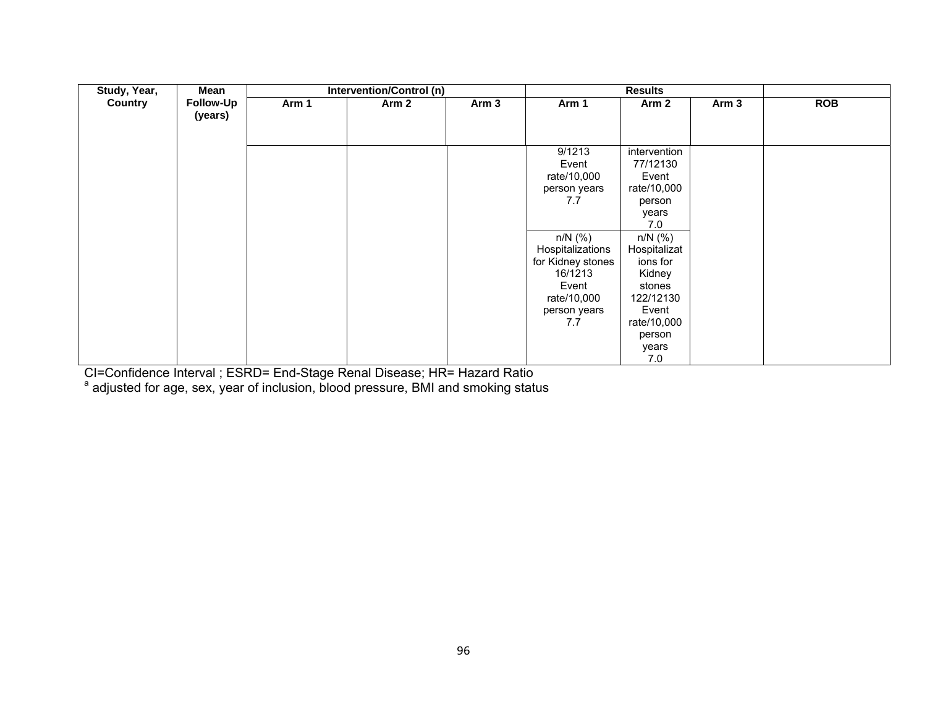| Study, Year,   | Mean                 |       | <b>Intervention/Control (n)</b> |                  |                                                                                                                                                                       |                                                                                                                                                                                                        |                  |            |
|----------------|----------------------|-------|---------------------------------|------------------|-----------------------------------------------------------------------------------------------------------------------------------------------------------------------|--------------------------------------------------------------------------------------------------------------------------------------------------------------------------------------------------------|------------------|------------|
| <b>Country</b> | Follow-Up<br>(years) | Arm 1 | Arm 2                           | Arm <sub>3</sub> | Arm 1                                                                                                                                                                 | Arm <sub>2</sub>                                                                                                                                                                                       | Arm <sub>3</sub> | <b>ROB</b> |
|                |                      |       |                                 |                  | 9/1213<br>Event<br>rate/10,000<br>person years<br>7.7<br>$n/N$ (%)<br>Hospitalizations<br>for Kidney stones<br>16/1213<br>Event<br>rate/10,000<br>person years<br>7.7 | intervention<br>77/12130<br>Event<br>rate/10,000<br>person<br>years<br>7.0<br>$n/N$ (%)<br>Hospitalizat<br>ions for<br>Kidney<br>stones<br>122/12130<br>Event<br>rate/10,000<br>person<br>years<br>7.0 |                  |            |

CI=Confidence Interval ; ESRD= End-Stage Renal Disease; HR= Hazard Ratio

<sup>a</sup> adjusted for age, sex, year of inclusion, blood pressure, BMI and smoking status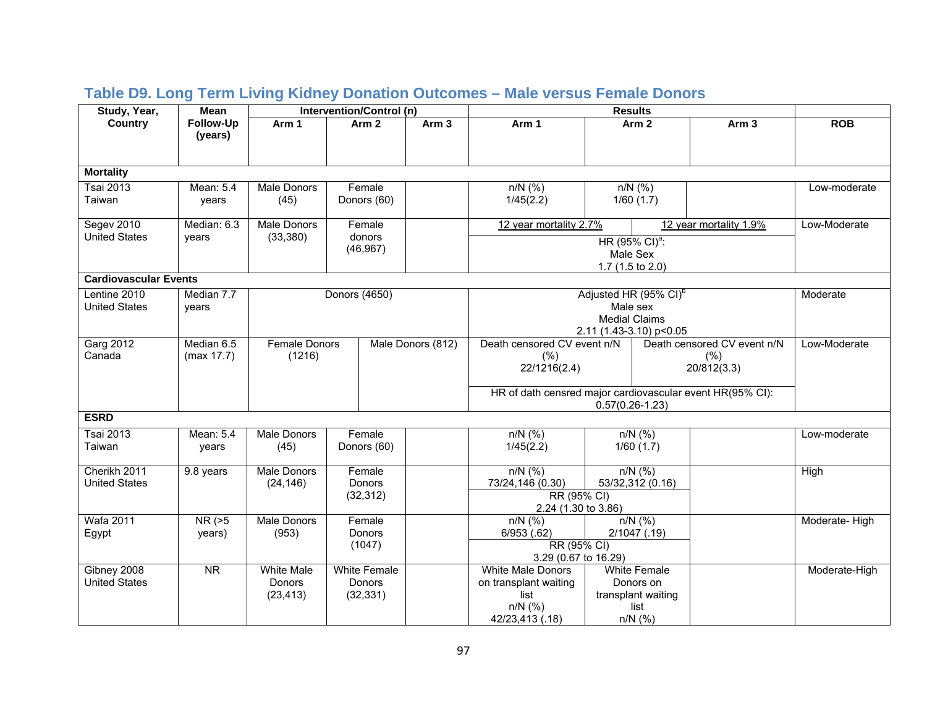| Study, Year,                 | Mean                   |                    |               | Intervention/Control (n) |                   | <b>Results</b>                                            |                   |                                   |                             |               |
|------------------------------|------------------------|--------------------|---------------|--------------------------|-------------------|-----------------------------------------------------------|-------------------|-----------------------------------|-----------------------------|---------------|
| Country                      | Follow-Up              | Arm 1              |               | Arm <sub>2</sub>         | Arm <sub>3</sub>  | Arm 1                                                     |                   | Arm <sub>2</sub>                  | Arm <sub>3</sub>            | <b>ROB</b>    |
|                              | (years)                |                    |               |                          |                   |                                                           |                   |                                   |                             |               |
|                              |                        |                    |               |                          |                   |                                                           |                   |                                   |                             |               |
| <b>Mortality</b>             |                        |                    |               |                          |                   |                                                           |                   |                                   |                             |               |
| <b>Tsai 2013</b>             | Mean: 5.4              | Male Donors        |               | Female                   |                   | $n/N$ (%)                                                 |                   | $n/N$ (%)                         |                             | Low-moderate  |
| Taiwan                       | years                  | (45)               |               | Donors (60)              |                   | 1/45(2.2)                                                 |                   | 1/60(1.7)                         |                             |               |
| Segev 2010                   | Median: 6.3            | Male Donors        |               | Female                   |                   | 12 year mortality 2.7%                                    |                   |                                   | 12 year mortality 1.9%      | Low-Moderate  |
| <b>United States</b>         | years                  | (33, 380)          |               | donors                   |                   |                                                           |                   | HR $(95\% \text{ Cl})^a$ :        |                             |               |
|                              |                        |                    |               | (46, 967)                |                   |                                                           |                   | Male Sex                          |                             |               |
|                              |                        |                    |               |                          |                   |                                                           | 1.7 (1.5 to 2.0)  |                                   |                             |               |
| <b>Cardiovascular Events</b> |                        |                    |               |                          |                   |                                                           |                   |                                   |                             |               |
| Lentine 2010                 | Median 7.7             |                    | Donors (4650) |                          |                   |                                                           |                   | Adjusted HR (95% CI) <sup>b</sup> |                             | Moderate      |
| <b>United States</b>         | years                  |                    |               |                          |                   |                                                           |                   | Male sex                          |                             |               |
|                              |                        |                    |               |                          |                   |                                                           |                   | <b>Medial Claims</b>              |                             |               |
|                              |                        |                    |               |                          |                   |                                                           |                   | 2.11 (1.43-3.10) p<0.05           |                             |               |
| <b>Garg 2012</b>             | Median 6.5             | Female Donors      |               |                          | Male Donors (812) | Death censored CV event n/N                               |                   |                                   | Death censored CV event n/N | Low-Moderate  |
| Canada                       | (max 17.7)             | (1216)             |               |                          |                   | (% )<br>22/1216(2.4)                                      |                   |                                   | (% )<br>20/812(3.3)         |               |
|                              |                        |                    |               |                          |                   |                                                           |                   |                                   |                             |               |
|                              |                        |                    |               |                          |                   | HR of dath censred major cardiovascular event HR(95% CI): |                   |                                   |                             |               |
|                              |                        |                    |               |                          |                   |                                                           | $0.57(0.26-1.23)$ |                                   |                             |               |
| <b>ESRD</b>                  |                        |                    |               |                          |                   |                                                           |                   |                                   |                             |               |
| <b>Tsai 2013</b>             | Mean: 5.4              | Male Donors        |               | Female                   |                   | $n/N$ (%)                                                 |                   | $n/N$ (%)                         |                             | Low-moderate  |
| Taiwan                       | years                  | (45)               |               | Donors (60)              |                   | 1/45(2.2)                                                 |                   | 1/60(1.7)                         |                             |               |
|                              |                        |                    |               |                          |                   |                                                           |                   |                                   |                             |               |
| Cherikh 2011                 | 9.8 years              | <b>Male Donors</b> |               | Female                   |                   | $n/N$ (%)                                                 |                   | $n/N$ (%)                         |                             | High          |
| <b>United States</b>         |                        | (24, 146)          |               | Donors                   |                   | 73/24,146 (0.30)                                          |                   | 53/32,312 (0.16)                  |                             |               |
|                              |                        |                    |               | (32, 312)                |                   | RR (95% CI)<br>2.24 (1.30 to 3.86)                        |                   |                                   |                             |               |
| <b>Wafa 2011</b>             | $NR$ ( $>5$            | Male Donors        |               | Female                   |                   | $n/N$ (%)                                                 |                   | $n/N$ (%)                         |                             | Moderate-High |
| Egypt                        | years)                 | (953)              |               | Donors                   |                   | 6/953(.62)                                                |                   | 2/1047 (.19)                      |                             |               |
|                              |                        |                    |               | (1047)                   |                   | RR (95% CI)                                               |                   |                                   |                             |               |
|                              |                        |                    |               |                          |                   | 3.29 (0.67 to 16.29)                                      |                   |                                   |                             |               |
| Gibney 2008                  | $\overline{\text{NR}}$ | <b>White Male</b>  |               | <b>White Female</b>      |                   | <b>White Male Donors</b>                                  |                   | White Female                      |                             | Moderate-High |
| <b>United States</b>         |                        | Donors             |               | Donors                   |                   | on transplant waiting                                     |                   | Donors on                         |                             |               |
|                              |                        | (23, 413)          |               | (32, 331)                |                   | list                                                      |                   | transplant waiting                |                             |               |
|                              |                        |                    |               |                          |                   | $n/N$ (%)                                                 |                   | list                              |                             |               |
|                              |                        |                    |               |                          |                   | 42/23,413 (.18)                                           |                   | $n/N$ (%)                         |                             |               |

# **Table D9. Long Term Living Kidney Donation Outcomes – Male versus Female Donors**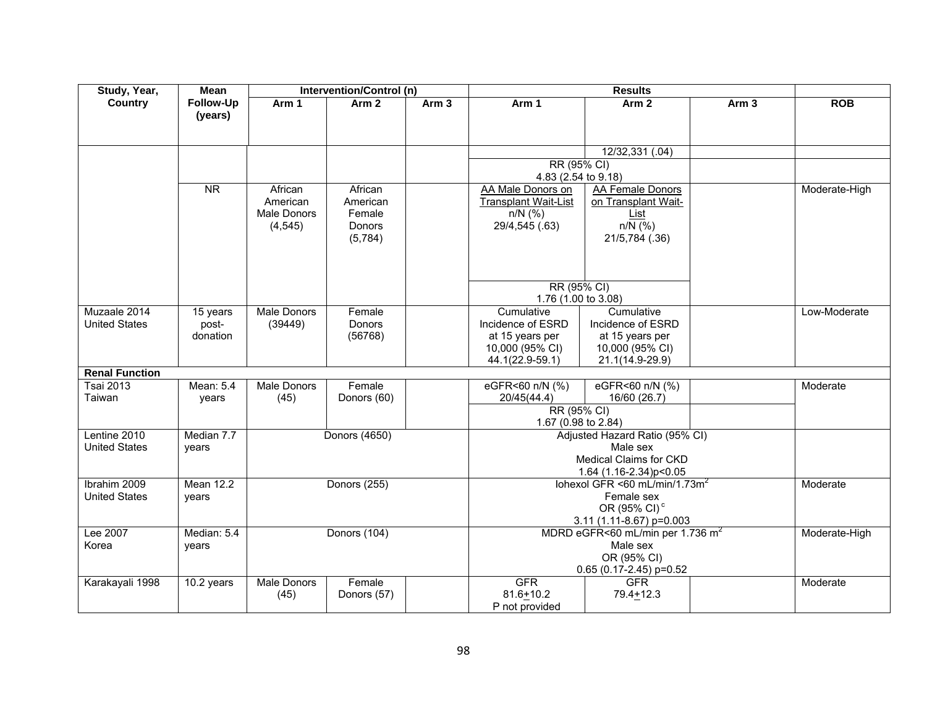| Study, Year,          | <b>Mean</b>            |                    | Intervention/Control (n) |                  |                                          | <b>Results</b>                               |                  |               |
|-----------------------|------------------------|--------------------|--------------------------|------------------|------------------------------------------|----------------------------------------------|------------------|---------------|
| Country               | Follow-Up              | Arm 1              | Arm <sub>2</sub>         | Arm <sub>3</sub> | Arm 1                                    | Arm <sub>2</sub>                             | Arm <sub>3</sub> | <b>ROB</b>    |
|                       | (years)                |                    |                          |                  |                                          |                                              |                  |               |
|                       |                        |                    |                          |                  |                                          |                                              |                  |               |
|                       |                        |                    |                          |                  |                                          |                                              |                  |               |
|                       |                        |                    |                          |                  |                                          | 12/32,331 (.04)                              |                  |               |
|                       |                        |                    |                          |                  | RR (95% CI)                              |                                              |                  |               |
|                       | $\overline{\text{NR}}$ | African            | African                  |                  | 4.83 (2.54 to 9.18)<br>AA Male Donors on | AA Female Donors                             |                  | Moderate-High |
|                       |                        | American           | American                 |                  | <b>Transplant Wait-List</b>              | on Transplant Wait-                          |                  |               |
|                       |                        | <b>Male Donors</b> | Female                   |                  | $n/N$ (%)                                | List                                         |                  |               |
|                       |                        | (4, 545)           | Donors                   |                  | 29/4,545 (.63)                           | $n/N$ (%)                                    |                  |               |
|                       |                        |                    | (5,784)                  |                  |                                          | 21/5,784 (.36)                               |                  |               |
|                       |                        |                    |                          |                  |                                          |                                              |                  |               |
|                       |                        |                    |                          |                  |                                          |                                              |                  |               |
|                       |                        |                    |                          |                  |                                          |                                              |                  |               |
|                       |                        |                    |                          |                  | RR (95% CI)                              |                                              |                  |               |
|                       |                        |                    |                          |                  | 1.76 (1.00 to 3.08)                      |                                              |                  |               |
| Muzaale 2014          | 15 years               | <b>Male Donors</b> | Female                   |                  | Cumulative                               | Cumulative                                   |                  | Low-Moderate  |
| <b>United States</b>  | post-                  | (39449)            | Donors                   |                  | Incidence of ESRD                        | Incidence of ESRD                            |                  |               |
|                       | donation               |                    | (56768)                  |                  | at 15 years per                          | at 15 years per                              |                  |               |
|                       |                        |                    |                          |                  | 10,000 (95% CI)                          | 10,000 (95% CI)                              |                  |               |
| <b>Renal Function</b> |                        |                    |                          |                  | 44.1(22.9-59.1)                          | 21.1(14.9-29.9)                              |                  |               |
| <b>Tsai 2013</b>      | Mean: 5.4              | Male Donors        | Female                   |                  | eGFR<60 n/N (%)                          | eGFR<60 n/N (%)                              |                  | Moderate      |
| Taiwan                | years                  | (45)               | Donors (60)              |                  | 20/45(44.4)                              | 16/60 (26.7)                                 |                  |               |
|                       |                        |                    |                          |                  | RR (95% CI)                              |                                              |                  |               |
|                       |                        |                    |                          |                  | 1.67 (0.98 to 2.84)                      |                                              |                  |               |
| Lentine 2010          | Median 7.7             |                    | Donors (4650)            |                  |                                          | Adjusted Hazard Ratio (95% CI)               |                  |               |
| <b>United States</b>  | years                  |                    |                          |                  |                                          | Male sex                                     |                  |               |
|                       |                        |                    |                          |                  |                                          | Medical Claims for CKD                       |                  |               |
|                       |                        |                    |                          |                  |                                          | 1.64 (1.16-2.34)p<0.05                       |                  |               |
| Ibrahim 2009          | <b>Mean 12.2</b>       |                    | Donors (255)             |                  |                                          | Iohexol GFR <60 mL/min/1.73m <sup>2</sup>    |                  | Moderate      |
| <b>United States</b>  | years                  |                    |                          |                  |                                          | Female sex                                   |                  |               |
|                       |                        |                    |                          |                  |                                          | OR (95% CI) <sup>c</sup>                     |                  |               |
|                       |                        |                    |                          |                  |                                          | 3.11 (1.11-8.67) p=0.003                     |                  |               |
| Lee 2007              | Median: 5.4            |                    | Donors (104)             |                  |                                          | MDRD eGFR<60 mL/min per 1.736 m <sup>2</sup> |                  | Moderate-High |
| Korea                 | years                  |                    |                          |                  |                                          | Male sex                                     |                  |               |
|                       |                        |                    |                          |                  |                                          | OR (95% CI)                                  |                  |               |
| Karakayali 1998       | 10.2 years             | Male Donors        | Female                   |                  | <b>GFR</b>                               | $0.65$ (0.17-2.45) p=0.52<br><b>GFR</b>      |                  | Moderate      |
|                       |                        | (45)               | Donors (57)              |                  | $81.6 + 10.2$                            | $79.4 + 12.3$                                |                  |               |
|                       |                        |                    |                          |                  | P not provided                           |                                              |                  |               |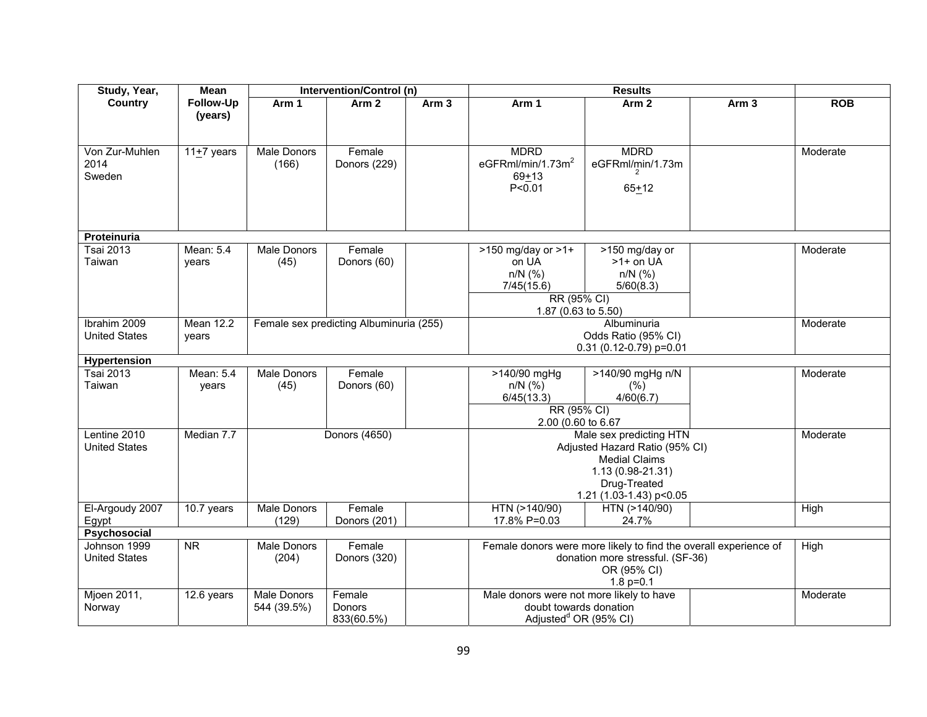| Study, Year,                     | Mean             |                    | Intervention/Control (n)                |                  |                                          | <b>Results</b>                                                   |                  |            |  |  |
|----------------------------------|------------------|--------------------|-----------------------------------------|------------------|------------------------------------------|------------------------------------------------------------------|------------------|------------|--|--|
| Country                          | Follow-Up        | Arm 1              | Arm <sub>2</sub>                        | Arm <sub>3</sub> | Arm 1                                    | Arm <sub>2</sub>                                                 | Arm <sub>3</sub> | <b>ROB</b> |  |  |
|                                  | (years)          |                    |                                         |                  |                                          |                                                                  |                  |            |  |  |
|                                  |                  |                    |                                         |                  |                                          |                                                                  |                  |            |  |  |
|                                  |                  |                    |                                         |                  |                                          |                                                                  |                  |            |  |  |
| Von Zur-Muhlen                   | 11 $+7$ years    | Male Donors        | Female                                  |                  | <b>MDRD</b>                              | <b>MDRD</b>                                                      |                  | Moderate   |  |  |
| 2014<br>Sweden                   |                  | (166)              | Donors (229)                            |                  | eGFRml/min/1.73m <sup>2</sup>            | eGFRml/min/1.73m                                                 |                  |            |  |  |
|                                  |                  |                    |                                         |                  | $69 + 13$<br>P < 0.01                    |                                                                  |                  |            |  |  |
|                                  |                  |                    |                                         |                  |                                          | $65 + 12$                                                        |                  |            |  |  |
|                                  |                  |                    |                                         |                  |                                          |                                                                  |                  |            |  |  |
|                                  |                  |                    |                                         |                  |                                          |                                                                  |                  |            |  |  |
| <b>Proteinuria</b>               |                  |                    |                                         |                  |                                          |                                                                  |                  |            |  |  |
| <b>Tsai 2013</b>                 | Mean: 5.4        | Male Donors        | Female                                  |                  | $>150$ mg/day or $>1+$                   | >150 mg/day or                                                   |                  | Moderate   |  |  |
| Taiwan                           | years            | (45)               | Donors (60)                             |                  | on UA                                    | $>1+$ on UA                                                      |                  |            |  |  |
|                                  |                  |                    |                                         |                  | $n/N$ (%)                                | $n/N$ (%)                                                        |                  |            |  |  |
|                                  |                  |                    |                                         |                  | 7/45(15.6)                               | 5/60(8.3)                                                        |                  |            |  |  |
|                                  |                  |                    |                                         |                  | RR (95% CI)                              |                                                                  |                  |            |  |  |
|                                  |                  |                    |                                         |                  | 1.87 (0.63 to 5.50)                      |                                                                  |                  |            |  |  |
| Ibrahim 2009                     | <b>Mean 12.2</b> |                    | Female sex predicting Albuminuria (255) |                  |                                          | Albuminuria                                                      |                  | Moderate   |  |  |
| <b>United States</b>             | years            |                    |                                         |                  |                                          | Odds Ratio (95% CI)                                              |                  |            |  |  |
|                                  |                  |                    |                                         |                  |                                          | $0.31$ (0.12-0.79) p=0.01                                        |                  |            |  |  |
| Hypertension<br><b>Tsai 2013</b> | Mean: 5.4        | Male Donors        | Female                                  |                  | $>140/90$ mgHg                           | >140/90 mgHg n/N                                                 |                  | Moderate   |  |  |
| Taiwan                           | years            | (45)               | Donors (60)                             |                  | $n/N$ (%)                                | (% )                                                             |                  |            |  |  |
|                                  |                  |                    |                                         |                  | 6/45(13.3)                               | 4/60(6.7)                                                        |                  |            |  |  |
|                                  |                  |                    |                                         |                  | RR (95% CI)                              |                                                                  |                  |            |  |  |
|                                  |                  |                    |                                         |                  | 2.00 (0.60 to 6.67                       |                                                                  |                  |            |  |  |
| Lentine 2010                     | Median 7.7       |                    | Donors (4650)                           |                  |                                          | Male sex predicting HTN                                          |                  | Moderate   |  |  |
| <b>United States</b>             |                  |                    |                                         |                  |                                          | Adjusted Hazard Ratio (95% CI)                                   |                  |            |  |  |
|                                  |                  |                    |                                         |                  |                                          | <b>Medial Claims</b>                                             |                  |            |  |  |
|                                  |                  |                    |                                         |                  |                                          | 1.13 (0.98-21.31)                                                |                  |            |  |  |
|                                  |                  |                    |                                         |                  |                                          | Drug-Treated                                                     |                  |            |  |  |
|                                  |                  |                    |                                         |                  |                                          | 1.21 (1.03-1.43) p<0.05                                          |                  |            |  |  |
| El-Argoudy 2007                  | 10.7 years       | <b>Male Donors</b> | Female                                  |                  | HTN (>140/90)                            | HTN (>140/90)                                                    |                  | High       |  |  |
| Egypt<br>Psychosocial            |                  | (129)              | Donors (201)                            |                  | 17.8% P=0.03                             | 24.7%                                                            |                  |            |  |  |
| Johnson 1999                     | <b>NR</b>        | Male Donors        | Female                                  |                  |                                          | Female donors were more likely to find the overall experience of |                  | High       |  |  |
| <b>United States</b>             |                  | (204)              | Donors (320)                            |                  |                                          | donation more stressful. (SF-36)                                 |                  |            |  |  |
|                                  |                  |                    |                                         |                  |                                          | OR (95% CI)                                                      |                  |            |  |  |
|                                  |                  |                    |                                         |                  |                                          | 1.8 $p=0.1$                                                      |                  |            |  |  |
| Mjoen 2011,                      | 12.6 years       | Male Donors        | Female                                  |                  | Male donors were not more likely to have |                                                                  |                  | Moderate   |  |  |
| Norway                           |                  | 544 (39.5%)        | Donors                                  |                  | doubt towards donation                   |                                                                  |                  |            |  |  |
|                                  |                  |                    | 833(60.5%)                              |                  | Adjusted <sup>d</sup> OR (95% CI)        |                                                                  |                  |            |  |  |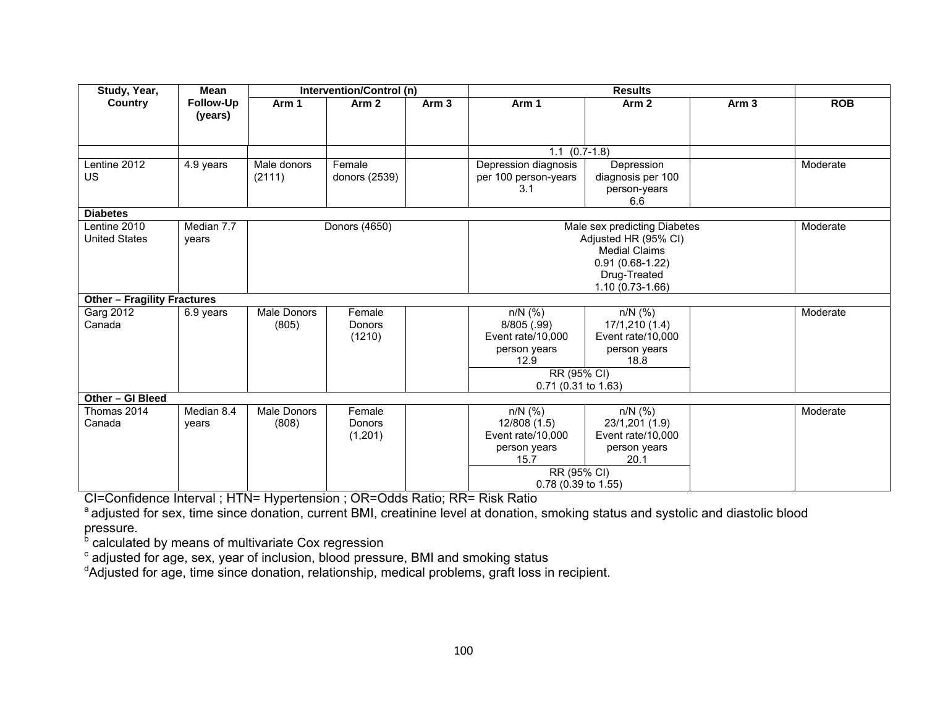| Study, Year,                       | <b>Mean</b> |                    | Intervention/Control (n) |                  |                                              | <b>Results</b>                  |                  |            |  |
|------------------------------------|-------------|--------------------|--------------------------|------------------|----------------------------------------------|---------------------------------|------------------|------------|--|
| Country                            | Follow-Up   | Arm 1              | Arm <sub>2</sub>         | Arm <sub>3</sub> | Arm 1                                        | Arm <sub>2</sub>                | Arm <sub>3</sub> | <b>ROB</b> |  |
|                                    | (years)     |                    |                          |                  |                                              |                                 |                  |            |  |
|                                    |             |                    |                          |                  |                                              |                                 |                  |            |  |
|                                    |             |                    |                          |                  | $1.1$ $(0.7-1.8)$                            |                                 |                  |            |  |
| Lentine 2012                       |             | Male donors        | Female                   |                  |                                              |                                 |                  | Moderate   |  |
| US.                                | 4.9 years   | (2111)             | donors (2539)            |                  | Depression diagnosis<br>per 100 person-years | Depression<br>diagnosis per 100 |                  |            |  |
|                                    |             |                    |                          |                  | 3.1                                          | person-years                    |                  |            |  |
|                                    |             |                    |                          |                  |                                              | 6.6                             |                  |            |  |
| <b>Diabetes</b>                    |             |                    |                          |                  |                                              |                                 |                  |            |  |
| Lentine 2010                       | Median 7.7  |                    | Donors (4650)            |                  |                                              | Male sex predicting Diabetes    |                  | Moderate   |  |
| <b>United States</b>               | years       |                    |                          |                  |                                              | Adjusted HR (95% CI)            |                  |            |  |
|                                    |             |                    |                          |                  |                                              | <b>Medial Claims</b>            |                  |            |  |
|                                    |             |                    |                          |                  |                                              | $0.91(0.68-1.22)$               |                  |            |  |
|                                    |             |                    |                          |                  |                                              | Drug-Treated                    |                  |            |  |
|                                    |             |                    |                          |                  |                                              | 1.10 (0.73-1.66)                |                  |            |  |
| <b>Other - Fragility Fractures</b> |             |                    |                          |                  |                                              |                                 |                  |            |  |
| Garg 2012                          | 6.9 years   | <b>Male Donors</b> | Female                   |                  | $n/N$ (%)                                    | $n/N$ (%)                       |                  | Moderate   |  |
| Canada                             |             | (805)              | Donors                   |                  | 8/805 (.99)                                  | 17/1,210 (1.4)                  |                  |            |  |
|                                    |             |                    | (1210)                   |                  | Event rate/10,000                            | Event rate/10,000               |                  |            |  |
|                                    |             |                    |                          |                  | person years                                 | person years                    |                  |            |  |
|                                    |             |                    |                          |                  | 12.9                                         | 18.8                            |                  |            |  |
|                                    |             |                    |                          |                  | RR (95% CI)                                  |                                 |                  |            |  |
|                                    |             |                    |                          |                  | 0.71 (0.31 to 1.63)                          |                                 |                  |            |  |
| Other - GI Bleed<br>Thomas 2014    | Median 8.4  | <b>Male Donors</b> | Female                   |                  | $n/N$ (%)                                    | $n/N$ (%)                       |                  | Moderate   |  |
| Canada                             |             |                    | Donors                   |                  | 12/808 (1.5)                                 | 23/1,201 (1.9)                  |                  |            |  |
|                                    | years       | (808)              | (1,201)                  |                  | Event rate/10,000                            | Event rate/10,000               |                  |            |  |
|                                    |             |                    |                          |                  | person years                                 | person years                    |                  |            |  |
|                                    |             |                    |                          |                  | 15.7                                         | 20.1                            |                  |            |  |
|                                    |             |                    |                          |                  | RR (95% CI)                                  |                                 |                  |            |  |
|                                    |             |                    |                          |                  | 0.78 (0.39 to 1.55)                          |                                 |                  |            |  |

CI=Confidence Interval ; HTN= Hypertension ; OR=Odds Ratio; RR= Risk Ratio

<sup>a</sup> adjusted for sex, time since donation, current BMI, creatinine level at donation, smoking status and systolic and diastolic blood pressure.

<sup>b</sup> calculated by means of multivariate Cox regression

 $\textdegree$  adjusted for age, sex, year of inclusion, blood pressure, BMI and smoking status

<sup>d</sup>Adjusted for age, time since donation, relationship, medical problems, graft loss in recipient.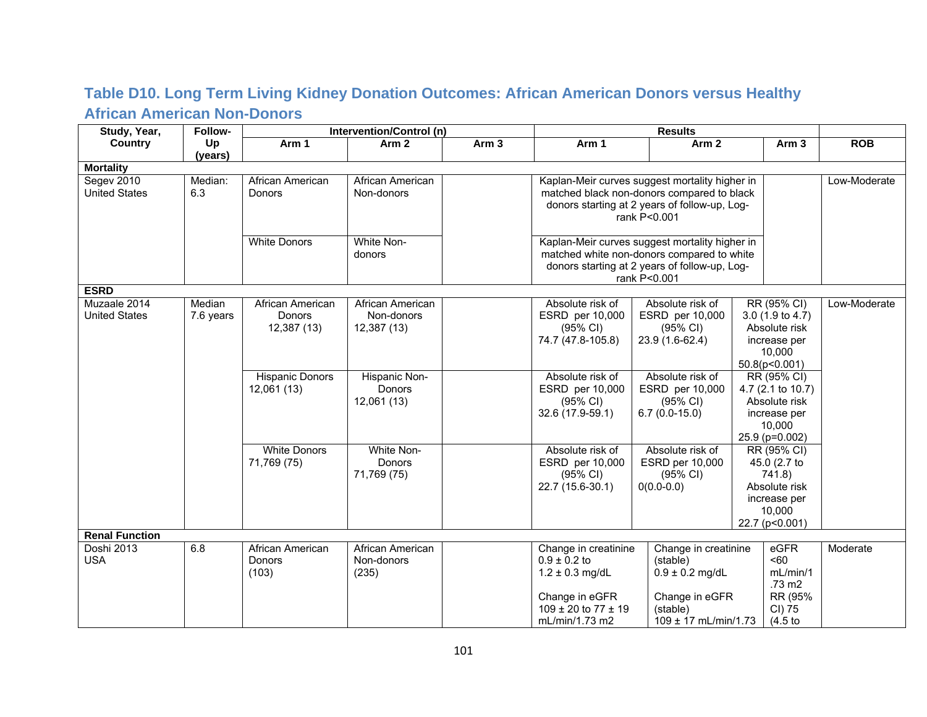### **Table D10. Long Term Living Kidney Donation Outcomes: African American Donors versus Healthy African American Non-Donors**

| Study, Year,          | Follow-   |                        | Intervention/Control (n) |                  |                             |                                                |  |                   |              |
|-----------------------|-----------|------------------------|--------------------------|------------------|-----------------------------|------------------------------------------------|--|-------------------|--------------|
| <b>Country</b>        | Up        | Arm 1                  | Arm <sub>2</sub>         | Arm <sub>3</sub> | Arm 1                       | Arm <sub>2</sub>                               |  | Arm <sub>3</sub>  | <b>ROB</b>   |
|                       | (years)   |                        |                          |                  |                             |                                                |  |                   |              |
| <b>Mortality</b>      |           |                        |                          |                  |                             |                                                |  |                   |              |
| Segev 2010            | Median:   | African American       | African American         |                  |                             | Kaplan-Meir curves suggest mortality higher in |  |                   | Low-Moderate |
| <b>United States</b>  | 6.3       | Donors                 | Non-donors               |                  |                             | matched black non-donors compared to black     |  |                   |              |
|                       |           |                        |                          |                  |                             | donors starting at 2 years of follow-up, Log-  |  |                   |              |
|                       |           |                        |                          |                  |                             | rank P<0.001                                   |  |                   |              |
|                       |           |                        |                          |                  |                             |                                                |  |                   |              |
|                       |           | <b>White Donors</b>    | White Non-               |                  |                             | Kaplan-Meir curves suggest mortality higher in |  |                   |              |
|                       |           |                        | donors                   |                  |                             | matched white non-donors compared to white     |  |                   |              |
|                       |           |                        |                          |                  |                             | donors starting at 2 years of follow-up, Log-  |  |                   |              |
|                       |           |                        |                          |                  |                             | rank P<0.001                                   |  |                   |              |
| <b>ESRD</b>           |           |                        |                          |                  |                             |                                                |  |                   |              |
| Muzaale 2014          | Median    | African American       | African American         |                  | Absolute risk of            | Absolute risk of                               |  | RR (95% CI)       | Low-Moderate |
| <b>United States</b>  | 7.6 years | Donors                 | Non-donors               |                  | ESRD per 10,000             | ESRD per 10,000                                |  | 3.0(1.9 to 4.7)   |              |
|                       |           | 12,387 (13)            | 12,387 (13)              |                  | (95% CI)                    | $(95\% \text{ Cl})$                            |  | Absolute risk     |              |
|                       |           |                        |                          |                  | 74.7 (47.8-105.8)           | 23.9 (1.6-62.4)                                |  | increase per      |              |
|                       |           |                        |                          |                  | 10,000<br>50.8(p<0.001)     |                                                |  |                   |              |
|                       |           | <b>Hispanic Donors</b> | Hispanic Non-            |                  | Absolute risk of            | Absolute risk of                               |  | RR (95% CI)       |              |
|                       |           | 12,061 (13)            | Donors                   |                  | ESRD per 10,000             | ESRD per 10,000                                |  | 4.7 (2.1 to 10.7) |              |
|                       |           |                        | 12,061 (13)              |                  | $(95\% \text{ Cl})$         | $(95% \text{ Cl})$                             |  | Absolute risk     |              |
|                       |           |                        |                          |                  | 32.6 (17.9-59.1)            | $6.7(0.0-15.0)$                                |  | increase per      |              |
|                       |           |                        |                          |                  |                             |                                                |  | 10,000            |              |
|                       |           |                        |                          |                  |                             |                                                |  | 25.9 (p=0.002)    |              |
|                       |           | <b>White Donors</b>    | White Non-               |                  | Absolute risk of            | Absolute risk of                               |  | RR (95% CI)       |              |
|                       |           | 71,769 (75)            | Donors                   |                  | ESRD per 10,000             | ESRD per 10,000                                |  | 45.0 (2.7 to      |              |
|                       |           |                        | 71,769 (75)              |                  | $(95% \text{ Cl})$          | (95% CI)                                       |  | 741.8)            |              |
|                       |           |                        |                          |                  | 22.7 (15.6-30.1)            | $0(0.0-0.0)$                                   |  | Absolute risk     |              |
|                       |           |                        |                          |                  |                             |                                                |  | increase per      |              |
|                       |           |                        |                          |                  |                             |                                                |  | 10,000            |              |
|                       |           |                        |                          |                  |                             |                                                |  | 22.7 (p<0.001)    |              |
| <b>Renal Function</b> |           |                        |                          |                  |                             |                                                |  |                   |              |
| Doshi 2013            | 6.8       | African American       | African American         |                  | Change in creatinine        | Change in creatinine                           |  | eGFR              | Moderate     |
| <b>USA</b>            |           | <b>Donors</b>          | Non-donors               |                  | $0.9 \pm 0.2$ to            | (stable)                                       |  | 50<               |              |
|                       |           | (103)                  | (235)                    |                  | $1.2 \pm 0.3$ mg/dL         | $0.9 \pm 0.2$ mg/dL                            |  | mL/min/1          |              |
|                       |           |                        |                          |                  |                             |                                                |  | .73 m2            |              |
|                       |           |                        |                          |                  | Change in eGFR              | Change in eGFR                                 |  | RR (95%           |              |
|                       |           |                        |                          |                  | $109 \pm 20$ to $77 \pm 19$ | (stable)                                       |  | CI) 75            |              |
|                       |           |                        |                          |                  | mL/min/1.73 m2              | $109 \pm 17$ mL/min/1.73                       |  | (4.5)             |              |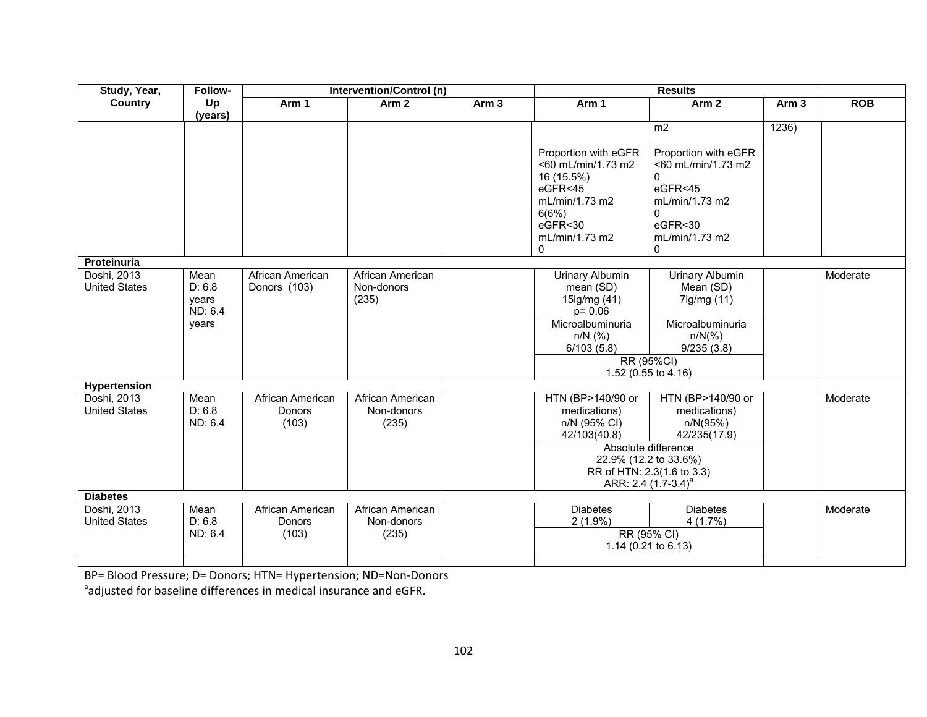| Study, Year,                        | Follow-                                     |                                     | Intervention/Control (n)                |                  |                                                                                                                                         | <b>Results</b>                                                                                                                                                                 |                  |            |
|-------------------------------------|---------------------------------------------|-------------------------------------|-----------------------------------------|------------------|-----------------------------------------------------------------------------------------------------------------------------------------|--------------------------------------------------------------------------------------------------------------------------------------------------------------------------------|------------------|------------|
| <b>Country</b>                      | Up<br>(years)                               | Arm 1                               | Arm <sub>2</sub>                        | Arm <sub>3</sub> | Arm 1                                                                                                                                   | Arm <sub>2</sub>                                                                                                                                                               | Arm <sub>3</sub> | <b>ROB</b> |
|                                     |                                             |                                     |                                         |                  |                                                                                                                                         | m <sub>2</sub>                                                                                                                                                                 | 1236)            |            |
|                                     |                                             |                                     |                                         |                  | Proportion with eGFR<br><60 mL/min/1.73 m2<br>16 (15.5%)<br>$e$ GFR $<$ 45<br>mL/min/1.73 m2<br>6(6%)<br>eGFR<30<br>mL/min/1.73 m2<br>0 | Proportion with eGFR<br><60 mL/min/1.73 m2<br>$\Omega$<br>eGFR<45<br>mL/min/1.73 m2<br>0<br>eGFR<30<br>mL/min/1.73 m2<br>0                                                     |                  |            |
| Proteinuria                         |                                             |                                     |                                         |                  |                                                                                                                                         |                                                                                                                                                                                |                  |            |
| Doshi, 2013<br><b>United States</b> | Mean<br>D: 6.8<br>years<br>ND: 6.4<br>years | African American<br>Donors (103)    | African American<br>Non-donors<br>(235) |                  | <b>Urinary Albumin</b><br>mean (SD)<br>15lg/mg (41)<br>$p = 0.06$<br>Microalbuminuria<br>$n/N$ (%)<br>6/103(5.8)                        | <b>Urinary Albumin</b><br>Mean (SD)<br>7lg/mg (11)<br>Microalbuminuria<br>$n/N$ (%)<br>9/235(3.8)<br>RR (95%CI)<br>1.52 (0.55 to 4.16)                                         |                  | Moderate   |
| <b>Hypertension</b>                 |                                             |                                     |                                         |                  |                                                                                                                                         |                                                                                                                                                                                |                  |            |
| Doshi, 2013<br><b>United States</b> | Mean<br>D: 6.8<br>ND: 6.4                   | African American<br>Donors<br>(103) | African American<br>Non-donors<br>(235) |                  | HTN (BP>140/90 or<br>medications)<br>n/N (95% CI)<br>42/103(40.8)                                                                       | HTN (BP>140/90 or<br>medications)<br>n/N(95%)<br>42/235(17.9)<br>Absolute difference<br>22.9% (12.2 to 33.6%)<br>RR of HTN: 2.3(1.6 to 3.3)<br>ARR: 2.4 (1.7-3.4) <sup>a</sup> |                  | Moderate   |
| <b>Diabetes</b>                     |                                             |                                     |                                         |                  |                                                                                                                                         |                                                                                                                                                                                |                  |            |
| Doshi, 2013<br><b>United States</b> | Mean<br>D: 6.8<br>ND: 6.4                   | African American<br>Donors<br>(103) | African American<br>Non-donors<br>(235) |                  | <b>Diabetes</b><br>$2(1.9\%)$                                                                                                           | <b>Diabetes</b><br>4(1.7%)<br>RR (95% CI)<br>1.14 (0.21 to 6.13)                                                                                                               |                  | Moderate   |
|                                     |                                             |                                     |                                         |                  |                                                                                                                                         |                                                                                                                                                                                |                  |            |

BP= Blood Pressure; D= Donors; HTN= Hypertension; ND=Non‐Donors

 $a$ adjusted for baseline differences in medical insurance and eGFR.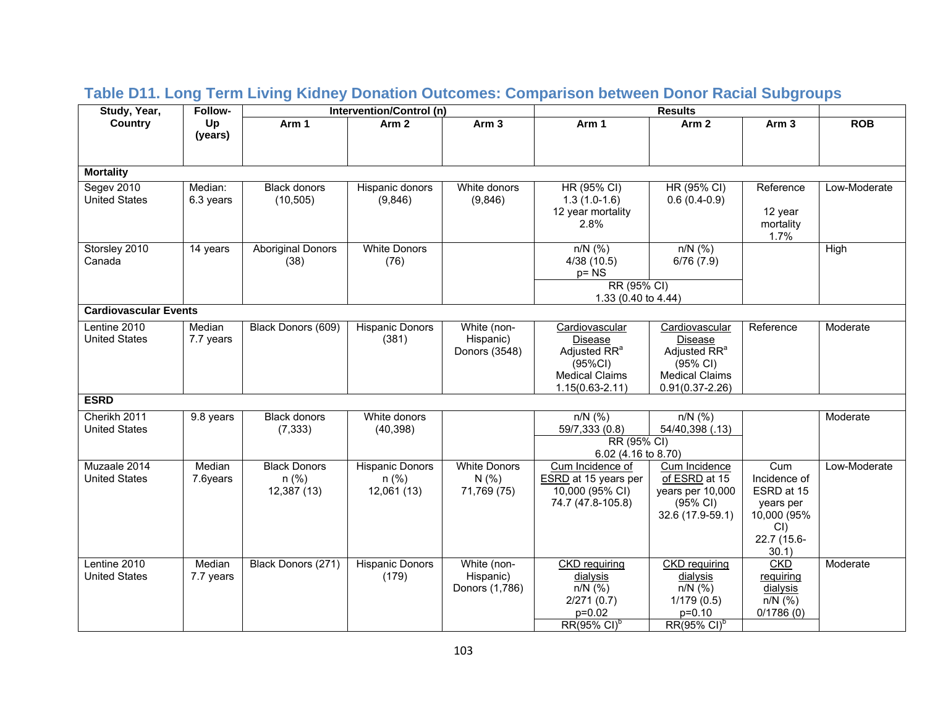| Study, Year,                         | <b>Follow-</b>       |                                               | Intervention/Control (n)                         |                                             |                                                                                                                  | <b>Results</b>                                                                                                    |                                                                                              |              |
|--------------------------------------|----------------------|-----------------------------------------------|--------------------------------------------------|---------------------------------------------|------------------------------------------------------------------------------------------------------------------|-------------------------------------------------------------------------------------------------------------------|----------------------------------------------------------------------------------------------|--------------|
| Country                              | Up<br>(years)        | Arm 1                                         | Arm <sub>2</sub>                                 | Arm <sub>3</sub>                            | Arm 1                                                                                                            | Arm <sub>2</sub>                                                                                                  | Arm <sub>3</sub>                                                                             | <b>ROB</b>   |
| <b>Mortality</b>                     |                      |                                               |                                                  |                                             |                                                                                                                  |                                                                                                                   |                                                                                              |              |
| Segev 2010<br><b>United States</b>   | Median:<br>6.3 years | <b>Black donors</b><br>(10, 505)              | Hispanic donors<br>(9,846)                       | White donors<br>(9,846)                     | HR (95% CI)<br>$1.3(1.0-1.6)$<br>12 year mortality<br>2.8%                                                       | HR (95% CI)<br>$0.6(0.4-0.9)$                                                                                     | Reference<br>12 year<br>mortality<br>1.7%                                                    | Low-Moderate |
| Storsley 2010<br>Canada              | 14 years             | <b>Aboriginal Donors</b><br>(38)              | <b>White Donors</b><br>(76)                      |                                             | $n/N$ (%)<br>4/38(10.5)<br>$p = NS$<br>RR (95% CI)                                                               | $n/N$ (%)<br>6/76(7.9)                                                                                            |                                                                                              | High         |
|                                      |                      |                                               |                                                  |                                             | 1.33 (0.40 to 4.44)                                                                                              |                                                                                                                   |                                                                                              |              |
| <b>Cardiovascular Events</b>         |                      |                                               |                                                  |                                             |                                                                                                                  |                                                                                                                   |                                                                                              |              |
| Lentine 2010<br><b>United States</b> | Median<br>7.7 years  | Black Donors (609)                            | <b>Hispanic Donors</b><br>(381)                  | White (non-<br>Hispanic)<br>Donors (3548)   | Cardiovascular<br>Disease<br>Adjusted RR <sup>a</sup><br>(95%CI)<br><b>Medical Claims</b><br>$1.15(0.63 - 2.11)$ | Cardiovascular<br>Disease<br>Adjusted RR <sup>a</sup><br>(95% CI)<br><b>Medical Claims</b><br>$0.91(0.37 - 2.26)$ | Reference                                                                                    | Moderate     |
| <b>ESRD</b>                          |                      |                                               |                                                  |                                             |                                                                                                                  |                                                                                                                   |                                                                                              |              |
| Cherikh 2011<br><b>United States</b> | 9.8 years            | <b>Black donors</b><br>(7, 333)               | White donors<br>(40, 398)                        |                                             | $n/N$ (%)<br>59/7,333 (0.8)<br>RR (95% CI)<br>6.02 (4.16 to 8.70)                                                | $n/N$ (%)<br>54/40,398 (.13)                                                                                      |                                                                                              | Moderate     |
| Muzaale 2014<br><b>United States</b> | Median<br>7.6years   | <b>Black Donors</b><br>$n$ (%)<br>12,387 (13) | <b>Hispanic Donors</b><br>$n$ (%)<br>12,061 (13) | <b>White Donors</b><br>N(% )<br>71,769 (75) | Cum Incidence of<br><b>ESRD</b> at 15 years per<br>10,000 (95% CI)<br>74.7 (47.8-105.8)                          | Cum Incidence<br>of ESRD at 15<br>years per 10,000<br>(95% CI)<br>32.6 (17.9-59.1)                                | Cum<br>Incidence of<br>ESRD at 15<br>years per<br>10,000 (95%<br>CI)<br>22.7 (15.6-<br>30.1) | Low-Moderate |
| Lentine 2010<br><b>United States</b> | Median<br>7.7 years  | Black Donors (271)                            | <b>Hispanic Donors</b><br>(179)                  | White (non-<br>Hispanic)<br>Donors (1,786)  | <b>CKD</b> requiring<br>dialysis<br>$n/N$ (%)<br>2/271(0.7)<br>p=0.02<br>$RR(95\% \text{ Cl})^b$                 | <b>CKD</b> requiring<br>dialysis<br>$n/N$ (%)<br>1/179(0.5)<br>p=0.10<br>RR(95% CI) <sup>b</sup>                  | <b>CKD</b><br>requiring<br>dialysis<br>$n/N$ (%)<br>0/1786(0)                                | Moderate     |

# **Table D11. Long Term Living Kidney Donation Outcomes: Comparison between Donor Racial Subgroups**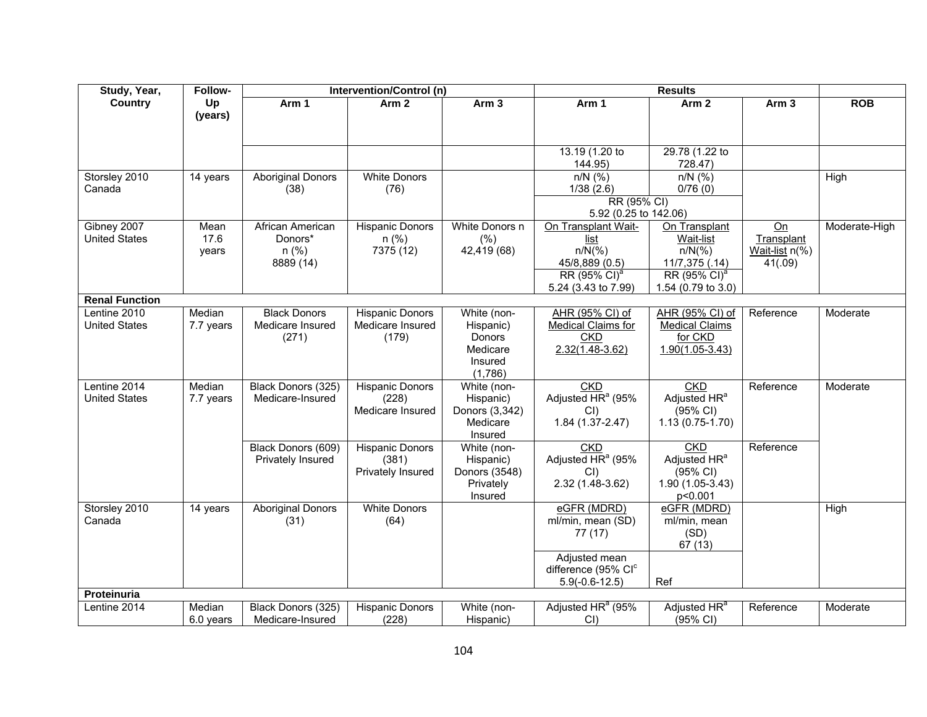| Study, Year,          | Follow-   |                          | Intervention/Control (n) |                     |                               | <b>Results</b>            |                  |               |
|-----------------------|-----------|--------------------------|--------------------------|---------------------|-------------------------------|---------------------------|------------------|---------------|
| <b>Country</b>        | Up        | Arm 1                    | Arm <sub>2</sub>         | Arm <sub>3</sub>    | Arm 1                         | Arm <sub>2</sub>          | Arm <sub>3</sub> | <b>ROB</b>    |
|                       | (years)   |                          |                          |                     |                               |                           |                  |               |
|                       |           |                          |                          |                     |                               |                           |                  |               |
|                       |           |                          |                          |                     |                               |                           |                  |               |
|                       |           |                          |                          |                     | 13.19 (1.20 to<br>144.95)     | 29.78 (1.22 to<br>728.47) |                  |               |
| Storsley 2010         | 14 years  | <b>Aboriginal Donors</b> | <b>White Donors</b>      |                     | $n/N$ (%)                     | $n/N$ (%)                 |                  | High          |
| Canada                |           | (38)                     | (76)                     |                     | 1/38(2.6)                     | 0/76(0)                   |                  |               |
|                       |           |                          |                          |                     | RR (95% CI)                   |                           |                  |               |
|                       |           |                          |                          |                     | 5.92 (0.25 to 142.06)         |                           |                  |               |
| Gibney 2007           | Mean      | African American         | <b>Hispanic Donors</b>   | White Donors n      | On Transplant Wait-           | On Transplant             | On               | Moderate-High |
| <b>United States</b>  | 17.6      | Donors*                  | $n$ (%)                  | (% )                | list                          | Wait-list                 | Transplant       |               |
|                       | years     | $n$ (%)                  | 7375 (12)                | 42,419 (68)         | $n/N(\%)$                     | $n/N(\%)$                 | Wait-list n(%)   |               |
|                       |           | 8889 (14)                |                          |                     | 45/8,889 (0.5)                | 11/7,375 (.14)            | 41(.09)          |               |
|                       |           |                          |                          |                     | RR (95% CI) <sup>a</sup>      | RR (95% CI) <sup>a</sup>  |                  |               |
|                       |           |                          |                          |                     | 5.24 (3.43 to 7.99)           | 1.54 (0.79 to 3.0)        |                  |               |
| <b>Renal Function</b> |           |                          |                          |                     |                               |                           |                  |               |
| Lentine 2010          | Median    | <b>Black Donors</b>      | <b>Hispanic Donors</b>   | White (non-         | AHR (95% CI) of               | AHR (95% CI) of           | Reference        | Moderate      |
| <b>United States</b>  | 7.7 years | Medicare Insured         | Medicare Insured         | Hispanic)           | <b>Medical Claims for</b>     | <b>Medical Claims</b>     |                  |               |
|                       |           | (271)                    | (179)                    | Donors              | <b>CKD</b>                    | for CKD                   |                  |               |
|                       |           |                          |                          | Medicare            | $2.32(1.48-3.62)$             | $1.90(1.05 - 3.43)$       |                  |               |
|                       |           |                          |                          | Insured             |                               |                           |                  |               |
|                       |           |                          |                          | (1,786)             |                               |                           |                  |               |
| Lentine 2014          | Median    | Black Donors (325)       | <b>Hispanic Donors</b>   | White (non-         | <b>CKD</b>                    | <b>CKD</b>                | Reference        | Moderate      |
| <b>United States</b>  | 7.7 years | Medicare-Insured         | (228)                    | Hispanic)           | Adjusted $HR^a$ (95%          | Adjusted HR <sup>a</sup>  |                  |               |
|                       |           |                          | Medicare Insured         | Donors (3,342)      | CI)                           | (95% CI)                  |                  |               |
|                       |           |                          |                          | Medicare<br>Insured | $1.84(1.37 - 2.47)$           | $1.13(0.75-1.70)$         |                  |               |
|                       |           | Black Donors (609)       | <b>Hispanic Donors</b>   | White (non-         | <b>CKD</b>                    | <b>CKD</b>                | Reference        |               |
|                       |           | Privately Insured        | (381)                    | Hispanic)           | Adjusted HR <sup>a</sup> (95% | Adjusted HR <sup>a</sup>  |                  |               |
|                       |           |                          | Privately Insured        | Donors (3548)       | $CI$ )                        | (95% CI)                  |                  |               |
|                       |           |                          |                          | Privately           | 2.32 (1.48-3.62)              | 1.90 (1.05-3.43)          |                  |               |
|                       |           |                          |                          | Insured             |                               | p<0.001                   |                  |               |
| Storsley 2010         | 14 years  | <b>Aboriginal Donors</b> | <b>White Donors</b>      |                     | eGFR (MDRD)                   | eGFR (MDRD)               |                  | High          |
| Canada                |           | (31)                     | (64)                     |                     | ml/min, mean (SD)             | ml/min, mean              |                  |               |
|                       |           |                          |                          |                     | 77(17)                        | (SD)                      |                  |               |
|                       |           |                          |                          |                     |                               | 67 (13)                   |                  |               |
|                       |           |                          |                          |                     | Adjusted mean                 |                           |                  |               |
|                       |           |                          |                          |                     | difference (95% CIC           |                           |                  |               |
|                       |           |                          |                          |                     | $5.9(-0.6-12.5)$              | Ref                       |                  |               |
| <b>Proteinuria</b>    |           |                          |                          |                     |                               |                           |                  |               |
| Lentine 2014          | Median    | Black Donors (325)       | <b>Hispanic Donors</b>   | White (non-         | Adjusted HR <sup>a</sup> (95% | Adjusted HR <sup>a</sup>  | Reference        | Moderate      |
|                       | 6.0 years | Medicare-Insured         | (228)                    | Hispanic)           | $CI$ )                        | (95% CI)                  |                  |               |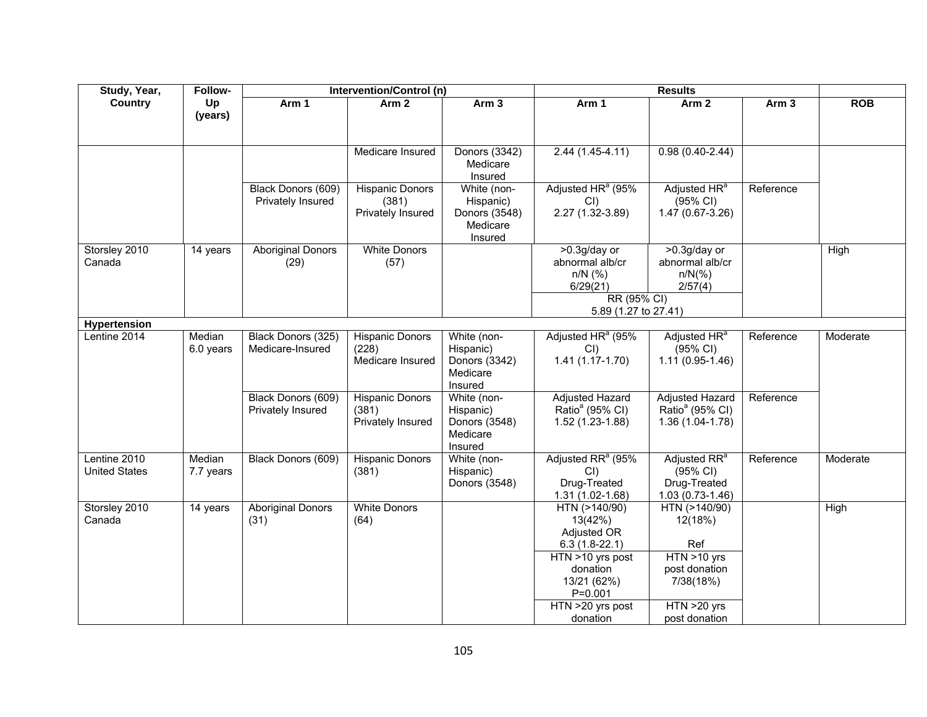| Study, Year,                         | Follow-             |                                         | Intervention/Control (n)                             |                                                                  |                                                                                                                                                          | <b>Results</b>                                                                                               |                    |            |
|--------------------------------------|---------------------|-----------------------------------------|------------------------------------------------------|------------------------------------------------------------------|----------------------------------------------------------------------------------------------------------------------------------------------------------|--------------------------------------------------------------------------------------------------------------|--------------------|------------|
| Country                              | Up<br>(years)       | Arm 1                                   | Arm <sub>2</sub>                                     | Arm <sub>3</sub>                                                 | Arm 1                                                                                                                                                    | Arm <sub>2</sub>                                                                                             | $\overline{Arm}$ 3 | <b>ROB</b> |
|                                      |                     |                                         | Medicare Insured                                     | Donors (3342)<br>Medicare<br>Insured                             | $2.44(1.45-4.11)$                                                                                                                                        | $0.98(0.40-2.44)$                                                                                            |                    |            |
|                                      |                     | Black Donors (609)<br>Privately Insured | <b>Hispanic Donors</b><br>(381)<br>Privately Insured | White (non-<br>Hispanic)<br>Donors (3548)<br>Medicare<br>Insured | Adjusted HR <sup>a</sup> (95%<br>CI<br>$2.27(1.32 - 3.89)$                                                                                               | Adjusted HR <sup>a</sup><br>(95% CI)<br>$1.47(0.67 - 3.26)$                                                  | Reference          |            |
| Storsley 2010<br>Canada              | 14 years            | <b>Aboriginal Donors</b><br>(29)        | <b>White Donors</b><br>(57)                          |                                                                  | >0.3g/day or<br>abnormal alb/cr<br>$n/N$ (%)<br>6/29(21)<br>RR (95% CI)                                                                                  | >0.3g/day or<br>abnormal alb/cr<br>$n/N$ (%)<br>2/57(4)                                                      |                    | High       |
| <b>Hypertension</b>                  |                     |                                         |                                                      |                                                                  | 5.89 (1.27 to 27.41)                                                                                                                                     |                                                                                                              |                    |            |
| Lentine 2014                         | Median<br>6.0 years | Black Donors (325)<br>Medicare-Insured  | <b>Hispanic Donors</b><br>(228)<br>Medicare Insured  | White (non-<br>Hispanic)<br>Donors (3342)<br>Medicare<br>Insured | Adjusted HR <sup>a</sup> (95%<br>CI<br>$1.41(1.17-1.70)$                                                                                                 | Adjusted HR <sup>a</sup><br>(95% CI)<br>$1.11(0.95-1.46)$                                                    | Reference          | Moderate   |
|                                      |                     | Black Donors (609)<br>Privately Insured | <b>Hispanic Donors</b><br>(381)<br>Privately Insured | White (non-<br>Hispanic)<br>Donors (3548)<br>Medicare<br>Insured | <b>Adjusted Hazard</b><br>Ratio <sup>ª</sup> (95% CI)<br>1.52 (1.23-1.88)                                                                                | <b>Adjusted Hazard</b><br>Ratio <sup>ª</sup> (95% CI)<br>$1.36(1.04-1.78)$                                   | Reference          |            |
| Lentine 2010<br><b>United States</b> | Median<br>7.7 years | Black Donors (609)                      | <b>Hispanic Donors</b><br>(381)                      | White (non-<br>Hispanic)<br>Donors (3548)                        | Adjusted RR <sup>a</sup> (95%<br>$CI$ )<br>Drug-Treated<br>1.31 (1.02-1.68)                                                                              | Adjusted RR <sup>a</sup><br>$(95% \text{ Cl})$<br>Drug-Treated<br>$1.03(0.73-1.46)$                          | Reference          | Moderate   |
| Storsley 2010<br>Canada              | 14 years            | <b>Aboriginal Donors</b><br>(31)        | <b>White Donors</b><br>(64)                          |                                                                  | HTN (>140/90)<br>13(42%)<br>Adjusted OR<br>$6.3(1.8-22.1)$<br>HTN >10 yrs post<br>donation<br>13/21 (62%)<br>$P = 0.001$<br>HTN >20 yrs post<br>donation | HTN (>140/90)<br>12(18%)<br>Ref<br>HTN >10 yrs<br>post donation<br>7/38(18%)<br>HTN >20 yrs<br>post donation |                    | High       |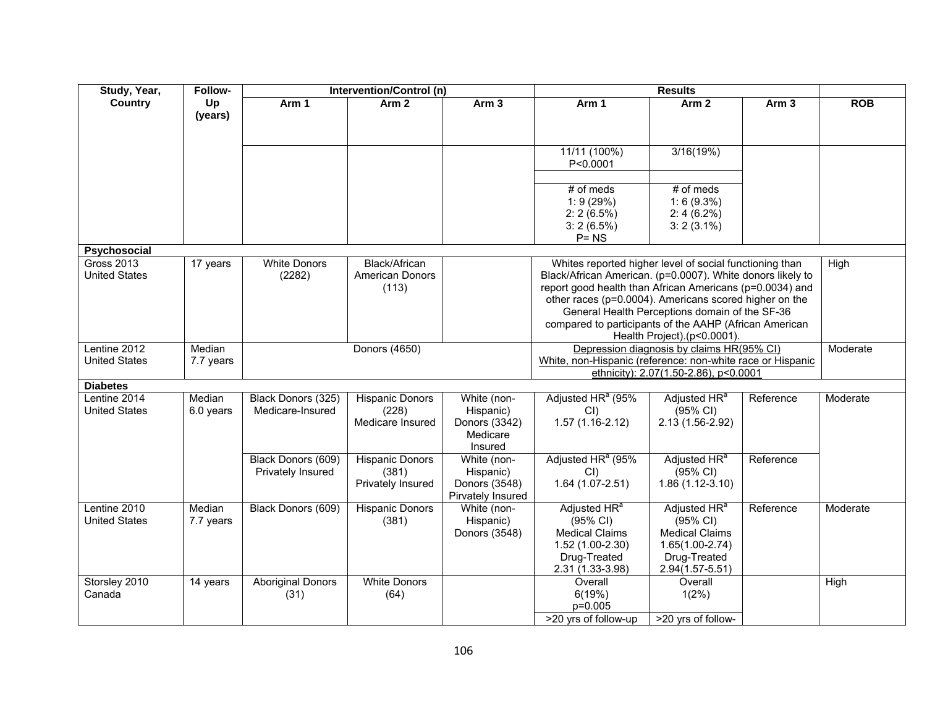| Study, Year,                              | Follow-             |                                         | Intervention/Control (n)                             |                                                                  |                                                                                                                                                                                                                                                                                                       | <b>Results</b>                                                                                                                      |                  |            |
|-------------------------------------------|---------------------|-----------------------------------------|------------------------------------------------------|------------------------------------------------------------------|-------------------------------------------------------------------------------------------------------------------------------------------------------------------------------------------------------------------------------------------------------------------------------------------------------|-------------------------------------------------------------------------------------------------------------------------------------|------------------|------------|
| <b>Country</b>                            | Up<br>(years)       | Arm 1                                   | Arm <sub>2</sub>                                     | Arm <sub>3</sub>                                                 | Arm 1                                                                                                                                                                                                                                                                                                 | Arm <sub>2</sub>                                                                                                                    | Arm <sub>3</sub> | <b>ROB</b> |
|                                           |                     |                                         |                                                      |                                                                  | 11/11 (100%)<br>P<0.0001                                                                                                                                                                                                                                                                              | 3/16(19%)                                                                                                                           |                  |            |
|                                           |                     |                                         |                                                      |                                                                  | $#$ of meds<br>1:9(29%)<br>$2:2(6.5\%)$<br>$3:2(6.5\%)$<br>$P = NS$                                                                                                                                                                                                                                   | $#$ of meds<br>$1:6(9.3\%)$<br>$2:4(6.2\%)$<br>$3:2(3.1\%)$                                                                         |                  |            |
| Psychosocial                              |                     |                                         |                                                      |                                                                  |                                                                                                                                                                                                                                                                                                       |                                                                                                                                     |                  |            |
| <b>Gross 2013</b><br><b>United States</b> | 17 years            | <b>White Donors</b><br>(2282)           | <b>Black/African</b><br>American Donors<br>(113)     |                                                                  | Whites reported higher level of social functioning than<br>Black/African American. (p=0.0007). White donors likely to<br>report good health than African Americans (p=0.0034) and<br>other races (p=0.0004). Americans scored higher on the<br>compared to participants of the AAHP (African American | General Health Perceptions domain of the SF-36<br>Health Project).(p<0.0001).                                                       |                  | High       |
| Lentine 2012<br><b>United States</b>      | Median<br>7.7 years |                                         | Donors (4650)                                        |                                                                  | White, non-Hispanic (reference: non-white race or Hispanic                                                                                                                                                                                                                                            | Depression diagnosis by claims HR(95% CI)<br>ethnicity): 2.07(1.50-2.86), p<0.0001                                                  |                  | Moderate   |
| <b>Diabetes</b>                           |                     |                                         |                                                      |                                                                  |                                                                                                                                                                                                                                                                                                       |                                                                                                                                     |                  |            |
| Lentine 2014<br><b>United States</b>      | Median<br>6.0 years | Black Donors (325)<br>Medicare-Insured  | <b>Hispanic Donors</b><br>(228)<br>Medicare Insured  | White (non-<br>Hispanic)<br>Donors (3342)<br>Medicare<br>Insured | Adjusted HR <sup>a</sup> (95%<br>$CI$ )<br>$1.57(1.16-2.12)$                                                                                                                                                                                                                                          | Adjusted HR <sup>a</sup><br>(95% CI)<br>2.13 (1.56-2.92)                                                                            | Reference        | Moderate   |
|                                           |                     | Black Donors (609)<br>Privately Insured | <b>Hispanic Donors</b><br>(381)<br>Privately Insured | White (non-<br>Hispanic)<br>Donors (3548)<br>Pirvately Insured   | Adjusted HR <sup>a</sup> (95%<br>CI<br>$1.64(1.07-2.51)$                                                                                                                                                                                                                                              | Adjusted HR <sup>a</sup><br>(95% CI)<br>$1.86(1.12-3.10)$                                                                           | Reference        |            |
| Lentine 2010<br><b>United States</b>      | Median<br>7.7 years | Black Donors (609)                      | <b>Hispanic Donors</b><br>(381)                      | White (non-<br>Hispanic)<br>Donors (3548)                        | Adjusted HR <sup>a</sup><br>(95% CI)<br><b>Medical Claims</b><br>1.52 (1.00-2.30)<br>Drug-Treated<br>2.31 (1.33-3.98)                                                                                                                                                                                 | Adjusted HR <sup>a</sup><br>$(95% \text{ Cl})$<br><b>Medical Claims</b><br>$1.65(1.00-2.74)$<br>Drug-Treated<br>$2.94(1.57 - 5.51)$ | Reference        | Moderate   |
| Storsley 2010<br>Canada                   | 14 years            | <b>Aboriginal Donors</b><br>(31)        | <b>White Donors</b><br>(64)                          |                                                                  | Overall<br>6(19%)<br>p=0.005<br>>20 yrs of follow-up                                                                                                                                                                                                                                                  | Overall<br>1(2%)<br>>20 yrs of follow-                                                                                              |                  | High       |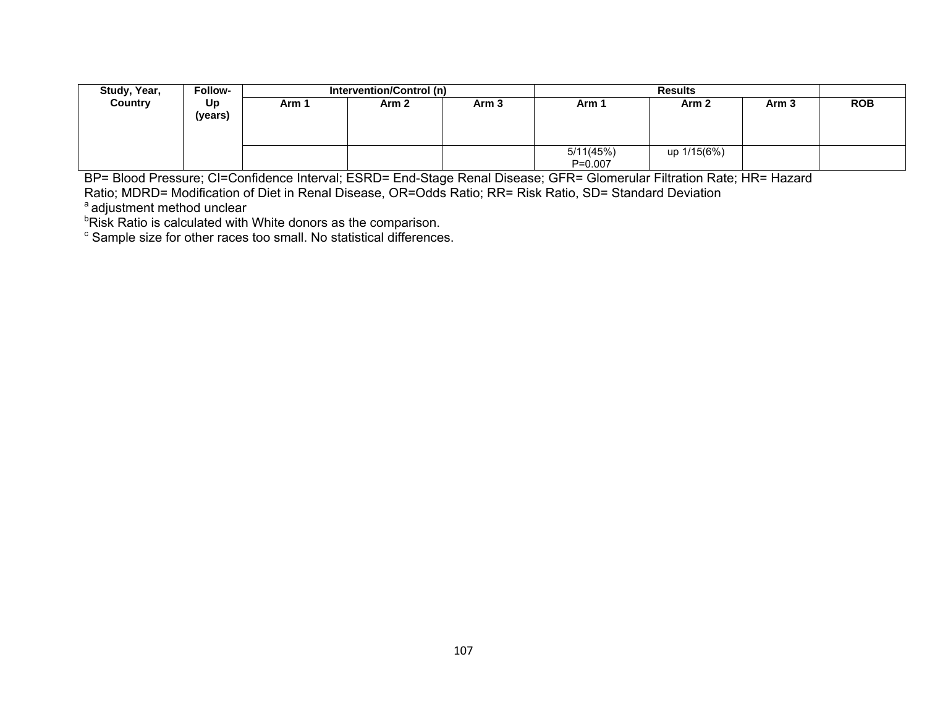| Study, Year,   | Follow- |                                               | Intervention/Control (n) |       |                  | <b>Results</b> |            |  |
|----------------|---------|-----------------------------------------------|--------------------------|-------|------------------|----------------|------------|--|
| <b>Country</b> | Up      | Arm <sub>3</sub><br>Arm <sub>2</sub><br>Arm 1 |                          | Arm 1 | Arm <sub>2</sub> | Arm 3          | <b>ROB</b> |  |
|                | (years) |                                               |                          |       |                  |                |            |  |
|                |         |                                               |                          |       |                  |                |            |  |
|                |         |                                               |                          |       |                  |                |            |  |
|                |         |                                               |                          |       | 5/11(45%)        | up 1/15(6%)    |            |  |
|                |         |                                               |                          |       | $P = 0.007$      |                |            |  |

BP= Blood Pressure; CI=Confidence Interval; ESRD= End-Stage Renal Disease; GFR= Glomerular Filtration Rate; HR= Hazard

Ratio; MDRD= Modification of Diet in Renal Disease, OR=Odds Ratio; RR= Risk Ratio, SD= Standard Deviation

a adjustment method unclear

**PRisk Ratio is calculated with White donors as the comparison.** 

c Sample size for other races too small. No statistical differences.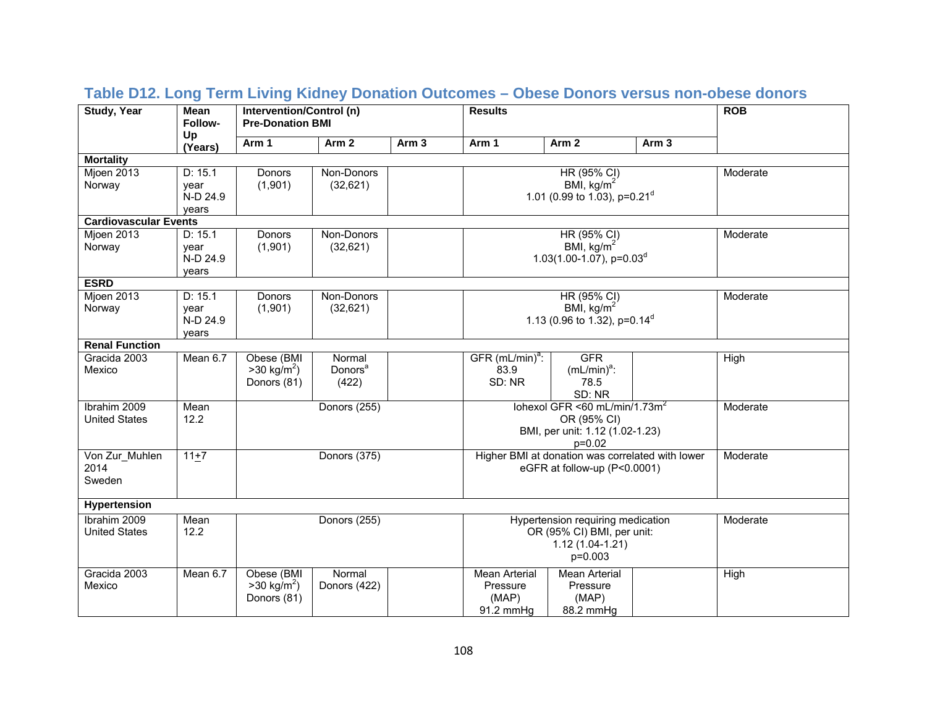| <b>Study, Year</b>                   | <b>Mean</b><br>Follow-               | Intervention/Control (n)<br><b>Pre-Donation BMI</b> | <b>Results</b>                         |                  | <b>ROB</b>                                                                                      |                                                                                                           |                  |          |
|--------------------------------------|--------------------------------------|-----------------------------------------------------|----------------------------------------|------------------|-------------------------------------------------------------------------------------------------|-----------------------------------------------------------------------------------------------------------|------------------|----------|
|                                      | Up<br>(Years)                        | Arm 1                                               | Arm <sub>2</sub>                       | Arm <sub>3</sub> | Arm 1                                                                                           | Arm <sub>2</sub>                                                                                          | Arm <sub>3</sub> |          |
| <b>Mortality</b>                     |                                      |                                                     |                                        |                  |                                                                                                 |                                                                                                           |                  |          |
| Mjoen 2013<br>Norway                 | D: 15.1<br>year<br>N-D 24.9<br>vears | <b>Donors</b><br>(1,901)                            | Non-Donors<br>(32,621)                 |                  |                                                                                                 | HR (95% CI)<br>BMI, $kg/m2$<br>1.01 (0.99 to 1.03), $p=0.21^d$                                            |                  | Moderate |
| <b>Cardiovascular Events</b>         |                                      |                                                     |                                        |                  |                                                                                                 |                                                                                                           |                  |          |
| Mjoen 2013<br>Norway                 | D: 15.1<br>year<br>N-D 24.9<br>years | Donors<br>(1,901)                                   | Non-Donors<br>(32, 621)                |                  |                                                                                                 | HR (95% CI)<br>BMI, $kg/m2$<br>1.03(1.00-1.07), $p=0.03d$                                                 |                  | Moderate |
| <b>ESRD</b>                          |                                      |                                                     |                                        |                  |                                                                                                 |                                                                                                           |                  |          |
| Mjoen 2013<br>Norway                 | D: 15.1<br>year<br>N-D 24.9<br>years | Donors<br>(1,901)                                   | Non-Donors<br>(32,621)                 |                  |                                                                                                 | HR (95% CI)<br>BMI, $kg/m2$<br>1.13 (0.96 to 1.32), p=0.14 <sup>d</sup>                                   |                  | Moderate |
| <b>Renal Function</b>                |                                      |                                                     |                                        |                  |                                                                                                 |                                                                                                           |                  |          |
| Gracida 2003<br>Mexico               | Mean 6.7                             | Obese (BMI<br>$>30 \text{ kg/m}^2$ )<br>Donors (81) | Normal<br>Donors <sup>a</sup><br>(422) |                  | $GFR (mL/min)a$ :<br>83.9<br>SD: NR                                                             | <b>GFR</b><br>$(mL/min)^a$ :<br>78.5<br>SD: NR                                                            |                  | High     |
| Ibrahim 2009<br><b>United States</b> | Mean<br>12.2                         |                                                     | Donors (255)                           |                  |                                                                                                 | lohexol GFR <60 mL/min/1.73m <sup>2</sup><br>OR (95% CI)<br>BMI, per unit: 1.12 (1.02-1.23)<br>$p = 0.02$ |                  | Moderate |
| Von Zur_Muhlen<br>2014<br>Sweden     | $11+7$                               |                                                     | Donors (375)                           |                  |                                                                                                 | Higher BMI at donation was correlated with lower<br>eGFR at follow-up (P<0.0001)                          |                  | Moderate |
| Hypertension                         |                                      |                                                     |                                        |                  |                                                                                                 |                                                                                                           |                  |          |
| Ibrahim 2009<br><b>United States</b> | Mean<br>12.2                         |                                                     | Donors (255)                           |                  | Hypertension requiring medication<br>OR (95% CI) BMI, per unit:<br>$1.12(1.04-1.21)$<br>p=0.003 |                                                                                                           |                  | Moderate |
| Gracida 2003<br>Mexico               | Mean 6.7                             | Obese (BMI<br>$>30 \text{ kg/m}^2$ )<br>Donors (81) | Normal<br>Donors (422)                 |                  | <b>Mean Arterial</b><br>Pressure<br>(MAP)<br>91.2 mmHg                                          | <b>Mean Arterial</b><br>Pressure<br>(MAP)<br>88.2 mmHg                                                    |                  | High     |

### **Table D12. Long Term Living Kidney Donation Outcomes – Obese Donors versus non-obese donors**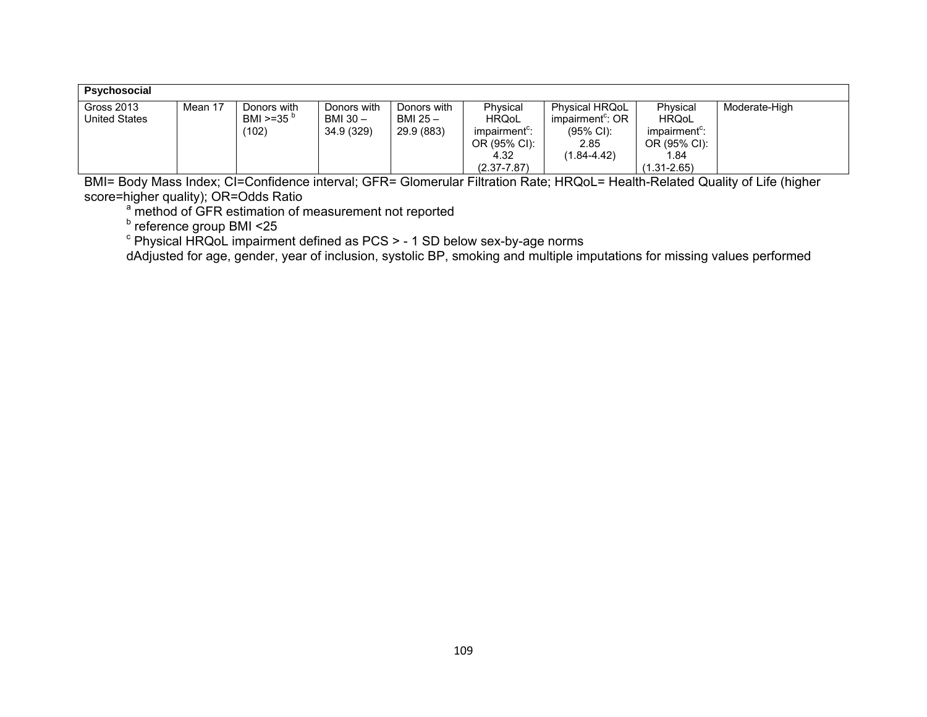| Psychosocial  |         |                     |             |             |                           |                       |                           |               |
|---------------|---------|---------------------|-------------|-------------|---------------------------|-----------------------|---------------------------|---------------|
| Gross 2013    | Mean 17 | Donors with         | Donors with | Donors with | Physical                  | <b>Physical HRQoL</b> | Physical                  | Moderate-High |
| United States |         | BMI >=35 $^{\circ}$ | BMI 30 -    | BMI 25 -    | <b>HRQoL</b>              | impairment": OR       | <b>HRQoL</b>              |               |
|               |         | (102)               | 34.9 (329)  | 29.9 (883)  | impairment <sup>c</sup> : | $(95\% \text{ Cl})$ : | impairment <sup>c</sup> : |               |
|               |         |                     |             |             | OR (95% CI):              | 2.85                  | OR (95% CI):              |               |
|               |         |                     |             |             | 4.32                      | (1.84-4.42)           | 1.84                      |               |
|               |         |                     |             |             | $(2.37 - 7.87)$           |                       | $(1.31 - 2.65)$           |               |

BMI= Body Mass Index; CI=Confidence interval; GFR= Glomerular Filtration Rate; HRQoL= Health-Related Quality of Life (higher score=higher quality); OR=Odds Ratio

<sup>a</sup> method of GFR estimation of measurement not reported

<sup>b</sup> reference group BMI <25

 $\textdegree$  Physical HRQoL impairment defined as PCS > - 1 SD below sex-by-age norms

dAdjusted for age, gender, year of inclusion, systolic BP, smoking and multiple imputations for missing values performed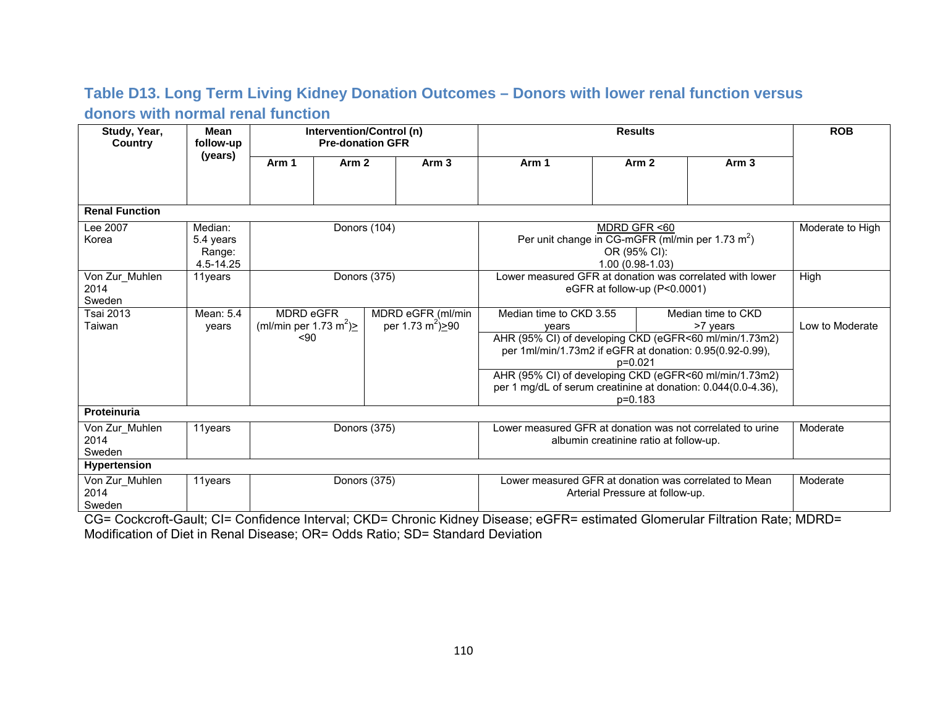## **Table D13. Long Term Living Kidney Donation Outcomes – Donors with lower renal function versus donors with normal renal function**

| Study, Year,<br><b>Country</b>   | <b>Mean</b><br>follow-up                    | Intervention/Control (n)<br><b>Pre-donation GFR</b>          |                  |                                                     | <b>Results</b>                  |                                                                                                                                                                                                                                                                                   |                                        | <b>ROB</b> |                                |                                          |
|----------------------------------|---------------------------------------------|--------------------------------------------------------------|------------------|-----------------------------------------------------|---------------------------------|-----------------------------------------------------------------------------------------------------------------------------------------------------------------------------------------------------------------------------------------------------------------------------------|----------------------------------------|------------|--------------------------------|------------------------------------------|
|                                  | (years)                                     | Arm 1                                                        | Arm <sub>2</sub> |                                                     | Arm <sub>3</sub>                | Arm 1                                                                                                                                                                                                                                                                             | Arm <sub>2</sub>                       |            | Arm <sub>3</sub>               |                                          |
|                                  |                                             |                                                              |                  |                                                     |                                 |                                                                                                                                                                                                                                                                                   |                                        |            |                                |                                          |
| <b>Renal Function</b>            |                                             |                                                              |                  |                                                     |                                 |                                                                                                                                                                                                                                                                                   |                                        |            |                                |                                          |
| Lee 2007<br>Korea                | Median:<br>5.4 years<br>Range:<br>4.5-14.25 |                                                              |                  | Donors (104)                                        |                                 | MDRD GFR <60<br>Per unit change in CG-mGFR (ml/min per 1.73 $m2$ )<br>OR (95% CI):<br>1.00 (0.98-1.03)                                                                                                                                                                            |                                        |            |                                | Moderate to High                         |
| Von Zur_Muhlen<br>2014<br>Sweden | 11years                                     |                                                              |                  | Donors (375)                                        |                                 | Lower measured GFR at donation was correlated with lower<br>eGFR at follow-up (P<0.0001)                                                                                                                                                                                          |                                        |            |                                | High                                     |
| Tsai 2013<br>Taiwan              | Mean: 5.4<br>years                          | MDRD eGFR<br>(ml/min per 1.73 m <sup>2</sup> ) $\ge$<br>< 90 |                  | MDRD eGFR (ml/min<br>per 1.73 m <sup>2</sup> ) > 90 |                                 | Median time to CKD 3.55<br>vears<br>AHR (95% CI) of developing CKD (eGFR<60 ml/min/1.73m2)<br>per 1ml/min/1.73m2 if eGFR at donation: 0.95(0.92-0.99),<br>AHR (95% CI) of developing CKD (eGFR<60 ml/min/1.73m2)<br>per 1 mg/dL of serum creatinine at donation: 0.044(0.0-4.36), | p=0.021<br>$p=0.183$                   |            | Median time to CKD<br>>7 years | Low to Moderate                          |
| Proteinuria                      |                                             |                                                              |                  |                                                     |                                 |                                                                                                                                                                                                                                                                                   |                                        |            |                                |                                          |
| Von Zur Muhlen<br>2014<br>Sweden | 11years                                     |                                                              |                  | Donors (375)                                        |                                 | Lower measured GFR at donation was not correlated to urine                                                                                                                                                                                                                        | albumin creatinine ratio at follow-up. |            |                                | Moderate                                 |
| <b>Hypertension</b>              |                                             |                                                              |                  |                                                     |                                 |                                                                                                                                                                                                                                                                                   |                                        |            |                                |                                          |
| Von Zur_Muhlen<br>2014<br>Sweden | 11 years<br>$\sim$ $\sim$ $\sim$ $\sim$     | $\sim$ $\sim$                                                | Donors (375)     | $\sim$ $\sim$                                       | $\cdot$ $\cdot$ $\cdot$ $\cdot$ | Lower measured GFR at donation was correlated to Mean<br>$\sim$ .<br>$\sim$ $ -$                                                                                                                                                                                                  | Arterial Pressure at follow-up.        | $\sim$     | ----                           | Moderate<br>$\cdot$ $\sim$ $\sim$ $\sim$ |

CG= Cockcroft-Gault; CI= Confidence Interval; CKD= Chronic Kidney Disease; eGFR= estimated Glomerular Filtration Rate; MDRD= Modification of Diet in Renal Disease; OR= Odds Ratio; SD= Standard Deviation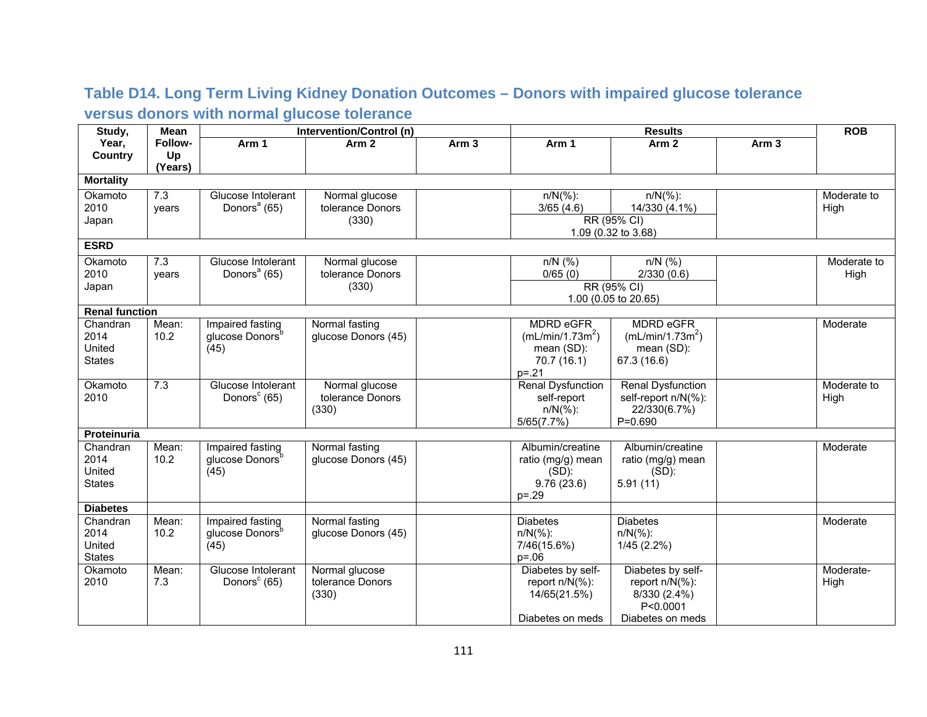## **Table D14. Long Term Living Kidney Donation Outcomes – Donors with impaired glucose tolerance versus donors with normal glucose tolerance**

| Study,                | Mean    | Intervention/Control (n)<br><b>Results</b> |                     |                  |                              |                              | <b>ROB</b>       |             |
|-----------------------|---------|--------------------------------------------|---------------------|------------------|------------------------------|------------------------------|------------------|-------------|
| Year,                 | Follow- | Arm 1                                      | Arm <sub>2</sub>    | Arm <sub>3</sub> | Arm 1                        | Arm <sub>2</sub>             | Arm <sub>3</sub> |             |
| <b>Country</b>        | Up      |                                            |                     |                  |                              |                              |                  |             |
|                       | (Years) |                                            |                     |                  |                              |                              |                  |             |
| <b>Mortality</b>      |         |                                            |                     |                  |                              |                              |                  |             |
| Okamoto               | 7.3     | Glucose Intolerant                         | Normal glucose      |                  | $n/N(\%)$ :                  | $n/N(\%)$ :                  |                  | Moderate to |
| 2010                  | vears   | Donors <sup>a</sup> (65)                   | tolerance Donors    |                  | 3/65(4.6)                    | 14/330 (4.1%)                |                  | High        |
| Japan                 |         |                                            | (330)               |                  |                              | RR (95% CI)                  |                  |             |
|                       |         |                                            |                     |                  |                              | 1.09 (0.32 to 3.68)          |                  |             |
| <b>ESRD</b>           |         |                                            |                     |                  |                              |                              |                  |             |
| Okamoto               | 7.3     | Glucose Intolerant                         | Normal glucose      |                  | $n/N$ (%)                    | $n/N$ (%)                    |                  | Moderate to |
| 2010                  | years   | Donors <sup>a</sup> (65)                   | tolerance Donors    |                  | 0/65(0)                      | 2/330(0.6)                   |                  | High        |
| Japan                 |         |                                            | (330)               |                  |                              | RR (95% CI)                  |                  |             |
|                       |         |                                            |                     |                  |                              | 1.00 (0.05 to 20.65)         |                  |             |
| <b>Renal function</b> |         |                                            |                     |                  |                              |                              |                  |             |
| Chandran              | Mean:   | Impaired fasting                           | Normal fasting      |                  | <b>MDRD eGFR</b>             | <b>MDRD eGFR</b>             |                  | Moderate    |
| 2014                  | 10.2    | glucose Donors <sup>b</sup>                | glucose Donors (45) |                  | (mL/min/1.73m <sup>2</sup> ) | (mL/min/1.73m <sup>2</sup> ) |                  |             |
| United                |         | (45)                                       |                     |                  | mean (SD):                   | mean (SD):                   |                  |             |
| <b>States</b>         |         |                                            |                     |                  | 70.7(16.1)                   | 67.3 (16.6)                  |                  |             |
|                       |         |                                            |                     |                  | $p = 21$                     |                              |                  |             |
| Okamoto               | 7.3     | Glucose Intolerant                         | Normal glucose      |                  | <b>Renal Dysfunction</b>     | <b>Renal Dysfunction</b>     |                  | Moderate to |
| 2010                  |         | Donors <sup>c</sup> (65)                   | tolerance Donors    |                  | self-report                  | self-report n/N(%):          |                  | High        |
|                       |         |                                            | (330)               |                  | $n/N(\%)$ :<br>5/65(7.7%)    | 22/330(6.7%)<br>$P=0.690$    |                  |             |
| Proteinuria           |         |                                            |                     |                  |                              |                              |                  |             |
| Chandran              | Mean:   | Impaired fasting                           | Normal fasting      |                  | Albumin/creatine             | Albumin/creatine             |                  | Moderate    |
| 2014                  | 10.2    | glucose Donors <sup>b</sup>                | glucose Donors (45) |                  | ratio (mg/g) mean            | ratio (mg/g) mean            |                  |             |
| United                |         | (45)                                       |                     |                  | $(SD)$ :                     | $(SD)$ :                     |                  |             |
| <b>States</b>         |         |                                            |                     |                  | 9.76(23.6)                   | 5.91(11)                     |                  |             |
|                       |         |                                            |                     |                  | $p = 0.29$                   |                              |                  |             |
| <b>Diabetes</b>       |         |                                            |                     |                  |                              |                              |                  |             |
| Chandran              | Mean:   | Impaired fasting                           | Normal fasting      |                  | <b>Diabetes</b>              | <b>Diabetes</b>              |                  | Moderate    |
| 2014                  | 10.2    | glucose Donors <sup>b</sup>                | glucose Donors (45) |                  | $n/N(\%)$ :                  | $n/N(\%)$ :                  |                  |             |
| United                |         | (45)                                       |                     |                  | 7/46(15.6%)                  | 1/45(2.2%)                   |                  |             |
| <b>States</b>         |         |                                            |                     |                  | $p = 0.06$                   |                              |                  |             |
| Okamoto               | Mean:   | Glucose Intolerant                         | Normal glucose      |                  | Diabetes by self-            | Diabetes by self-            |                  | Moderate-   |
| 2010                  | 7.3     | Donors <sup>c</sup> (65)                   | tolerance Donors    |                  | report $n/N(\%)$ :           | report n/N(%):               |                  | High        |
|                       |         |                                            | (330)               |                  | 14/65(21.5%)                 | 8/330 (2.4%)                 |                  |             |
|                       |         |                                            |                     |                  |                              | P<0.0001                     |                  |             |
|                       |         |                                            |                     |                  | Diabetes on meds             | Diabetes on meds             |                  |             |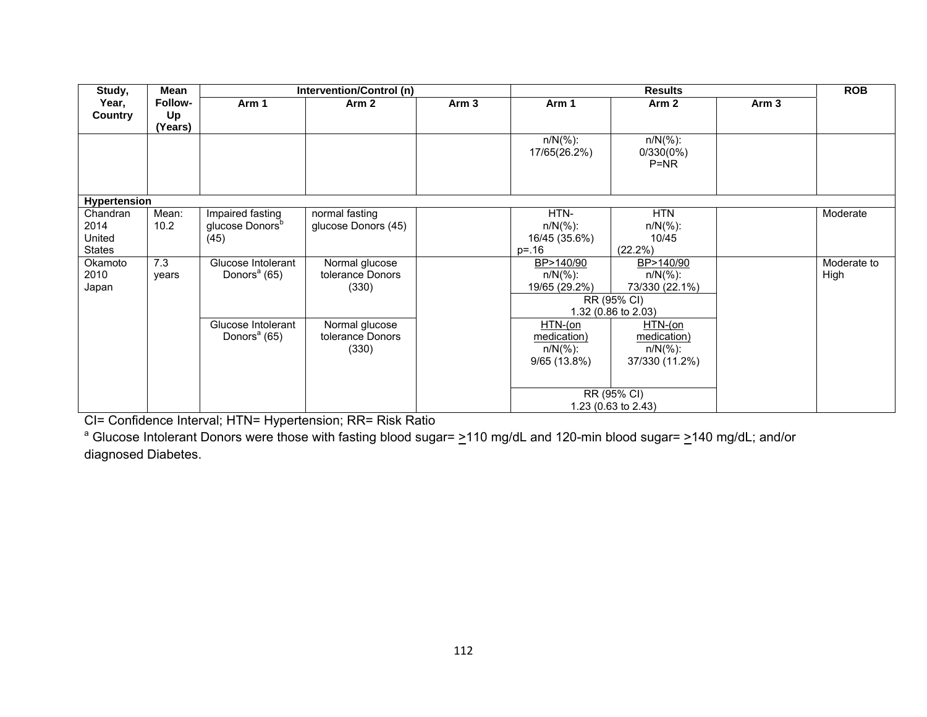| Study,                                      | <b>Mean</b>              |                                                         | Intervention/Control (n)                    |                  |                                                          | <b>Results</b>                                                                                   |                  | <b>ROB</b>          |
|---------------------------------------------|--------------------------|---------------------------------------------------------|---------------------------------------------|------------------|----------------------------------------------------------|--------------------------------------------------------------------------------------------------|------------------|---------------------|
| Year,<br><b>Country</b>                     | Follow-<br>Up<br>(Years) | Arm 1                                                   | Arm <sub>2</sub>                            | Arm <sub>3</sub> | Arm 1                                                    | Arm <sub>2</sub>                                                                                 | Arm <sub>3</sub> |                     |
|                                             |                          |                                                         |                                             |                  | $n/N(\%)$ :<br>17/65(26.2%)                              | $n/N$ (%):<br>0/330(0%)<br>$P=NR$                                                                |                  |                     |
| Hypertension                                |                          |                                                         |                                             |                  |                                                          |                                                                                                  |                  |                     |
| Chandran<br>2014<br>United<br><b>States</b> | Mean:<br>10.2            | Impaired fasting<br>glucose Donors <sup>b</sup><br>(45) | normal fasting<br>glucose Donors (45)       |                  | HTN-<br>$n/N$ (%):<br>16/45 (35.6%)<br>$p = 16$          | <b>HTN</b><br>$n/N(\%)$ :<br>10/45<br>$(22.2\%)$                                                 |                  | Moderate            |
| Okamoto<br>2010<br>Japan                    | 7.3<br>vears             | Glucose Intolerant<br>Donors <sup>a</sup> (65)          | Normal glucose<br>tolerance Donors<br>(330) |                  | BP>140/90<br>$n/N$ (%):<br>19/65 (29.2%)                 | BP>140/90<br>$n/N(\%)$ :<br>73/330 (22.1%)<br>RR (95% CI)<br>1.32 (0.86 to 2.03)                 |                  | Moderate to<br>High |
|                                             |                          | Glucose Intolerant<br>Donors <sup>a</sup> (65)          | Normal glucose<br>tolerance Donors<br>(330) |                  | $HTN$ -(on<br>medication)<br>$n/N(\%)$ :<br>9/65 (13.8%) | $HTN$ -(on<br>medication)<br>$n/N(\%)$ :<br>37/330 (11.2%)<br>RR (95% CI)<br>1.23 (0.63 to 2.43) |                  |                     |

CI= Confidence Interval; HTN= Hypertension; RR= Risk Ratio

<sup>a</sup> Glucose Intolerant Donors were those with fasting blood sugar=  $\geq$ 110 mg/dL and 120-min blood sugar=  $\geq$ 140 mg/dL; and/or diagnosed Diabetes.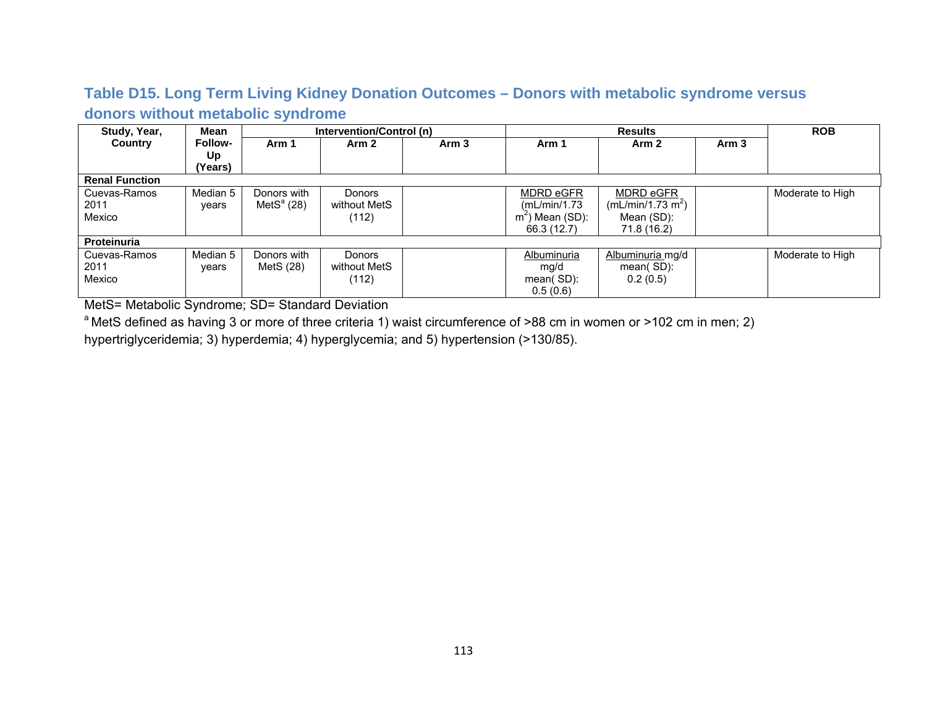### **Table D15. Long Term Living Kidney Donation Outcomes – Donors with metabolic syndrome versus donors without metabolic syndrome**

| Study, Year,          | Mean           |               | Intervention/Control (n) |                  |                   | <b>Results</b>                |                  | <b>ROB</b>       |
|-----------------------|----------------|---------------|--------------------------|------------------|-------------------|-------------------------------|------------------|------------------|
| <b>Country</b>        | <b>Follow-</b> | Arm 1         | Arm 2                    | Arm <sub>3</sub> | Arm 1             | Arm <sub>2</sub>              | Arm <sub>3</sub> |                  |
|                       | Up             |               |                          |                  |                   |                               |                  |                  |
|                       | (Years)        |               |                          |                  |                   |                               |                  |                  |
| <b>Renal Function</b> |                |               |                          |                  |                   |                               |                  |                  |
| Cuevas-Ramos          | Median 5       | Donors with   | Donors                   |                  | MDRD eGFR         | MDRD eGFR                     |                  | Moderate to High |
| 2011                  | vears          | Met $S^a(28)$ | without MetS             |                  | (mL/min/1.73)     | (mL/min/1.73 m <sup>2</sup> ) |                  |                  |
| Mexico                |                |               | (112)                    |                  | $m2$ ) Mean (SD): | Mean (SD):                    |                  |                  |
|                       |                |               |                          |                  | 66.3 (12.7)       | 71.8 (16.2)                   |                  |                  |
| Proteinuria           |                |               |                          |                  |                   |                               |                  |                  |
| Cuevas-Ramos          | Median 5       | Donors with   | <b>Donors</b>            |                  | Albuminuria       | Albuminuria mg/d              |                  | Moderate to High |
| 2011                  | vears          | MetS (28)     | without MetS             |                  | mg/d              | $mean(SD)$ :                  |                  |                  |
| Mexico                |                |               | (112)                    |                  | mean(SD):         | 0.2(0.5)                      |                  |                  |
|                       |                |               |                          |                  | 0.5(0.6)          |                               |                  |                  |

MetS= Metabolic Syndrome; SD= Standard Deviation

<sup>a</sup> MetS defined as having 3 or more of three criteria 1) waist circumference of >88 cm in women or >102 cm in men; 2)

hypertriglyceridemia; 3) hyperdemia; 4) hyperglycemia; and 5) hypertension (>130/85).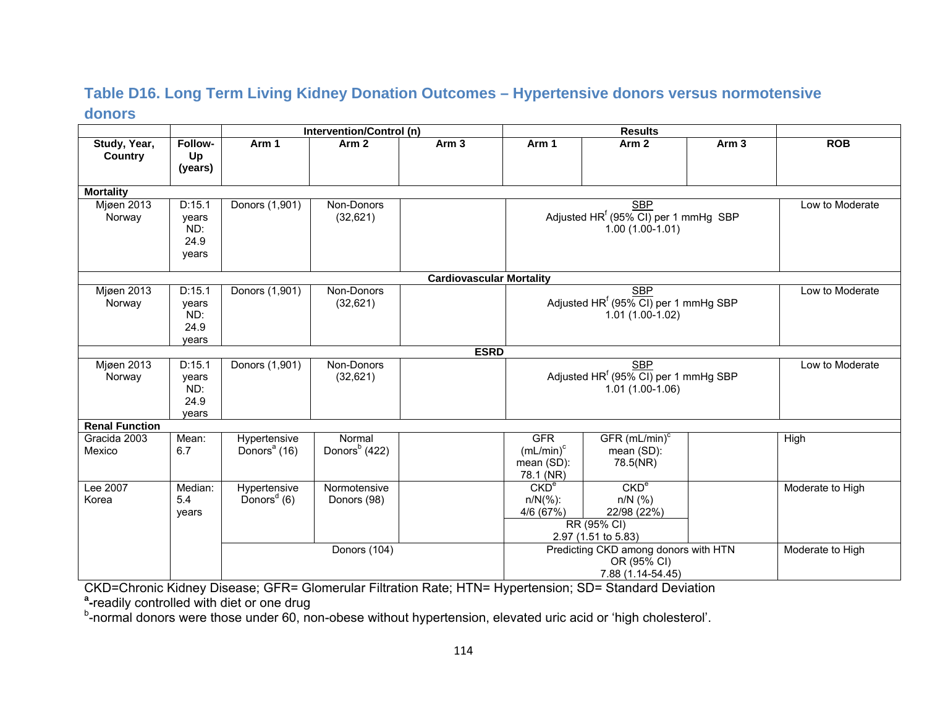#### **Table D16. Long Term Living Kidney Donation Outcomes – Hypertensive donors versus normotensive donors**

|                                |                                         |                                          | Intervention/Control (n)            |                                 |                                                         | <b>Results</b>                                                                      |                  |                  |
|--------------------------------|-----------------------------------------|------------------------------------------|-------------------------------------|---------------------------------|---------------------------------------------------------|-------------------------------------------------------------------------------------|------------------|------------------|
| Study, Year,<br><b>Country</b> | Follow-<br>Up<br>(years)                | Arm 1                                    | Arm <sub>2</sub>                    | Arm <sub>3</sub>                | Arm 1                                                   | Arm <sub>2</sub>                                                                    | Arm <sub>3</sub> | <b>ROB</b>       |
| <b>Mortality</b>               |                                         |                                          |                                     |                                 |                                                         |                                                                                     |                  |                  |
| Mjøen 2013<br>Norway           | D:15.1<br>years<br>ND:<br>24.9<br>years | Donors (1,901)                           | Non-Donors<br>(32,621)              |                                 |                                                         | <b>SBP</b><br>Adjusted HR <sup>f</sup> (95% CI) per 1 mmHg SBP<br>$1.00(1.00-1.01)$ |                  | Low to Moderate  |
|                                |                                         |                                          |                                     | <b>Cardiovascular Mortality</b> |                                                         |                                                                                     |                  |                  |
| Mjøen 2013<br>Norway           | D:15.1<br>years<br>ND:<br>24.9<br>years | Donors (1,901)                           | Non-Donors<br>(32,621)              |                                 |                                                         | <b>SBP</b><br>Adjusted HR <sup>f</sup> (95% CI) per 1 mmHg SBP<br>$1.01(1.00-1.02)$ |                  | Low to Moderate  |
|                                |                                         |                                          |                                     | <b>ESRD</b>                     |                                                         |                                                                                     |                  |                  |
| <b>Mjøen 2013</b><br>Norway    | D:15.1<br>years<br>ND:<br>24.9<br>vears | Donors (1,901)                           | Non-Donors<br>(32,621)              |                                 |                                                         | <b>SBP</b><br>Adjusted HR <sup>f</sup> (95% CI) per 1 mmHg SBP<br>$1.01(1.00-1.06)$ |                  | Low to Moderate  |
| <b>Renal Function</b>          |                                         |                                          |                                     |                                 |                                                         |                                                                                     |                  |                  |
| Gracida 2003<br>Mexico         | Mean:<br>6.7                            | Hypertensive<br>Donors <sup>a</sup> (16) | Normal<br>Donors <sup>b</sup> (422) |                                 | <b>GFR</b><br>$(mL/min)^{c}$<br>mean (SD):<br>78.1 (NR) | GFR (mL/min) <sup>c</sup><br>mean (SD):<br>78.5(NR)                                 |                  | <b>High</b>      |
| Lee 2007<br>Korea              | Median:<br>5.4<br>years                 | Hypertensive<br>Donors <sup>d</sup> (6)  | Normotensive<br>Donors (98)         |                                 | CKD <sup>e</sup><br>$n/N(\%):$<br>4/6 (67%)             | CKD <sup>e</sup><br>$n/N$ (%)<br>22/98 (22%)<br>RR (95% CI)<br>2.97 (1.51 to 5.83)  |                  | Moderate to High |
|                                |                                         |                                          | Donors (104)                        |                                 |                                                         | Predicting CKD among donors with HTN<br>OR (95% CI)<br>7.88 (1.14-54.45)            |                  | Moderate to High |

CKD=Chronic Kidney Disease; GFR= Glomerular Filtration Rate; HTN= Hypertension; SD= Standard Deviation **a -**readily controlled with diet or one drug

b-normal donors were those under 60, non-obese without hypertension, elevated uric acid or 'high cholesterol'.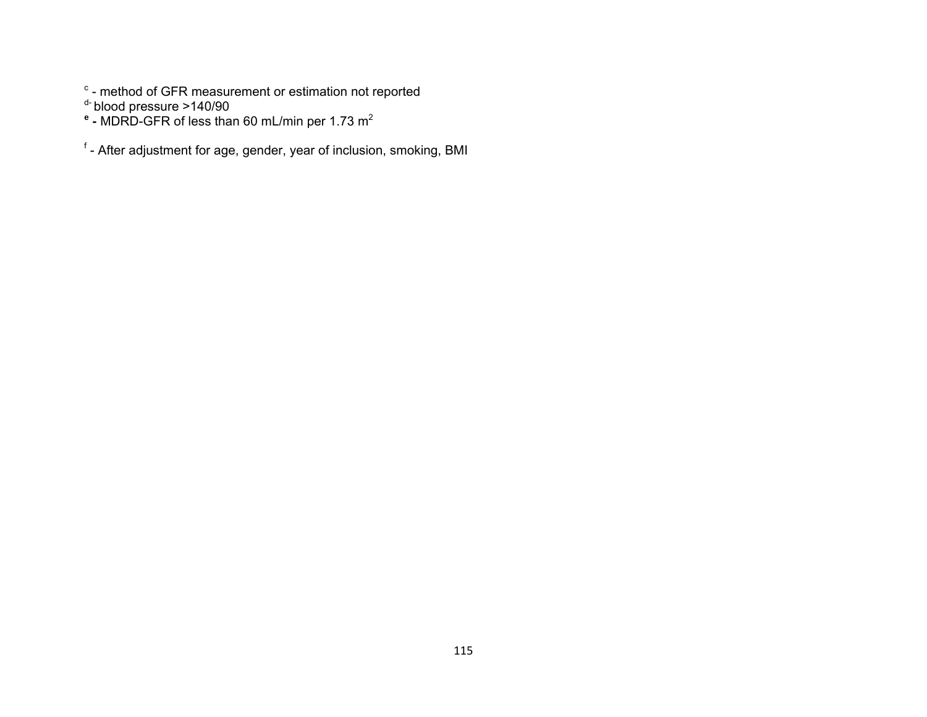$\textdegree$  - method of GFR measurement or estimation not reported

<sup>d-</sup> blood pressure >140/90<br>**<sup>e</sup> -** MDRD-GFR of less than 60 mL/min per 1.73 m<sup>2</sup>

f - After adjustment for age, gender, year of inclusion, smoking, BMI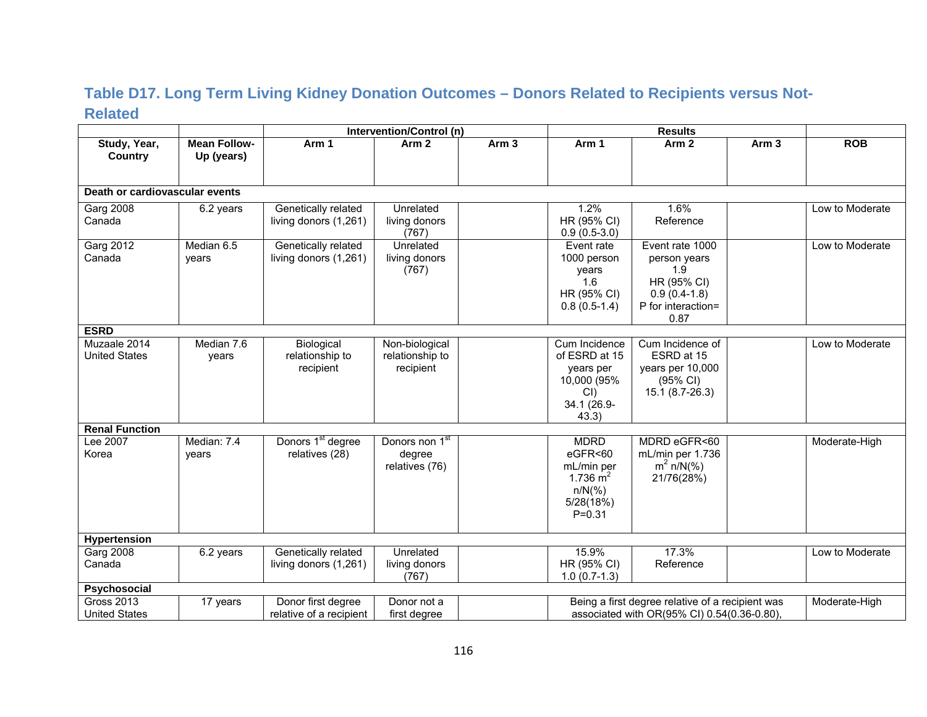### **Table D17. Long Term Living Kidney Donation Outcomes – Donors Related to Recipients versus Not-Related**

|                                |                                   |                               | Intervention/Control (n)   |                  |                               | <b>Results</b>                                   |                  |                 |
|--------------------------------|-----------------------------------|-------------------------------|----------------------------|------------------|-------------------------------|--------------------------------------------------|------------------|-----------------|
| Study, Year,<br><b>Country</b> | <b>Mean Follow-</b><br>Up (years) | Arm 1                         | Arm <sub>2</sub>           | Arm <sub>3</sub> | Arm 1                         | Arm <sub>2</sub>                                 | Arm <sub>3</sub> | <b>ROB</b>      |
|                                |                                   |                               |                            |                  |                               |                                                  |                  |                 |
| Death or cardiovascular events |                                   |                               |                            |                  |                               |                                                  |                  |                 |
| <b>Garg 2008</b>               | 6.2 years                         | Genetically related           | Unrelated                  |                  | 1.2%                          | 1.6%                                             |                  | Low to Moderate |
| Canada                         |                                   | living donors (1,261)         | living donors<br>(767)     |                  | HR (95% CI)<br>$0.9(0.5-3.0)$ | Reference                                        |                  |                 |
| <b>Garg 2012</b>               | Median 6.5                        | Genetically related           | Unrelated                  |                  | Event rate                    | Event rate 1000                                  |                  | Low to Moderate |
| Canada                         | years                             | living donors (1,261)         | living donors              |                  | 1000 person                   | person years                                     |                  |                 |
|                                |                                   |                               | (767)                      |                  | years                         | 1.9                                              |                  |                 |
|                                |                                   |                               |                            |                  | 1.6                           | HR (95% CI)                                      |                  |                 |
|                                |                                   |                               |                            |                  | HR (95% CI)                   | $0.9(0.4-1.8)$                                   |                  |                 |
|                                |                                   |                               |                            |                  | $0.8(0.5-1.4)$                | P for interaction=                               |                  |                 |
| <b>ESRD</b>                    |                                   |                               |                            |                  |                               | 0.87                                             |                  |                 |
| Muzaale 2014                   | Median 7.6                        | Biological                    | Non-biological             |                  | Cum Incidence                 | Cum Incidence of                                 |                  | Low to Moderate |
| <b>United States</b>           | years                             | relationship to               | relationship to            |                  | of ESRD at 15                 | ESRD at 15                                       |                  |                 |
|                                |                                   | recipient                     | recipient                  |                  | years per                     | years per 10,000                                 |                  |                 |
|                                |                                   |                               |                            |                  | 10,000 (95%                   | (95% CI)                                         |                  |                 |
|                                |                                   |                               |                            |                  | CI                            | 15.1 (8.7-26.3)                                  |                  |                 |
|                                |                                   |                               |                            |                  | 34.1 (26.9-                   |                                                  |                  |                 |
|                                |                                   |                               |                            |                  | 43.3)                         |                                                  |                  |                 |
| <b>Renal Function</b>          |                                   |                               |                            |                  |                               |                                                  |                  |                 |
| Lee 2007                       | Median: 7.4                       | Donors 1 <sup>st</sup> degree | Donors non 1 <sup>st</sup> |                  | <b>MDRD</b>                   | MDRD eGFR<60                                     |                  | Moderate-High   |
| Korea                          | years                             | relatives (28)                | degree                     |                  | eGFR<60                       | mL/min per 1.736                                 |                  |                 |
|                                |                                   |                               | relatives (76)             |                  | mL/min per                    | $m^2 n/N$ (%)                                    |                  |                 |
|                                |                                   |                               |                            |                  | 1.736 $m2$                    | 21/76(28%)                                       |                  |                 |
|                                |                                   |                               |                            |                  | $n/N$ (%)                     |                                                  |                  |                 |
|                                |                                   |                               |                            |                  | 5/28(18%)<br>$P = 0.31$       |                                                  |                  |                 |
|                                |                                   |                               |                            |                  |                               |                                                  |                  |                 |
| Hypertension                   |                                   |                               |                            |                  |                               |                                                  |                  |                 |
| <b>Garg 2008</b>               | 6.2 years                         | Genetically related           | Unrelated                  |                  | 15.9%                         | 17.3%                                            |                  | Low to Moderate |
| Canada                         |                                   | living donors (1,261)         | living donors              |                  | HR (95% CI)                   | Reference                                        |                  |                 |
|                                |                                   |                               | (767)                      |                  | $1.0(0.7-1.3)$                |                                                  |                  |                 |
| Psychosocial                   |                                   |                               |                            |                  |                               |                                                  |                  |                 |
| <b>Gross 2013</b>              | 17 years                          | Donor first degree            | Donor not a                |                  |                               | Being a first degree relative of a recipient was |                  | Moderate-High   |
| <b>United States</b>           |                                   | relative of a recipient       | first degree               |                  |                               | associated with OR(95% CI) 0.54(0.36-0.80),      |                  |                 |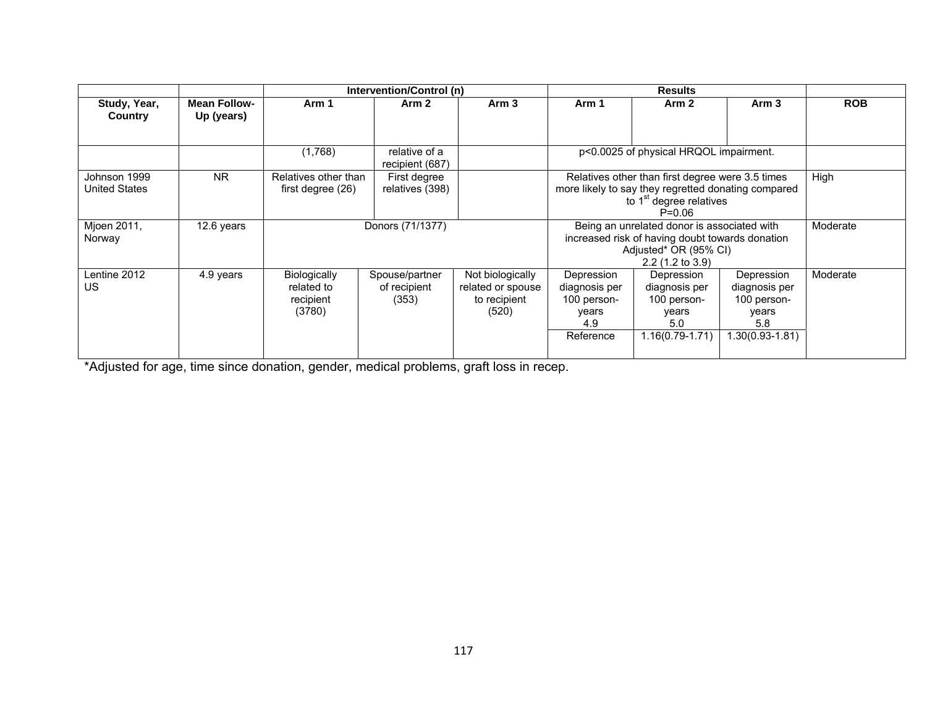|                               |                                   |                                                          | Intervention/Control (n)                |                                                                |                                                                         |                                                                                                                                                              |                                                                               |            |  |
|-------------------------------|-----------------------------------|----------------------------------------------------------|-----------------------------------------|----------------------------------------------------------------|-------------------------------------------------------------------------|--------------------------------------------------------------------------------------------------------------------------------------------------------------|-------------------------------------------------------------------------------|------------|--|
| Study, Year,<br>Country       | <b>Mean Follow-</b><br>Up (years) | Arm 1                                                    | Arm 2                                   | Arm 3                                                          | Arm 1                                                                   | Arm <sub>2</sub>                                                                                                                                             | Arm 3                                                                         | <b>ROB</b> |  |
|                               |                                   | (1,768)                                                  | relative of a<br>recipient (687)        |                                                                |                                                                         | p<0.0025 of physical HRQOL impairment.                                                                                                                       |                                                                               |            |  |
| Johnson 1999<br>United States | <b>NR</b>                         | Relatives other than<br>first degree (26)                | First degree<br>relatives (398)         |                                                                |                                                                         | Relatives other than first degree were 3.5 times<br>more likely to say they regretted donating compared<br>to 1 <sup>st</sup> degree relatives<br>$P = 0.06$ |                                                                               | High       |  |
| Mjoen 2011,<br>Norway         | 12.6 years                        |                                                          | Donors (71/1377)                        |                                                                |                                                                         | Being an unrelated donor is associated with<br>increased risk of having doubt towards donation<br>Adjusted* OR (95% CI)<br>$2.2$ (1.2 to 3.9)                |                                                                               |            |  |
| Lentine 2012<br>US            | 4.9 years                         | <b>Biologically</b><br>related to<br>recipient<br>(3780) | Spouse/partner<br>of recipient<br>(353) | Not biologically<br>related or spouse<br>to recipient<br>(520) | Depression<br>diagnosis per<br>100 person-<br>years<br>4.9<br>Reference | Depression<br>diagnosis per<br>100 person-<br>years<br>5.0<br>1.16(0.79-1.71)                                                                                | Depression<br>diagnosis per<br>100 person-<br>years<br>5.8<br>1.30(0.93-1.81) | Moderate   |  |

\*Adjusted for age, time since donation, gender, medical problems, graft loss in recep.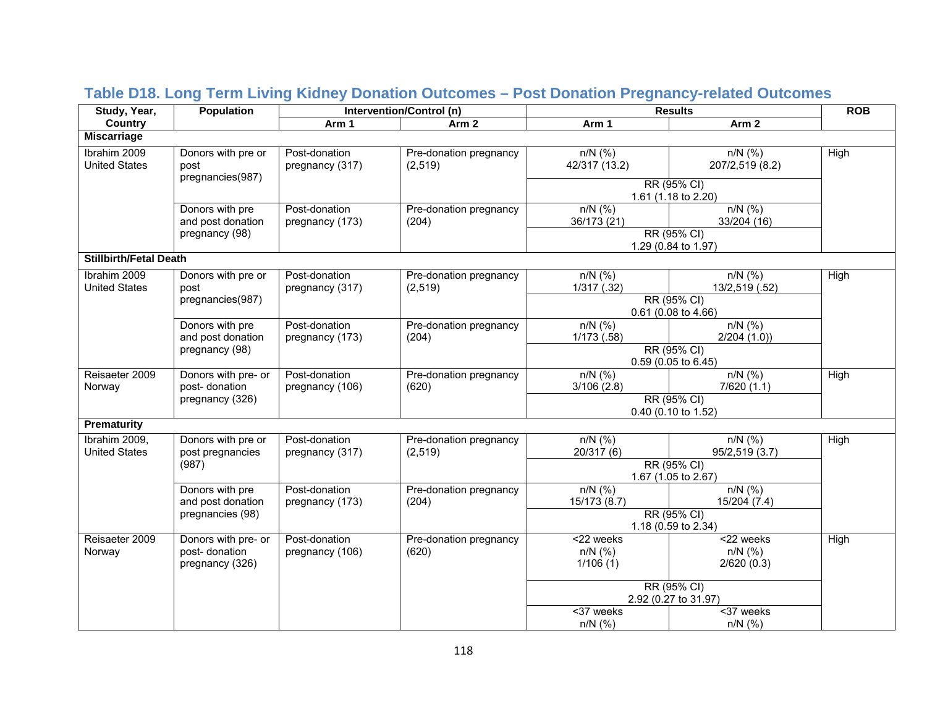| Study, Year,                          | <b>Population</b>                                       |                                  | Intervention/Control (n)          |                                     | <b>Results</b>                                                  | <b>ROB</b> |
|---------------------------------------|---------------------------------------------------------|----------------------------------|-----------------------------------|-------------------------------------|-----------------------------------------------------------------|------------|
| <b>Country</b>                        |                                                         | Arm 1                            | Arm <sub>2</sub>                  | Arm 1                               | Arm <sub>2</sub>                                                |            |
| <b>Miscarriage</b>                    |                                                         |                                  |                                   |                                     |                                                                 |            |
| Ibrahim 2009<br><b>United States</b>  | Donors with pre or<br>post<br>pregnancies(987)          | Post-donation<br>pregnancy (317) | Pre-donation pregnancy<br>(2,519) | $n/N$ (%)<br>42/317 (13.2)          | $n/N$ (%)<br>207/2,519 (8.2)                                    | High       |
|                                       |                                                         |                                  |                                   |                                     | RR (95% CI)<br>1.61 (1.18 to 2.20)                              |            |
|                                       | Donors with pre<br>and post donation<br>pregnancy (98)  | Post-donation<br>pregnancy (173) | Pre-donation pregnancy<br>(204)   | $n/N$ (%)<br>36/173 (21)            | $n/N$ (%)<br>33/204 (16)<br>RR (95% CI)                         |            |
|                                       |                                                         |                                  |                                   |                                     | 1.29 (0.84 to 1.97)                                             |            |
| <b>Stillbirth/Fetal Death</b>         |                                                         |                                  |                                   |                                     |                                                                 |            |
| Ibrahim 2009<br><b>United States</b>  | Donors with pre or<br>post                              | Post-donation<br>pregnancy (317) | Pre-donation pregnancy<br>(2,519) | $\overline{n/N}$ (%)<br>1/317(.32)  | $n/N$ (%)<br>13/2,519 (.52)                                     | High       |
|                                       | pregnancies(987)                                        |                                  |                                   |                                     | RR (95% CI)<br>0.61 (0.08 to 4.66)                              |            |
|                                       | Donors with pre<br>and post donation                    | Post-donation<br>pregnancy (173) | Pre-donation pregnancy<br>(204)   | $n/N$ (%)<br>$1/173$ $(.58)$        | $n/N$ (%)<br>2/204(1.0)                                         |            |
| pregnancy (98)                        |                                                         |                                  |                                   |                                     | RR (95% CI)<br>0.59 (0.05 to 6.45)                              |            |
| Reisaeter 2009<br>Norway              | Donors with pre- or<br>post-donation                    | Post-donation<br>pregnancy (106) | Pre-donation pregnancy<br>(620)   | $n/N$ (%)<br>3/106(2.8)             | $n/N$ (%)<br>7/620(1.1)                                         | High       |
|                                       | pregnancy (326)                                         |                                  |                                   |                                     | RR (95% CI)<br>0.40 (0.10 to 1.52)                              |            |
| <b>Prematurity</b>                    |                                                         |                                  |                                   |                                     |                                                                 |            |
| Ibrahim 2009,<br><b>United States</b> | Donors with pre or<br>post pregnancies                  | Post-donation<br>pregnancy (317) | Pre-donation pregnancy<br>(2,519) | $n/N$ (%)<br>20/317 (6)             | $n/N$ (%)<br>95/2,519 (3.7)                                     | High       |
|                                       | (987)                                                   |                                  |                                   | RR (95% CI)<br>1.67 (1.05 to 2.67)  |                                                                 |            |
|                                       | Donors with pre<br>and post donation                    | Post-donation<br>pregnancy (173) | Pre-donation pregnancy<br>(204)   | $n/N$ (%)<br>15/173 (8.7)           | $n/N$ (%)<br>15/204 (7.4)                                       |            |
|                                       | pregnancies (98)                                        |                                  |                                   |                                     | RR (95% CI)<br>1.18 (0.59 to 2.34)                              |            |
| Reisaeter 2009<br>Norway              | Donors with pre- or<br>post-donation<br>pregnancy (326) | Post-donation<br>pregnancy (106) | Pre-donation pregnancy<br>(620)   | <22 weeks<br>$n/N$ (%)<br>1/106(1)  | $\overline{\text{22} \text{ weeks}}$<br>$n/N$ (%)<br>2/620(0.3) | High       |
|                                       |                                                         |                                  |                                   | RR (95% CI)<br>2.92 (0.27 to 31.97) |                                                                 |            |
|                                       |                                                         |                                  |                                   | $\overline{37}$ weeks<br>$n/N$ (%)  | <37 weeks<br>$n/N$ (%)                                          |            |

# **Table D18. Long Term Living Kidney Donation Outcomes – Post Donation Pregnancy-related Outcomes**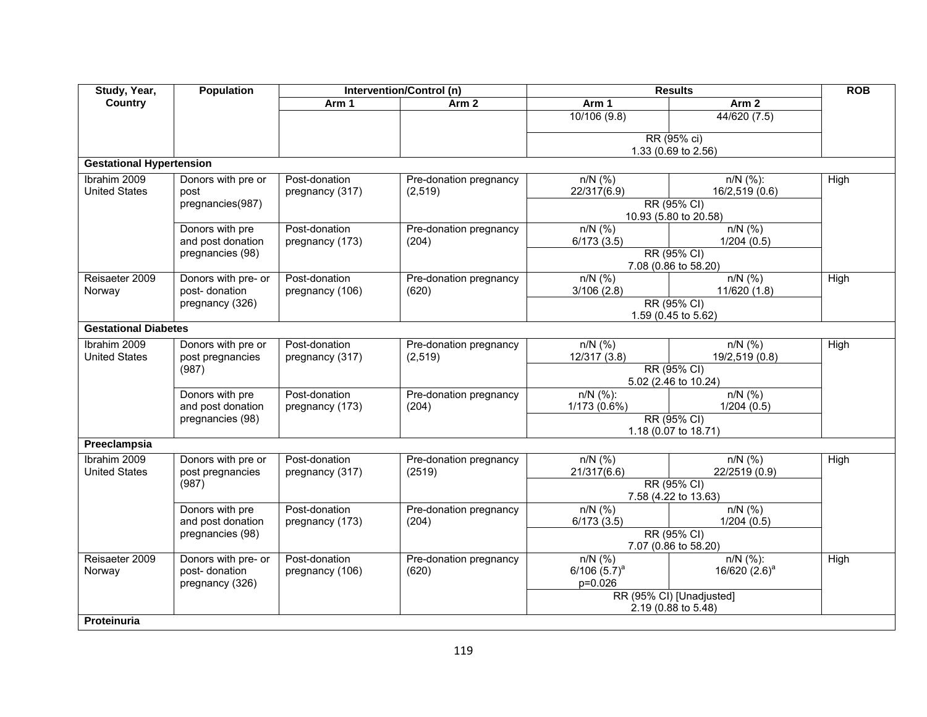| Study, Year,                         | <b>Population</b>                                       |                                  | <b>Intervention/Control (n)</b>    |                                        | <b>Results</b>                                  | <b>ROB</b> |
|--------------------------------------|---------------------------------------------------------|----------------------------------|------------------------------------|----------------------------------------|-------------------------------------------------|------------|
| <b>Country</b>                       |                                                         | Arm 1                            | Arm <sub>2</sub>                   | Arm 1                                  | Arm <sub>2</sub>                                |            |
|                                      |                                                         |                                  |                                    | 10/106(9.8)                            | 44/620 (7.5)                                    |            |
|                                      |                                                         |                                  |                                    |                                        | RR (95% ci)                                     |            |
|                                      |                                                         |                                  |                                    |                                        | 1.33 (0.69 to 2.56)                             |            |
| <b>Gestational Hypertension</b>      |                                                         |                                  |                                    |                                        |                                                 |            |
| Ibrahim 2009<br><b>United States</b> | Donors with pre or<br>post                              | Post-donation<br>pregnancy (317) | Pre-donation pregnancy<br>(2, 519) | $n/N$ (%)<br>22/317(6.9)               | $n/N$ (%):<br>16/2,519 (0.6)                    | High       |
|                                      | pregnancies(987)                                        |                                  |                                    |                                        | RR (95% CI)<br>10.93 (5.80 to 20.58)            |            |
|                                      | Donors with pre<br>and post donation                    | Post-donation<br>pregnancy (173) | Pre-donation pregnancy<br>(204)    | $n/N$ (%)<br>6/173(3.5)                | $n/N$ (%)<br>1/204(0.5)                         |            |
|                                      | pregnancies (98)                                        |                                  |                                    |                                        | RR (95% CI)<br>7.08 (0.86 to 58.20)             |            |
| Reisaeter 2009<br>Norway             | Donors with pre- or<br>post- donation                   | Post-donation<br>pregnancy (106) | Pre-donation pregnancy<br>(620)    | $n/N$ (%)<br>3/106(2.8)                | $n/N$ (%)<br>11/620 (1.8)                       | High       |
|                                      | pregnancy (326)                                         |                                  |                                    |                                        | RR (95% CI)<br>1.59 (0.45 to 5.62)              |            |
| <b>Gestational Diabetes</b>          |                                                         |                                  |                                    |                                        |                                                 |            |
| Ibrahim 2009<br><b>United States</b> | Donors with pre or<br>post pregnancies                  | Post-donation<br>pregnancy (317) | Pre-donation pregnancy<br>(2, 519) | $n/N$ (%)<br>12/317 (3.8)              | $n/N$ (%)<br>19/2,519 (0.8)                     | High       |
|                                      | (987)                                                   |                                  |                                    |                                        | RR (95% CI)<br>5.02 (2.46 to 10.24)             |            |
|                                      | Donors with pre                                         | Post-donation                    | Pre-donation pregnancy             | $n/N$ (%):                             | $n/N$ (%)                                       |            |
|                                      | and post donation<br>pregnancies (98)                   | pregnancy (173)                  | (204)                              | 1/173 (0.6%)                           | 1/204(0.5)<br>RR (95% CI)                       |            |
|                                      |                                                         |                                  |                                    | 1.18 (0.07 to 18.71)                   |                                                 |            |
| Preeclampsia                         |                                                         |                                  |                                    |                                        |                                                 |            |
| Ibrahim 2009<br><b>United States</b> | Donors with pre or<br>post pregnancies                  | Post-donation<br>pregnancy (317) | Pre-donation pregnancy<br>(2519)   | $n/N$ (%)<br>21/317(6.6)               | $n/N$ (%)<br>22/2519 (0.9)                      | High       |
|                                      | (987)                                                   |                                  |                                    |                                        | RR (95% CI)<br>7.58 (4.22 to 13.63)             |            |
|                                      | Donors with pre<br>and post donation                    | Post-donation<br>pregnancy (173) | Pre-donation pregnancy<br>(204)    | $n/N$ (%)<br>6/173(3.5)                | $n/N$ (%)<br>1/204(0.5)                         |            |
|                                      | pregnancies (98)                                        |                                  |                                    |                                        | RR (95% CI)<br>7.07 (0.86 to 58.20)             |            |
| Reisaeter 2009<br>Norway             | Donors with pre- or<br>post-donation<br>pregnancy (326) | Post-donation<br>pregnancy (106) | Pre-donation pregnancy<br>(620)    | $n/N$ (%)<br>$6/106(5.7)^a$<br>p=0.026 | $n/N$ (%):<br>16/620 $(2.6)^a$                  | High       |
|                                      |                                                         |                                  |                                    |                                        | RR (95% CI) [Unadjusted]<br>2.19 (0.88 to 5.48) |            |
| Proteinuria                          |                                                         |                                  |                                    |                                        |                                                 |            |